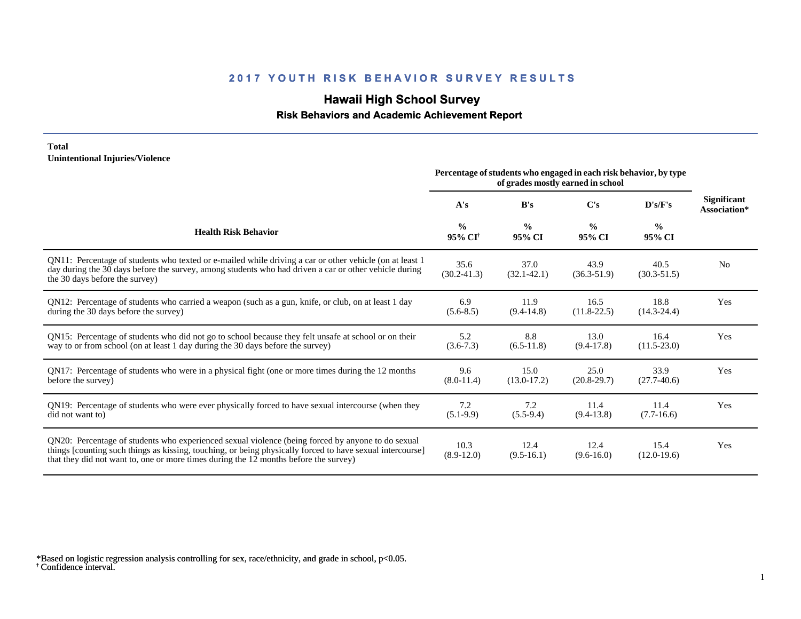## **Hawaii High School Survey**

### **Risk Behaviors and Academic Achievement Report**

#### **Total Unintentional Injuries/Violence**

|                                                                                                                                                                                                                                                                                                        | Percentage of students who engaged in each risk behavior, by type<br>of grades mostly earned in school |                         |                         |                         |                                    |
|--------------------------------------------------------------------------------------------------------------------------------------------------------------------------------------------------------------------------------------------------------------------------------------------------------|--------------------------------------------------------------------------------------------------------|-------------------------|-------------------------|-------------------------|------------------------------------|
|                                                                                                                                                                                                                                                                                                        | A's                                                                                                    | B's                     | C's                     | D's/F's                 | <b>Significant</b><br>Association* |
| <b>Health Risk Behavior</b>                                                                                                                                                                                                                                                                            | $\frac{0}{0}$<br>95% CI <sup>†</sup>                                                                   | $\frac{0}{0}$<br>95% CI | $\frac{0}{0}$<br>95% CI | $\frac{0}{0}$<br>95% CI |                                    |
| QN11: Percentage of students who texted or e-mailed while driving a car or other vehicle (on at least 1<br>day during the 30 days before the survey, among students who had driven a car or other vehicle during<br>the 30 days before the survey)                                                     | 35.6<br>$(30.2 - 41.3)$                                                                                | 37.0<br>$(32.1 - 42.1)$ | 43.9<br>$(36.3 - 51.9)$ | 40.5<br>$(30.3 - 51.5)$ | N <sub>0</sub>                     |
| QN12: Percentage of students who carried a weapon (such as a gun, knife, or club, on at least 1 day<br>during the 30 days before the survey)                                                                                                                                                           | 6.9<br>$(5.6-8.5)$                                                                                     | 11.9<br>$(9.4-14.8)$    | 16.5<br>$(11.8 - 22.5)$ | 18.8<br>$(14.3 - 24.4)$ | Yes                                |
| QN15: Percentage of students who did not go to school because they felt unsafe at school or on their<br>way to or from school (on at least 1 day during the 30 days before the survey)                                                                                                                 | 5.2<br>$(3.6 - 7.3)$                                                                                   | 8.8<br>$(6.5-11.8)$     | 13.0<br>$(9.4-17.8)$    | 16.4<br>$(11.5-23.0)$   | Yes                                |
| QN17: Percentage of students who were in a physical fight (one or more times during the 12 months<br>before the survey)                                                                                                                                                                                | 9.6<br>$(8.0-11.4)$                                                                                    | 15.0<br>$(13.0-17.2)$   | 25.0<br>$(20.8-29.7)$   | 33.9<br>$(27.7-40.6)$   | Yes                                |
| QN19: Percentage of students who were ever physically forced to have sexual intercourse (when they<br>did not want to)                                                                                                                                                                                 | 7.2<br>$(5.1-9.9)$                                                                                     | 7.2<br>$(5.5-9.4)$      | 11.4<br>$(9.4-13.8)$    | 11.4<br>$(7.7-16.6)$    | Yes                                |
| QN20: Percentage of students who experienced sexual violence (being forced by anyone to do sexual<br>things [counting such things as kissing, touching, or being physically forced to have sexual intercourse]<br>that they did not want to, one or more times during the 12 months before the survey) | 10.3<br>$(8.9-12.0)$                                                                                   | 12.4<br>$(9.5-16.1)$    | 12.4<br>$(9.6 - 16.0)$  | 15.4<br>$(12.0-19.6)$   | Yes                                |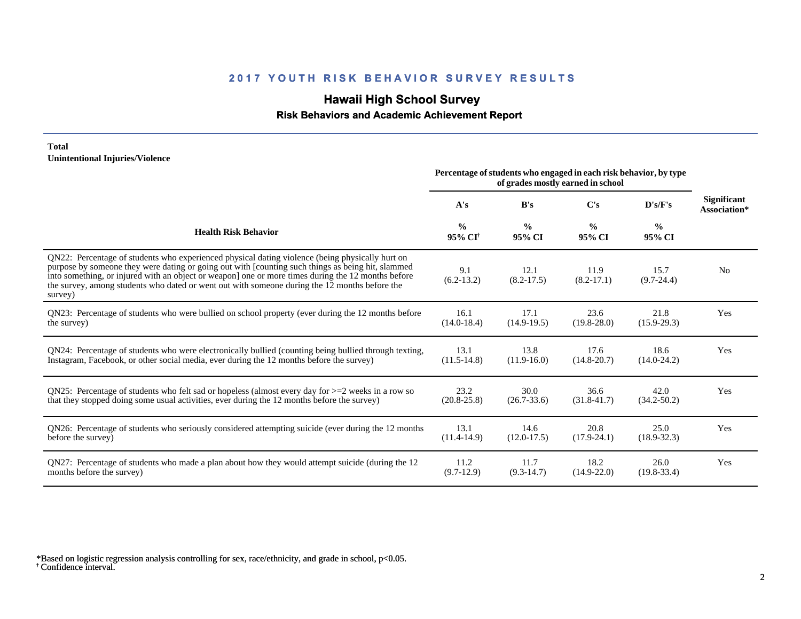## **Hawaii High School Survey**

### **Risk Behaviors and Academic Achievement Report**

#### **Total Unintentional Injuries/Violence**

|                                                                                                                                                                                                                                                                                                                                                                                                                        | Percentage of students who engaged in each risk behavior, by type<br>of grades mostly earned in school |                         |                         |                         |                                    |
|------------------------------------------------------------------------------------------------------------------------------------------------------------------------------------------------------------------------------------------------------------------------------------------------------------------------------------------------------------------------------------------------------------------------|--------------------------------------------------------------------------------------------------------|-------------------------|-------------------------|-------------------------|------------------------------------|
|                                                                                                                                                                                                                                                                                                                                                                                                                        | A's                                                                                                    | B's                     | $\bf C's$               | $\bf{D's/F's}$          | <b>Significant</b><br>Association* |
| <b>Health Risk Behavior</b>                                                                                                                                                                                                                                                                                                                                                                                            | $\frac{0}{0}$<br>95% CI <sup>†</sup>                                                                   | $\frac{6}{9}$<br>95% CI | $\frac{0}{0}$<br>95% CI | $\frac{0}{0}$<br>95% CI |                                    |
| QN22: Percentage of students who experienced physical dating violence (being physically hurt on<br>purpose by someone they were dating or going out with [counting such things as being hit, slammed<br>into something, or injured with an object or weapon] one or more times during the 12 months before<br>the survey, among students who dated or went out with someone during the 12 months before the<br>survey) | 9.1<br>$(6.2-13.2)$                                                                                    | 12.1<br>$(8.2 - 17.5)$  | 11.9<br>$(8.2 - 17.1)$  | 15.7<br>$(9.7 - 24.4)$  | N <sub>0</sub>                     |
| QN23: Percentage of students who were bullied on school property (ever during the 12 months before                                                                                                                                                                                                                                                                                                                     | 16.1                                                                                                   | 17.1                    | 23.6                    | 21.8                    | Yes                                |
| the survey)                                                                                                                                                                                                                                                                                                                                                                                                            | $(14.0 - 18.4)$                                                                                        | $(14.9-19.5)$           | $(19.8 - 28.0)$         | $(15.9 - 29.3)$         |                                    |
| QN24: Percentage of students who were electronically bullied (counting being bullied through texting,                                                                                                                                                                                                                                                                                                                  | 13.1                                                                                                   | 13.8                    | 17.6                    | 18.6                    | Yes                                |
| Instagram, Facebook, or other social media, ever during the 12 months before the survey)                                                                                                                                                                                                                                                                                                                               | $(11.5-14.8)$                                                                                          | $(11.9-16.0)$           | $(14.8 - 20.7)$         | $(14.0 - 24.2)$         |                                    |
| QN25: Percentage of students who felt sad or hopeless (almost every day for $>=$ 2 weeks in a row so                                                                                                                                                                                                                                                                                                                   | 23.2                                                                                                   | 30.0                    | 36.6                    | 42.0                    | Yes                                |
| that they stopped doing some usual activities, ever during the 12 months before the survey)                                                                                                                                                                                                                                                                                                                            | $(20.8 - 25.8)$                                                                                        | $(26.7 - 33.6)$         | $(31.8 - 41.7)$         | $(34.2 - 50.2)$         |                                    |
| QN26: Percentage of students who seriously considered attempting suicide (ever during the 12 months                                                                                                                                                                                                                                                                                                                    | 13.1                                                                                                   | 14.6                    | 20.8                    | 25.0                    | Yes                                |
| before the survey)                                                                                                                                                                                                                                                                                                                                                                                                     | $(11.4-14.9)$                                                                                          | $(12.0 - 17.5)$         | $(17.9 - 24.1)$         | $(18.9 - 32.3)$         |                                    |
| QN27: Percentage of students who made a plan about how they would attempt suicide (during the 12                                                                                                                                                                                                                                                                                                                       | 11.2                                                                                                   | 11.7                    | 18.2                    | 26.0                    | Yes                                |
| months before the survey)                                                                                                                                                                                                                                                                                                                                                                                              | $(9.7-12.9)$                                                                                           | $(9.3-14.7)$            | $(14.9 - 22.0)$         | $(19.8 - 33.4)$         |                                    |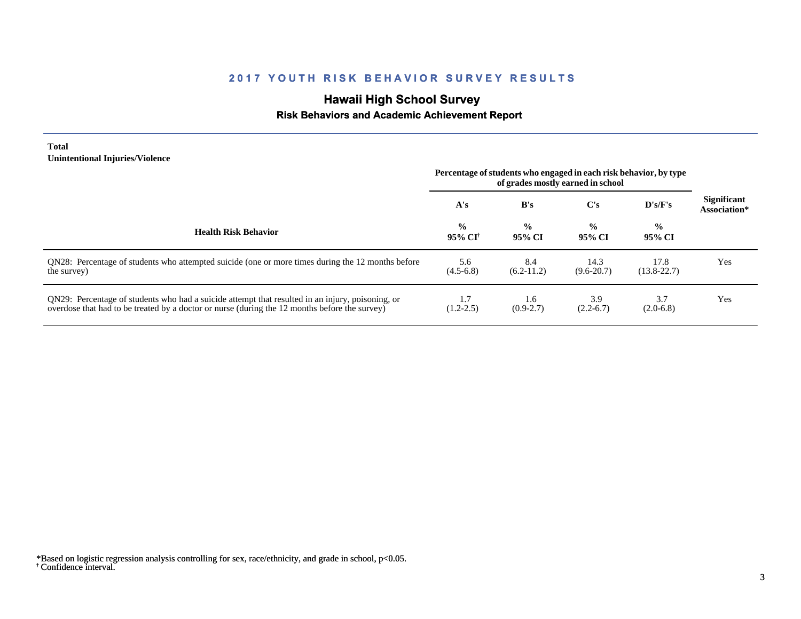# **Hawaii High School Survey**

## **Risk Behaviors and Academic Achievement Report**

#### **Total Unintentional Injuries/Violence**

|                                                                                                                                                                                                   | Percentage of students who engaged in each risk behavior, by type<br>of grades mostly earned in school |                         |                         |                         |                                    |
|---------------------------------------------------------------------------------------------------------------------------------------------------------------------------------------------------|--------------------------------------------------------------------------------------------------------|-------------------------|-------------------------|-------------------------|------------------------------------|
|                                                                                                                                                                                                   | A's                                                                                                    | B's                     | C's                     | $\bf{D's/F's}$          | <b>Significant</b><br>Association* |
| <b>Health Risk Behavior</b>                                                                                                                                                                       | $\frac{0}{0}$<br>95% CI†                                                                               | $\frac{0}{0}$<br>95% CI | $\frac{0}{0}$<br>95% CI | $\frac{6}{6}$<br>95% CI |                                    |
| QN28: Percentage of students who attempted suicide (one or more times during the 12 months before<br>the survey)                                                                                  | 5.6<br>$(4.5-6.8)$                                                                                     | 8.4<br>$(6.2-11.2)$     | 14.3<br>$(9.6 - 20.7)$  | 17.8<br>$(13.8 - 22.7)$ | Yes                                |
| QN29: Percentage of students who had a suicide attempt that resulted in an injury, poisoning, or<br>overdose that had to be treated by a doctor or nurse (during the 12 months before the survey) | 1.7<br>$(1.2 - 2.5)$                                                                                   | 1.6<br>$(0.9-2.7)$      | 3.9<br>$(2.2 - 6.7)$    | 3.7<br>$(2.0-6.8)$      | Yes                                |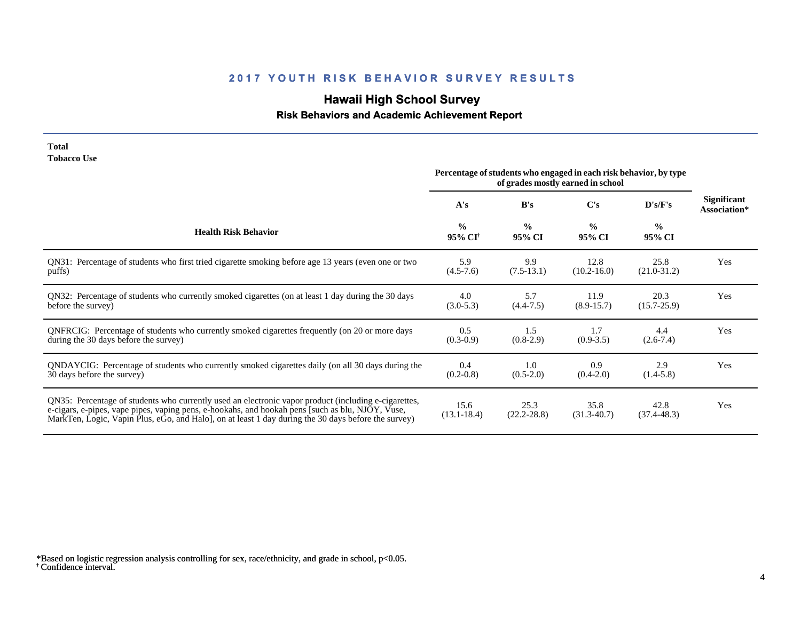# **Hawaii High School Survey**

## **Risk Behaviors and Academic Achievement Report**

#### **Total Tobacco Use**

|                                                                                                                                                                                                                                                                                                                 | Percentage of students who engaged in each risk behavior, by type<br>of grades mostly earned in school |                         |                         |                         |                                    |
|-----------------------------------------------------------------------------------------------------------------------------------------------------------------------------------------------------------------------------------------------------------------------------------------------------------------|--------------------------------------------------------------------------------------------------------|-------------------------|-------------------------|-------------------------|------------------------------------|
|                                                                                                                                                                                                                                                                                                                 | A's                                                                                                    | B's                     | C's                     | D's/F's                 | <b>Significant</b><br>Association* |
| <b>Health Risk Behavior</b>                                                                                                                                                                                                                                                                                     | $\frac{0}{0}$<br>95% CI <sup>+</sup>                                                                   | $\frac{0}{0}$<br>95% CI | $\frac{0}{0}$<br>95% CI | $\frac{0}{0}$<br>95% CI |                                    |
| QN31: Percentage of students who first tried cigarette smoking before age 13 years (even one or two                                                                                                                                                                                                             | 5.9                                                                                                    | 9.9                     | 12.8                    | 25.8                    | Yes                                |
| puffs)                                                                                                                                                                                                                                                                                                          | $(4.5 - 7.6)$                                                                                          | $(7.5-13.1)$            | $(10.2 - 16.0)$         | $(21.0-31.2)$           |                                    |
| QN32: Percentage of students who currently smoked cigarettes (on at least 1 day during the 30 days                                                                                                                                                                                                              | 4.0                                                                                                    | 5.7                     | 11.9                    | 20.3                    | Yes                                |
| before the survey)                                                                                                                                                                                                                                                                                              | $(3.0-5.3)$                                                                                            | $(4.4 - 7.5)$           | $(8.9 - 15.7)$          | $(15.7 - 25.9)$         |                                    |
| QNFRCIG: Percentage of students who currently smoked cigarettes frequently (on 20 or more days                                                                                                                                                                                                                  | 0.5                                                                                                    | 1.5                     | 1.7                     | 4.4                     | Yes                                |
| during the 30 days before the survey)                                                                                                                                                                                                                                                                           | $(0.3-0.9)$                                                                                            | $(0.8-2.9)$             | $(0.9-3.5)$             | $(2.6-7.4)$             |                                    |
| QNDAYCIG: Percentage of students who currently smoked cigarettes daily (on all 30 days during the                                                                                                                                                                                                               | 0.4                                                                                                    | 1.0                     | 0.9                     | 2.9                     | Yes                                |
| 30 days before the survey)                                                                                                                                                                                                                                                                                      | $(0.2 - 0.8)$                                                                                          | $(0.5-2.0)$             | $(0.4-2.0)$             | $(1.4-5.8)$             |                                    |
| QN35: Percentage of students who currently used an electronic vapor product (including e-cigarettes,<br>e-cigars, e-pipes, vape pipes, vaping pens, e-hookahs, and hookah pens [such as blu, NJOY, Vuse,<br>MarkTen, Logic, Vapin Plus, eGo, and Halo], on at least 1 day during the 30 days before the survey) | 15.6<br>$(13.1 - 18.4)$                                                                                | 25.3<br>$(22.2 - 28.8)$ | 35.8<br>$(31.3-40.7)$   | 42.8<br>$(37.4 - 48.3)$ | Yes                                |

<sup>†</sup> Confidence interval. \*Based on logistic regression analysis controlling for sex, race/ethnicity, and grade in school, p<0.05.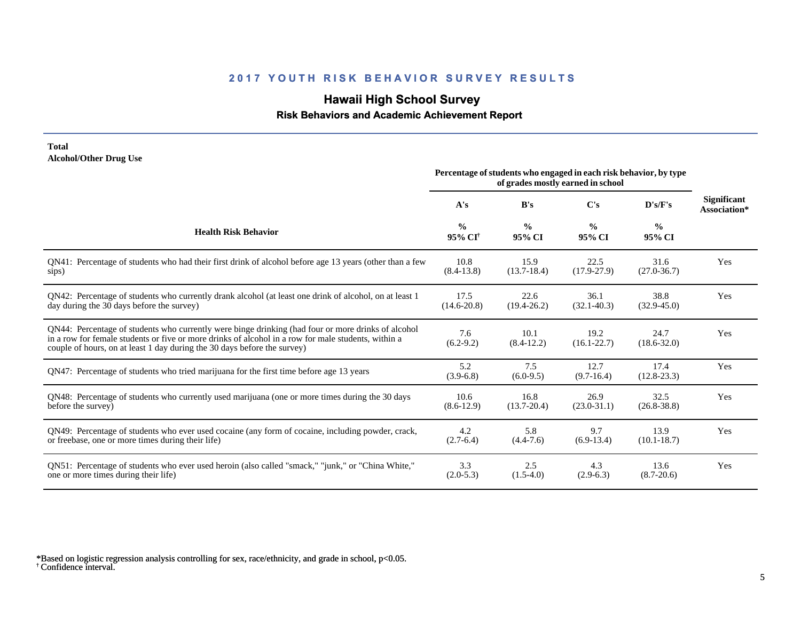## **Hawaii High School Survey**

### **Risk Behaviors and Academic Achievement Report**

#### **Total Alcohol/Other Drug Use**

|                                                                                                                                                                                                                                                                                       | Percentage of students who engaged in each risk behavior, by type |                         |                         |                         |                                    |
|---------------------------------------------------------------------------------------------------------------------------------------------------------------------------------------------------------------------------------------------------------------------------------------|-------------------------------------------------------------------|-------------------------|-------------------------|-------------------------|------------------------------------|
|                                                                                                                                                                                                                                                                                       | A's                                                               | B's                     | C's                     | D's/F's                 | <b>Significant</b><br>Association* |
| <b>Health Risk Behavior</b>                                                                                                                                                                                                                                                           | $\frac{0}{0}$<br>95% CI <sup>†</sup>                              | $\frac{0}{0}$<br>95% CI | $\frac{0}{0}$<br>95% CI | $\frac{0}{0}$<br>95% CI |                                    |
| QN41: Percentage of students who had their first drink of alcohol before age 13 years (other than a few                                                                                                                                                                               | 10.8                                                              | 15.9                    | 22.5                    | 31.6                    | Yes                                |
| sips)                                                                                                                                                                                                                                                                                 | $(8.4-13.8)$                                                      | $(13.7 - 18.4)$         | $(17.9 - 27.9)$         | $(27.0 - 36.7)$         |                                    |
| QN42: Percentage of students who currently drank alcohol (at least one drink of alcohol, on at least 1                                                                                                                                                                                | 17.5                                                              | 22.6                    | 36.1                    | 38.8                    | Yes                                |
| day during the 30 days before the survey)                                                                                                                                                                                                                                             | $(14.6 - 20.8)$                                                   | $(19.4 - 26.2)$         | $(32.1 - 40.3)$         | $(32.9 - 45.0)$         |                                    |
| QN44: Percentage of students who currently were binge drinking (had four or more drinks of alcohol<br>in a row for female students or five or more drinks of alcohol in a row for male students, within a<br>couple of hours, on at least 1 day during the 30 days before the survey) | 7.6<br>$(6.2-9.2)$                                                | 10.1<br>$(8.4-12.2)$    | 19.2<br>$(16.1 - 22.7)$ | 24.7<br>$(18.6 - 32.0)$ | Yes                                |
| QN47: Percentage of students who tried marijuana for the first time before age 13 years                                                                                                                                                                                               | 5.2<br>$(3.9-6.8)$                                                | 7.5<br>$(6.0-9.5)$      | 12.7<br>$(9.7-16.4)$    | 17.4<br>$(12.8 - 23.3)$ | Yes                                |
| QN48: Percentage of students who currently used marijuana (one or more times during the 30 days                                                                                                                                                                                       | 10.6                                                              | 16.8                    | 26.9                    | 32.5                    | Yes                                |
| before the survey)                                                                                                                                                                                                                                                                    | $(8.6-12.9)$                                                      | $(13.7 - 20.4)$         | $(23.0 - 31.1)$         | $(26.8 - 38.8)$         |                                    |
| QN49: Percentage of students who ever used cocaine (any form of cocaine, including powder, crack,                                                                                                                                                                                     | 4.2                                                               | 5.8                     | 9.7                     | 13.9                    | Yes                                |
| or freebase, one or more times during their life)                                                                                                                                                                                                                                     | $(2.7-6.4)$                                                       | $(4.4 - 7.6)$           | $(6.9-13.4)$            | $(10.1 - 18.7)$         |                                    |
| QN51: Percentage of students who ever used heroin (also called "smack," "junk," or "China White,"                                                                                                                                                                                     | 3.3                                                               | 2.5                     | 4.3                     | 13.6                    | Yes                                |
| one or more times during their life)                                                                                                                                                                                                                                                  | $(2.0-5.3)$                                                       | $(1.5-4.0)$             | $(2.9-6.3)$             | $(8.7 - 20.6)$          |                                    |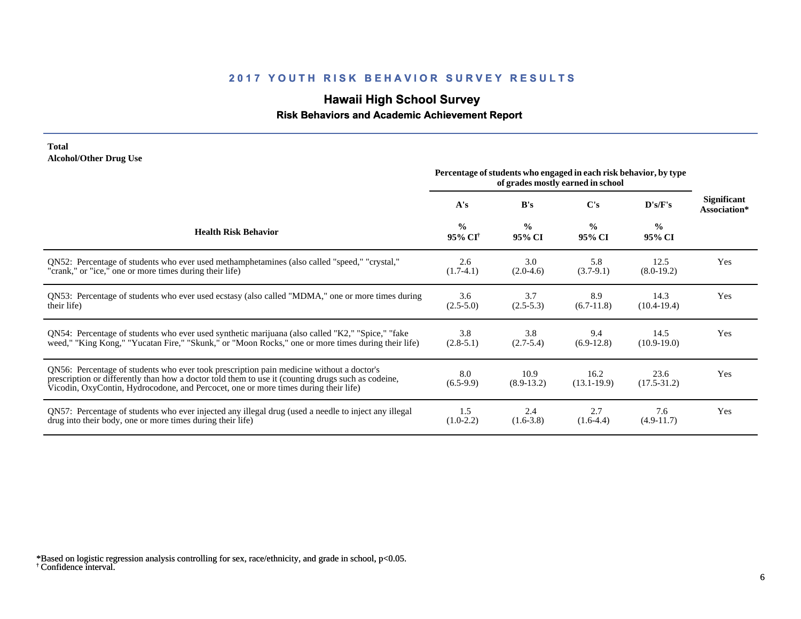## **Hawaii High School Survey**

## **Risk Behaviors and Academic Achievement Report**

#### **Total Alcohol/Other Drug Use**

|                                                                                                                                                                                                                                                                                       | Percentage of students who engaged in each risk behavior, by type<br>of grades mostly earned in school |                         |                         |                         |                                    |
|---------------------------------------------------------------------------------------------------------------------------------------------------------------------------------------------------------------------------------------------------------------------------------------|--------------------------------------------------------------------------------------------------------|-------------------------|-------------------------|-------------------------|------------------------------------|
|                                                                                                                                                                                                                                                                                       | A's                                                                                                    | B's                     | $\bf C's$               | D's/F's                 | <b>Significant</b><br>Association* |
| <b>Health Risk Behavior</b>                                                                                                                                                                                                                                                           | $\frac{0}{0}$<br>95% CI <sup>†</sup>                                                                   | $\frac{0}{0}$<br>95% CI | $\frac{0}{0}$<br>95% CI | $\frac{0}{0}$<br>95% CI |                                    |
| ON52: Percentage of students who ever used methamphetamines (also called "speed," "crystal,"                                                                                                                                                                                          | 2.6                                                                                                    | 3.0                     | 5.8                     | 12.5                    | Yes                                |
| "crank," or "ice," one or more times during their life)                                                                                                                                                                                                                               | $(1.7-4.1)$                                                                                            | $(2.0-4.6)$             | $(3.7-9.1)$             | $(8.0-19.2)$            |                                    |
| QN53: Percentage of students who ever used ecstasy (also called "MDMA," one or more times during                                                                                                                                                                                      | 3.6                                                                                                    | 3.7                     | 8.9                     | 14.3                    | Yes                                |
| their life)                                                                                                                                                                                                                                                                           | $(2.5-5.0)$                                                                                            | $(2.5-5.3)$             | $(6.7-11.8)$            | $(10.4 - 19.4)$         |                                    |
| QN54: Percentage of students who ever used synthetic marijuana (also called "K2," "Spice," "fake                                                                                                                                                                                      | 3.8                                                                                                    | 3.8                     | 9.4                     | 14.5                    | Yes                                |
| weed," "King Kong," "Yucatan Fire," "Skunk," or "Moon Rocks," one or more times during their life)                                                                                                                                                                                    | $(2.8-5.1)$                                                                                            | $(2.7-5.4)$             | $(6.9-12.8)$            | $(10.9-19.0)$           |                                    |
| QN56: Percentage of students who ever took prescription pain medicine without a doctor's<br>prescription or differently than how a doctor told them to use it (counting drugs such as codeine,<br>Vicodin, OxyContin, Hydrocodone, and Percocet, one or more times during their life) | 8.0<br>$(6.5-9.9)$                                                                                     | 10.9<br>$(8.9-13.2)$    | 16.2<br>$(13.1 - 19.9)$ | 23.6<br>$(17.5 - 31.2)$ | Yes                                |
| QN57: Percentage of students who ever injected any illegal drug (used a needle to inject any illegal                                                                                                                                                                                  | 1.5                                                                                                    | 2.4                     | 2.7                     | 7.6                     | Yes                                |
| drug into their body, one or more times during their life)                                                                                                                                                                                                                            | $(1.0-2.2)$                                                                                            | $(1.6-3.8)$             | $(1.6-4.4)$             | $(4.9-11.7)$            |                                    |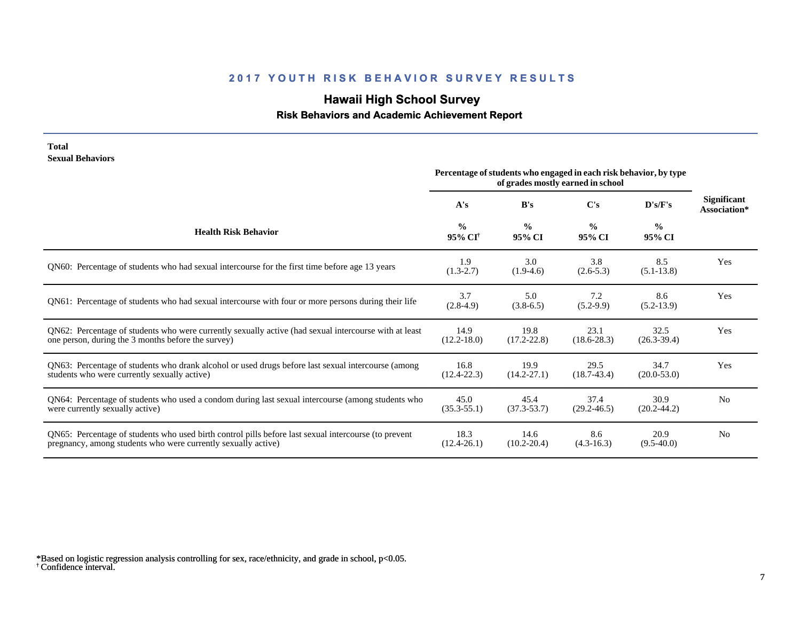# **Hawaii High School Survey**

## **Risk Behaviors and Academic Achievement Report**

| <b>Total</b><br><b>Sexual Behaviors</b>                                                                                                                               | Percentage of students who engaged in each risk behavior, by type |                         |                         |                         |                                    |
|-----------------------------------------------------------------------------------------------------------------------------------------------------------------------|-------------------------------------------------------------------|-------------------------|-------------------------|-------------------------|------------------------------------|
|                                                                                                                                                                       | A's                                                               | B's                     | C's                     | D's/F's                 | <b>Significant</b><br>Association* |
| <b>Health Risk Behavior</b>                                                                                                                                           | $\frac{0}{0}$<br>95% CI <sup>+</sup>                              | $\frac{0}{0}$<br>95% CI | $\frac{0}{0}$<br>95% CI | $\frac{0}{0}$<br>95% CI |                                    |
| QN60: Percentage of students who had sexual intercourse for the first time before age 13 years                                                                        | 1.9<br>$(1.3-2.7)$                                                | 3.0<br>$(1.9-4.6)$      | 3.8<br>$(2.6 - 5.3)$    | 8.5<br>$(5.1 - 13.8)$   | Yes                                |
| QN61: Percentage of students who had sexual intercourse with four or more persons during their life                                                                   | 3.7<br>$(2.8-4.9)$                                                | 5.0<br>$(3.8-6.5)$      | 7.2<br>$(5.2-9.9)$      | 8.6<br>$(5.2 - 13.9)$   | Yes                                |
| QN62: Percentage of students who were currently sexually active (had sexual intercourse with at least<br>one person, during the 3 months before the survey)           | 14.9<br>$(12.2 - 18.0)$                                           | 19.8<br>$(17.2 - 22.8)$ | 23.1<br>$(18.6 - 28.3)$ | 32.5<br>$(26.3 - 39.4)$ | Yes                                |
| QN63: Percentage of students who drank alcohol or used drugs before last sexual intercourse (among<br>students who were currently sexually active)                    | 16.8<br>$(12.4 - 22.3)$                                           | 19.9<br>$(14.2 - 27.1)$ | 29.5<br>$(18.7-43.4)$   | 34.7<br>$(20.0 - 53.0)$ | Yes                                |
| QN64: Percentage of students who used a condom during last sexual intercourse (among students who<br>were currently sexually active)                                  | 45.0<br>$(35.3 - 55.1)$                                           | 45.4<br>$(37.3 - 53.7)$ | 37.4<br>$(29.2 - 46.5)$ | 30.9<br>$(20.2 - 44.2)$ | N <sub>0</sub>                     |
| QN65: Percentage of students who used birth control pills before last sexual intercourse (to prevent<br>pregnancy, among students who were currently sexually active) | 18.3<br>$(12.4 - 26.1)$                                           | 14.6<br>$(10.2 - 20.4)$ | 8.6<br>$(4.3 - 16.3)$   | 20.9<br>$(9.5-40.0)$    | N <sub>0</sub>                     |

<sup>†</sup> Confidence interval. \*Based on logistic regression analysis controlling for sex, race/ethnicity, and grade in school, p<0.05.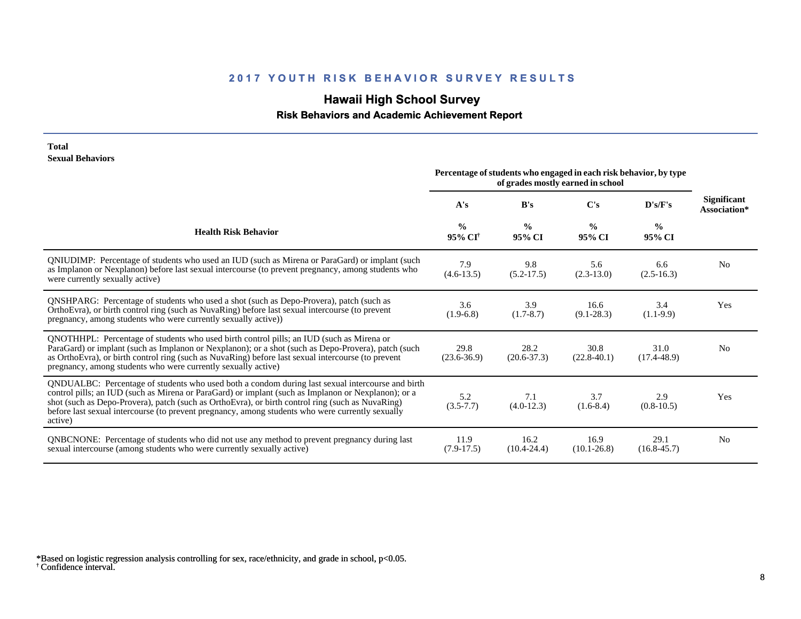# **Hawaii High School Survey**

 **Risk Behaviors and Academic Achievement Report**

#### **Total Sexual Behaviors**

|                                                                                                                                                                                                                                                                                                                                                                                                                            | Percentage of students who engaged in each risk behavior, by type<br>of grades mostly earned in school |                         |                         |                         |                                    |
|----------------------------------------------------------------------------------------------------------------------------------------------------------------------------------------------------------------------------------------------------------------------------------------------------------------------------------------------------------------------------------------------------------------------------|--------------------------------------------------------------------------------------------------------|-------------------------|-------------------------|-------------------------|------------------------------------|
|                                                                                                                                                                                                                                                                                                                                                                                                                            | A's                                                                                                    | B's                     | C's                     | D's/F's                 | <b>Significant</b><br>Association* |
| <b>Health Risk Behavior</b>                                                                                                                                                                                                                                                                                                                                                                                                | $\frac{0}{0}$<br>95% CI <sup>†</sup>                                                                   | $\frac{0}{0}$<br>95% CI | $\frac{0}{0}$<br>95% CI | $\frac{0}{0}$<br>95% CI |                                    |
| QNIUDIMP: Percentage of students who used an IUD (such as Mirena or ParaGard) or implant (such<br>as Implanon or Nexplanon) before last sexual intercourse (to prevent pregnancy, among students who<br>were currently sexually active)                                                                                                                                                                                    | 7.9<br>$(4.6-13.5)$                                                                                    | 9.8<br>$(5.2 - 17.5)$   | 5.6<br>$(2.3-13.0)$     | 6.6<br>$(2.5-16.3)$     | N <sub>0</sub>                     |
| <b>QNSHPARG:</b> Percentage of students who used a shot (such as Depo-Provera), patch (such as<br>OrthoEvra), or birth control ring (such as NuvaRing) before last sexual intercourse (to prevent<br>pregnancy, among students who were currently sexually active))                                                                                                                                                        | 3.6<br>$(1.9-6.8)$                                                                                     | 3.9<br>$(1.7 - 8.7)$    | 16.6<br>$(9.1 - 28.3)$  | 3.4<br>$(1.1-9.9)$      | <b>Yes</b>                         |
| QNOTHHPL: Percentage of students who used birth control pills; an IUD (such as Mirena or<br>ParaGard) or implant (such as Implanon or Nexplanon); or a shot (such as Depo-Provera), patch (such<br>as OrthoEvra), or birth control ring (such as NuvaRing) before last sexual intercourse (to prevent<br>pregnancy, among students who were currently sexually active)                                                     | 29.8<br>$(23.6 - 36.9)$                                                                                | 28.2<br>$(20.6 - 37.3)$ | 30.8<br>$(22.8-40.1)$   | 31.0<br>$(17.4 - 48.9)$ | N <sub>0</sub>                     |
| QNDUALBC: Percentage of students who used both a condom during last sexual intercourse and birth<br>control pills; an IUD (such as Mirena or ParaGard) or implant (such as Implanon or Nexplanon); or a<br>shot (such as Depo-Provera), patch (such as OrthoEvra), or birth control ring (such as NuvaRing)<br>before last sexual intercourse (to prevent pregnancy, among students who were currently sexually<br>active) | 5.2<br>$(3.5 - 7.7)$                                                                                   | 7.1<br>$(4.0-12.3)$     | 3.7<br>$(1.6-8.4)$      | 2.9<br>$(0.8-10.5)$     | Yes                                |
| QNBCNONE: Percentage of students who did not use any method to prevent pregnancy during last<br>sexual intercourse (among students who were currently sexually active)                                                                                                                                                                                                                                                     | 11.9<br>$(7.9-17.5)$                                                                                   | 16.2<br>$(10.4 - 24.4)$ | 16.9<br>$(10.1 - 26.8)$ | 29.1<br>$(16.8 - 45.7)$ | N <sub>0</sub>                     |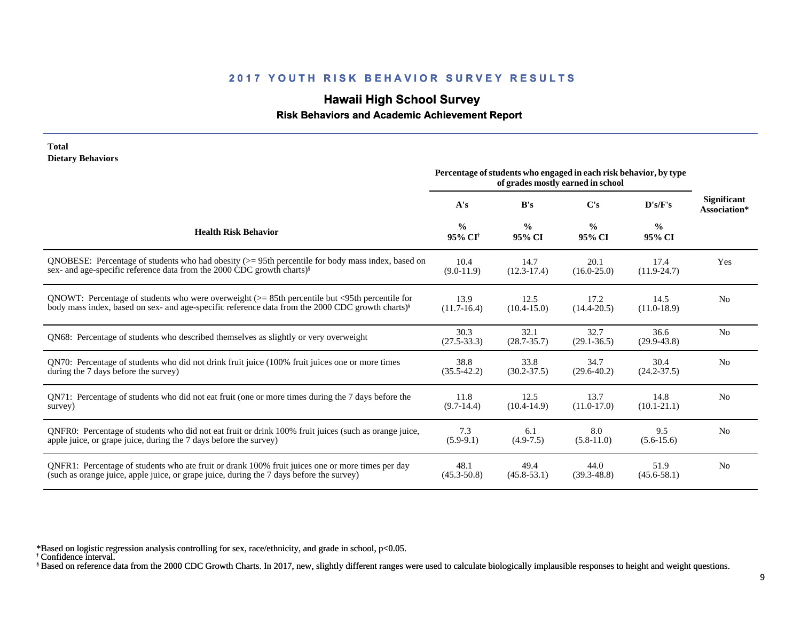## **Hawaii High School Survey**

## **Risk Behaviors and Academic Achievement Report**

| <b>Dietary Behaviors</b>                                                                                     | Percentage of students who engaged in each risk behavior, by type<br>of grades mostly earned in school |                         |                         |                         |                                    |
|--------------------------------------------------------------------------------------------------------------|--------------------------------------------------------------------------------------------------------|-------------------------|-------------------------|-------------------------|------------------------------------|
|                                                                                                              | A's                                                                                                    | B's                     | C's                     | D's/F's                 | <b>Significant</b><br>Association* |
| <b>Health Risk Behavior</b>                                                                                  | $\frac{0}{0}$<br>95% CI <sup>†</sup>                                                                   | $\frac{0}{0}$<br>95% CI | $\frac{0}{0}$<br>95% CI | $\frac{6}{6}$<br>95% CI |                                    |
| QNOBESE: Percentage of students who had obesity $(>= 95$ th percentile for body mass index, based on         | 10.4                                                                                                   | 14.7                    | 20.1                    | 17.4                    | Yes                                |
| sex- and age-specific reference data from the 2000 CDC growth charts) <sup>§</sup>                           | $(9.0 - 11.9)$                                                                                         | $(12.3-17.4)$           | $(16.0 - 25.0)$         | $(11.9-24.7)$           |                                    |
| QNOWT: Percentage of students who were overweight $(>= 85$ th percentile but <95th percentile for            | 13.9                                                                                                   | 12.5                    | 17.2                    | 14.5                    | N <sub>0</sub>                     |
| body mass index, based on sex- and age-specific reference data from the 2000 CDC growth charts) <sup>§</sup> | $(11.7-16.4)$                                                                                          | $(10.4 - 15.0)$         | $(14.4 - 20.5)$         | $(11.0-18.9)$           |                                    |
| QN68: Percentage of students who described themselves as slightly or very overweight                         | 30.3<br>$(27.5 - 33.3)$                                                                                | 32.1<br>$(28.7 - 35.7)$ | 32.7<br>$(29.1 - 36.5)$ | 36.6<br>$(29.9 - 43.8)$ | N <sub>0</sub>                     |
| QN70: Percentage of students who did not drink fruit juice (100% fruit juices one or more times              | 38.8                                                                                                   | 33.8                    | 34.7                    | 30.4                    | N <sub>0</sub>                     |
| during the 7 days before the survey)                                                                         | $(35.5 - 42.2)$                                                                                        | $(30.2 - 37.5)$         | $(29.6 - 40.2)$         | $(24.2 - 37.5)$         |                                    |
| QN71: Percentage of students who did not eat fruit (one or more times during the 7 days before the           | 11.8                                                                                                   | 12.5                    | 13.7                    | 14.8                    | N <sub>0</sub>                     |
| survey)                                                                                                      | $(9.7-14.4)$                                                                                           | $(10.4 - 14.9)$         | $(11.0-17.0)$           | $(10.1 - 21.1)$         |                                    |
| QNFR0: Percentage of students who did not eat fruit or drink 100% fruit juices (such as orange juice,        | 7.3                                                                                                    | 6.1                     | 8.0                     | 9.5                     | N <sub>0</sub>                     |
| apple juice, or grape juice, during the 7 days before the survey)                                            | $(5.9-9.1)$                                                                                            | $(4.9-7.5)$             | $(5.8-11.0)$            | $(5.6-15.6)$            |                                    |
| QNFR1: Percentage of students who ate fruit or drank 100% fruit juices one or more times per day             | 48.1                                                                                                   | 49.4                    | 44.0                    | 51.9                    | N <sub>0</sub>                     |
| (such as orange juice, apple juice, or grape juice, during the 7 days before the survey)                     | $(45.3 - 50.8)$                                                                                        | $(45.8 - 53.1)$         | $(39.3 - 48.8)$         | $(45.6 - 58.1)$         |                                    |

\*Based on logistic regression analysis controlling for sex, race/ethnicity, and grade in school, p<0.05.

† Confidence interval.

**Total**

§ Based on reference data from the 2000 CDC Growth Charts. In 2017, new, slightly different ranges were used to calculate biologically implausible responses to height and weight questions.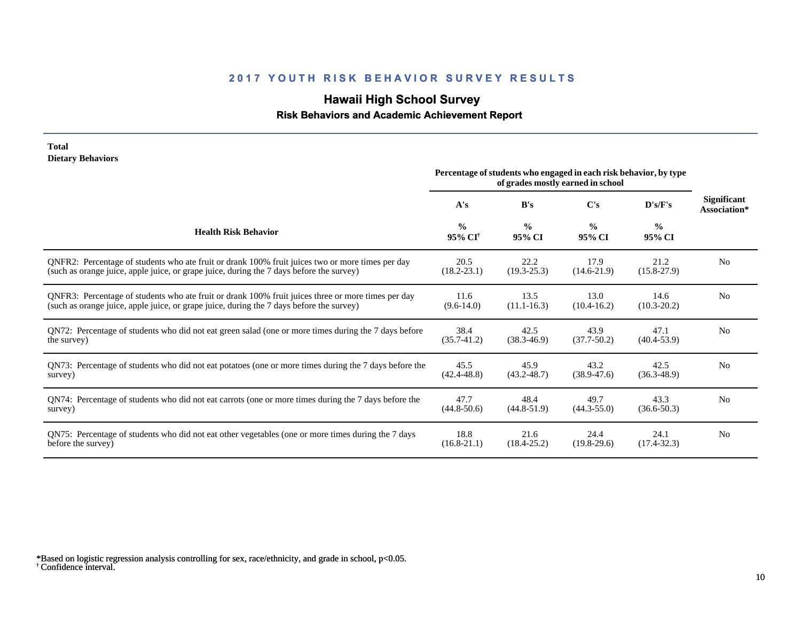## **Hawaii High School Survey**

## **Risk Behaviors and Academic Achievement Report**

#### **Total Dietary Behaviors**

|                                                                                                       | Percentage of students who engaged in each risk behavior, by type<br>of grades mostly earned in school |                         |                         |                         |                                    |
|-------------------------------------------------------------------------------------------------------|--------------------------------------------------------------------------------------------------------|-------------------------|-------------------------|-------------------------|------------------------------------|
|                                                                                                       | A's                                                                                                    | B's                     | $\bf C's$               | D's/F's                 | <b>Significant</b><br>Association* |
| <b>Health Risk Behavior</b>                                                                           | $\frac{0}{0}$<br>95% CI <sup>†</sup>                                                                   | $\frac{0}{0}$<br>95% CI | $\frac{0}{0}$<br>95% CI | $\frac{0}{0}$<br>95% CI |                                    |
| QNFR2: Percentage of students who ate fruit or drank 100% fruit juices two or more times per day      | 20.5                                                                                                   | 22.2                    | 17.9                    | 21.2                    | N <sub>0</sub>                     |
| (such as orange juice, apple juice, or grape juice, during the 7 days before the survey)              | $(18.2 - 23.1)$                                                                                        | $(19.3 - 25.3)$         | $(14.6 - 21.9)$         | $(15.8 - 27.9)$         |                                    |
| QNFR3: Percentage of students who ate fruit or drank 100% fruit juices three or more times per day    | 11.6                                                                                                   | 13.5                    | 13.0                    | 14.6                    | N <sub>0</sub>                     |
| (such as orange juice, apple juice, or grape juice, during the 7 days before the survey)              | $(9.6-14.0)$                                                                                           | $(11.1 - 16.3)$         | $(10.4 - 16.2)$         | $(10.3 - 20.2)$         |                                    |
| QN72: Percentage of students who did not eat green salad (one or more times during the 7 days before  | 38.4                                                                                                   | 42.5                    | 43.9                    | 47.1                    | N <sub>0</sub>                     |
| the survey)                                                                                           | $(35.7 - 41.2)$                                                                                        | $(38.3 - 46.9)$         | $(37.7 - 50.2)$         | $(40.4 - 53.9)$         |                                    |
| QN73: Percentage of students who did not eat potatoes (one or more times during the 7 days before the | 45.5                                                                                                   | 45.9                    | 43.2                    | 42.5                    | N <sub>0</sub>                     |
| survey)                                                                                               | $(42.4 - 48.8)$                                                                                        | $(43.2 - 48.7)$         | $(38.9 - 47.6)$         | $(36.3 - 48.9)$         |                                    |
| QN74: Percentage of students who did not eat carrots (one or more times during the 7 days before the  | 47.7                                                                                                   | 48.4                    | 49.7                    | 43.3                    | N <sub>0</sub>                     |
| survey)                                                                                               | $(44.8 - 50.6)$                                                                                        | $(44.8 - 51.9)$         | $(44.3 - 55.0)$         | $(36.6 - 50.3)$         |                                    |
| QN75: Percentage of students who did not eat other vegetables (one or more times during the 7 days    | 18.8                                                                                                   | 21.6                    | 24.4                    | 24.1                    | N <sub>0</sub>                     |
| before the survey)                                                                                    | $(16.8 - 21.1)$                                                                                        | $(18.4 - 25.2)$         | $(19.8-29.6)$           | $(17.4 - 32.3)$         |                                    |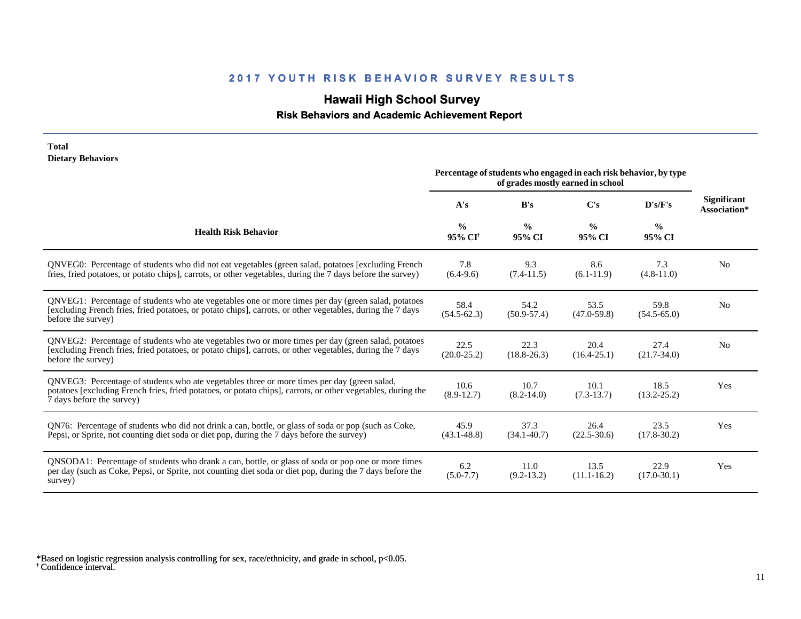## **Hawaii High School Survey**

 **Risk Behaviors and Academic Achievement Report**

| <b>Dietary Behaviors</b>                                                                                                                                                                                                                 | Percentage of students who engaged in each risk behavior, by type<br>of grades mostly earned in school |                         |                         |                         |                                    |
|------------------------------------------------------------------------------------------------------------------------------------------------------------------------------------------------------------------------------------------|--------------------------------------------------------------------------------------------------------|-------------------------|-------------------------|-------------------------|------------------------------------|
|                                                                                                                                                                                                                                          | A's                                                                                                    | B's                     | C's                     | D's/F's                 | <b>Significant</b><br>Association* |
| <b>Health Risk Behavior</b>                                                                                                                                                                                                              | $\frac{0}{0}$<br>95% CI <sup>+</sup>                                                                   | $\frac{0}{0}$<br>95% CI | $\frac{0}{0}$<br>95% CI | $\frac{0}{0}$<br>95% CI |                                    |
| QNVEG0: Percentage of students who did not eat vegetables (green salad, potatoes [excluding French]<br>fries, fried potatoes, or potato chips], carrots, or other vegetables, during the 7 days before the survey)                       | 7.8<br>$(6.4-9.6)$                                                                                     | 9.3<br>$(7.4-11.5)$     | 8.6<br>$(6.1-11.9)$     | 7.3<br>$(4.8 - 11.0)$   | N <sub>0</sub>                     |
| QNVEG1: Percentage of students who ate vegetables one or more times per day (green salad, potatoes<br>[excluding French fries, fried potatoes, or potato chips], carrots, or other vegetables, during the 7 days<br>before the survey)   | 58.4<br>$(54.5 - 62.3)$                                                                                | 54.2<br>$(50.9 - 57.4)$ | 53.5<br>$(47.0 - 59.8)$ | 59.8<br>$(54.5 - 65.0)$ | N <sub>0</sub>                     |
| QNVEG2: Percentage of students who ate vegetables two or more times per day (green salad, potatoes<br>[excluding French fries, fried potatoes, or potato chips], carrots, or other vegetables, during the 7 days<br>before the survey)   | 22.5<br>$(20.0 - 25.2)$                                                                                | 22.3<br>$(18.8 - 26.3)$ | 20.4<br>$(16.4 - 25.1)$ | 27.4<br>$(21.7 - 34.0)$ | N <sub>0</sub>                     |
| QNVEG3: Percentage of students who ate vegetables three or more times per day (green salad,<br>potatoes [excluding French fries, fried potatoes, or potato chips], carrots, or other vegetables, during the<br>7 days before the survey) | 10.6<br>$(8.9-12.7)$                                                                                   | 10.7<br>$(8.2 - 14.0)$  | 10.1<br>$(7.3-13.7)$    | 18.5<br>$(13.2 - 25.2)$ | Yes                                |
| QN76: Percentage of students who did not drink a can, bottle, or glass of soda or pop (such as Coke,<br>Pepsi, or Sprite, not counting diet soda or diet pop, during the 7 days before the survey)                                       | 45.9<br>$(43.1 - 48.8)$                                                                                | 37.3<br>$(34.1 - 40.7)$ | 26.4<br>$(22.5 - 30.6)$ | 23.5<br>$(17.8 - 30.2)$ | Yes                                |
| QNSODA1: Percentage of students who drank a can, bottle, or glass of soda or pop one or more times<br>per day (such as Coke, Pepsi, or Sprite, not counting diet soda or diet pop, during the 7 days before the<br>survey)               | 6.2<br>$(5.0 - 7.7)$                                                                                   | 11.0<br>$(9.2 - 13.2)$  | 13.5<br>$(11.1 - 16.2)$ | 22.9<br>$(17.0 - 30.1)$ | Yes                                |

† Confidence interval. \*Based on logistic regression analysis controlling for sex, race/ethnicity, and grade in school, p<0.05.

**Total**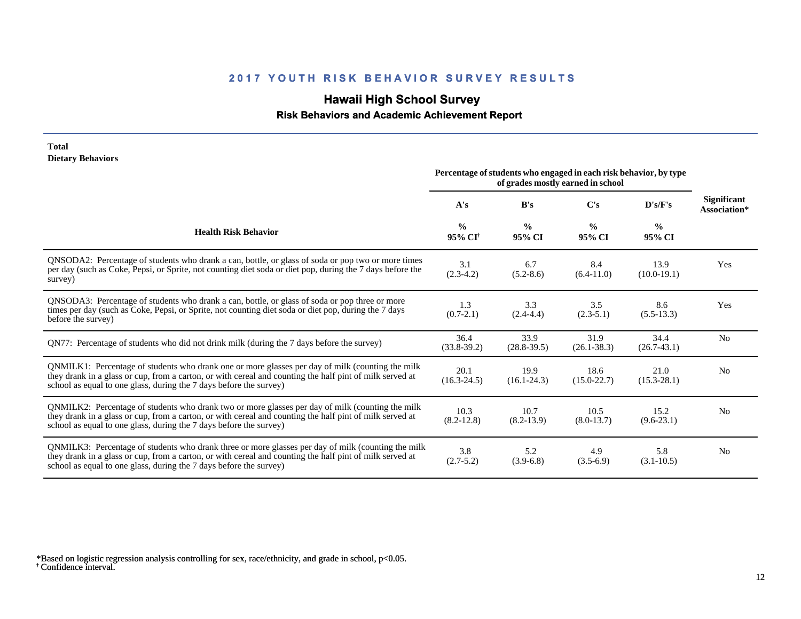## **Hawaii High School Survey**

## **Risk Behaviors and Academic Achievement Report**

#### **Total Dietary Behaviors**

|                                                                                                                                                                                                                                                                                      | Percentage of students who engaged in each risk behavior, by type<br>of grades mostly earned in school |                         |                         |                         |                                    |
|--------------------------------------------------------------------------------------------------------------------------------------------------------------------------------------------------------------------------------------------------------------------------------------|--------------------------------------------------------------------------------------------------------|-------------------------|-------------------------|-------------------------|------------------------------------|
|                                                                                                                                                                                                                                                                                      | A's                                                                                                    | B's                     | C's                     | D's/F's                 | <b>Significant</b><br>Association* |
| <b>Health Risk Behavior</b>                                                                                                                                                                                                                                                          | $\frac{0}{0}$<br>95% CI <sup>†</sup>                                                                   | $\frac{0}{0}$<br>95% CI | $\frac{0}{0}$<br>95% CI | $\frac{0}{0}$<br>95% CI |                                    |
| QNSODA2: Percentage of students who drank a can, bottle, or glass of soda or pop two or more times<br>per day (such as Coke, Pepsi, or Sprite, not counting diet soda or diet pop, during the 7 days before the<br>survey)                                                           | 3.1<br>$(2.3-4.2)$                                                                                     | 6.7<br>$(5.2 - 8.6)$    | 8.4<br>$(6.4-11.0)$     | 13.9<br>$(10.0-19.1)$   | Yes                                |
| QNSODA3: Percentage of students who drank a can, bottle, or glass of soda or pop three or more<br>times per day (such as Coke, Pepsi, or Sprite, not counting diet soda or diet pop, during the 7 days<br>before the survey)                                                         | 1.3<br>$(0.7-2.1)$                                                                                     | 3.3<br>$(2.4 - 4.4)$    | 3.5<br>$(2.3-5.1)$      | 8.6<br>$(5.5-13.3)$     | Yes                                |
| QN77: Percentage of students who did not drink milk (during the 7 days before the survey)                                                                                                                                                                                            | 36.4<br>$(33.8-39.2)$                                                                                  | 33.9<br>$(28.8 - 39.5)$ | 31.9<br>$(26.1 - 38.3)$ | 34.4<br>$(26.7-43.1)$   | N <sub>0</sub>                     |
| QNMILK1: Percentage of students who drank one or more glasses per day of milk (counting the milk<br>they drank in a glass or cup, from a carton, or with cereal and counting the half pint of milk served at<br>school as equal to one glass, during the 7 days before the survey)   | 20.1<br>$(16.3 - 24.5)$                                                                                | 19.9<br>$(16.1 - 24.3)$ | 18.6<br>$(15.0 - 22.7)$ | 21.0<br>$(15.3 - 28.1)$ | N <sub>0</sub>                     |
| QNMILK2: Percentage of students who drank two or more glasses per day of milk (counting the milk<br>they drank in a glass or cup, from a carton, or with cereal and counting the half pint of milk served at<br>school as equal to one glass, during the 7 days before the survey)   | 10.3<br>$(8.2 - 12.8)$                                                                                 | 10.7<br>$(8.2 - 13.9)$  | 10.5<br>$(8.0-13.7)$    | 15.2<br>$(9.6-23.1)$    | No                                 |
| QNMILK3: Percentage of students who drank three or more glasses per day of milk (counting the milk<br>they drank in a glass or cup, from a carton, or with cereal and counting the half pint of milk served at<br>school as equal to one glass, during the 7 days before the survey) | 3.8<br>$(2.7 - 5.2)$                                                                                   | 5.2<br>$(3.9-6.8)$      | 4.9<br>$(3.5-6.9)$      | 5.8<br>$(3.1 - 10.5)$   | N <sub>0</sub>                     |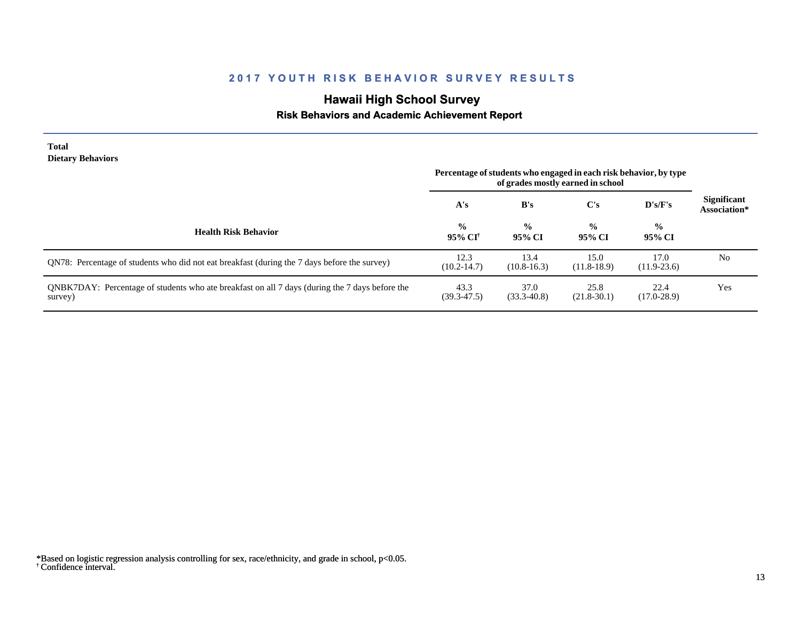# **Hawaii High School Survey**

## **Risk Behaviors and Academic Achievement Report**

| <b>Total</b><br><b>Dietary Behaviors</b>                                                                  | Percentage of students who engaged in each risk behavior, by type<br>of grades mostly earned in school |                         |                         |                         |                                    |
|-----------------------------------------------------------------------------------------------------------|--------------------------------------------------------------------------------------------------------|-------------------------|-------------------------|-------------------------|------------------------------------|
|                                                                                                           | A's                                                                                                    | B's                     | $\bf C's$               | $\bf{D's/F's}$          | <b>Significant</b><br>Association* |
| <b>Health Risk Behavior</b>                                                                               | $\frac{0}{0}$<br>95% CI <sup>†</sup>                                                                   | $\frac{0}{0}$<br>95% CI | $\frac{0}{0}$<br>95% CI | $\frac{0}{0}$<br>95% CI |                                    |
| QN78: Percentage of students who did not eat breakfast (during the 7 days before the survey)              | 12.3<br>$(10.2 - 14.7)$                                                                                | 13.4<br>$(10.8-16.3)$   | 15.0<br>$(11.8-18.9)$   | 17.0<br>$(11.9-23.6)$   | N <sub>0</sub>                     |
| QNBK7DAY: Percentage of students who ate breakfast on all 7 days (during the 7 days before the<br>survey) | 43.3<br>$(39.3 - 47.5)$                                                                                | 37.0<br>$(33.3 - 40.8)$ | 25.8<br>$(21.8-30.1)$   | 22.4<br>$(17.0 - 28.9)$ | Yes                                |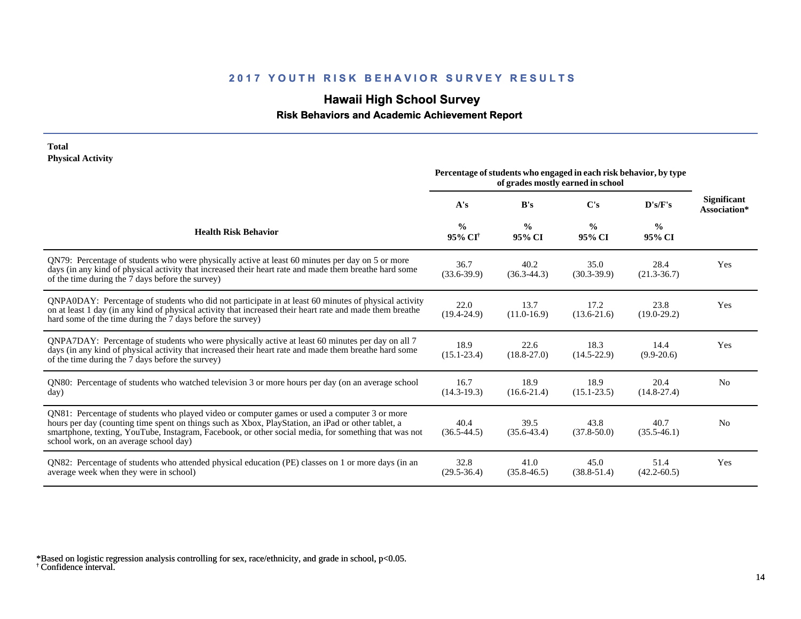## **Hawaii High School Survey**

 **Risk Behaviors and Academic Achievement Report**

#### **Total Physical Activity**

|                                                                                                                                                                                                                                                                                                                                                      | Percentage of students who engaged in each risk behavior, by type<br>of grades mostly earned in school |                         |                         |                         |                                    |
|------------------------------------------------------------------------------------------------------------------------------------------------------------------------------------------------------------------------------------------------------------------------------------------------------------------------------------------------------|--------------------------------------------------------------------------------------------------------|-------------------------|-------------------------|-------------------------|------------------------------------|
|                                                                                                                                                                                                                                                                                                                                                      | A's                                                                                                    | B's                     | C's                     | D's/F's                 | <b>Significant</b><br>Association* |
| <b>Health Risk Behavior</b>                                                                                                                                                                                                                                                                                                                          | $\frac{0}{0}$<br>$95\%$ CI <sup>†</sup>                                                                | $\frac{0}{0}$<br>95% CI | $\frac{0}{0}$<br>95% CI | $\frac{0}{0}$<br>95% CI |                                    |
| QN79: Percentage of students who were physically active at least 60 minutes per day on 5 or more<br>days (in any kind of physical activity that increased their heart rate and made them breathe hard some<br>of the time during the 7 days before the survey)                                                                                       | 36.7<br>$(33.6 - 39.9)$                                                                                | 40.2<br>$(36.3-44.3)$   | 35.0<br>$(30.3-39.9)$   | 28.4<br>$(21.3 - 36.7)$ | Yes                                |
| QNPA0DAY: Percentage of students who did not participate in at least 60 minutes of physical activity<br>on at least 1 day (in any kind of physical activity that increased their heart rate and made them breathe<br>hard some of the time during the 7 days before the survey)                                                                      | 22.0<br>$(19.4 - 24.9)$                                                                                | 13.7<br>$(11.0-16.9)$   | 17.2<br>$(13.6 - 21.6)$ | 23.8<br>$(19.0-29.2)$   | Yes                                |
| QNPA7DAY: Percentage of students who were physically active at least 60 minutes per day on all 7<br>days (in any kind of physical activity that increased their heart rate and made them breathe hard some<br>of the time during the 7 days before the survey)                                                                                       | 18.9<br>$(15.1 - 23.4)$                                                                                | 22.6<br>$(18.8 - 27.0)$ | 18.3<br>$(14.5 - 22.9)$ | 14.4<br>$(9.9-20.6)$    | Yes                                |
| QN80: Percentage of students who watched television 3 or more hours per day (on an average school<br>day)                                                                                                                                                                                                                                            | 16.7<br>$(14.3-19.3)$                                                                                  | 18.9<br>$(16.6-21.4)$   | 18.9<br>$(15.1 - 23.5)$ | 20.4<br>$(14.8 - 27.4)$ | N <sub>0</sub>                     |
| QN81: Percentage of students who played video or computer games or used a computer 3 or more<br>hours per day (counting time spent on things such as Xbox, PlayStation, an iPad or other tablet, a<br>smartphone, texting, YouTube, Instagram, Facebook, or other social media, for something that was not<br>school work, on an average school day) | 40.4<br>$(36.5 - 44.5)$                                                                                | 39.5<br>$(35.6 - 43.4)$ | 43.8<br>$(37.8 - 50.0)$ | 40.7<br>$(35.5-46.1)$   | N <sub>0</sub>                     |
| QN82: Percentage of students who attended physical education (PE) classes on 1 or more days (in an<br>average week when they were in school)                                                                                                                                                                                                         | 32.8<br>$(29.5 - 36.4)$                                                                                | 41.0<br>$(35.8 - 46.5)$ | 45.0<br>$(38.8 - 51.4)$ | 51.4<br>$(42.2 - 60.5)$ | Yes                                |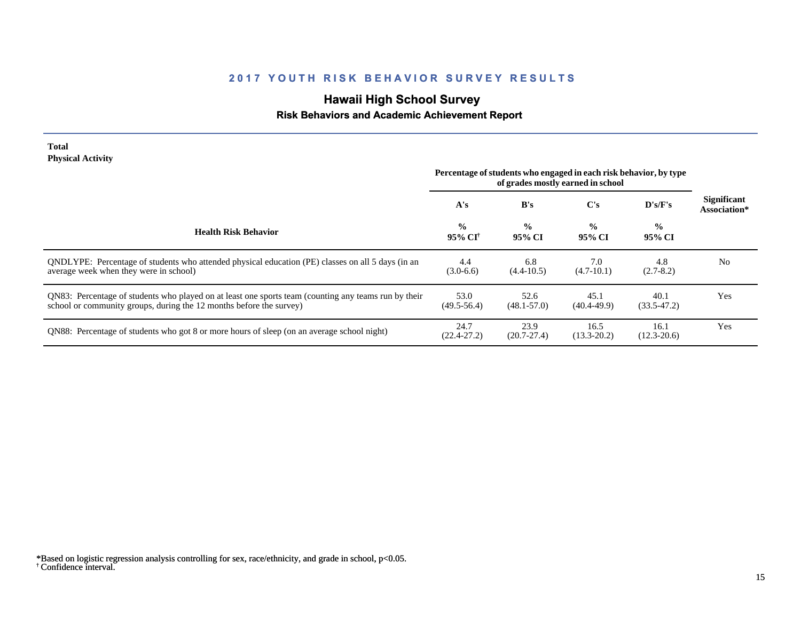## **Hawaii High School Survey**

## **Risk Behaviors and Academic Achievement Report**

#### **Total Physical Activity**

|                                                                                                                                                                             | Percentage of students who engaged in each risk behavior, by type<br>of grades mostly earned in school |                         |                         |                         |                                    |
|-----------------------------------------------------------------------------------------------------------------------------------------------------------------------------|--------------------------------------------------------------------------------------------------------|-------------------------|-------------------------|-------------------------|------------------------------------|
|                                                                                                                                                                             | A's                                                                                                    | B's                     | $\bf C's$               | D's/F's                 | <b>Significant</b><br>Association* |
| <b>Health Risk Behavior</b>                                                                                                                                                 | $\frac{0}{0}$<br>95% CI†                                                                               | $\frac{0}{0}$<br>95% CI | $\frac{0}{0}$<br>95% CI | $\frac{0}{0}$<br>95% CI |                                    |
| ONDLYPE: Percentage of students who attended physical education (PE) classes on all 5 days (in an<br>average week when they were in school)                                 | 4.4<br>$(3.0-6.6)$                                                                                     | 6.8<br>$(4.4 - 10.5)$   | 7.0<br>$(4.7-10.1)$     | 4.8<br>$(2.7-8.2)$      | N <sub>0</sub>                     |
| QN83: Percentage of students who played on at least one sports team (counting any teams run by their<br>school or community groups, during the 12 months before the survey) | 53.0<br>$(49.5 - 56.4)$                                                                                | 52.6<br>$(48.1 - 57.0)$ | 45.1<br>$(40.4 - 49.9)$ | 40.1<br>$(33.5-47.2)$   | Yes                                |
| QN88: Percentage of students who got 8 or more hours of sleep (on an average school night)                                                                                  | 24.7<br>$(22.4 - 27.2)$                                                                                | 23.9<br>$(20.7 - 27.4)$ | 16.5<br>$(13.3 - 20.2)$ | 16.1<br>$(12.3 - 20.6)$ | Yes                                |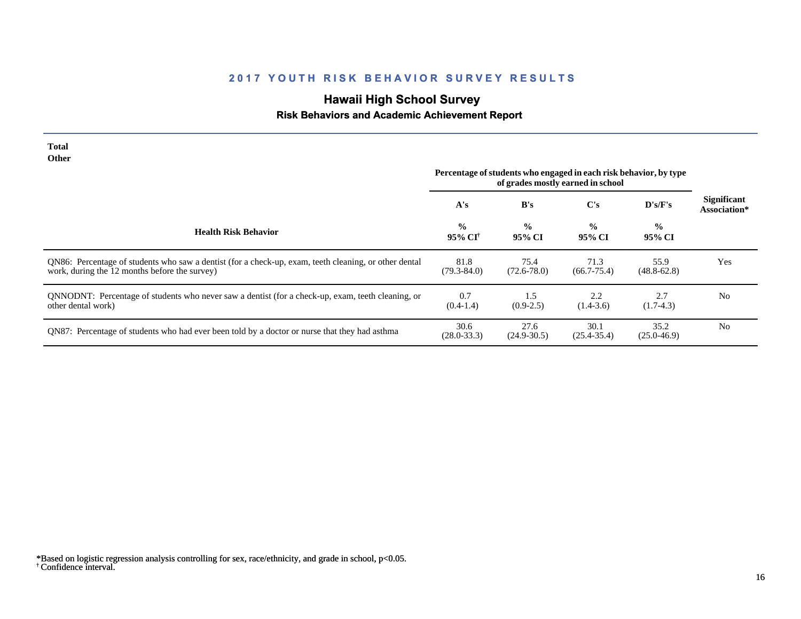# **Hawaii High School Survey**

## **Risk Behaviors and Academic Achievement Report**

| Total<br><b>Other</b>                                                                                                                                  |                                                                                                        |                         |                         |                         |                                    |
|--------------------------------------------------------------------------------------------------------------------------------------------------------|--------------------------------------------------------------------------------------------------------|-------------------------|-------------------------|-------------------------|------------------------------------|
|                                                                                                                                                        | Percentage of students who engaged in each risk behavior, by type<br>of grades mostly earned in school |                         |                         |                         |                                    |
|                                                                                                                                                        | A's                                                                                                    | B's                     | C's                     | $\bf{D's/F's}$          | <b>Significant</b><br>Association* |
| <b>Health Risk Behavior</b>                                                                                                                            | $\frac{0}{0}$<br>95% CI†                                                                               | $\frac{0}{0}$<br>95% CI | $\frac{0}{0}$<br>95% CI | $\frac{0}{0}$<br>95% CI |                                    |
| QN86: Percentage of students who saw a dentist (for a check-up, exam, teeth cleaning, or other dental<br>work, during the 12 months before the survey) | 81.8<br>$(79.3 - 84.0)$                                                                                | 75.4<br>$(72.6 - 78.0)$ | 71.3<br>$(66.7 - 75.4)$ | 55.9<br>$(48.8 - 62.8)$ | Yes                                |
| QNNODNT: Percentage of students who never saw a dentist (for a check-up, exam, teeth cleaning, or<br>other dental work)                                | 0.7<br>$(0.4-1.4)$                                                                                     | 1.5<br>$(0.9-2.5)$      | 2.2<br>$(1.4-3.6)$      | 2.7<br>$(1.7-4.3)$      | N <sub>0</sub>                     |
| QN87: Percentage of students who had ever been told by a doctor or nurse that they had asthma                                                          | 30.6<br>$(28.0 - 33.3)$                                                                                | 27.6<br>$(24.9 - 30.5)$ | 30.1<br>$(25.4 - 35.4)$ | 35.2<br>$(25.0 - 46.9)$ | N <sub>0</sub>                     |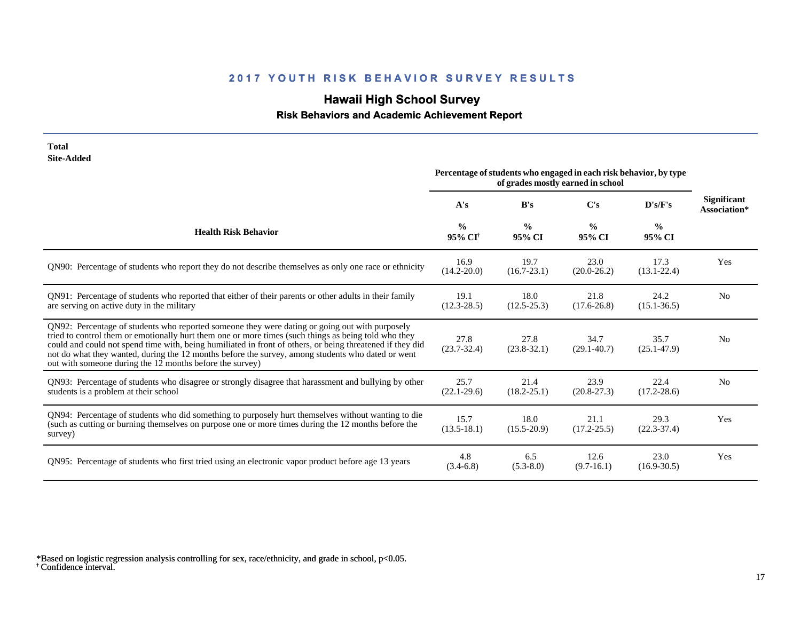# **Hawaii High School Survey**

 **Risk Behaviors and Academic Achievement Report**

| <b>Total</b><br><b>Site-Added</b>                                                                                                                                                                                                                                                                                                                                                                                                                                                    |                                      |                                                                   |                                   |                         |                                    |
|--------------------------------------------------------------------------------------------------------------------------------------------------------------------------------------------------------------------------------------------------------------------------------------------------------------------------------------------------------------------------------------------------------------------------------------------------------------------------------------|--------------------------------------|-------------------------------------------------------------------|-----------------------------------|-------------------------|------------------------------------|
|                                                                                                                                                                                                                                                                                                                                                                                                                                                                                      |                                      | Percentage of students who engaged in each risk behavior, by type | of grades mostly earned in school |                         |                                    |
|                                                                                                                                                                                                                                                                                                                                                                                                                                                                                      | A's                                  | B's                                                               | $\bf C's$                         | D's/F's                 | <b>Significant</b><br>Association* |
| <b>Health Risk Behavior</b>                                                                                                                                                                                                                                                                                                                                                                                                                                                          | $\frac{0}{0}$<br>95% CI <sup>+</sup> | $\frac{0}{0}$<br>95% CI                                           | $\frac{0}{0}$<br>95% CI           | $\frac{0}{0}$<br>95% CI |                                    |
| QN90: Percentage of students who report they do not describe themselves as only one race or ethnicity                                                                                                                                                                                                                                                                                                                                                                                | 16.9<br>$(14.2 - 20.0)$              | 19.7<br>$(16.7 - 23.1)$                                           | 23.0<br>$(20.0 - 26.2)$           | 17.3<br>$(13.1 - 22.4)$ | Yes                                |
| QN91: Percentage of students who reported that either of their parents or other adults in their family<br>are serving on active duty in the military                                                                                                                                                                                                                                                                                                                                 | 19.1<br>$(12.3 - 28.5)$              | 18.0<br>$(12.5 - 25.3)$                                           | 21.8<br>$(17.6 - 26.8)$           | 24.2<br>$(15.1 - 36.5)$ | N <sub>0</sub>                     |
| QN92: Percentage of students who reported someone they were dating or going out with purposely<br>tried to control them or emotionally hurt them one or more times (such things as being told who they<br>could and could not spend time with, being humiliated in front of others, or being threatened if they did<br>not do what they wanted, during the 12 months before the survey, among students who dated or went<br>out with someone during the 12 months before the survey) | 27.8<br>$(23.7 - 32.4)$              | 27.8<br>$(23.8-32.1)$                                             | 34.7<br>$(29.1 - 40.7)$           | 35.7<br>$(25.1 - 47.9)$ | N <sub>0</sub>                     |
| QN93: Percentage of students who disagree or strongly disagree that harassment and bullying by other<br>students is a problem at their school                                                                                                                                                                                                                                                                                                                                        | 25.7<br>$(22.1 - 29.6)$              | 21.4<br>$(18.2 - 25.1)$                                           | 23.9<br>$(20.8 - 27.3)$           | 22.4<br>$(17.2 - 28.6)$ | N <sub>0</sub>                     |
| QN94: Percentage of students who did something to purposely hurt themselves without wanting to die<br>(such as cutting or burning themselves on purpose one or more times during the 12 months before the<br>survey)                                                                                                                                                                                                                                                                 | 15.7<br>$(13.5 - 18.1)$              | 18.0<br>$(15.5 - 20.9)$                                           | 21.1<br>$(17.2 - 25.5)$           | 29.3<br>$(22.3 - 37.4)$ | Yes                                |
| QN95: Percentage of students who first tried using an electronic vapor product before age 13 years                                                                                                                                                                                                                                                                                                                                                                                   | 4.8<br>$(3.4-6.8)$                   | 6.5<br>$(5.3 - 8.0)$                                              | 12.6<br>$(9.7-16.1)$              | 23.0<br>$(16.9 - 30.5)$ | Yes                                |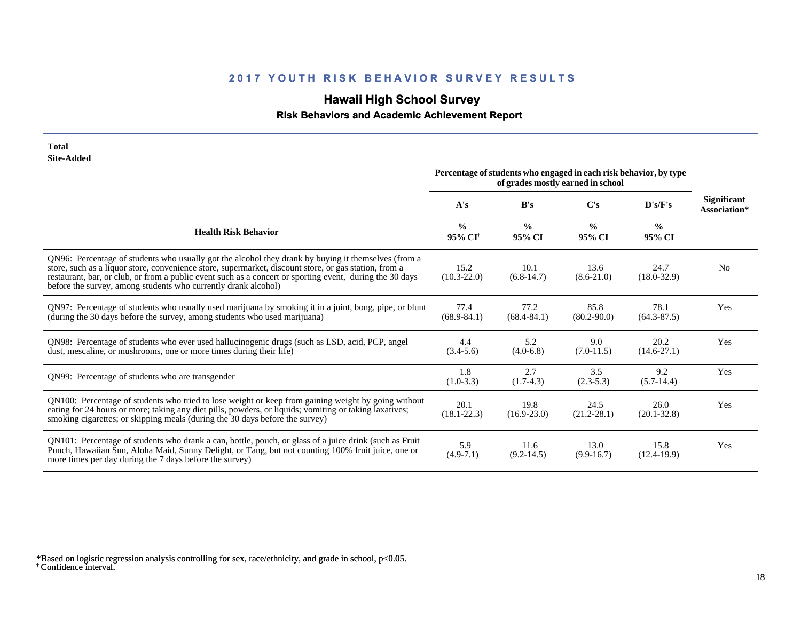# **Hawaii High School Survey**

## **Risk Behaviors and Academic Achievement Report**

| <b>Total</b><br><b>Site-Added</b>                                                                                                                                                                                                                                                                                                                                                          |                                      |                                                                   |                                   |                         |                             |
|--------------------------------------------------------------------------------------------------------------------------------------------------------------------------------------------------------------------------------------------------------------------------------------------------------------------------------------------------------------------------------------------|--------------------------------------|-------------------------------------------------------------------|-----------------------------------|-------------------------|-----------------------------|
|                                                                                                                                                                                                                                                                                                                                                                                            |                                      | Percentage of students who engaged in each risk behavior, by type | of grades mostly earned in school |                         |                             |
|                                                                                                                                                                                                                                                                                                                                                                                            | A's                                  | B's                                                               | C's                               | $\bf{D's/F's}$          | Significant<br>Association* |
| <b>Health Risk Behavior</b>                                                                                                                                                                                                                                                                                                                                                                | $\frac{0}{0}$<br>95% CI <sup>+</sup> | $\frac{6}{9}$<br>95% CI                                           | $\frac{0}{0}$<br>95% CI           | $\frac{6}{6}$<br>95% CI |                             |
| QN96: Percentage of students who usually got the alcohol they drank by buying it themselves (from a<br>store, such as a liquor store, convenience store, supermarket, discount store, or gas station, from a<br>restaurant, bar, or club, or from a public event such as a concert or sporting event, during the 30 days<br>before the survey, among students who currently drank alcohol) | 15.2<br>$(10.3 - 22.0)$              | 10.1<br>$(6.8-14.7)$                                              | 13.6<br>$(8.6-21.0)$              | 24.7<br>$(18.0 - 32.9)$ | N <sub>0</sub>              |
| QN97: Percentage of students who usually used marijuana by smoking it in a joint, bong, pipe, or blunt<br>(during the 30 days before the survey, among students who used marijuana)                                                                                                                                                                                                        | 77.4<br>$(68.9 - 84.1)$              | 77.2<br>$(68.4 - 84.1)$                                           | 85.8<br>$(80.2 - 90.0)$           | 78.1<br>$(64.3 - 87.5)$ | Yes                         |
| QN98: Percentage of students who ever used hallucinogenic drugs (such as LSD, acid, PCP, angel<br>dust, mescaline, or mushrooms, one or more times during their life)                                                                                                                                                                                                                      | 4.4<br>$(3.4-5.6)$                   | 5.2<br>$(4.0-6.8)$                                                | 9.0<br>$(7.0-11.5)$               | 20.2<br>$(14.6 - 27.1)$ | Yes                         |
| QN99: Percentage of students who are transgender                                                                                                                                                                                                                                                                                                                                           | 1.8<br>$(1.0-3.3)$                   | 2.7<br>$(1.7-4.3)$                                                | 3.5<br>$(2.3-5.3)$                | 9.2<br>$(5.7-14.4)$     | Yes                         |
| QN100: Percentage of students who tried to lose weight or keep from gaining weight by going without<br>eating for 24 hours or more; taking any diet pills, powders, or liquids; vomiting or taking laxatives;<br>smoking cigarettes; or skipping meals (during the 30 days before the survey)                                                                                              | 20.1<br>$(18.1 - 22.3)$              | 19.8<br>$(16.9 - 23.0)$                                           | 24.5<br>$(21.2 - 28.1)$           | 26.0<br>$(20.1 - 32.8)$ | Yes                         |
| QN101: Percentage of students who drank a can, bottle, pouch, or glass of a juice drink (such as Fruit<br>Punch, Hawaiian Sun, Aloha Maid, Sunny Delight, or Tang, but not counting 100% fruit juice, one or<br>more times per day during the 7 days before the survey)                                                                                                                    | 5.9<br>$(4.9 - 7.1)$                 | 11.6<br>$(9.2 - 14.5)$                                            | 13.0<br>$(9.9-16.7)$              | 15.8<br>$(12.4-19.9)$   | Yes                         |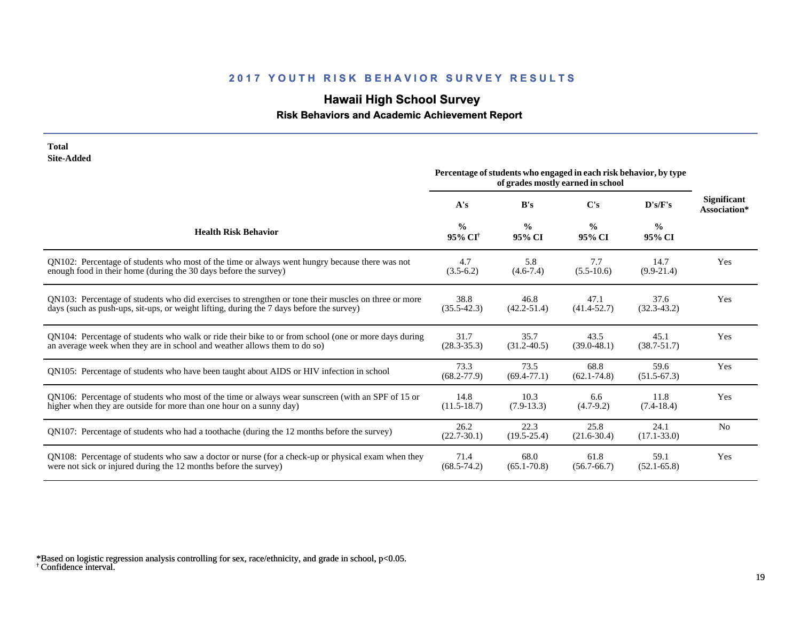# **Hawaii High School Survey**

## **Risk Behaviors and Academic Achievement Report**

| <b>Total</b><br><b>Site-Added</b>                                                                                                                                                                | Percentage of students who engaged in each risk behavior, by type |                         |                                   |                         |                                    |
|--------------------------------------------------------------------------------------------------------------------------------------------------------------------------------------------------|-------------------------------------------------------------------|-------------------------|-----------------------------------|-------------------------|------------------------------------|
|                                                                                                                                                                                                  |                                                                   |                         | of grades mostly earned in school |                         |                                    |
|                                                                                                                                                                                                  | A's                                                               | B's                     | C's                               | D's/F's                 | <b>Significant</b><br>Association* |
| <b>Health Risk Behavior</b>                                                                                                                                                                      | $\frac{0}{0}$<br>95% CI <sup>+</sup>                              | $\frac{6}{9}$<br>95% CI | $\frac{0}{0}$<br>95% CI           | $\frac{0}{0}$<br>95% CI |                                    |
| QN102: Percentage of students who most of the time or always went hungry because there was not<br>enough food in their home (during the 30 days before the survey)                               | 4.7<br>$(3.5-6.2)$                                                | 5.8<br>$(4.6-7.4)$      | 7.7<br>$(5.5-10.6)$               | 14.7<br>$(9.9-21.4)$    | Yes                                |
| QN103: Percentage of students who did exercises to strengthen or tone their muscles on three or more<br>days (such as push-ups, sit-ups, or weight lifting, during the 7 days before the survey) | 38.8<br>$(35.5 - 42.3)$                                           | 46.8<br>$(42.2 - 51.4)$ | 47.1<br>$(41.4 - 52.7)$           | 37.6<br>$(32.3 - 43.2)$ | Yes                                |
| QN104: Percentage of students who walk or ride their bike to or from school (one or more days during<br>an average week when they are in school and weather allows them to do so)                | 31.7<br>$(28.3 - 35.3)$                                           | 35.7<br>$(31.2 - 40.5)$ | 43.5<br>$(39.0 - 48.1)$           | 45.1<br>$(38.7 - 51.7)$ | Yes                                |
| QN105: Percentage of students who have been taught about AIDS or HIV infection in school                                                                                                         | 73.3<br>$(68.2 - 77.9)$                                           | 73.5<br>$(69.4 - 77.1)$ | 68.8<br>$(62.1 - 74.8)$           | 59.6<br>$(51.5-67.3)$   | Yes                                |
| QN106: Percentage of students who most of the time or always wear sunscreen (with an SPF of 15 or<br>higher when they are outside for more than one hour on a sunny day)                         | 14.8<br>$(11.5-18.7)$                                             | 10.3<br>$(7.9-13.3)$    | 6.6<br>$(4.7-9.2)$                | 11.8<br>$(7.4-18.4)$    | Yes                                |
| QN107: Percentage of students who had a toothache (during the 12 months before the survey)                                                                                                       | 26.2<br>$(22.7 - 30.1)$                                           | 22.3<br>$(19.5 - 25.4)$ | 25.8<br>$(21.6 - 30.4)$           | 24.1<br>$(17.1 - 33.0)$ | N <sub>0</sub>                     |
| QN108: Percentage of students who saw a doctor or nurse (for a check-up or physical exam when they<br>were not sick or injured during the 12 months before the survey)                           | 71.4<br>$(68.5 - 74.2)$                                           | 68.0<br>$(65.1 - 70.8)$ | 61.8<br>$(56.7 - 66.7)$           | 59.1<br>$(52.1 - 65.8)$ | Yes                                |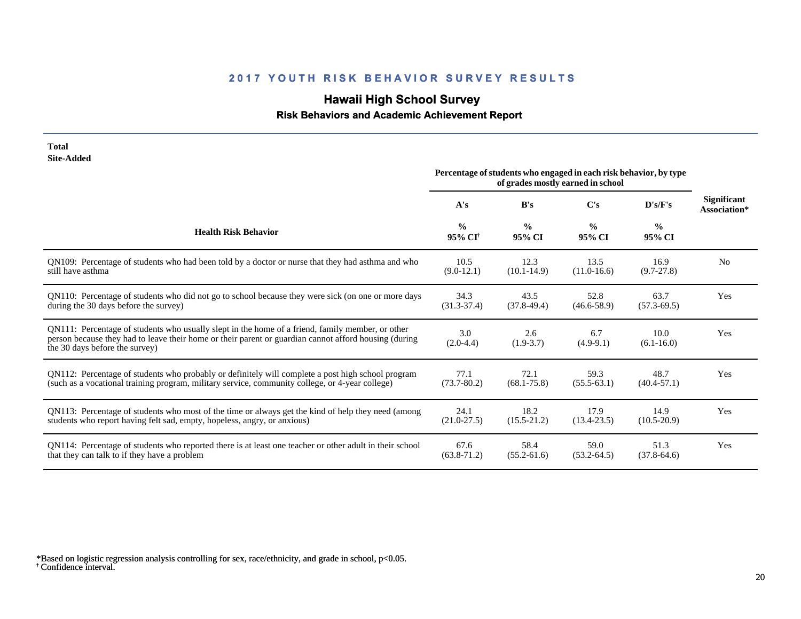# **Hawaii High School Survey**

## **Risk Behaviors and Academic Achievement Report**

| <b>Site-Added</b>                                                                                                                                                                                                                           | Percentage of students who engaged in each risk behavior, by type |                         |                         |                         |                                    |
|---------------------------------------------------------------------------------------------------------------------------------------------------------------------------------------------------------------------------------------------|-------------------------------------------------------------------|-------------------------|-------------------------|-------------------------|------------------------------------|
|                                                                                                                                                                                                                                             | A's                                                               | B's                     | C's                     | $\bf{D's/F's}$          | <b>Significant</b><br>Association* |
| <b>Health Risk Behavior</b>                                                                                                                                                                                                                 | $\frac{0}{0}$<br>95% CI <sup>+</sup>                              | $\frac{0}{0}$<br>95% CI | $\frac{0}{0}$<br>95% CI | $\frac{0}{0}$<br>95% CI |                                    |
| QN109: Percentage of students who had been told by a doctor or nurse that they had asthma and who                                                                                                                                           | 10.5                                                              | 12.3                    | 13.5                    | 16.9                    | N <sub>0</sub>                     |
| still have asthma                                                                                                                                                                                                                           | $(9.0-12.1)$                                                      | $(10.1 - 14.9)$         | $(11.0-16.6)$           | $(9.7 - 27.8)$          |                                    |
| QN110: Percentage of students who did not go to school because they were sick (on one or more days                                                                                                                                          | 34.3                                                              | 43.5                    | 52.8                    | 63.7                    | Yes                                |
| during the 30 days before the survey)                                                                                                                                                                                                       | $(31.3 - 37.4)$                                                   | $(37.8-49.4)$           | $(46.6 - 58.9)$         | $(57.3 - 69.5)$         |                                    |
| QN111: Percentage of students who usually slept in the home of a friend, family member, or other<br>person because they had to leave their home or their parent or guardian cannot afford housing (during<br>the 30 days before the survey) | 3.0<br>$(2.0-4.4)$                                                | 2.6<br>$(1.9-3.7)$      | 6.7<br>$(4.9-9.1)$      | 10.0<br>$(6.1 - 16.0)$  | Yes                                |
| ON112: Percentage of students who probably or definitely will complete a post high school program                                                                                                                                           | 77.1                                                              | 72.1                    | 59.3                    | 48.7                    | Yes                                |
| (such as a vocational training program, military service, community college, or 4-year college)                                                                                                                                             | $(73.7 - 80.2)$                                                   | $(68.1 - 75.8)$         | $(55.5-63.1)$           | $(40.4 - 57.1)$         |                                    |
| QN113: Percentage of students who most of the time or always get the kind of help they need (among                                                                                                                                          | 24.1                                                              | 18.2                    | 17.9                    | 14.9                    | Yes                                |
| students who report having felt sad, empty, hopeless, angry, or anxious)                                                                                                                                                                    | $(21.0 - 27.5)$                                                   | $(15.5 - 21.2)$         | $(13.4 - 23.5)$         | $(10.5 - 20.9)$         |                                    |
| QN114: Percentage of students who reported there is at least one teacher or other adult in their school                                                                                                                                     | 67.6                                                              | 58.4                    | 59.0                    | 51.3                    | Yes                                |
| that they can talk to if they have a problem                                                                                                                                                                                                | $(63.8 - 71.2)$                                                   | $(55.2 - 61.6)$         | $(53.2 - 64.5)$         | $(37.8-64.6)$           |                                    |

† Confidence interval. \*Based on logistic regression analysis controlling for sex, race/ethnicity, and grade in school, p<0.05.

**Total**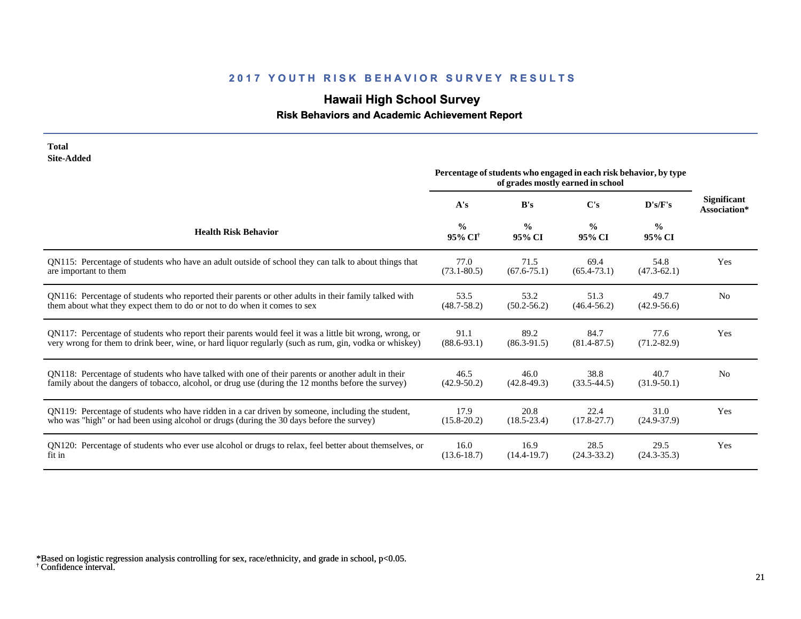# **Hawaii High School Survey**

## **Risk Behaviors and Academic Achievement Report**

| <b>Total</b><br><b>Site-Added</b>                                                                      |                                         |                                                                   |                                   |                         |                                    |
|--------------------------------------------------------------------------------------------------------|-----------------------------------------|-------------------------------------------------------------------|-----------------------------------|-------------------------|------------------------------------|
|                                                                                                        |                                         | Percentage of students who engaged in each risk behavior, by type | of grades mostly earned in school |                         |                                    |
|                                                                                                        | A's                                     | B's                                                               | C's                               | D's/F's                 | <b>Significant</b><br>Association* |
| <b>Health Risk Behavior</b>                                                                            | $\frac{0}{0}$<br>$95\%$ CI <sup>†</sup> | $\frac{0}{0}$<br>95% CI                                           | $\frac{0}{0}$<br>95% CI           | $\frac{0}{0}$<br>95% CI |                                    |
| QN115: Percentage of students who have an adult outside of school they can talk to about things that   | 77.0                                    | 71.5                                                              | 69.4                              | 54.8                    | Yes                                |
| are important to them                                                                                  | $(73.1 - 80.5)$                         | $(67.6 - 75.1)$                                                   | $(65.4 - 73.1)$                   | $(47.3 - 62.1)$         |                                    |
| QN116: Percentage of students who reported their parents or other adults in their family talked with   | 53.5                                    | 53.2                                                              | 51.3                              | 49.7                    | N <sub>0</sub>                     |
| them about what they expect them to do or not to do when it comes to sex                               | $(48.7 - 58.2)$                         | $(50.2 - 56.2)$                                                   | $(46.4 - 56.2)$                   | $(42.9 - 56.6)$         |                                    |
| QN117: Percentage of students who report their parents would feel it was a little bit wrong, wrong, or | 91.1                                    | 89.2                                                              | 84.7                              | 77.6                    | Yes                                |
| very wrong for them to drink beer, wine, or hard liquor regularly (such as rum, gin, vodka or whiskey) | $(88.6 - 93.1)$                         | $(86.3-91.5)$                                                     | $(81.4 - 87.5)$                   | $(71.2 - 82.9)$         |                                    |
| QN118: Percentage of students who have talked with one of their parents or another adult in their      | 46.5                                    | 46.0                                                              | 38.8                              | 40.7                    | N <sub>0</sub>                     |
| family about the dangers of tobacco, alcohol, or drug use (during the 12 months before the survey)     | $(42.9 - 50.2)$                         | $(42.8 - 49.3)$                                                   | $(33.5 - 44.5)$                   | $(31.9-50.1)$           |                                    |
| QN119: Percentage of students who have ridden in a car driven by someone, including the student,       | 17.9                                    | 20.8                                                              | 22.4                              | 31.0                    | Yes                                |
| who was "high" or had been using alcohol or drugs (during the 30 days before the survey)               | $(15.8 - 20.2)$                         | $(18.5 - 23.4)$                                                   | $(17.8 - 27.7)$                   | $(24.9 - 37.9)$         |                                    |
| QN120: Percentage of students who ever use alcohol or drugs to relax, feel better about themselves, or | 16.0                                    | 16.9                                                              | 28.5                              | 29.5                    | Yes                                |
| fit in                                                                                                 | $(13.6 - 18.7)$                         | $(14.4 - 19.7)$                                                   | $(24.3 - 33.2)$                   | $(24.3 - 35.3)$         |                                    |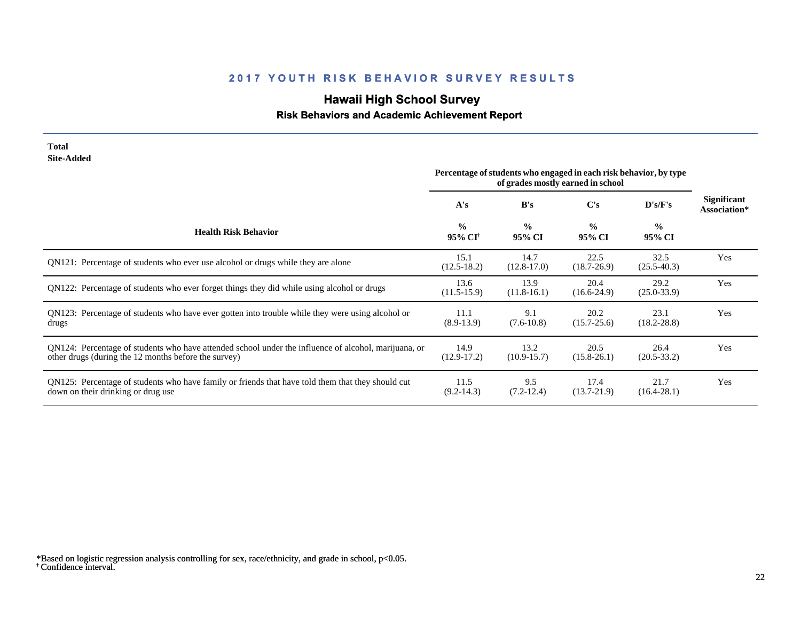# **Hawaii High School Survey**

## **Risk Behaviors and Academic Achievement Report**

| <b>Total</b><br><b>Site-Added</b>                                                                                                                            | Percentage of students who engaged in each risk behavior, by type |                         |                                          |                         |                                    |
|--------------------------------------------------------------------------------------------------------------------------------------------------------------|-------------------------------------------------------------------|-------------------------|------------------------------------------|-------------------------|------------------------------------|
|                                                                                                                                                              | A's                                                               | B's                     | of grades mostly earned in school<br>C's | D's/F's                 | <b>Significant</b><br>Association* |
| <b>Health Risk Behavior</b>                                                                                                                                  | $\frac{0}{0}$<br>95% CI <sup>+</sup>                              | $\frac{0}{0}$<br>95% CI | $\frac{0}{0}$<br>95% CI                  | $\frac{0}{0}$<br>95% CI |                                    |
| QN121: Percentage of students who ever use alcohol or drugs while they are alone                                                                             | 15.1<br>$(12.5 - 18.2)$                                           | 14.7<br>$(12.8-17.0)$   | 22.5<br>$(18.7 - 26.9)$                  | 32.5<br>$(25.5-40.3)$   | Yes                                |
| QN122: Percentage of students who ever forget things they did while using alcohol or drugs                                                                   | 13.6<br>$(11.5-15.9)$                                             | 13.9<br>$(11.8-16.1)$   | 20.4<br>$(16.6-24.9)$                    | 29.2<br>$(25.0 - 33.9)$ | Yes                                |
| QN123: Percentage of students who have ever gotten into trouble while they were using alcohol or<br>drugs                                                    | 11.1<br>$(8.9-13.9)$                                              | 9.1<br>$(7.6-10.8)$     | 20.2<br>$(15.7 - 25.6)$                  | 23.1<br>$(18.2 - 28.8)$ | Yes                                |
| QN124: Percentage of students who have attended school under the influence of alcohol, marijuana, or<br>other drugs (during the 12 months before the survey) | 14.9<br>$(12.9-17.2)$                                             | 13.2<br>$(10.9 - 15.7)$ | 20.5<br>$(15.8-26.1)$                    | 26.4<br>$(20.5 - 33.2)$ | Yes                                |
| QN125: Percentage of students who have family or friends that have told them that they should cut<br>down on their drinking or drug use                      | 11.5<br>$(9.2 - 14.3)$                                            | 9.5<br>$(7.2-12.4)$     | 17.4<br>$(13.7 - 21.9)$                  | 21.7<br>$(16.4 - 28.1)$ | Yes                                |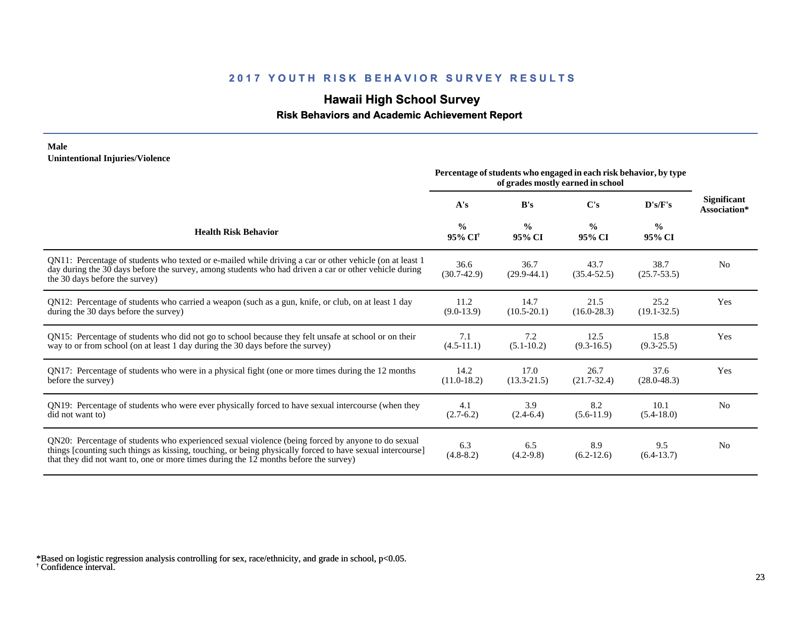## **Hawaii High School Survey**

### **Risk Behaviors and Academic Achievement Report**

#### **Male Unintentional Injuries/Violence**

|                                                                                                                                                                                                                                                                                                        | Percentage of students who engaged in each risk behavior, by type<br>of grades mostly earned in school |                         |                         |                         |                                    |
|--------------------------------------------------------------------------------------------------------------------------------------------------------------------------------------------------------------------------------------------------------------------------------------------------------|--------------------------------------------------------------------------------------------------------|-------------------------|-------------------------|-------------------------|------------------------------------|
|                                                                                                                                                                                                                                                                                                        | A's                                                                                                    | B's                     | $\bf C's$               | D's/F's                 | <b>Significant</b><br>Association* |
| <b>Health Risk Behavior</b>                                                                                                                                                                                                                                                                            | $\frac{0}{0}$<br>95% CI <sup>+</sup>                                                                   | $\frac{0}{0}$<br>95% CI | $\frac{0}{0}$<br>95% CI | $\frac{0}{0}$<br>95% CI |                                    |
| QN11: Percentage of students who texted or e-mailed while driving a car or other vehicle (on at least 1)<br>day during the 30 days before the survey, among students who had driven a car or other vehicle during<br>the 30 days before the survey)                                                    | 36.6<br>$(30.7-42.9)$                                                                                  | 36.7<br>$(29.9-44.1)$   | 43.7<br>$(35.4 - 52.5)$ | 38.7<br>$(25.7 - 53.5)$ | N <sub>0</sub>                     |
| QN12: Percentage of students who carried a weapon (such as a gun, knife, or club, on at least 1 day<br>during the 30 days before the survey)                                                                                                                                                           | 11.2<br>$(9.0-13.9)$                                                                                   | 14.7<br>$(10.5 - 20.1)$ | 21.5<br>$(16.0 - 28.3)$ | 25.2<br>$(19.1 - 32.5)$ | Yes                                |
| QN15: Percentage of students who did not go to school because they felt unsafe at school or on their<br>way to or from school (on at least 1 day during the 30 days before the survey)                                                                                                                 | 7.1<br>$(4.5-11.1)$                                                                                    | 7.2<br>$(5.1 - 10.2)$   | 12.5<br>$(9.3 - 16.5)$  | 15.8<br>$(9.3 - 25.5)$  | Yes                                |
| QN17: Percentage of students who were in a physical fight (one or more times during the 12 months<br>before the survey)                                                                                                                                                                                | 14.2<br>$(11.0-18.2)$                                                                                  | 17.0<br>$(13.3 - 21.5)$ | 26.7<br>$(21.7-32.4)$   | 37.6<br>$(28.0 - 48.3)$ | Yes                                |
| QN19: Percentage of students who were ever physically forced to have sexual intercourse (when they<br>did not want to                                                                                                                                                                                  | 4.1<br>$(2.7-6.2)$                                                                                     | 3.9<br>$(2.4-6.4)$      | 8.2<br>$(5.6-11.9)$     | 10.1<br>$(5.4-18.0)$    | N <sub>0</sub>                     |
| QN20: Percentage of students who experienced sexual violence (being forced by anyone to do sexual<br>things [counting such things as kissing, touching, or being physically forced to have sexual intercourse]<br>that they did not want to, one or more times during the 12 months before the survey) | 6.3<br>$(4.8-8.2)$                                                                                     | 6.5<br>$(4.2-9.8)$      | 8.9<br>$(6.2-12.6)$     | 9.5<br>$(6.4-13.7)$     | N <sub>0</sub>                     |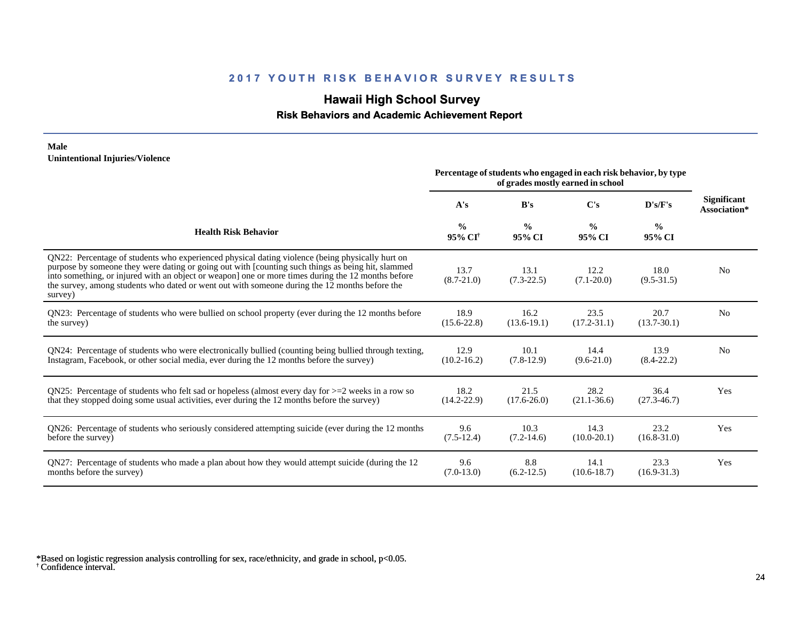## **Hawaii High School Survey**

### **Risk Behaviors and Academic Achievement Report**

#### **Male Unintentional Injuries/Violence**

|                                                                                                                                                                                                                                                                                                                                                                                                                        | Percentage of students who engaged in each risk behavior, by type<br>of grades mostly earned in school |                         |                         |                         |                                    |
|------------------------------------------------------------------------------------------------------------------------------------------------------------------------------------------------------------------------------------------------------------------------------------------------------------------------------------------------------------------------------------------------------------------------|--------------------------------------------------------------------------------------------------------|-------------------------|-------------------------|-------------------------|------------------------------------|
|                                                                                                                                                                                                                                                                                                                                                                                                                        | A's                                                                                                    | B's                     | C's                     | D's/F's                 | <b>Significant</b><br>Association* |
| <b>Health Risk Behavior</b>                                                                                                                                                                                                                                                                                                                                                                                            | $\frac{0}{0}$<br>95% CI <sup>+</sup>                                                                   | $\frac{0}{0}$<br>95% CI | $\frac{0}{0}$<br>95% CI | $\frac{0}{0}$<br>95% CI |                                    |
| QN22: Percentage of students who experienced physical dating violence (being physically hurt on<br>purpose by someone they were dating or going out with [counting such things as being hit, slammed<br>into something, or injured with an object or weapon] one or more times during the 12 months before<br>the survey, among students who dated or went out with someone during the 12 months before the<br>survey) | 13.7<br>$(8.7 - 21.0)$                                                                                 | 13.1<br>$(7.3 - 22.5)$  | 12.2<br>$(7.1 - 20.0)$  | 18.0<br>$(9.5 - 31.5)$  | N <sub>0</sub>                     |
| QN23: Percentage of students who were bullied on school property (ever during the 12 months before                                                                                                                                                                                                                                                                                                                     | 18.9                                                                                                   | 16.2                    | 23.5                    | 20.7                    | N <sub>0</sub>                     |
| the survey)                                                                                                                                                                                                                                                                                                                                                                                                            | $(15.6 - 22.8)$                                                                                        | $(13.6-19.1)$           | $(17.2 - 31.1)$         | $(13.7 - 30.1)$         |                                    |
| QN24: Percentage of students who were electronically bullied (counting being bullied through texting,                                                                                                                                                                                                                                                                                                                  | 12.9                                                                                                   | 10.1                    | 14.4                    | 13.9                    | N <sub>0</sub>                     |
| Instagram, Facebook, or other social media, ever during the 12 months before the survey)                                                                                                                                                                                                                                                                                                                               | $(10.2 - 16.2)$                                                                                        | $(7.8-12.9)$            | $(9.6-21.0)$            | $(8.4 - 22.2)$          |                                    |
| QN25: Percentage of students who felt sad or hopeless (almost every day for $>=$ 2 weeks in a row so                                                                                                                                                                                                                                                                                                                   | 18.2                                                                                                   | 21.5                    | 28.2                    | 36.4                    | Yes                                |
| that they stopped doing some usual activities, ever during the 12 months before the survey)                                                                                                                                                                                                                                                                                                                            | $(14.2 - 22.9)$                                                                                        | $(17.6 - 26.0)$         | $(21.1 - 36.6)$         | $(27.3 - 46.7)$         |                                    |
| QN26: Percentage of students who seriously considered attempting suicide (ever during the 12 months                                                                                                                                                                                                                                                                                                                    | 9.6                                                                                                    | 10.3                    | 14.3                    | 23.2                    | Yes                                |
| before the survey)                                                                                                                                                                                                                                                                                                                                                                                                     | $(7.5-12.4)$                                                                                           | $(7.2 - 14.6)$          | $(10.0 - 20.1)$         | $(16.8 - 31.0)$         |                                    |
| QN27: Percentage of students who made a plan about how they would attempt suicide (during the 12                                                                                                                                                                                                                                                                                                                       | 9.6                                                                                                    | 8.8                     | 14.1                    | 23.3                    | Yes                                |
| months before the survey)                                                                                                                                                                                                                                                                                                                                                                                              | $(7.0-13.0)$                                                                                           | $(6.2-12.5)$            | $(10.6 - 18.7)$         | $(16.9 - 31.3)$         |                                    |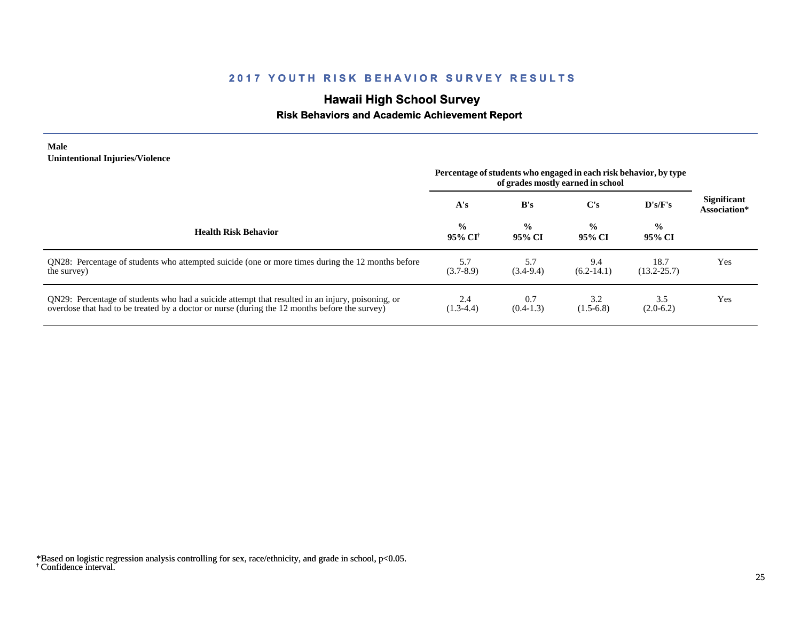# **Hawaii High School Survey**

## **Risk Behaviors and Academic Achievement Report**

#### **Male Unintentional Injuries/Violence**

|                                                                                                                                                                                                   | Percentage of students who engaged in each risk behavior, by type<br>of grades mostly earned in school |                         |                         |                         |                                    |
|---------------------------------------------------------------------------------------------------------------------------------------------------------------------------------------------------|--------------------------------------------------------------------------------------------------------|-------------------------|-------------------------|-------------------------|------------------------------------|
|                                                                                                                                                                                                   | A's                                                                                                    | B's                     | $\bf C's$               | D's/F's                 | <b>Significant</b><br>Association* |
| <b>Health Risk Behavior</b>                                                                                                                                                                       | $\frac{0}{0}$<br>95% CI <sup>†</sup>                                                                   | $\frac{0}{0}$<br>95% CI | $\frac{0}{0}$<br>95% CI | $\frac{0}{0}$<br>95% CI |                                    |
| ON28: Percentage of students who attempted suicide (one or more times during the 12 months before<br>the survey)                                                                                  | 5.7<br>$(3.7-8.9)$                                                                                     | 5.7<br>$(3.4-9.4)$      | 9.4<br>$(6.2-14.1)$     | 18.7<br>$(13.2 - 25.7)$ | Yes                                |
| QN29: Percentage of students who had a suicide attempt that resulted in an injury, poisoning, or<br>overdose that had to be treated by a doctor or nurse (during the 12 months before the survey) | 2.4<br>$(1.3-4.4)$                                                                                     | 0.7<br>$(0.4-1.3)$      | 3.2<br>$(1.5-6.8)$      | 3.5<br>$(2.0-6.2)$      | Yes                                |

<sup>†</sup> Confidence interval. \*Based on logistic regression analysis controlling for sex, race/ethnicity, and grade in school, p<0.05.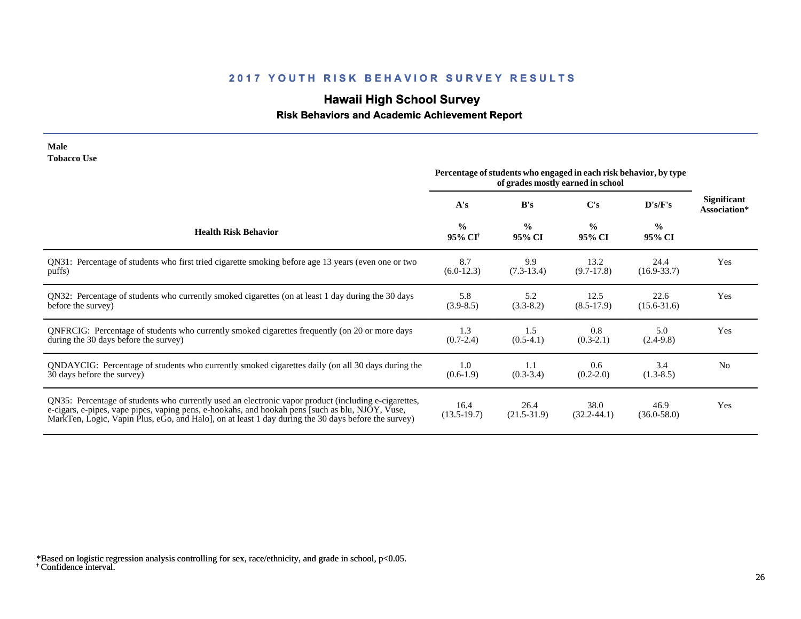## **Hawaii High School Survey**

## **Risk Behaviors and Academic Achievement Report**

#### **Male Tobacco Use**

|                                                                                                                                                                                                                                                                                                                | Percentage of students who engaged in each risk behavior, by type<br>of grades mostly earned in school |                         |                         |                         |                                    |
|----------------------------------------------------------------------------------------------------------------------------------------------------------------------------------------------------------------------------------------------------------------------------------------------------------------|--------------------------------------------------------------------------------------------------------|-------------------------|-------------------------|-------------------------|------------------------------------|
|                                                                                                                                                                                                                                                                                                                | A's                                                                                                    | B's                     | C's                     | D's/F's                 | <b>Significant</b><br>Association* |
| <b>Health Risk Behavior</b>                                                                                                                                                                                                                                                                                    | $\frac{0}{0}$<br>95% CI <sup>†</sup>                                                                   | $\frac{0}{0}$<br>95% CI | $\frac{0}{0}$<br>95% CI | $\frac{0}{0}$<br>95% CI |                                    |
| QN31: Percentage of students who first tried cigarette smoking before age 13 years (even one or two                                                                                                                                                                                                            | 8.7                                                                                                    | 9.9                     | 13.2                    | 24.4                    | Yes                                |
| puffs)                                                                                                                                                                                                                                                                                                         | $(6.0-12.3)$                                                                                           | $(7.3-13.4)$            | $(9.7-17.8)$            | $(16.9 - 33.7)$         |                                    |
| QN32: Percentage of students who currently smoked cigarettes (on at least 1 day during the 30 days                                                                                                                                                                                                             | 5.8                                                                                                    | 5.2                     | 12.5                    | 22.6                    | Yes                                |
| before the survey)                                                                                                                                                                                                                                                                                             | $(3.9 - 8.5)$                                                                                          | $(3.3-8.2)$             | $(8.5-17.9)$            | $(15.6 - 31.6)$         |                                    |
| QNFRCIG: Percentage of students who currently smoked cigarettes frequently (on 20 or more days                                                                                                                                                                                                                 | 1.3                                                                                                    | 1.5                     | 0.8                     | 5.0                     | Yes                                |
| during the 30 days before the survey)                                                                                                                                                                                                                                                                          | $(0.7 - 2.4)$                                                                                          | $(0.5-4.1)$             | $(0.3-2.1)$             | $(2.4-9.8)$             |                                    |
| QNDAYCIG: Percentage of students who currently smoked cigarettes daily (on all 30 days during the                                                                                                                                                                                                              | 1.0                                                                                                    | 1.1                     | 0.6                     | 3.4                     | N <sub>0</sub>                     |
| 30 days before the survey)                                                                                                                                                                                                                                                                                     | $(0.6-1.9)$                                                                                            | $(0.3-3.4)$             | $(0.2 - 2.0)$           | $(1.3-8.5)$             |                                    |
| QN35: Percentage of students who currently used an electronic vapor product (including e-cigarettes,<br>e-cigars, e-pipes, vape pipes, vaping pens, e-hookahs, and hookah pens [such as blu, NJOY, Vuse,<br>MarkTen, Logic, Vapin Plus, eGo, and Halo, on at least 1 day during the 30 days before the survey) | 16.4<br>$(13.5-19.7)$                                                                                  | 26.4<br>$(21.5-31.9)$   | 38.0<br>$(32.2 - 44.1)$ | 46.9<br>$(36.0 - 58.0)$ | Yes                                |

<sup>†</sup> Confidence interval. \*Based on logistic regression analysis controlling for sex, race/ethnicity, and grade in school, p<0.05.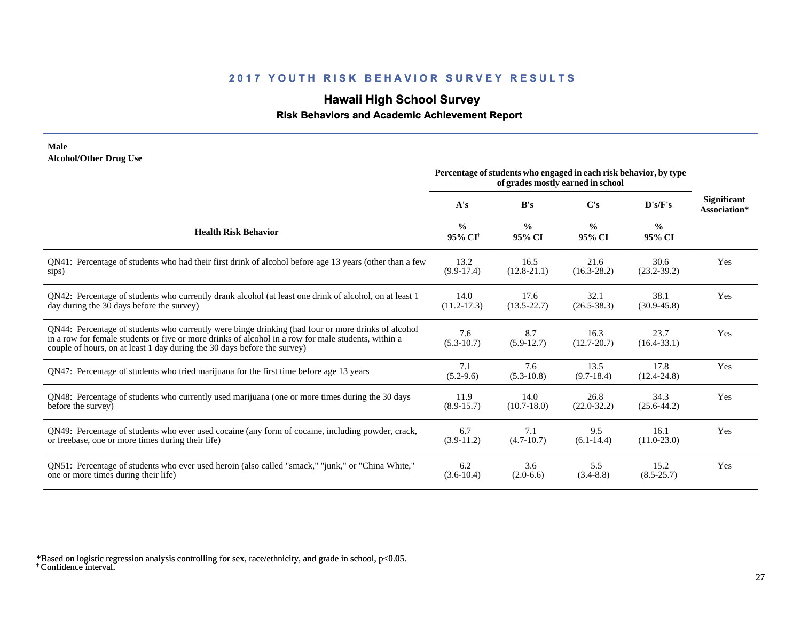## **Hawaii High School Survey**

### **Risk Behaviors and Academic Achievement Report**

#### **Male Alcohol/Other Drug Use**

|                                                                                                                                                                                                                                                                                       | Percentage of students who engaged in each risk behavior, by type<br>of grades mostly earned in school |                         |                         |                         |                                    |
|---------------------------------------------------------------------------------------------------------------------------------------------------------------------------------------------------------------------------------------------------------------------------------------|--------------------------------------------------------------------------------------------------------|-------------------------|-------------------------|-------------------------|------------------------------------|
|                                                                                                                                                                                                                                                                                       | A's                                                                                                    | B's                     | $\bf C's$               | D's/F's                 | <b>Significant</b><br>Association* |
| <b>Health Risk Behavior</b>                                                                                                                                                                                                                                                           | $\frac{0}{0}$<br>95% CI <sup>+</sup>                                                                   | $\frac{0}{0}$<br>95% CI | $\frac{0}{0}$<br>95% CI | $\frac{0}{0}$<br>95% CI |                                    |
| QN41: Percentage of students who had their first drink of alcohol before age 13 years (other than a few                                                                                                                                                                               | 13.2                                                                                                   | 16.5                    | 21.6                    | 30.6                    | Yes                                |
| sips)                                                                                                                                                                                                                                                                                 | $(9.9-17.4)$                                                                                           | $(12.8-21.1)$           | $(16.3 - 28.2)$         | $(23.2 - 39.2)$         |                                    |
| QN42: Percentage of students who currently drank alcohol (at least one drink of alcohol, on at least 1                                                                                                                                                                                | 14.0                                                                                                   | 17.6                    | 32.1                    | 38.1                    | Yes                                |
| day during the 30 days before the survey)                                                                                                                                                                                                                                             | $(11.2 - 17.3)$                                                                                        | $(13.5 - 22.7)$         | $(26.5 - 38.3)$         | $(30.9 - 45.8)$         |                                    |
| QN44: Percentage of students who currently were binge drinking (had four or more drinks of alcohol<br>in a row for female students or five or more drinks of alcohol in a row for male students, within a<br>couple of hours, on at least 1 day during the 30 days before the survey) | 7.6<br>$(5.3 - 10.7)$                                                                                  | 8.7<br>$(5.9-12.7)$     | 16.3<br>$(12.7 - 20.7)$ | 23.7<br>$(16.4 - 33.1)$ | Yes                                |
| QN47: Percentage of students who tried marijuana for the first time before age 13 years                                                                                                                                                                                               | 7.1<br>$(5.2-9.6)$                                                                                     | 7.6<br>$(5.3 - 10.8)$   | 13.5<br>$(9.7-18.4)$    | 17.8<br>$(12.4 - 24.8)$ | Yes                                |
| QN48: Percentage of students who currently used marijuana (one or more times during the 30 days                                                                                                                                                                                       | 11.9                                                                                                   | 14.0                    | 26.8                    | 34.3                    | Yes                                |
| before the survey)                                                                                                                                                                                                                                                                    | $(8.9 - 15.7)$                                                                                         | $(10.7 - 18.0)$         | $(22.0 - 32.2)$         | $(25.6 - 44.2)$         |                                    |
| QN49: Percentage of students who ever used cocaine (any form of cocaine, including powder, crack,                                                                                                                                                                                     | 6.7                                                                                                    | 7.1                     | 9.5                     | 16.1                    | Yes                                |
| or freebase, one or more times during their life)                                                                                                                                                                                                                                     | $(3.9-11.2)$                                                                                           | $(4.7-10.7)$            | $(6.1 - 14.4)$          | $(11.0 - 23.0)$         |                                    |
| ON51: Percentage of students who ever used heroin (also called "smack," "junk," or "China White,"                                                                                                                                                                                     | 6.2                                                                                                    | 3.6                     | 5.5                     | 15.2                    | Yes                                |
| one or more times during their life)                                                                                                                                                                                                                                                  | $(3.6-10.4)$                                                                                           | $(2.0-6.6)$             | $(3.4 - 8.8)$           | $(8.5 - 25.7)$          |                                    |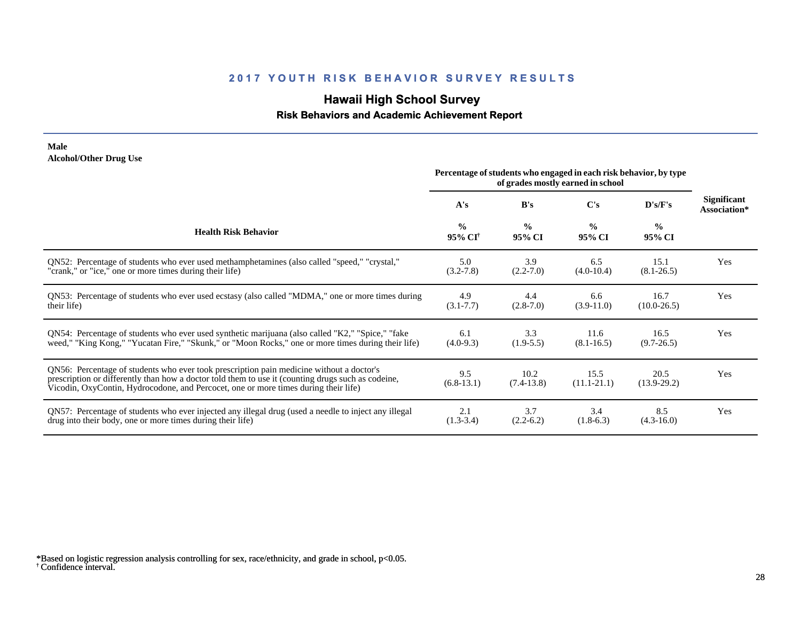## **Hawaii High School Survey**

## **Risk Behaviors and Academic Achievement Report**

#### **Male Alcohol/Other Drug Use**

|                                                                                                                                                                                                                                                                                       | Percentage of students who engaged in each risk behavior, by type<br>of grades mostly earned in school |                         |                         |                         |                                    |
|---------------------------------------------------------------------------------------------------------------------------------------------------------------------------------------------------------------------------------------------------------------------------------------|--------------------------------------------------------------------------------------------------------|-------------------------|-------------------------|-------------------------|------------------------------------|
|                                                                                                                                                                                                                                                                                       | A's                                                                                                    | B's                     | C's                     | D's/F's                 | <b>Significant</b><br>Association* |
| <b>Health Risk Behavior</b>                                                                                                                                                                                                                                                           | $\frac{0}{0}$<br>95% CI <sup>†</sup>                                                                   | $\frac{0}{0}$<br>95% CI | $\frac{0}{0}$<br>95% CI | $\frac{0}{0}$<br>95% CI |                                    |
| QN52: Percentage of students who ever used methamphetamines (also called "speed," "crystal,"                                                                                                                                                                                          | 5.0                                                                                                    | 3.9                     | 6.5                     | 15.1                    | Yes                                |
| "crank," or "ice," one or more times during their life)                                                                                                                                                                                                                               | $(3.2 - 7.8)$                                                                                          | $(2.2 - 7.0)$           | $(4.0-10.4)$            | $(8.1 - 26.5)$          |                                    |
| QN53: Percentage of students who ever used ecstasy (also called "MDMA," one or more times during                                                                                                                                                                                      | 4.9                                                                                                    | 4.4                     | 6.6                     | 16.7                    | Yes                                |
| their life)                                                                                                                                                                                                                                                                           | $(3.1 - 7.7)$                                                                                          | $(2.8-7.0)$             | $(3.9-11.0)$            | $(10.0-26.5)$           |                                    |
| QN54: Percentage of students who ever used synthetic marijuana (also called "K2," "Spice," "fake                                                                                                                                                                                      | 6.1                                                                                                    | 3.3                     | 11.6                    | 16.5                    | Yes                                |
| weed," "King Kong," "Yucatan Fire," "Skunk," or "Moon Rocks," one or more times during their life)                                                                                                                                                                                    | $(4.0-9.3)$                                                                                            | $(1.9-5.5)$             | $(8.1 - 16.5)$          | $(9.7 - 26.5)$          |                                    |
| QN56: Percentage of students who ever took prescription pain medicine without a doctor's<br>prescription or differently than how a doctor told them to use it (counting drugs such as codeine,<br>Vicodin, OxyContin, Hydrocodone, and Percocet, one or more times during their life) | 9.5<br>$(6.8-13.1)$                                                                                    | 10.2<br>$(7.4-13.8)$    | 15.5<br>$(11.1 - 21.1)$ | 20.5<br>$(13.9-29.2)$   | Yes                                |
| QN57: Percentage of students who ever injected any illegal drug (used a needle to inject any illegal                                                                                                                                                                                  | 2.1                                                                                                    | 3.7                     | 3.4                     | 8.5                     | Yes                                |
| drug into their body, one or more times during their life)                                                                                                                                                                                                                            | $(1.3-3.4)$                                                                                            | $(2.2-6.2)$             | $(1.8-6.3)$             | $(4.3-16.0)$            |                                    |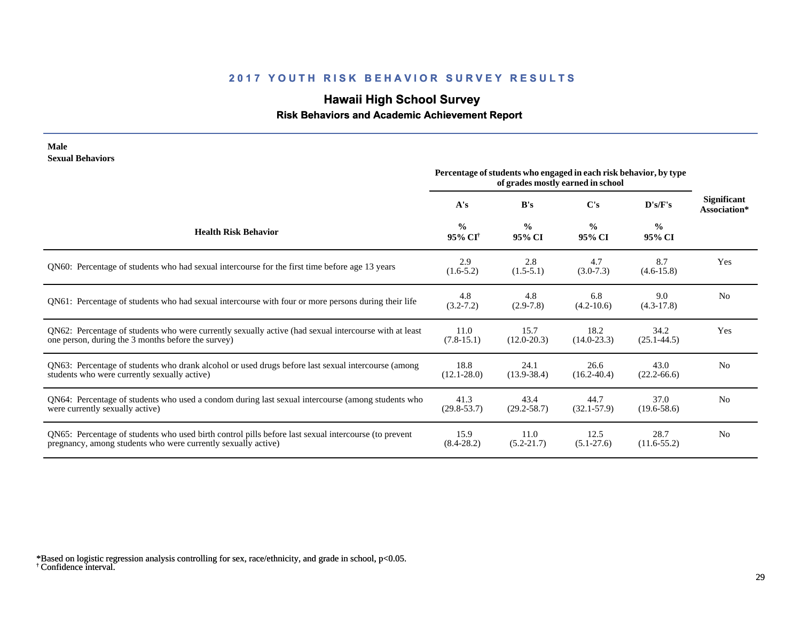# **Hawaii High School Survey**

## **Risk Behaviors and Academic Achievement Report**

| Male                                                                                                  | Percentage of students who engaged in each risk behavior, by type |                         |                         |                         |                                    |  |
|-------------------------------------------------------------------------------------------------------|-------------------------------------------------------------------|-------------------------|-------------------------|-------------------------|------------------------------------|--|
| <b>Sexual Behaviors</b>                                                                               | of grades mostly earned in school                                 |                         |                         |                         |                                    |  |
|                                                                                                       | A's                                                               | B's                     | C's                     | D's/F's                 | <b>Significant</b><br>Association* |  |
| <b>Health Risk Behavior</b>                                                                           | $\frac{0}{0}$<br>95% CI <sup>†</sup>                              | $\frac{0}{0}$<br>95% CI | $\frac{0}{0}$<br>95% CI | $\frac{0}{0}$<br>95% CI |                                    |  |
| QN60: Percentage of students who had sexual intercourse for the first time before age 13 years        | 2.9<br>$(1.6-5.2)$                                                | 2.8<br>$(1.5-5.1)$      | 4.7<br>$(3.0 - 7.3)$    | 8.7<br>$(4.6 - 15.8)$   | Yes                                |  |
| QN61: Percentage of students who had sexual intercourse with four or more persons during their life   | 4.8<br>$(3.2 - 7.2)$                                              | 4.8<br>$(2.9-7.8)$      | 6.8<br>$(4.2 - 10.6)$   | 9.0<br>$(4.3-17.8)$     | N <sub>o</sub>                     |  |
| QN62: Percentage of students who were currently sexually active (had sexual intercourse with at least | 11.0                                                              | 15.7                    | 18.2                    | 34.2                    | Yes                                |  |
| one person, during the 3 months before the survey)                                                    | $(7.8-15.1)$                                                      | $(12.0 - 20.3)$         | $(14.0 - 23.3)$         | $(25.1 - 44.5)$         |                                    |  |
| QN63: Percentage of students who drank alcohol or used drugs before last sexual intercourse (among    | 18.8                                                              | 24.1                    | 26.6                    | 43.0                    | N <sub>o</sub>                     |  |
| students who were currently sexually active)                                                          | $(12.1 - 28.0)$                                                   | $(13.9 - 38.4)$         | $(16.2 - 40.4)$         | $(22.2 - 66.6)$         |                                    |  |
| QN64: Percentage of students who used a condom during last sexual intercourse (among students who     | 41.3                                                              | 43.4                    | 44.7                    | 37.0                    | N <sub>o</sub>                     |  |
| were currently sexually active)                                                                       | $(29.8 - 53.7)$                                                   | $(29.2 - 58.7)$         | $(32.1 - 57.9)$         | $(19.6 - 58.6)$         |                                    |  |
| QN65: Percentage of students who used birth control pills before last sexual intercourse (to prevent  | 15.9                                                              | 11.0                    | 12.5                    | 28.7                    | N <sub>0</sub>                     |  |
| pregnancy, among students who were currently sexually active)                                         | $(8.4 - 28.2)$                                                    | $(5.2 - 21.7)$          | $(5.1-27.6)$            | $(11.6-55.2)$           |                                    |  |

<sup>†</sup> Confidence interval. \*Based on logistic regression analysis controlling for sex, race/ethnicity, and grade in school, p<0.05.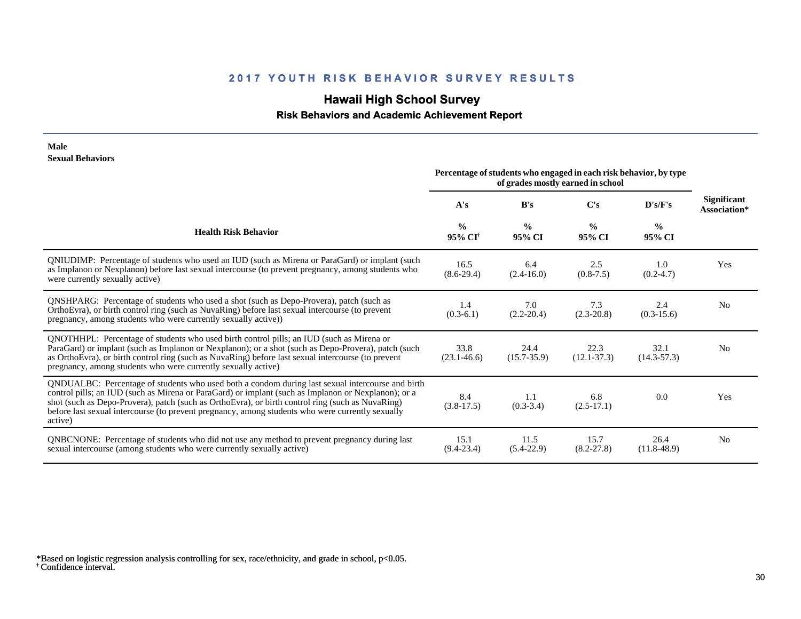# **Hawaii High School Survey**

 **Risk Behaviors and Academic Achievement Report**

#### **Male Sexual Behaviors**

|                                                                                                                                                                                                                                                                                                                                                                                                                            | Percentage of students who engaged in each risk behavior, by type<br>of grades mostly earned in school |                         |                         |                         |                                    |
|----------------------------------------------------------------------------------------------------------------------------------------------------------------------------------------------------------------------------------------------------------------------------------------------------------------------------------------------------------------------------------------------------------------------------|--------------------------------------------------------------------------------------------------------|-------------------------|-------------------------|-------------------------|------------------------------------|
|                                                                                                                                                                                                                                                                                                                                                                                                                            | A's                                                                                                    | B's                     | C's                     | D's/F's                 | <b>Significant</b><br>Association* |
| <b>Health Risk Behavior</b>                                                                                                                                                                                                                                                                                                                                                                                                | $\frac{0}{0}$<br>95% CI <sup>+</sup>                                                                   | $\frac{0}{0}$<br>95% CI | $\frac{0}{0}$<br>95% CI | $\frac{0}{0}$<br>95% CI |                                    |
| QNIUDIMP: Percentage of students who used an IUD (such as Mirena or ParaGard) or implant (such<br>as Implanon or Nexplanon) before last sexual intercourse (to prevent pregnancy, among students who<br>were currently sexually active)                                                                                                                                                                                    | 16.5<br>$(8.6-29.4)$                                                                                   | 6.4<br>$(2.4 - 16.0)$   | 2.5<br>$(0.8 - 7.5)$    | 1.0<br>$(0.2 - 4.7)$    | Yes                                |
| <b>QNSHPARG:</b> Percentage of students who used a shot (such as Depo-Provera), patch (such as<br>OrthoEvra), or birth control ring (such as NuvaRing) before last sexual intercourse (to prevent<br>pregnancy, among students who were currently sexually active)                                                                                                                                                         | 1.4<br>$(0.3-6.1)$                                                                                     | 7.0<br>$(2.2 - 20.4)$   | 7.3<br>$(2.3 - 20.8)$   | 2.4<br>$(0.3-15.6)$     | N <sub>0</sub>                     |
| QNOTHHPL: Percentage of students who used birth control pills; an IUD (such as Mirena or<br>ParaGard) or implant (such as Implanon or Nexplanon); or a shot (such as Depo-Provera), patch (such<br>as OrthoEvra), or birth control ring (such as NuvaRing) before last sexual intercourse (to prevent<br>pregnancy, among students who were currently sexually active)                                                     | 33.8<br>$(23.1 - 46.6)$                                                                                | 24.4<br>$(15.7 - 35.9)$ | 22.3<br>$(12.1 - 37.3)$ | 32.1<br>$(14.3 - 57.3)$ | N <sub>0</sub>                     |
| QNDUALBC: Percentage of students who used both a condom during last sexual intercourse and birth<br>control pills; an IUD (such as Mirena or ParaGard) or implant (such as Implanon or Nexplanon); or a<br>shot (such as Depo-Provera), patch (such as OrthoEvra), or birth control ring (such as NuvaRing)<br>before last sexual intercourse (to prevent pregnancy, among students who were currently sexually<br>active) | 8.4<br>$(3.8-17.5)$                                                                                    | 1.1<br>$(0.3-3.4)$      | 6.8<br>$(2.5-17.1)$     | 0.0                     | Yes                                |
| QNBCNONE: Percentage of students who did not use any method to prevent pregnancy during last<br>sexual intercourse (among students who were currently sexually active)                                                                                                                                                                                                                                                     | 15.1<br>$(9.4 - 23.4)$                                                                                 | 11.5<br>$(5.4-22.9)$    | 15.7<br>$(8.2 - 27.8)$  | 26.4<br>$(11.8-48.9)$   | N <sub>0</sub>                     |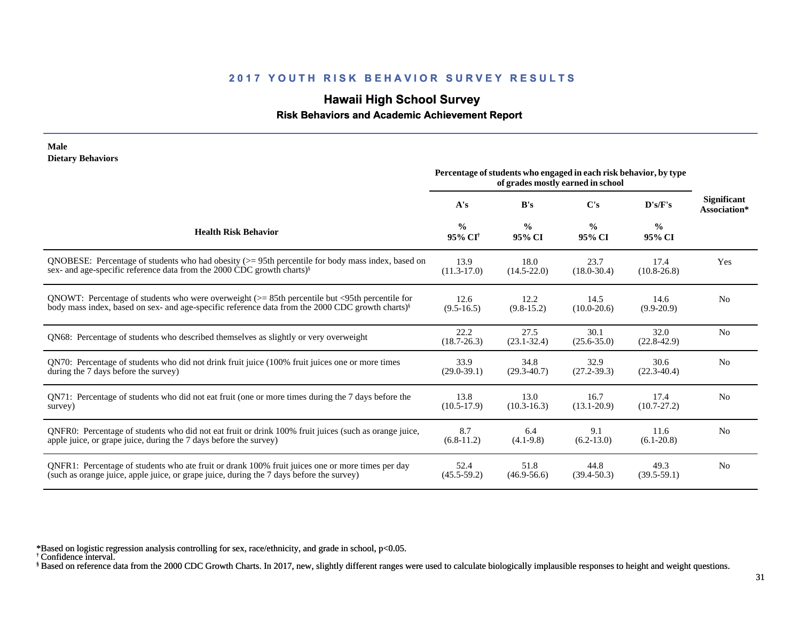## **Hawaii High School Survey**

 **Risk Behaviors and Academic Achievement Report**

| <b>Male</b><br><b>Dietary Behaviors</b>                                                                      |                                      |                                                                   |                                   |                         |                                    |
|--------------------------------------------------------------------------------------------------------------|--------------------------------------|-------------------------------------------------------------------|-----------------------------------|-------------------------|------------------------------------|
|                                                                                                              |                                      | Percentage of students who engaged in each risk behavior, by type | of grades mostly earned in school |                         |                                    |
|                                                                                                              | A's                                  | B's                                                               | C's                               | D's/F's                 | <b>Significant</b><br>Association* |
| <b>Health Risk Behavior</b>                                                                                  | $\frac{0}{0}$<br>95% CI <sup>†</sup> | $\frac{0}{0}$<br>95% CI                                           | $\frac{0}{0}$<br>95% CI           | $\frac{0}{0}$<br>95% CI |                                    |
| QNOBESE: Percentage of students who had obesity $(>= 95$ th percentile for body mass index, based on         | 13.9                                 | 18.0                                                              | 23.7                              | 17.4                    | Yes                                |
| sex- and age-specific reference data from the 2000 CDC growth charts) <sup>§</sup>                           | $(11.3-17.0)$                        | $(14.5 - 22.0)$                                                   | $(18.0 - 30.4)$                   | $(10.8 - 26.8)$         |                                    |
| QNOWT: Percentage of students who were overweight (>= 85th percentile but <95th percentile for               | 12.6                                 | 12.2                                                              | 14.5                              | 14.6                    | N <sub>0</sub>                     |
| body mass index, based on sex- and age-specific reference data from the 2000 CDC growth charts) <sup>§</sup> | $(9.5 - 16.5)$                       | $(9.8-15.2)$                                                      | $(10.0 - 20.6)$                   | $(9.9-20.9)$            |                                    |
| QN68: Percentage of students who described themselves as slightly or very overweight                         | 22.2<br>$(18.7 - 26.3)$              | 27.5<br>$(23.1 - 32.4)$                                           | 30.1<br>$(25.6 - 35.0)$           | 32.0<br>$(22.8-42.9)$   | N <sub>0</sub>                     |
| QN70: Percentage of students who did not drink fruit juice (100% fruit juices one or more times              | 33.9                                 | 34.8                                                              | 32.9                              | 30.6                    | N <sub>0</sub>                     |
| during the 7 days before the survey)                                                                         | $(29.0 - 39.1)$                      | $(29.3 - 40.7)$                                                   | $(27.2 - 39.3)$                   | $(22.3 - 40.4)$         |                                    |
| QN71: Percentage of students who did not eat fruit (one or more times during the 7 days before the           | 13.8                                 | 13.0                                                              | 16.7                              | 17.4                    | N <sub>0</sub>                     |
| survey)                                                                                                      | $(10.5-17.9)$                        | $(10.3 - 16.3)$                                                   | $(13.1 - 20.9)$                   | $(10.7 - 27.2)$         |                                    |
| QNFR0: Percentage of students who did not eat fruit or drink 100% fruit juices (such as orange juice,        | 8.7                                  | 6.4                                                               | 9.1                               | 11.6                    | N <sub>0</sub>                     |
| apple juice, or grape juice, during the 7 days before the survey)                                            | $(6.8-11.2)$                         | $(4.1-9.8)$                                                       | $(6.2 - 13.0)$                    | $(6.1 - 20.8)$          |                                    |
| QNFR1: Percentage of students who ate fruit or drank 100% fruit juices one or more times per day             | 52.4                                 | 51.8                                                              | 44.8                              | 49.3                    | N <sub>o</sub>                     |
| (such as orange juice, apple juice, or grape juice, during the 7 days before the survey)                     | $(45.5 - 59.2)$                      | $(46.9 - 56.6)$                                                   | $(39.4 - 50.3)$                   | $(39.5-59.1)$           |                                    |

\*Based on logistic regression analysis controlling for sex, race/ethnicity, and grade in school, p<0.05.

† Confidence interval.

§ Based on reference data from the 2000 CDC Growth Charts. In 2017, new, slightly different ranges were used to calculate biologically implausible responses to height and weight questions.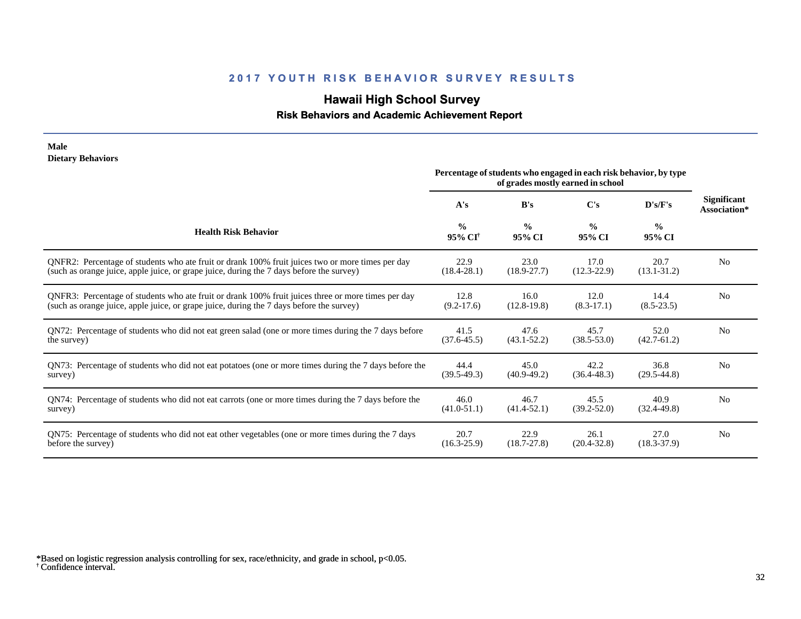## **Hawaii High School Survey**

## **Risk Behaviors and Academic Achievement Report**

#### **Male Dietary Behaviors**

|                                                                                                       | Percentage of students who engaged in each risk behavior, by type<br>of grades mostly earned in school |                         |                         |                         |                             |
|-------------------------------------------------------------------------------------------------------|--------------------------------------------------------------------------------------------------------|-------------------------|-------------------------|-------------------------|-----------------------------|
|                                                                                                       | A's                                                                                                    | B's                     | $\bf C's$               | D's/F's                 | Significant<br>Association* |
| <b>Health Risk Behavior</b>                                                                           | $\frac{0}{0}$<br>$95\%$ CI <sup>†</sup>                                                                | $\frac{0}{0}$<br>95% CI | $\frac{0}{0}$<br>95% CI | $\frac{0}{0}$<br>95% CI |                             |
| QNFR2: Percentage of students who ate fruit or drank 100% fruit juices two or more times per day      | 22.9                                                                                                   | 23.0                    | 17.0                    | 20.7                    | N <sub>0</sub>              |
| (such as orange juice, apple juice, or grape juice, during the 7 days before the survey)              | $(18.4 - 28.1)$                                                                                        | $(18.9 - 27.7)$         | $(12.3 - 22.9)$         | $(13.1 - 31.2)$         |                             |
| QNFR3: Percentage of students who ate fruit or drank 100% fruit juices three or more times per day    | 12.8                                                                                                   | 16.0                    | 12.0                    | 14.4                    | N <sub>0</sub>              |
| (such as orange juice, apple juice, or grape juice, during the 7 days before the survey)              | $(9.2 - 17.6)$                                                                                         | $(12.8-19.8)$           | $(8.3-17.1)$            | $(8.5-23.5)$            |                             |
| QN72: Percentage of students who did not eat green salad (one or more times during the 7 days before  | 41.5                                                                                                   | 47.6                    | 45.7                    | 52.0                    | N <sub>0</sub>              |
| the survey)                                                                                           | $(37.6 - 45.5)$                                                                                        | $(43.1 - 52.2)$         | $(38.5 - 53.0)$         | $(42.7 - 61.2)$         |                             |
| QN73: Percentage of students who did not eat potatoes (one or more times during the 7 days before the | 44.4                                                                                                   | 45.0                    | 42.2                    | 36.8                    | N <sub>0</sub>              |
| survey)                                                                                               | $(39.5-49.3)$                                                                                          | $(40.9 - 49.2)$         | $(36.4 - 48.3)$         | $(29.5 - 44.8)$         |                             |
| QN74: Percentage of students who did not eat carrots (one or more times during the 7 days before the  | 46.0                                                                                                   | 46.7                    | 45.5                    | 40.9                    | N <sub>0</sub>              |
| survey)                                                                                               | $(41.0 - 51.1)$                                                                                        | $(41.4 - 52.1)$         | $(39.2 - 52.0)$         | $(32.4 - 49.8)$         |                             |
| QN75: Percentage of students who did not eat other vegetables (one or more times during the 7 days    | 20.7                                                                                                   | 22.9                    | 26.1                    | 27.0                    | N <sub>0</sub>              |
| before the survey)                                                                                    | $(16.3 - 25.9)$                                                                                        | $(18.7 - 27.8)$         | $(20.4 - 32.8)$         | $(18.3 - 37.9)$         |                             |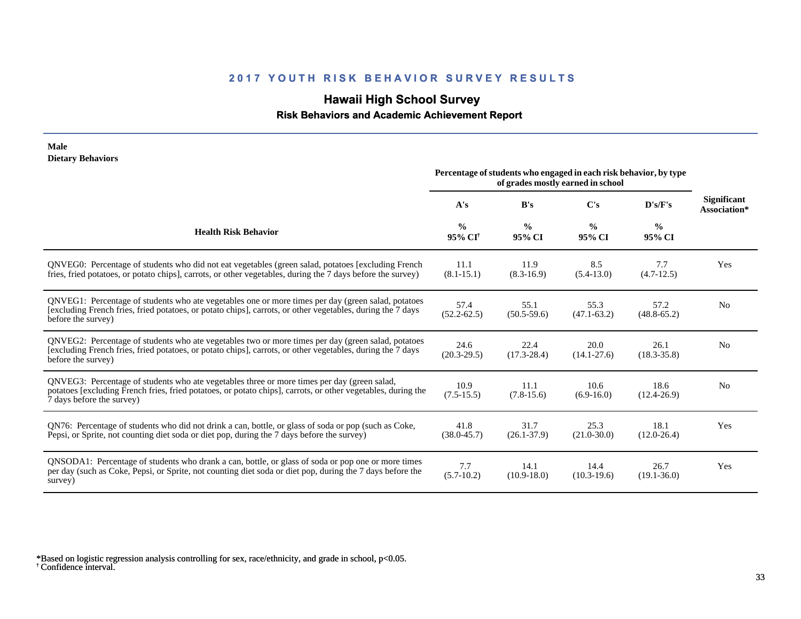## **Hawaii High School Survey**

 **Risk Behaviors and Academic Achievement Report**

| <b>Dietary Behaviors</b><br>Percentage of students who engaged in each risk behavior, by type<br>of grades mostly earned in school                                                                                                       |                                      |                         |                         |                         |                                    |
|------------------------------------------------------------------------------------------------------------------------------------------------------------------------------------------------------------------------------------------|--------------------------------------|-------------------------|-------------------------|-------------------------|------------------------------------|
|                                                                                                                                                                                                                                          | A's                                  | B's                     | C's                     | D's/F's                 | <b>Significant</b><br>Association* |
| <b>Health Risk Behavior</b>                                                                                                                                                                                                              | $\frac{0}{0}$<br>95% CI <sup>+</sup> | $\frac{0}{0}$<br>95% CI | $\frac{0}{0}$<br>95% CI | $\frac{0}{0}$<br>95% CI |                                    |
| ONVEG0: Percentage of students who did not eat vegetables (green salad, potatoes [excluding French<br>fries, fried potatoes, or potato chips], carrots, or other vegetables, during the 7 days before the survey)                        | 11.1<br>$(8.1 - 15.1)$               | 11.9<br>$(8.3-16.9)$    | 8.5<br>$(5.4-13.0)$     | 7.7<br>$(4.7-12.5)$     | Yes                                |
| QNVEG1: Percentage of students who ate vegetables one or more times per day (green salad, potatoes<br>[excluding French fries, fried potatoes, or potato chips], carrots, or other vegetables, during the 7 days<br>before the survey)   | 57.4<br>$(52.2 - 62.5)$              | 55.1<br>$(50.5-59.6)$   | 55.3<br>$(47.1 - 63.2)$ | 57.2<br>$(48.8 - 65.2)$ | N <sub>o</sub>                     |
| QNVEG2: Percentage of students who ate vegetables two or more times per day (green salad, potatoes<br>[excluding French fries, fried potatoes, or potato chips], carrots, or other vegetables, during the 7 days<br>before the survey)   | 24.6<br>$(20.3 - 29.5)$              | 22.4<br>$(17.3 - 28.4)$ | 20.0<br>$(14.1 - 27.6)$ | 26.1<br>$(18.3 - 35.8)$ | N <sub>0</sub>                     |
| QNVEG3: Percentage of students who ate vegetables three or more times per day (green salad,<br>potatoes [excluding French fries, fried potatoes, or potato chips], carrots, or other vegetables, during the<br>7 days before the survey) | 10.9<br>$(7.5-15.5)$                 | 11.1<br>$(7.8-15.6)$    | 10.6<br>$(6.9-16.0)$    | 18.6<br>$(12.4 - 26.9)$ | N <sub>0</sub>                     |
| QN76: Percentage of students who did not drink a can, bottle, or glass of soda or pop (such as Coke,<br>Pepsi, or Sprite, not counting diet soda or diet pop, during the 7 days before the survey)                                       | 41.8<br>$(38.0 - 45.7)$              | 31.7<br>$(26.1 - 37.9)$ | 25.3<br>$(21.0 - 30.0)$ | 18.1<br>$(12.0 - 26.4)$ | Yes                                |
| QNSODA1: Percentage of students who drank a can, bottle, or glass of soda or pop one or more times<br>per day (such as Coke, Pepsi, or Sprite, not counting diet soda or diet pop, during the 7 days before the<br>survey)               | 7.7<br>$(5.7-10.2)$                  | 14.1<br>$(10.9 - 18.0)$ | 14.4<br>$(10.3-19.6)$   | 26.7<br>$(19.1 - 36.0)$ | Yes                                |

† Confidence interval. \*Based on logistic regression analysis controlling for sex, race/ethnicity, and grade in school, p<0.05.

**Male**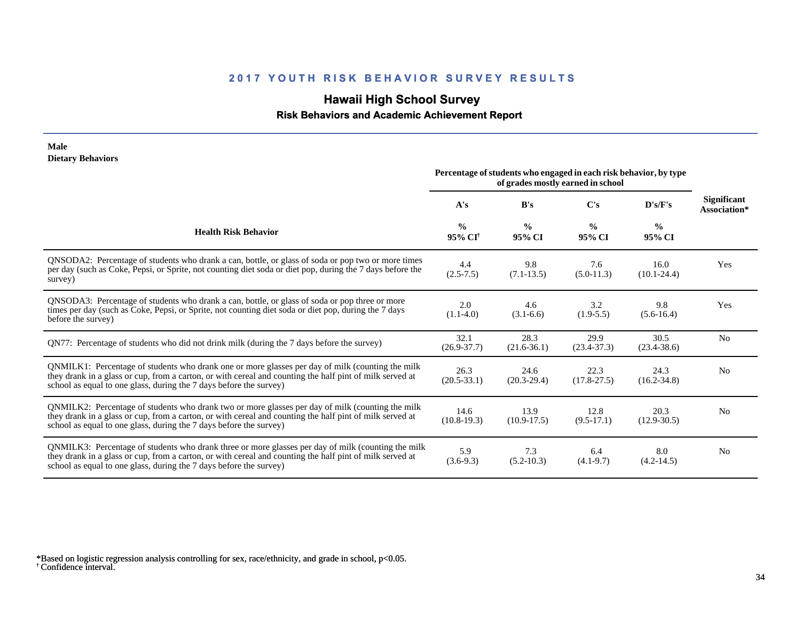## **Hawaii High School Survey**

### **Risk Behaviors and Academic Achievement Report**

#### **Male Dietary Behaviors**

|                                                                                                                                                                                                                                                                                      | Percentage of students who engaged in each risk behavior, by type<br>of grades mostly earned in school |                         |                         |                         |                                    |
|--------------------------------------------------------------------------------------------------------------------------------------------------------------------------------------------------------------------------------------------------------------------------------------|--------------------------------------------------------------------------------------------------------|-------------------------|-------------------------|-------------------------|------------------------------------|
|                                                                                                                                                                                                                                                                                      | A's                                                                                                    | B's                     | C's                     | D's/F's                 | <b>Significant</b><br>Association* |
| <b>Health Risk Behavior</b>                                                                                                                                                                                                                                                          | $\frac{0}{0}$<br>95% CI <sup>†</sup>                                                                   | $\frac{6}{9}$<br>95% CI | $\frac{0}{0}$<br>95% CI | $\frac{0}{0}$<br>95% CI |                                    |
| QNSODA2: Percentage of students who drank a can, bottle, or glass of soda or pop two or more times<br>per day (such as Coke, Pepsi, or Sprite, not counting diet soda or diet pop, during the 7 days before the<br>survey)                                                           | 4.4<br>$(2.5 - 7.5)$                                                                                   | 9.8<br>$(7.1 - 13.5)$   | 7.6<br>$(5.0-11.3)$     | 16.0<br>$(10.1 - 24.4)$ | Yes                                |
| QNSODA3: Percentage of students who drank a can, bottle, or glass of soda or pop three or more<br>times per day (such as Coke, Pepsi, or Sprite, not counting diet soda or diet pop, during the 7 days<br>before the survey)                                                         | 2.0<br>$(1.1-4.0)$                                                                                     | 4.6<br>$(3.1-6.6)$      | 3.2<br>$(1.9-5.5)$      | 9.8<br>$(5.6-16.4)$     | Yes                                |
| QN77: Percentage of students who did not drink milk (during the 7 days before the survey)                                                                                                                                                                                            | 32.1<br>$(26.9 - 37.7)$                                                                                | 28.3<br>$(21.6-36.1)$   | 29.9<br>$(23.4 - 37.3)$ | 30.5<br>$(23.4 - 38.6)$ | N <sub>0</sub>                     |
| QNMILK1: Percentage of students who drank one or more glasses per day of milk (counting the milk<br>they drank in a glass or cup, from a carton, or with cereal and counting the half pint of milk served at<br>school as equal to one glass, during the 7 days before the survey)   | 26.3<br>$(20.5 - 33.1)$                                                                                | 24.6<br>$(20.3 - 29.4)$ | 22.3<br>$(17.8 - 27.5)$ | 24.3<br>$(16.2 - 34.8)$ | N <sub>0</sub>                     |
| QNMILK2: Percentage of students who drank two or more glasses per day of milk (counting the milk<br>they drank in a glass or cup, from a carton, or with cereal and counting the half pint of milk served at<br>school as equal to one glass, during the 7 days before the survey)   | 14.6<br>$(10.8-19.3)$                                                                                  | 13.9<br>$(10.9 - 17.5)$ | 12.8<br>$(9.5-17.1)$    | 20.3<br>$(12.9 - 30.5)$ | N <sub>0</sub>                     |
| QNMILK3: Percentage of students who drank three or more glasses per day of milk (counting the milk<br>they drank in a glass or cup, from a carton, or with cereal and counting the half pint of milk served at<br>school as equal to one glass, during the 7 days before the survey) | 5.9<br>$(3.6-9.3)$                                                                                     | 7.3<br>$(5.2 - 10.3)$   | 6.4<br>$(4.1-9.7)$      | 8.0<br>$(4.2-14.5)$     | N <sub>0</sub>                     |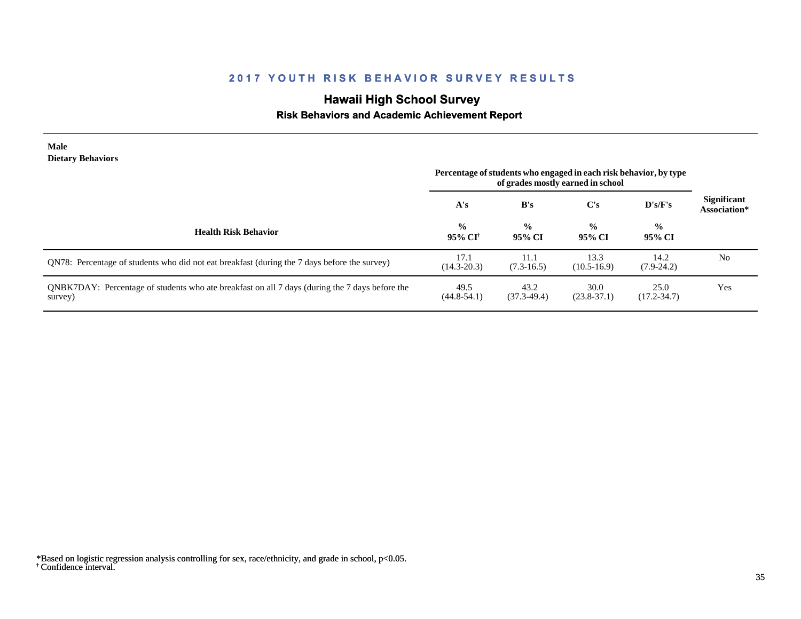# **Hawaii High School Survey**

## **Risk Behaviors and Academic Achievement Report**

| <b>Male</b><br><b>Dietary Behaviors</b>                                                                   | Percentage of students who engaged in each risk behavior, by type<br>of grades mostly earned in school |                         |                         |                         |                                    |
|-----------------------------------------------------------------------------------------------------------|--------------------------------------------------------------------------------------------------------|-------------------------|-------------------------|-------------------------|------------------------------------|
|                                                                                                           | A's                                                                                                    | B's                     | $\bf C's$               | D's/F's                 | <b>Significant</b><br>Association* |
| <b>Health Risk Behavior</b>                                                                               | $\frac{6}{6}$<br>95% CI†                                                                               | $\frac{0}{0}$<br>95% CI | $\frac{0}{0}$<br>95% CI | $\frac{0}{0}$<br>95% CI |                                    |
| QN78: Percentage of students who did not eat breakfast (during the 7 days before the survey)              | 17.1<br>$(14.3 - 20.3)$                                                                                | 11.1<br>$(7.3-16.5)$    | 13.3<br>$(10.5 - 16.9)$ | 14.2<br>$(7.9-24.2)$    | N <sub>0</sub>                     |
| QNBK7DAY: Percentage of students who ate breakfast on all 7 days (during the 7 days before the<br>survey) | 49.5<br>$(44.8 - 54.1)$                                                                                | 43.2<br>$(37.3-49.4)$   | 30.0<br>$(23.8-37.1)$   | 25.0<br>$(17.2 - 34.7)$ | Yes                                |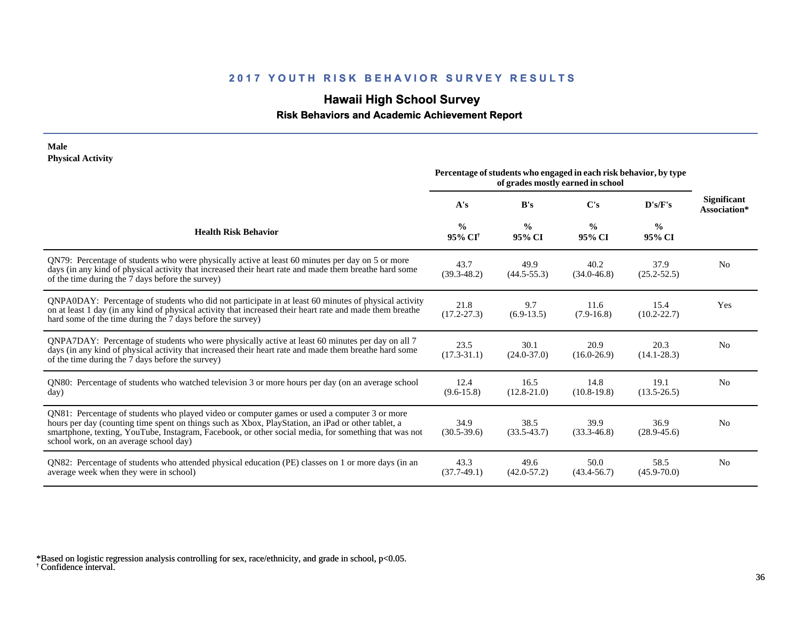## **Hawaii High School Survey**

 **Risk Behaviors and Academic Achievement Report**

#### **Male Physical Activity**

|                                                                                                                                                                                                                                                                                                                                                      | Percentage of students who engaged in each risk behavior, by type<br>of grades mostly earned in school |                         |                         |                         |                                    |
|------------------------------------------------------------------------------------------------------------------------------------------------------------------------------------------------------------------------------------------------------------------------------------------------------------------------------------------------------|--------------------------------------------------------------------------------------------------------|-------------------------|-------------------------|-------------------------|------------------------------------|
|                                                                                                                                                                                                                                                                                                                                                      | A's                                                                                                    | B's                     | C's                     | D's/F's                 | <b>Significant</b><br>Association* |
| <b>Health Risk Behavior</b>                                                                                                                                                                                                                                                                                                                          | $\frac{0}{0}$<br>$95\%$ CI <sup>†</sup>                                                                | $\frac{0}{0}$<br>95% CI | $\frac{0}{0}$<br>95% CI | $\frac{0}{0}$<br>95% CI |                                    |
| QN79: Percentage of students who were physically active at least 60 minutes per day on 5 or more<br>days (in any kind of physical activity that increased their heart rate and made them breathe hard some<br>of the time during the 7 days before the survey)                                                                                       | 43.7<br>$(39.3 - 48.2)$                                                                                | 49.9<br>$(44.5 - 55.3)$ | 40.2<br>$(34.0 - 46.8)$ | 37.9<br>$(25.2 - 52.5)$ | N <sub>0</sub>                     |
| QNPA0DAY: Percentage of students who did not participate in at least 60 minutes of physical activity<br>on at least 1 day (in any kind of physical activity that increased their heart rate and made them breathe<br>hard some of the time during the 7 days before the survey)                                                                      | 21.8<br>$(17.2 - 27.3)$                                                                                | 9.7<br>$(6.9-13.5)$     | 11.6<br>$(7.9-16.8)$    | 15.4<br>$(10.2 - 22.7)$ | Yes                                |
| QNPA7DAY: Percentage of students who were physically active at least 60 minutes per day on all 7<br>days (in any kind of physical activity that increased their heart rate and made them breathe hard some<br>of the time during the 7 days before the survey)                                                                                       | 23.5<br>$(17.3 - 31.1)$                                                                                | 30.1<br>$(24.0 - 37.0)$ | 20.9<br>$(16.0 - 26.9)$ | 20.3<br>$(14.1 - 28.3)$ | N <sub>0</sub>                     |
| QN80: Percentage of students who watched television 3 or more hours per day (on an average school<br>day)                                                                                                                                                                                                                                            | 12.4<br>$(9.6 - 15.8)$                                                                                 | 16.5<br>$(12.8 - 21.0)$ | 14.8<br>$(10.8-19.8)$   | 19.1<br>$(13.5 - 26.5)$ | N <sub>0</sub>                     |
| QN81: Percentage of students who played video or computer games or used a computer 3 or more<br>hours per day (counting time spent on things such as Xbox, PlayStation, an iPad or other tablet, a<br>smartphone, texting, YouTube, Instagram, Facebook, or other social media, for something that was not<br>school work, on an average school day) | 34.9<br>$(30.5 - 39.6)$                                                                                | 38.5<br>$(33.5-43.7)$   | 39.9<br>$(33.3 - 46.8)$ | 36.9<br>$(28.9 - 45.6)$ | N <sub>0</sub>                     |
| QN82: Percentage of students who attended physical education (PE) classes on 1 or more days (in an<br>average week when they were in school)                                                                                                                                                                                                         | 43.3<br>$(37.7-49.1)$                                                                                  | 49.6<br>$(42.0 - 57.2)$ | 50.0<br>$(43.4 - 56.7)$ | 58.5<br>$(45.9 - 70.0)$ | N <sub>0</sub>                     |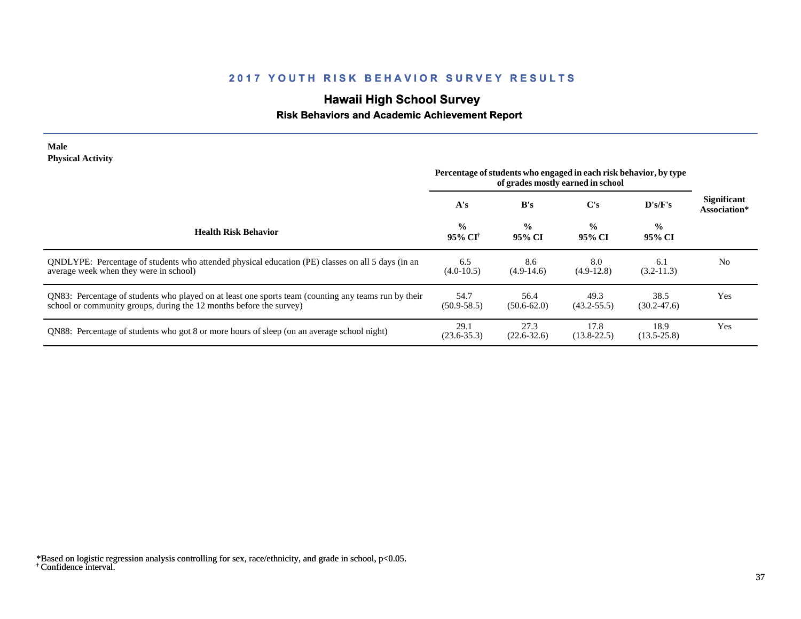# **Hawaii High School Survey**

### **Risk Behaviors and Academic Achievement Report**

#### **Male Physical Activity**

|                                                                                                                                                                             | Percentage of students who engaged in each risk behavior, by type<br>of grades mostly earned in school |                         |                         |                         |                                    |
|-----------------------------------------------------------------------------------------------------------------------------------------------------------------------------|--------------------------------------------------------------------------------------------------------|-------------------------|-------------------------|-------------------------|------------------------------------|
|                                                                                                                                                                             | A's                                                                                                    | B's                     | $\bf C's$               | D's/F's                 | <b>Significant</b><br>Association* |
| <b>Health Risk Behavior</b>                                                                                                                                                 | $\frac{0}{0}$<br>95% CI <sup>†</sup>                                                                   | $\frac{0}{0}$<br>95% CI | $\frac{0}{0}$<br>95% CI | $\frac{0}{0}$<br>95% CI |                                    |
| QNDLYPE: Percentage of students who attended physical education (PE) classes on all 5 days (in an<br>average week when they were in school)                                 | 6.5<br>$(4.0-10.5)$                                                                                    | 8.6<br>$(4.9-14.6)$     | 8.0<br>$(4.9-12.8)$     | 6.1<br>$(3.2 - 11.3)$   | No                                 |
| QN83: Percentage of students who played on at least one sports team (counting any teams run by their<br>school or community groups, during the 12 months before the survey) | 54.7<br>$(50.9 - 58.5)$                                                                                | 56.4<br>$(50.6 - 62.0)$ | 49.3<br>$(43.2 - 55.5)$ | 38.5<br>$(30.2 - 47.6)$ | Yes                                |
| ON88: Percentage of students who got 8 or more hours of sleep (on an average school night)                                                                                  | 29.1<br>$(23.6 - 35.3)$                                                                                | 27.3<br>$(22.6 - 32.6)$ | 17.8<br>$(13.8 - 22.5)$ | 18.9<br>$(13.5 - 25.8)$ | Yes                                |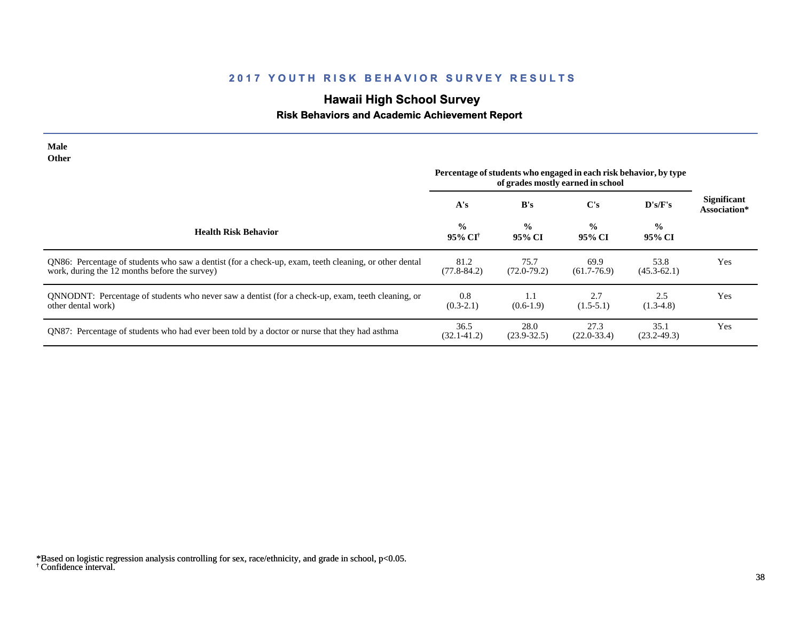# **Hawaii High School Survey**

### **Risk Behaviors and Academic Achievement Report**

| <b>Male</b><br><b>Other</b>                                                                                                                            |                                                                                                        |                         |                         |                         |                                    |
|--------------------------------------------------------------------------------------------------------------------------------------------------------|--------------------------------------------------------------------------------------------------------|-------------------------|-------------------------|-------------------------|------------------------------------|
|                                                                                                                                                        | Percentage of students who engaged in each risk behavior, by type<br>of grades mostly earned in school |                         |                         |                         |                                    |
|                                                                                                                                                        | A's                                                                                                    | B's                     | $\bf C's$               | D's/F's                 | <b>Significant</b><br>Association* |
| <b>Health Risk Behavior</b>                                                                                                                            | $\frac{0}{0}$<br>95% CI <sup>†</sup>                                                                   | $\frac{0}{0}$<br>95% CI | $\frac{0}{0}$<br>95% CI | $\frac{0}{0}$<br>95% CI |                                    |
| QN86: Percentage of students who saw a dentist (for a check-up, exam, teeth cleaning, or other dental<br>work, during the 12 months before the survey) | 81.2<br>$(77.8 - 84.2)$                                                                                | 75.7<br>$(72.0 - 79.2)$ | 69.9<br>$(61.7 - 76.9)$ | 53.8<br>$(45.3 - 62.1)$ | Yes                                |
| QNNODNT: Percentage of students who never saw a dentist (for a check-up, exam, teeth cleaning, or<br>other dental work)                                | 0.8<br>$(0.3-2.1)$                                                                                     | 1.1<br>$(0.6-1.9)$      | 2.7<br>$(1.5-5.1)$      | 2.5<br>$(1.3-4.8)$      | Yes                                |
| QN87: Percentage of students who had ever been told by a doctor or nurse that they had asthma                                                          | 36.5<br>$(32.1 - 41.2)$                                                                                | 28.0<br>$(23.9 - 32.5)$ | 27.3<br>$(22.0 - 33.4)$ | 35.1<br>$(23.2 - 49.3)$ | Yes                                |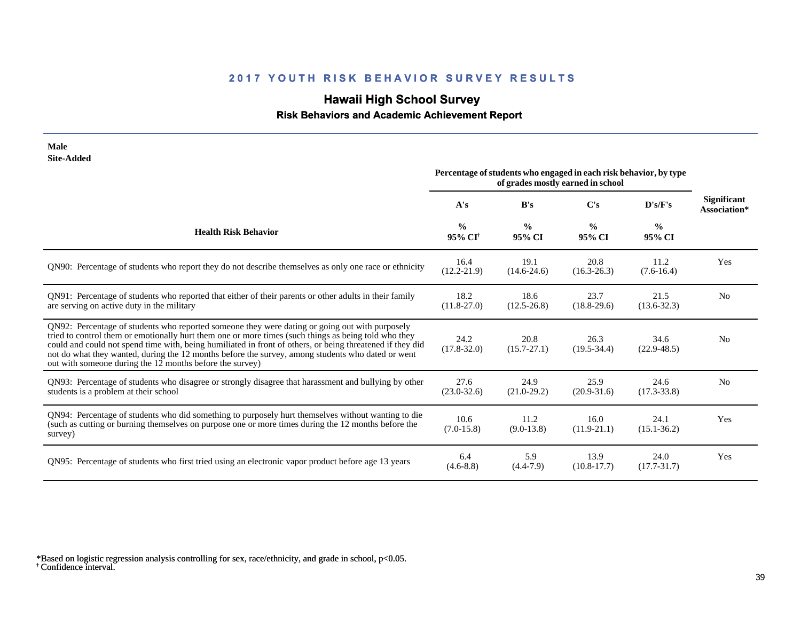## **Hawaii High School Survey**

 **Risk Behaviors and Academic Achievement Report**

| <b>Male</b><br><b>Site-Added</b>                                                                                                                                                                                                                                                                                                                                                                                                                                                     | Percentage of students who engaged in each risk behavior, by type |                         |                                   |                         |                                    |
|--------------------------------------------------------------------------------------------------------------------------------------------------------------------------------------------------------------------------------------------------------------------------------------------------------------------------------------------------------------------------------------------------------------------------------------------------------------------------------------|-------------------------------------------------------------------|-------------------------|-----------------------------------|-------------------------|------------------------------------|
|                                                                                                                                                                                                                                                                                                                                                                                                                                                                                      |                                                                   |                         | of grades mostly earned in school |                         |                                    |
|                                                                                                                                                                                                                                                                                                                                                                                                                                                                                      | A's                                                               | B's                     | $\bf C's$                         | D's/F's                 | <b>Significant</b><br>Association* |
| <b>Health Risk Behavior</b>                                                                                                                                                                                                                                                                                                                                                                                                                                                          | $\frac{0}{0}$<br>95% CI <sup>†</sup>                              | $\frac{0}{0}$<br>95% CI | $\frac{0}{0}$<br>95% CI           | $\frac{0}{0}$<br>95% CI |                                    |
| QN90: Percentage of students who report they do not describe themselves as only one race or ethnicity                                                                                                                                                                                                                                                                                                                                                                                | 16.4<br>$(12.2 - 21.9)$                                           | 19.1<br>$(14.6 - 24.6)$ | 20.8<br>$(16.3 - 26.3)$           | 11.2<br>$(7.6 - 16.4)$  | Yes                                |
| QN91: Percentage of students who reported that either of their parents or other adults in their family<br>are serving on active duty in the military                                                                                                                                                                                                                                                                                                                                 | 18.2<br>$(11.8 - 27.0)$                                           | 18.6<br>$(12.5 - 26.8)$ | 23.7<br>$(18.8-29.6)$             | 21.5<br>$(13.6 - 32.3)$ | N <sub>0</sub>                     |
| QN92: Percentage of students who reported someone they were dating or going out with purposely<br>tried to control them or emotionally hurt them one or more times (such things as being told who they<br>could and could not spend time with, being humiliated in front of others, or being threatened if they did<br>not do what they wanted, during the 12 months before the survey, among students who dated or went<br>out with someone during the 12 months before the survey) | 24.2<br>$(17.8 - 32.0)$                                           | 20.8<br>$(15.7 - 27.1)$ | 26.3<br>$(19.5 - 34.4)$           | 34.6<br>$(22.9 - 48.5)$ | N <sub>0</sub>                     |
| QN93: Percentage of students who disagree or strongly disagree that harassment and bullying by other<br>students is a problem at their school                                                                                                                                                                                                                                                                                                                                        | 27.6<br>$(23.0 - 32.6)$                                           | 24.9<br>$(21.0-29.2)$   | 25.9<br>$(20.9 - 31.6)$           | 24.6<br>$(17.3 - 33.8)$ | N <sub>0</sub>                     |
| QN94: Percentage of students who did something to purposely hurt themselves without wanting to die<br>(such as cutting or burning themselves on purpose one or more times during the 12 months before the<br>survey)                                                                                                                                                                                                                                                                 | 10.6<br>$(7.0 - 15.8)$                                            | 11.2<br>$(9.0-13.8)$    | 16.0<br>$(11.9-21.1)$             | 24.1<br>$(15.1 - 36.2)$ | Yes                                |
| QN95: Percentage of students who first tried using an electronic vapor product before age 13 years                                                                                                                                                                                                                                                                                                                                                                                   | 6.4<br>$(4.6 - 8.8)$                                              | 5.9<br>$(4.4 - 7.9)$    | 13.9<br>$(10.8-17.7)$             | 24.0<br>$(17.7 - 31.7)$ | Yes                                |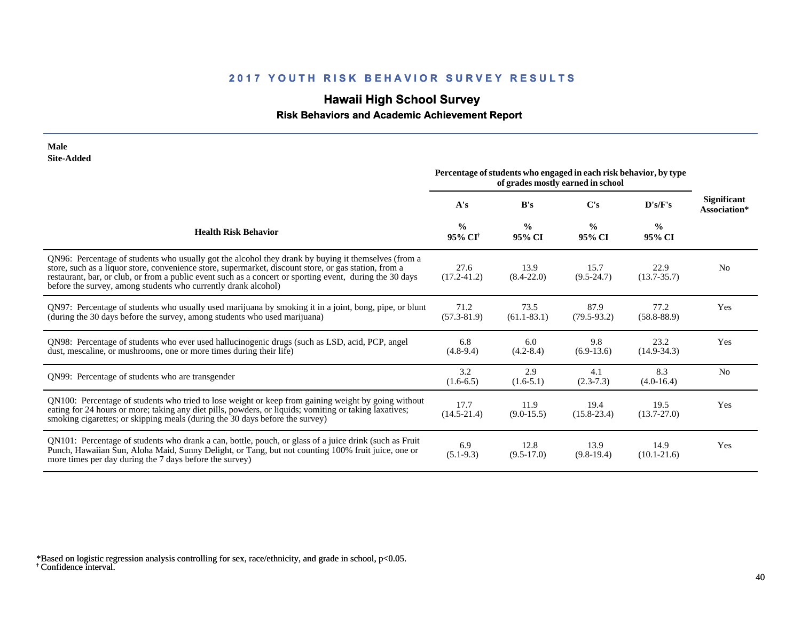# **Hawaii High School Survey**

### **Risk Behaviors and Academic Achievement Report**

| <b>Male</b><br><b>Site-Added</b>                                                                                                                                                                                                                                                                                                                                                           |                                      |                                                                                                        |                         |                         |                             |
|--------------------------------------------------------------------------------------------------------------------------------------------------------------------------------------------------------------------------------------------------------------------------------------------------------------------------------------------------------------------------------------------|--------------------------------------|--------------------------------------------------------------------------------------------------------|-------------------------|-------------------------|-----------------------------|
|                                                                                                                                                                                                                                                                                                                                                                                            |                                      | Percentage of students who engaged in each risk behavior, by type<br>of grades mostly earned in school |                         |                         |                             |
|                                                                                                                                                                                                                                                                                                                                                                                            | A's                                  | B's                                                                                                    | C's                     | D's/F's                 | Significant<br>Association* |
| <b>Health Risk Behavior</b>                                                                                                                                                                                                                                                                                                                                                                | $\frac{0}{0}$<br>95% CI <sup>†</sup> | $\frac{0}{0}$<br>95% CI                                                                                | $\frac{0}{0}$<br>95% CI | $\frac{0}{0}$<br>95% CI |                             |
| QN96: Percentage of students who usually got the alcohol they drank by buying it themselves (from a<br>store, such as a liquor store, convenience store, supermarket, discount store, or gas station, from a<br>restaurant, bar, or club, or from a public event such as a concert or sporting event, during the 30 days<br>before the survey, among students who currently drank alcohol) | 27.6<br>$(17.2 - 41.2)$              | 13.9<br>$(8.4 - 22.0)$                                                                                 | 15.7<br>$(9.5 - 24.7)$  | 22.9<br>$(13.7 - 35.7)$ | N <sub>0</sub>              |
| QN97: Percentage of students who usually used marijuana by smoking it in a joint, bong, pipe, or blunt<br>(during the 30 days before the survey, among students who used marijuana)                                                                                                                                                                                                        | 71.2<br>$(57.3 - 81.9)$              | 73.5<br>$(61.1 - 83.1)$                                                                                | 87.9<br>$(79.5 - 93.2)$ | 77.2<br>$(58.8 - 88.9)$ | Yes                         |
| QN98: Percentage of students who ever used hallucinogenic drugs (such as LSD, acid, PCP, angel<br>dust, mescaline, or mushrooms, one or more times during their life)                                                                                                                                                                                                                      | 6.8<br>$(4.8-9.4)$                   | 6.0<br>$(4.2 - 8.4)$                                                                                   | 9.8<br>$(6.9-13.6)$     | 23.2<br>$(14.9-34.3)$   | Yes                         |
| QN99: Percentage of students who are transgender                                                                                                                                                                                                                                                                                                                                           | 3.2<br>$(1.6-6.5)$                   | 2.9<br>$(1.6-5.1)$                                                                                     | 4.1<br>$(2.3-7.3)$      | 8.3<br>$(4.0-16.4)$     | N <sub>0</sub>              |
| QN100: Percentage of students who tried to lose weight or keep from gaining weight by going without<br>eating for 24 hours or more; taking any diet pills, powders, or liquids; vomiting or taking laxatives;<br>smoking cigarettes; or skipping meals (during the 30 days before the survey)                                                                                              | 17.7<br>$(14.5 - 21.4)$              | 11.9<br>$(9.0-15.5)$                                                                                   | 19.4<br>$(15.8 - 23.4)$ | 19.5<br>$(13.7 - 27.0)$ | Yes                         |
| QN101: Percentage of students who drank a can, bottle, pouch, or glass of a juice drink (such as Fruit<br>Punch, Hawaiian Sun, Aloha Maid, Sunny Delight, or Tang, but not counting 100% fruit juice, one or<br>more times per day during the 7 days before the survey)                                                                                                                    | 6.9<br>$(5.1-9.3)$                   | 12.8<br>$(9.5-17.0)$                                                                                   | 13.9<br>$(9.8-19.4)$    | 14.9<br>$(10.1 - 21.6)$ | Yes                         |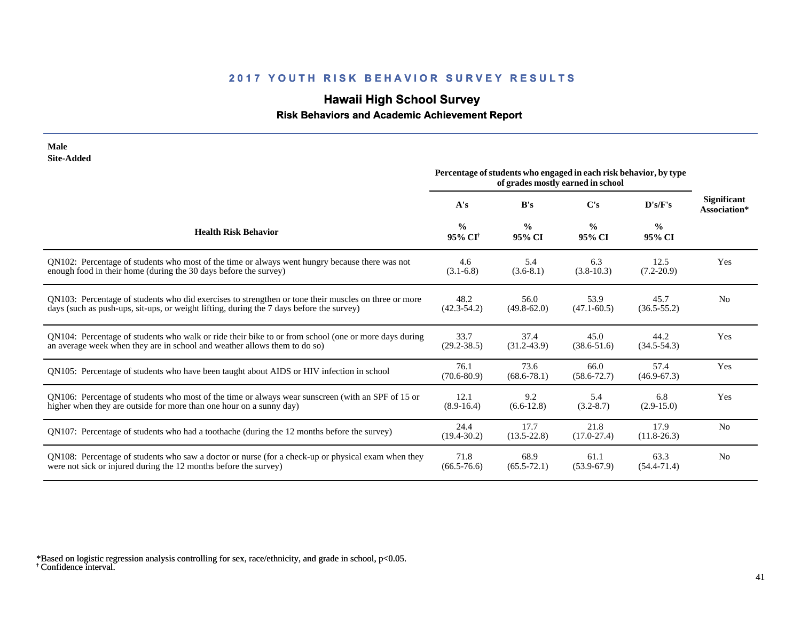# **Hawaii High School Survey**

#### **Risk Behaviors and Academic Achievement Report**

| Male<br><b>Site-Added</b>                                                                            | Percentage of students who engaged in each risk behavior, by type |                         |                         |                         |                                    |
|------------------------------------------------------------------------------------------------------|-------------------------------------------------------------------|-------------------------|-------------------------|-------------------------|------------------------------------|
|                                                                                                      | A's                                                               | B's                     | $\bf C's$               | D's/F's                 | <b>Significant</b><br>Association* |
| <b>Health Risk Behavior</b>                                                                          | $\frac{0}{0}$<br>95% CI <sup>+</sup>                              | $\frac{0}{0}$<br>95% CI | $\frac{0}{0}$<br>95% CI | $\frac{0}{0}$<br>95% CI |                                    |
| QN102: Percentage of students who most of the time or always went hungry because there was not       | 4.6                                                               | 5.4                     | 6.3                     | 12.5                    | Yes                                |
| enough food in their home (during the 30 days before the survey)                                     | $(3.1-6.8)$                                                       | $(3.6-8.1)$             | $(3.8-10.3)$            | $(7.2 - 20.9)$          |                                    |
| QN103: Percentage of students who did exercises to strengthen or tone their muscles on three or more | 48.2                                                              | 56.0                    | 53.9                    | 45.7                    | N <sub>0</sub>                     |
| days (such as push-ups, sit-ups, or weight lifting, during the 7 days before the survey)             | $(42.3 - 54.2)$                                                   | $(49.8 - 62.0)$         | $(47.1 - 60.5)$         | $(36.5 - 55.2)$         |                                    |
| QN104: Percentage of students who walk or ride their bike to or from school (one or more days during | 33.7                                                              | 37.4                    | 45.0                    | 44.2                    | Yes                                |
| an average week when they are in school and weather allows them to do so)                            | $(29.2 - 38.5)$                                                   | $(31.2 - 43.9)$         | $(38.6 - 51.6)$         | $(34.5 - 54.3)$         |                                    |
| QN105: Percentage of students who have been taught about AIDS or HIV infection in school             | 76.1<br>$(70.6 - 80.9)$                                           | 73.6<br>$(68.6 - 78.1)$ | 66.0<br>$(58.6 - 72.7)$ | 57.4<br>$(46.9 - 67.3)$ | Yes                                |
| QN106: Percentage of students who most of the time or always wear sunscreen (with an SPF of 15 or    | 12.1                                                              | 9.2                     | 5.4                     | 6.8                     | Yes                                |
| higher when they are outside for more than one hour on a sunny day)                                  | $(8.9-16.4)$                                                      | $(6.6-12.8)$            | $(3.2 - 8.7)$           | $(2.9-15.0)$            |                                    |
| QN107: Percentage of students who had a toothache (during the 12 months before the survey)           | 24.4<br>$(19.4 - 30.2)$                                           | 17.7<br>$(13.5 - 22.8)$ | 21.8<br>$(17.0 - 27.4)$ | 17.9<br>$(11.8-26.3)$   | N <sub>0</sub>                     |
| QN108: Percentage of students who saw a doctor or nurse (for a check-up or physical exam when they   | 71.8                                                              | 68.9                    | 61.1                    | 63.3                    | N <sub>0</sub>                     |
| were not sick or injured during the 12 months before the survey)                                     | $(66.5 - 76.6)$                                                   | $(65.5 - 72.1)$         | $(53.9 - 67.9)$         | $(54.4 - 71.4)$         |                                    |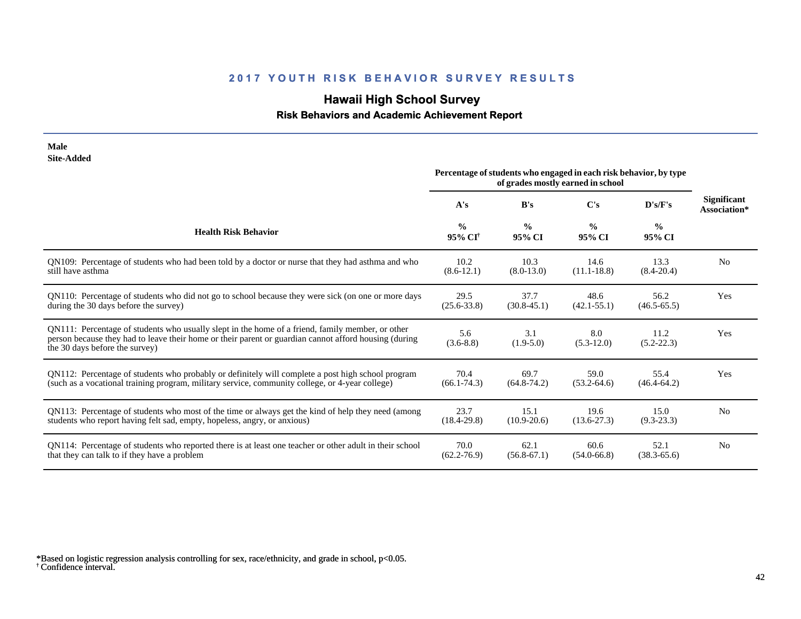# **Hawaii High School Survey**

### **Risk Behaviors and Academic Achievement Report**

| <b>Site-Added</b>                                                                                                                                                                                                                           | Percentage of students who engaged in each risk behavior, by type<br>of grades mostly earned in school |                         |                         |                         |                                    |
|---------------------------------------------------------------------------------------------------------------------------------------------------------------------------------------------------------------------------------------------|--------------------------------------------------------------------------------------------------------|-------------------------|-------------------------|-------------------------|------------------------------------|
|                                                                                                                                                                                                                                             | A's                                                                                                    | B's                     | C's                     | D's/F's                 | <b>Significant</b><br>Association* |
| <b>Health Risk Behavior</b>                                                                                                                                                                                                                 | $\frac{0}{0}$<br>95% CI <sup>†</sup>                                                                   | $\frac{0}{0}$<br>95% CI | $\frac{0}{0}$<br>95% CI | $\frac{0}{0}$<br>95% CI |                                    |
| QN109: Percentage of students who had been told by a doctor or nurse that they had asthma and who                                                                                                                                           | 10.2                                                                                                   | 10.3                    | 14.6                    | 13.3                    | N <sub>0</sub>                     |
| still have asthma                                                                                                                                                                                                                           | $(8.6 - 12.1)$                                                                                         | $(8.0-13.0)$            | $(11.1 - 18.8)$         | $(8.4 - 20.4)$          |                                    |
| QN110: Percentage of students who did not go to school because they were sick (on one or more days                                                                                                                                          | 29.5                                                                                                   | 37.7                    | 48.6                    | 56.2                    | Yes                                |
| during the 30 days before the survey)                                                                                                                                                                                                       | $(25.6 - 33.8)$                                                                                        | $(30.8 - 45.1)$         | $(42.1 - 55.1)$         | $(46.5 - 65.5)$         |                                    |
| QN111: Percentage of students who usually slept in the home of a friend, family member, or other<br>person because they had to leave their home or their parent or guardian cannot afford housing (during<br>the 30 days before the survey) | 5.6<br>$(3.6 - 8.8)$                                                                                   | 3.1<br>$(1.9-5.0)$      | 8.0<br>$(5.3-12.0)$     | 11.2<br>$(5.2 - 22.3)$  | Yes                                |
| QN112: Percentage of students who probably or definitely will complete a post high school program                                                                                                                                           | 70.4                                                                                                   | 69.7                    | 59.0                    | 55.4                    | Yes                                |
| (such as a vocational training program, military service, community college, or 4-year college)                                                                                                                                             | $(66.1 - 74.3)$                                                                                        | $(64.8 - 74.2)$         | $(53.2 - 64.6)$         | $(46.4 - 64.2)$         |                                    |
| QN113: Percentage of students who most of the time or always get the kind of help they need (among                                                                                                                                          | 23.7                                                                                                   | 15.1                    | 19.6                    | 15.0                    | N <sub>o</sub>                     |
| students who report having felt sad, empty, hopeless, angry, or anxious)                                                                                                                                                                    | $(18.4 - 29.8)$                                                                                        | $(10.9 - 20.6)$         | $(13.6 - 27.3)$         | $(9.3 - 23.3)$          |                                    |
| QN114: Percentage of students who reported there is at least one teacher or other adult in their school                                                                                                                                     | 70.0                                                                                                   | 62.1                    | 60.6                    | 52.1                    | N <sub>o</sub>                     |
| that they can talk to if they have a problem                                                                                                                                                                                                | $(62.2 - 76.9)$                                                                                        | $(56.8-67.1)$           | $(54.0 - 66.8)$         | $(38.3 - 65.6)$         |                                    |

† Confidence interval. \*Based on logistic regression analysis controlling for sex, race/ethnicity, and grade in school, p<0.05.

**Male**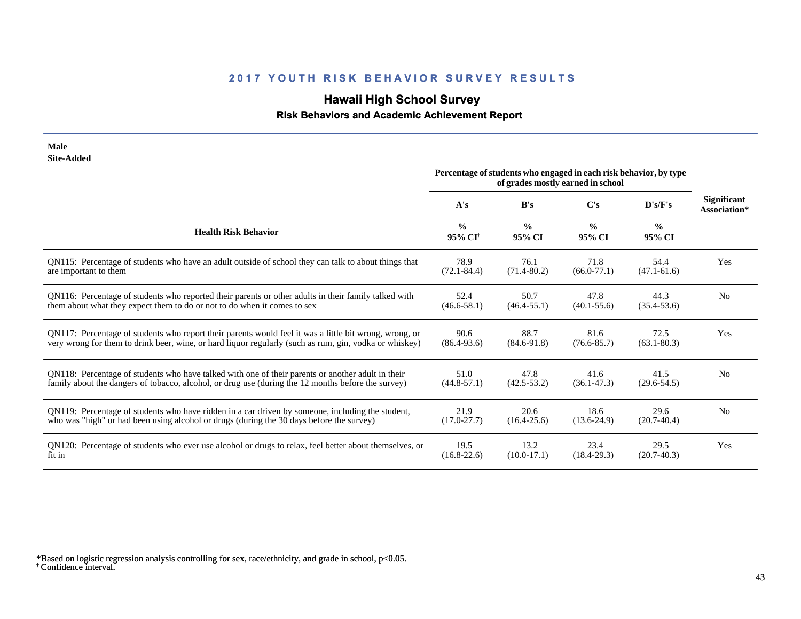# **Hawaii High School Survey**

#### **Risk Behaviors and Academic Achievement Report**

| <b>Male</b><br><b>Site-Added</b>                                                                       |                                      |                         |                                                                                                        |                         |                                    |
|--------------------------------------------------------------------------------------------------------|--------------------------------------|-------------------------|--------------------------------------------------------------------------------------------------------|-------------------------|------------------------------------|
|                                                                                                        |                                      |                         | Percentage of students who engaged in each risk behavior, by type<br>of grades mostly earned in school |                         |                                    |
|                                                                                                        | A's                                  | B's                     | $\bf C's$                                                                                              | D's/F's                 | <b>Significant</b><br>Association* |
| <b>Health Risk Behavior</b>                                                                            | $\frac{0}{0}$<br>95% CI <sup>†</sup> | $\frac{0}{0}$<br>95% CI | $\frac{0}{0}$<br>95% CI                                                                                | $\frac{0}{0}$<br>95% CI |                                    |
| QN115: Percentage of students who have an adult outside of school they can talk to about things that   | 78.9                                 | 76.1                    | 71.8                                                                                                   | 54.4                    | Yes                                |
| are important to them                                                                                  | $(72.1 - 84.4)$                      | $(71.4 - 80.2)$         | $(66.0-77.1)$                                                                                          | $(47.1 - 61.6)$         |                                    |
| QN116: Percentage of students who reported their parents or other adults in their family talked with   | 52.4                                 | 50.7                    | 47.8                                                                                                   | 44.3                    | N <sub>0</sub>                     |
| them about what they expect them to do or not to do when it comes to sex                               | $(46.6 - 58.1)$                      | $(46.4 - 55.1)$         | $(40.1 - 55.6)$                                                                                        | $(35.4 - 53.6)$         |                                    |
| QN117: Percentage of students who report their parents would feel it was a little bit wrong, wrong, or | 90.6                                 | 88.7                    | 81.6                                                                                                   | 72.5                    | Yes                                |
| very wrong for them to drink beer, wine, or hard liquor regularly (such as rum, gin, vodka or whiskey) | $(86.4 - 93.6)$                      | $(84.6 - 91.8)$         | $(76.6 - 85.7)$                                                                                        | $(63.1 - 80.3)$         |                                    |
| QN118: Percentage of students who have talked with one of their parents or another adult in their      | 51.0                                 | 47.8                    | 41.6                                                                                                   | 41.5                    | N <sub>0</sub>                     |
| family about the dangers of tobacco, alcohol, or drug use (during the 12 months before the survey)     | $(44.8 - 57.1)$                      | $(42.5 - 53.2)$         | $(36.1 - 47.3)$                                                                                        | $(29.6 - 54.5)$         |                                    |
| ON119: Percentage of students who have ridden in a car driven by someone, including the student,       | 21.9                                 | 20.6                    | 18.6                                                                                                   | 29.6                    | N <sub>0</sub>                     |
| who was "high" or had been using alcohol or drugs (during the 30 days before the survey)               | $(17.0 - 27.7)$                      | $(16.4 - 25.6)$         | $(13.6 - 24.9)$                                                                                        | $(20.7-40.4)$           |                                    |
| QN120: Percentage of students who ever use alcohol or drugs to relax, feel better about themselves, or | 19.5                                 | 13.2                    | 23.4                                                                                                   | 29.5                    | Yes                                |
| fit in                                                                                                 | $(16.8 - 22.6)$                      | $(10.0-17.1)$           | $(18.4 - 29.3)$                                                                                        | $(20.7-40.3)$           |                                    |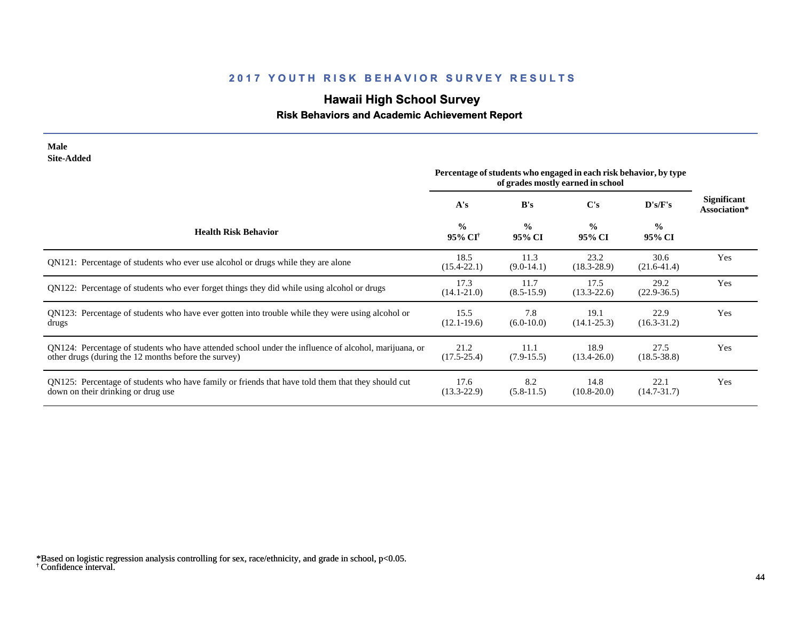# **Hawaii High School Survey**

### **Risk Behaviors and Academic Achievement Report**

| <b>Site-Added</b>                                                                                                                                            |                                      |                         |                                                                                                        |                         |                             |
|--------------------------------------------------------------------------------------------------------------------------------------------------------------|--------------------------------------|-------------------------|--------------------------------------------------------------------------------------------------------|-------------------------|-----------------------------|
|                                                                                                                                                              |                                      |                         | Percentage of students who engaged in each risk behavior, by type<br>of grades mostly earned in school |                         |                             |
|                                                                                                                                                              | A's                                  | B's                     | C's                                                                                                    | D's/F's                 | Significant<br>Association* |
| <b>Health Risk Behavior</b>                                                                                                                                  | $\frac{0}{0}$<br>95% CI <sup>†</sup> | $\frac{0}{0}$<br>95% CI | $\frac{0}{0}$<br>95% CI                                                                                | $\frac{0}{0}$<br>95% CI |                             |
| QN121: Percentage of students who ever use alcohol or drugs while they are alone                                                                             | 18.5<br>$(15.4 - 22.1)$              | 11.3<br>$(9.0-14.1)$    | 23.2<br>$(18.3 - 28.9)$                                                                                | 30.6<br>$(21.6-41.4)$   | Yes                         |
| QN122: Percentage of students who ever forget things they did while using alcohol or drugs                                                                   | 17.3<br>$(14.1 - 21.0)$              | 11.7<br>$(8.5-15.9)$    | 17.5<br>$(13.3 - 22.6)$                                                                                | 29.2<br>$(22.9 - 36.5)$ | Yes                         |
| QN123: Percentage of students who have ever gotten into trouble while they were using alcohol or<br>drugs                                                    | 15.5<br>$(12.1 - 19.6)$              | 7.8<br>$(6.0-10.0)$     | 19.1<br>$(14.1 - 25.3)$                                                                                | 22.9<br>$(16.3 - 31.2)$ | Yes                         |
| QN124: Percentage of students who have attended school under the influence of alcohol, marijuana, or<br>other drugs (during the 12 months before the survey) | 21.2<br>$(17.5 - 25.4)$              | 11.1<br>$(7.9-15.5)$    | 18.9<br>$(13.4 - 26.0)$                                                                                | 27.5<br>$(18.5 - 38.8)$ | Yes                         |
| QN125: Percentage of students who have family or friends that have told them that they should cut<br>down on their drinking or drug use                      | 17.6<br>$(13.3 - 22.9)$              | 8.2<br>$(5.8-11.5)$     | 14.8<br>$(10.8 - 20.0)$                                                                                | 22.1<br>$(14.7 - 31.7)$ | Yes                         |

† Confidence interval. \*Based on logistic regression analysis controlling for sex, race/ethnicity, and grade in school, p<0.05.

**Male**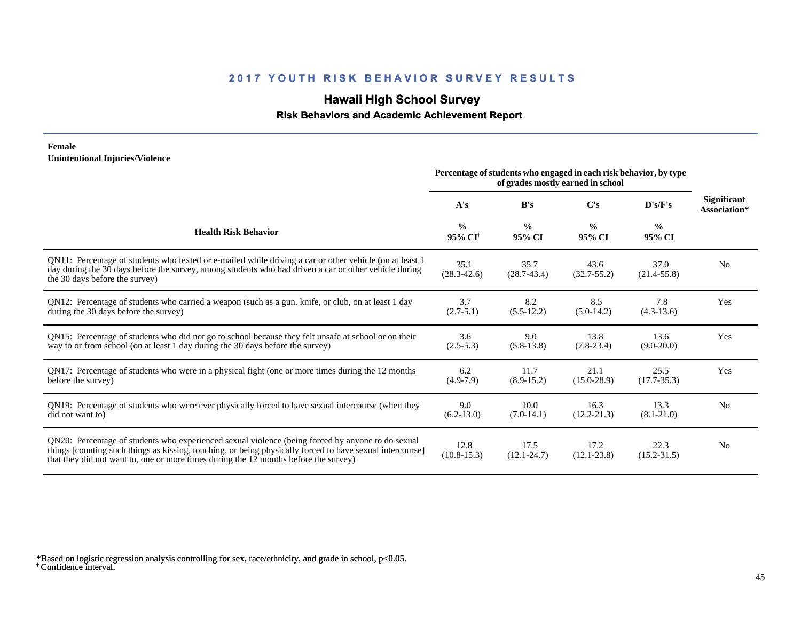## **Hawaii High School Survey**

 **Risk Behaviors and Academic Achievement Report**

#### **Female Unintentional Injuries/Violence**

|                                                                                                                                                                                                                                                                                                        | Percentage of students who engaged in each risk behavior, by type<br>of grades mostly earned in school |                         |                         |                         |                                    |
|--------------------------------------------------------------------------------------------------------------------------------------------------------------------------------------------------------------------------------------------------------------------------------------------------------|--------------------------------------------------------------------------------------------------------|-------------------------|-------------------------|-------------------------|------------------------------------|
|                                                                                                                                                                                                                                                                                                        | A's                                                                                                    | B's                     | C's                     | D's/F's                 | <b>Significant</b><br>Association* |
| <b>Health Risk Behavior</b>                                                                                                                                                                                                                                                                            | $\frac{0}{0}$<br>95% CI <sup>+</sup>                                                                   | $\frac{0}{0}$<br>95% CI | $\frac{0}{0}$<br>95% CI | $\frac{0}{0}$<br>95% CI |                                    |
| QN11: Percentage of students who texted or e-mailed while driving a car or other vehicle (on at least 1)<br>day during the 30 days before the survey, among students who had driven a car or other vehicle during<br>the 30 days before the survey)                                                    | 35.1<br>$(28.3 - 42.6)$                                                                                | 35.7<br>$(28.7 - 43.4)$ | 43.6<br>$(32.7 - 55.2)$ | 37.0<br>$(21.4 - 55.8)$ | N <sub>0</sub>                     |
| QN12: Percentage of students who carried a weapon (such as a gun, knife, or club, on at least 1 day<br>during the 30 days before the survey)                                                                                                                                                           | 3.7<br>$(2.7-5.1)$                                                                                     | 8.2<br>$(5.5-12.2)$     | 8.5<br>$(5.0-14.2)$     | 7.8<br>$(4.3-13.6)$     | Yes                                |
| QN15: Percentage of students who did not go to school because they felt unsafe at school or on their<br>way to or from school (on at least 1 day during the 30 days before the survey)                                                                                                                 | 3.6<br>$(2.5-5.3)$                                                                                     | 9.0<br>$(5.8-13.8)$     | 13.8<br>$(7.8-23.4)$    | 13.6<br>$(9.0-20.0)$    | Yes                                |
| QN17: Percentage of students who were in a physical fight (one or more times during the 12 months<br>before the survey)                                                                                                                                                                                | 6.2<br>$(4.9-7.9)$                                                                                     | 11.7<br>$(8.9-15.2)$    | 21.1<br>$(15.0 - 28.9)$ | 25.5<br>$(17.7 - 35.3)$ | Yes                                |
| QN19: Percentage of students who were ever physically forced to have sexual intercourse (when they<br>did not want to)                                                                                                                                                                                 | 9.0<br>$(6.2-13.0)$                                                                                    | 10.0<br>$(7.0-14.1)$    | 16.3<br>$(12.2 - 21.3)$ | 13.3<br>$(8.1 - 21.0)$  | N <sub>0</sub>                     |
| QN20: Percentage of students who experienced sexual violence (being forced by anyone to do sexual<br>things [counting such things as kissing, touching, or being physically forced to have sexual intercourse]<br>that they did not want to, one or more times during the 12 months before the survey) | 12.8<br>$(10.8-15.3)$                                                                                  | 17.5<br>$(12.1 - 24.7)$ | 17.2<br>$(12.1 - 23.8)$ | 22.3<br>$(15.2 - 31.5)$ | N <sub>0</sub>                     |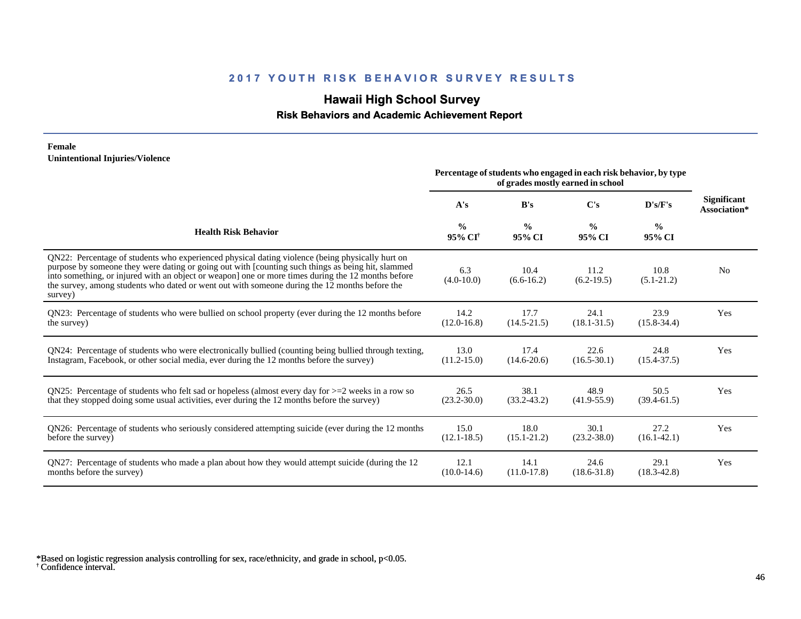# **Hawaii High School Survey**

## **Risk Behaviors and Academic Achievement Report**

#### **Female Unintentional Injuries/Violence**

|                                                                                                                                                                                                                                                                                                                                                                                                                        | Percentage of students who engaged in each risk behavior, by type<br>of grades mostly earned in school |                         |                         |                         |                                    |
|------------------------------------------------------------------------------------------------------------------------------------------------------------------------------------------------------------------------------------------------------------------------------------------------------------------------------------------------------------------------------------------------------------------------|--------------------------------------------------------------------------------------------------------|-------------------------|-------------------------|-------------------------|------------------------------------|
|                                                                                                                                                                                                                                                                                                                                                                                                                        | A's                                                                                                    | B's                     | C's                     | D's/F's                 | <b>Significant</b><br>Association* |
| <b>Health Risk Behavior</b>                                                                                                                                                                                                                                                                                                                                                                                            | $\frac{0}{0}$<br>95% CI <sup>†</sup>                                                                   | $\frac{0}{0}$<br>95% CI | $\frac{0}{0}$<br>95% CI | $\frac{0}{0}$<br>95% CI |                                    |
| QN22: Percentage of students who experienced physical dating violence (being physically hurt on<br>purpose by someone they were dating or going out with [counting such things as being hit, slammed<br>into something, or injured with an object or weapon] one or more times during the 12 months before<br>the survey, among students who dated or went out with someone during the 12 months before the<br>survey) | 6.3<br>$(4.0-10.0)$                                                                                    | 10.4<br>$(6.6-16.2)$    | 11.2<br>$(6.2-19.5)$    | 10.8<br>$(5.1-21.2)$    | N <sub>o</sub>                     |
| QN23: Percentage of students who were bullied on school property (ever during the 12 months before                                                                                                                                                                                                                                                                                                                     | 14.2                                                                                                   | 17.7                    | 24.1                    | 23.9                    | Yes                                |
| the survey)                                                                                                                                                                                                                                                                                                                                                                                                            | $(12.0 - 16.8)$                                                                                        | $(14.5 - 21.5)$         | $(18.1 - 31.5)$         | $(15.8 - 34.4)$         |                                    |
| QN24: Percentage of students who were electronically bullied (counting being bullied through texting,                                                                                                                                                                                                                                                                                                                  | 13.0                                                                                                   | 17.4                    | 22.6                    | 24.8                    | Yes                                |
| Instagram, Facebook, or other social media, ever during the 12 months before the survey)                                                                                                                                                                                                                                                                                                                               | $(11.2 - 15.0)$                                                                                        | $(14.6 - 20.6)$         | $(16.5 - 30.1)$         | $(15.4 - 37.5)$         |                                    |
| QN25: Percentage of students who felt sad or hopeless (almost every day for $>=$ 2 weeks in a row so                                                                                                                                                                                                                                                                                                                   | 26.5                                                                                                   | 38.1                    | 48.9                    | 50.5                    | Yes                                |
| that they stopped doing some usual activities, ever during the 12 months before the survey)                                                                                                                                                                                                                                                                                                                            | $(23.2 - 30.0)$                                                                                        | $(33.2 - 43.2)$         | $(41.9 - 55.9)$         | $(39.4 - 61.5)$         |                                    |
| QN26: Percentage of students who seriously considered attempting suicide (ever during the 12 months                                                                                                                                                                                                                                                                                                                    | 15.0                                                                                                   | 18.0                    | 30.1                    | 27.2                    | Yes                                |
| before the survey)                                                                                                                                                                                                                                                                                                                                                                                                     | $(12.1 - 18.5)$                                                                                        | $(15.1 - 21.2)$         | $(23.2 - 38.0)$         | $(16.1 - 42.1)$         |                                    |
| QN27: Percentage of students who made a plan about how they would attempt suicide (during the 12                                                                                                                                                                                                                                                                                                                       | 12.1                                                                                                   | 14.1                    | 24.6                    | 29.1                    | Yes                                |
| months before the survey)                                                                                                                                                                                                                                                                                                                                                                                              | $(10.0-14.6)$                                                                                          | $(11.0-17.8)$           | $(18.6 - 31.8)$         | $(18.3 - 42.8)$         |                                    |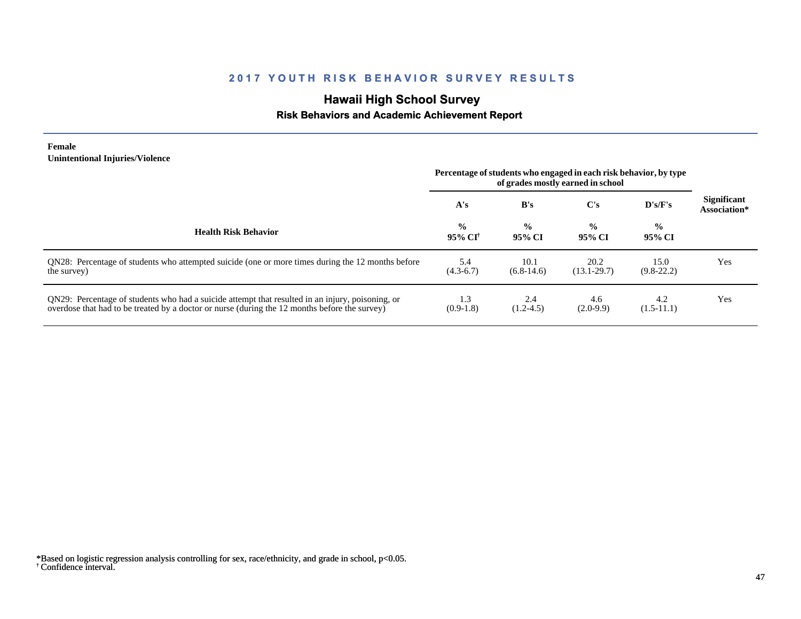# **Hawaii High School Survey**

#### **Risk Behaviors and Academic Achievement Report**

#### **Female Unintentional Injuries/Violence**

|                                                                                                                                                                                                   | Percentage of students who engaged in each risk behavior, by type<br>of grades mostly earned in school |                         |                         |                         |                                    |
|---------------------------------------------------------------------------------------------------------------------------------------------------------------------------------------------------|--------------------------------------------------------------------------------------------------------|-------------------------|-------------------------|-------------------------|------------------------------------|
|                                                                                                                                                                                                   | A's                                                                                                    | B's                     | C's                     | $\bf{D's/F's}$          | <b>Significant</b><br>Association* |
| <b>Health Risk Behavior</b>                                                                                                                                                                       | $\frac{6}{6}$<br>95% CF                                                                                | $\frac{0}{0}$<br>95% CI | $\frac{6}{9}$<br>95% CI | $\frac{0}{0}$<br>95% CI |                                    |
| QN28: Percentage of students who attempted suicide (one or more times during the 12 months before<br>the survey)                                                                                  | 5.4<br>$(4.3-6.7)$                                                                                     | 10.1<br>$(6.8-14.6)$    | 20.2<br>$(13.1 - 29.7)$ | 15.0<br>$(9.8-22.2)$    | Yes                                |
| QN29: Percentage of students who had a suicide attempt that resulted in an injury, poisoning, or<br>overdose that had to be treated by a doctor or nurse (during the 12 months before the survey) | 1.3<br>$(0.9-1.8)$                                                                                     | 2.4<br>$(1.2-4.5)$      | 4.6<br>$(2.0-9.9)$      | 4.2<br>$(1.5-11.1)$     | Yes                                |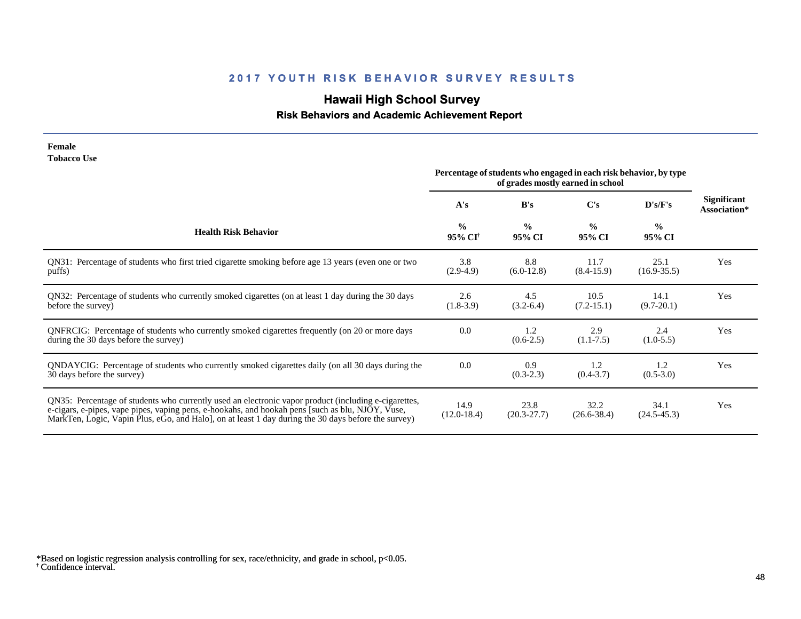# **Hawaii High School Survey**

#### **Risk Behaviors and Academic Achievement Report**

#### **Female Tobacco Use**

|                                                                                                                                                                                                                                                                                                                 | Percentage of students who engaged in each risk behavior, by type<br>of grades mostly earned in school |                         |                         |                         |                                    |
|-----------------------------------------------------------------------------------------------------------------------------------------------------------------------------------------------------------------------------------------------------------------------------------------------------------------|--------------------------------------------------------------------------------------------------------|-------------------------|-------------------------|-------------------------|------------------------------------|
|                                                                                                                                                                                                                                                                                                                 | A's                                                                                                    | B's                     | $\bf C's$               | D's/F's                 | <b>Significant</b><br>Association* |
| <b>Health Risk Behavior</b>                                                                                                                                                                                                                                                                                     | $\frac{0}{0}$<br>95% CI <sup>†</sup>                                                                   | $\frac{0}{0}$<br>95% CI | $\frac{0}{0}$<br>95% CI | $\frac{0}{0}$<br>95% CI |                                    |
| QN31: Percentage of students who first tried cigarette smoking before age 13 years (even one or two<br>puffs)                                                                                                                                                                                                   | 3.8<br>$(2.9-4.9)$                                                                                     | 8.8<br>$(6.0-12.8)$     | 11.7<br>$(8.4 - 15.9)$  | 25.1<br>$(16.9 - 35.5)$ | Yes                                |
| QN32: Percentage of students who currently smoked cigarettes (on at least 1 day during the 30 days<br>before the survey)                                                                                                                                                                                        | 2.6<br>$(1.8-3.9)$                                                                                     | 4.5<br>$(3.2-6.4)$      | 10.5<br>$(7.2 - 15.1)$  | 14.1<br>$(9.7 - 20.1)$  | Yes                                |
| ONFRCIG: Percentage of students who currently smoked cigarettes frequently (on 20 or more days<br>during the 30 days before the survey)                                                                                                                                                                         | 0.0                                                                                                    | 1.2<br>$(0.6-2.5)$      | 2.9<br>$(1.1 - 7.5)$    | 2.4<br>$(1.0-5.5)$      | Yes                                |
| QNDAYCIG: Percentage of students who currently smoked cigarettes daily (on all 30 days during the<br>30 days before the survey)                                                                                                                                                                                 | 0.0                                                                                                    | 0.9<br>$(0.3-2.3)$      | 1.2<br>$(0.4 - 3.7)$    | 1.2<br>$(0.5-3.0)$      | Yes                                |
| QN35: Percentage of students who currently used an electronic vapor product (including e-cigarettes,<br>e-cigars, e-pipes, vape pipes, vaping pens, e-hookahs, and hookah pens [such as blu, NJOY, Vuse,<br>MarkTen, Logic, Vapin Plus, eGo, and Halo], on at least 1 day during the 30 days before the survey) | 14.9<br>$(12.0-18.4)$                                                                                  | 23.8<br>$(20.3 - 27.7)$ | 32.2<br>$(26.6 - 38.4)$ | 34.1<br>$(24.5 - 45.3)$ | Yes                                |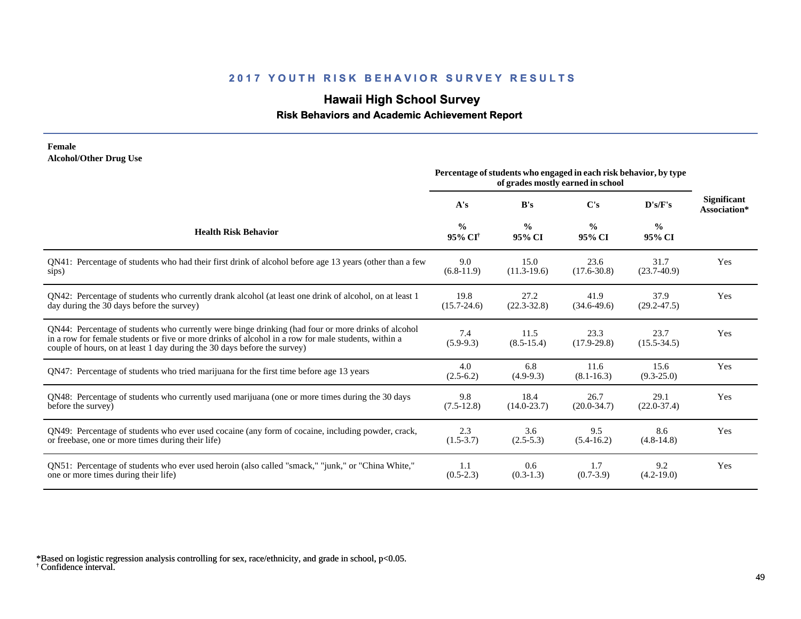## **Hawaii High School Survey**

#### **Risk Behaviors and Academic Achievement Report**

#### **Female Alcohol/Other Drug Use**

|                                                                                                                                                                                                                                                                                       | Percentage of students who engaged in each risk behavior, by type<br>of grades mostly earned in school |                         |                         |                         |                                    |
|---------------------------------------------------------------------------------------------------------------------------------------------------------------------------------------------------------------------------------------------------------------------------------------|--------------------------------------------------------------------------------------------------------|-------------------------|-------------------------|-------------------------|------------------------------------|
|                                                                                                                                                                                                                                                                                       | A's                                                                                                    | B's                     | C's                     | D's/F's                 | <b>Significant</b><br>Association* |
| <b>Health Risk Behavior</b>                                                                                                                                                                                                                                                           | $\frac{0}{0}$<br>95% CI <sup>†</sup>                                                                   | $\frac{0}{0}$<br>95% CI | $\frac{0}{0}$<br>95% CI | $\frac{6}{6}$<br>95% CI |                                    |
| QN41: Percentage of students who had their first drink of alcohol before age 13 years (other than a few                                                                                                                                                                               | 9.0                                                                                                    | 15.0                    | 23.6                    | 31.7                    | Yes                                |
| sips)                                                                                                                                                                                                                                                                                 | $(6.8-11.9)$                                                                                           | $(11.3-19.6)$           | $(17.6 - 30.8)$         | $(23.7-40.9)$           |                                    |
| QN42: Percentage of students who currently drank alcohol (at least one drink of alcohol, on at least 1                                                                                                                                                                                | 19.8                                                                                                   | 27.2                    | 41.9                    | 37.9                    | Yes                                |
| day during the 30 days before the survey)                                                                                                                                                                                                                                             | $(15.7 - 24.6)$                                                                                        | $(22.3 - 32.8)$         | $(34.6-49.6)$           | $(29.2 - 47.5)$         |                                    |
| QN44: Percentage of students who currently were binge drinking (had four or more drinks of alcohol<br>in a row for female students or five or more drinks of alcohol in a row for male students, within a<br>couple of hours, on at least 1 day during the 30 days before the survey) | 7.4<br>$(5.9-9.3)$                                                                                     | 11.5<br>$(8.5 - 15.4)$  | 23.3<br>$(17.9 - 29.8)$ | 23.7<br>$(15.5 - 34.5)$ | Yes                                |
| QN47: Percentage of students who tried marijuana for the first time before age 13 years                                                                                                                                                                                               | 4.0<br>$(2.5-6.2)$                                                                                     | 6.8<br>$(4.9-9.3)$      | 11.6<br>$(8.1 - 16.3)$  | 15.6<br>$(9.3 - 25.0)$  | Yes                                |
| QN48: Percentage of students who currently used marijuana (one or more times during the 30 days                                                                                                                                                                                       | 9.8                                                                                                    | 18.4                    | 26.7                    | 29.1                    | Yes                                |
| before the survey)                                                                                                                                                                                                                                                                    | $(7.5-12.8)$                                                                                           | $(14.0 - 23.7)$         | $(20.0 - 34.7)$         | $(22.0 - 37.4)$         |                                    |
| QN49: Percentage of students who ever used cocaine (any form of cocaine, including powder, crack,                                                                                                                                                                                     | 2.3                                                                                                    | 3.6                     | 9.5                     | 8.6                     | Yes                                |
| or freebase, one or more times during their life)                                                                                                                                                                                                                                     | $(1.5-3.7)$                                                                                            | $(2.5-5.3)$             | $(5.4-16.2)$            | $(4.8-14.8)$            |                                    |
| QN51: Percentage of students who ever used heroin (also called "smack," "junk," or "China White,"                                                                                                                                                                                     | 1.1                                                                                                    | 0.6                     | 1.7                     | 9.2                     | Yes                                |
| one or more times during their life)                                                                                                                                                                                                                                                  | $(0.5-2.3)$                                                                                            | $(0.3-1.3)$             | $(0.7-3.9)$             | $(4.2-19.0)$            |                                    |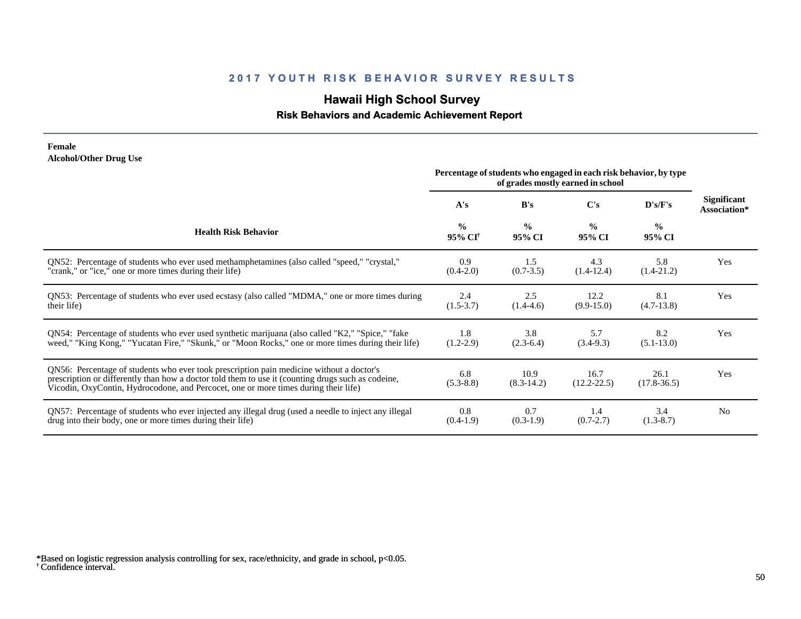## **Hawaii High School Survey**

#### **Risk Behaviors and Academic Achievement Report**

#### **Female Alcohol/Other Drug Use**

|                                                                                                                                                                                                                                                                                       | Percentage of students who engaged in each risk behavior, by type<br>of grades mostly earned in school |                         |                         |                         |                             |
|---------------------------------------------------------------------------------------------------------------------------------------------------------------------------------------------------------------------------------------------------------------------------------------|--------------------------------------------------------------------------------------------------------|-------------------------|-------------------------|-------------------------|-----------------------------|
|                                                                                                                                                                                                                                                                                       | A's                                                                                                    | B's                     | $\bf C's$               | D's/F's                 | Significant<br>Association* |
| <b>Health Risk Behavior</b>                                                                                                                                                                                                                                                           | $\frac{0}{0}$<br>95% CI <sup>†</sup>                                                                   | $\frac{0}{0}$<br>95% CI | $\frac{0}{0}$<br>95% CI | $\frac{0}{0}$<br>95% CI |                             |
| ON52: Percentage of students who ever used methamphetamines (also called "speed," "crystal,"                                                                                                                                                                                          | 0.9                                                                                                    | 1.5                     | 4.3                     | 5.8                     | Yes                         |
| "crank," or "ice," one or more times during their life)                                                                                                                                                                                                                               | $(0.4-2.0)$                                                                                            | $(0.7 - 3.5)$           | $(1.4-12.4)$            | $(1.4-21.2)$            |                             |
| QN53: Percentage of students who ever used ecstasy (also called "MDMA," one or more times during                                                                                                                                                                                      | 2.4                                                                                                    | 2.5                     | 12.2                    | 8.1                     | Yes                         |
| their life)                                                                                                                                                                                                                                                                           | $(1.5-3.7)$                                                                                            | $(1.4-4.6)$             | $(9.9-15.0)$            | $(4.7-13.8)$            |                             |
| QN54: Percentage of students who ever used synthetic marijuana (also called "K2," "Spice," "fake                                                                                                                                                                                      | 1.8                                                                                                    | 3.8                     | 5.7                     | 8.2                     | Yes                         |
| weed," "King Kong," "Yucatan Fire," "Skunk," or "Moon Rocks," one or more times during their life)                                                                                                                                                                                    | $(1.2 - 2.9)$                                                                                          | $(2.3-6.4)$             | $(3.4-9.3)$             | $(5.1 - 13.0)$          |                             |
| QN56: Percentage of students who ever took prescription pain medicine without a doctor's<br>prescription or differently than how a doctor told them to use it (counting drugs such as codeine,<br>Vicodin, OxyContin, Hydrocodone, and Percocet, one or more times during their life) | 6.8<br>$(5.3 - 8.8)$                                                                                   | 10.9<br>$(8.3-14.2)$    | 16.7<br>$(12.2 - 22.5)$ | 26.1<br>$(17.8-36.5)$   | Yes                         |
| QN57: Percentage of students who ever injected any illegal drug (used a needle to inject any illegal                                                                                                                                                                                  | 0.8                                                                                                    | 0.7                     | 1.4                     | 3.4                     | N <sub>0</sub>              |
| drug into their body, one or more times during their life)                                                                                                                                                                                                                            | $(0.4-1.9)$                                                                                            | $(0.3-1.9)$             | $(0.7 - 2.7)$           | $(1.3-8.7)$             |                             |

<sup>†</sup> Confidence interval. \*Based on logistic regression analysis controlling for sex, race/ethnicity, and grade in school, p<0.05.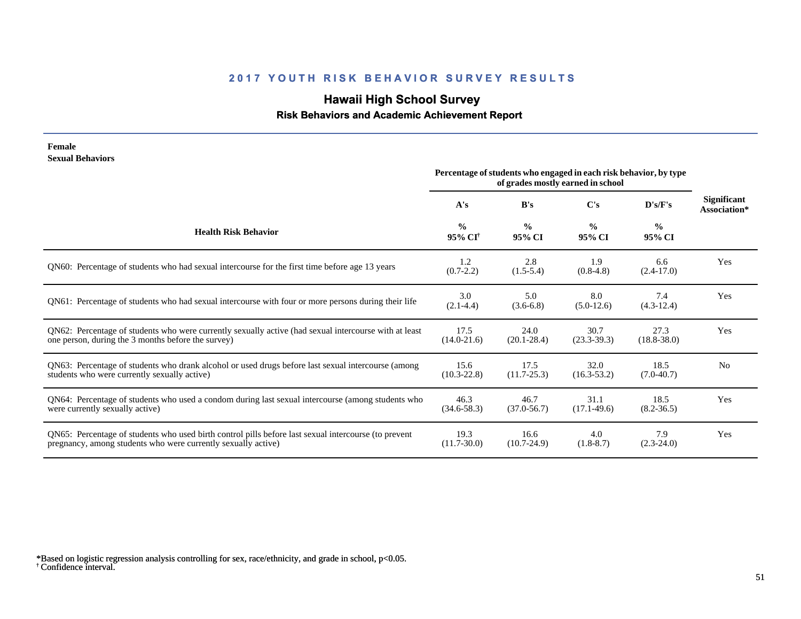# **Hawaii High School Survey**

 **Risk Behaviors and Academic Achievement Report**

| Female<br><b>Sexual Behaviors</b>                                                                                                                                     | Percentage of students who engaged in each risk behavior, by type |                         |                         |                         |                                    |
|-----------------------------------------------------------------------------------------------------------------------------------------------------------------------|-------------------------------------------------------------------|-------------------------|-------------------------|-------------------------|------------------------------------|
|                                                                                                                                                                       | A's                                                               | B's                     | C's                     | D's/F's                 | <b>Significant</b><br>Association* |
| <b>Health Risk Behavior</b>                                                                                                                                           | $\frac{0}{0}$<br>$95\%$ CI <sup>†</sup>                           | $\frac{0}{0}$<br>95% CI | $\frac{0}{0}$<br>95% CI | $\frac{0}{0}$<br>95% CI |                                    |
| QN60: Percentage of students who had sexual intercourse for the first time before age 13 years                                                                        | 1.2<br>$(0.7 - 2.2)$                                              | 2.8<br>$(1.5-5.4)$      | 1.9<br>$(0.8-4.8)$      | 6.6<br>$(2.4-17.0)$     | Yes                                |
| QN61: Percentage of students who had sexual intercourse with four or more persons during their life                                                                   | 3.0<br>$(2.1 - 4.4)$                                              | 5.0<br>$(3.6-6.8)$      | 8.0<br>$(5.0-12.6)$     | 7.4<br>$(4.3-12.4)$     | Yes                                |
| QN62: Percentage of students who were currently sexually active (had sexual intercourse with at least<br>one person, during the 3 months before the survey)           | 17.5<br>$(14.0 - 21.6)$                                           | 24.0<br>$(20.1 - 28.4)$ | 30.7<br>$(23.3-39.3)$   | 27.3<br>$(18.8 - 38.0)$ | Yes                                |
| QN63: Percentage of students who drank alcohol or used drugs before last sexual intercourse (among<br>students who were currently sexually active)                    | 15.6<br>$(10.3 - 22.8)$                                           | 17.5<br>$(11.7 - 25.3)$ | 32.0<br>$(16.3 - 53.2)$ | 18.5<br>$(7.0-40.7)$    | N <sub>o</sub>                     |
| QN64: Percentage of students who used a condom during last sexual intercourse (among students who<br>were currently sexually active)                                  | 46.3<br>$(34.6 - 58.3)$                                           | 46.7<br>$(37.0 - 56.7)$ | 31.1<br>$(17.1-49.6)$   | 18.5<br>$(8.2 - 36.5)$  | Yes                                |
| QN65: Percentage of students who used birth control pills before last sexual intercourse (to prevent<br>pregnancy, among students who were currently sexually active) | 19.3<br>$(11.7 - 30.0)$                                           | 16.6<br>$(10.7 - 24.9)$ | 4.0<br>$(1.8-8.7)$      | 7.9<br>$(2.3-24.0)$     | Yes                                |

<sup>†</sup> Confidence interval. \*Based on logistic regression analysis controlling for sex, race/ethnicity, and grade in school, p<0.05.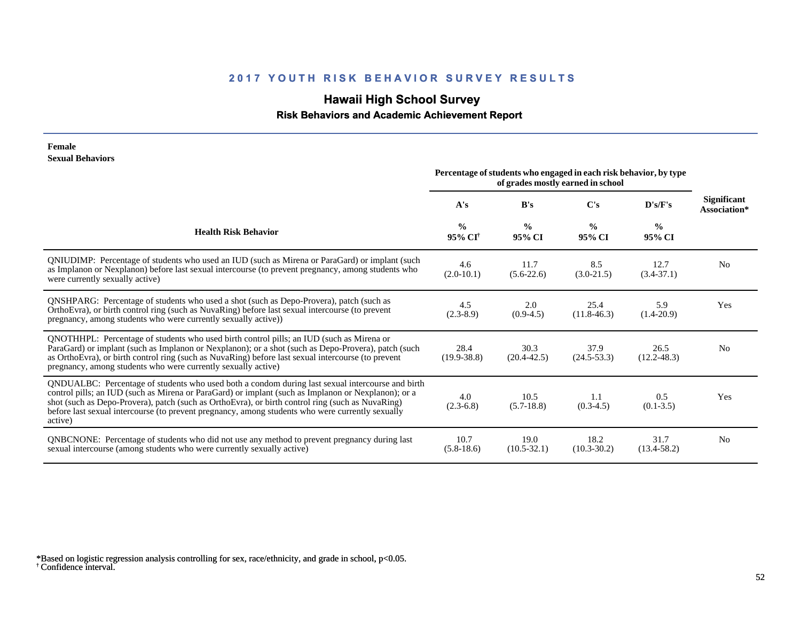# **Hawaii High School Survey**

 **Risk Behaviors and Academic Achievement Report**

#### **Female Sexual Behaviors**

|                                                                                                                                                                                                                                                                                                                                                                                                                            | Percentage of students who engaged in each risk behavior, by type<br>of grades mostly earned in school |                         |                         |                         |                             |
|----------------------------------------------------------------------------------------------------------------------------------------------------------------------------------------------------------------------------------------------------------------------------------------------------------------------------------------------------------------------------------------------------------------------------|--------------------------------------------------------------------------------------------------------|-------------------------|-------------------------|-------------------------|-----------------------------|
|                                                                                                                                                                                                                                                                                                                                                                                                                            | A's                                                                                                    | B's                     | C's                     | D's/F's                 | Significant<br>Association* |
| <b>Health Risk Behavior</b>                                                                                                                                                                                                                                                                                                                                                                                                | $\frac{0}{0}$<br>95% CI <sup>†</sup>                                                                   | $\frac{0}{0}$<br>95% CI | $\frac{0}{0}$<br>95% CI | $\frac{0}{0}$<br>95% CI |                             |
| QNIUDIMP: Percentage of students who used an IUD (such as Mirena or ParaGard) or implant (such<br>as Implanon or Nexplanon) before last sexual intercourse (to prevent pregnancy, among students who<br>were currently sexually active)                                                                                                                                                                                    | 4.6<br>$(2.0-10.1)$                                                                                    | 11.7<br>$(5.6-22.6)$    | 8.5<br>$(3.0-21.5)$     | 12.7<br>$(3.4 - 37.1)$  | N <sub>0</sub>              |
| <b>QNSHPARG</b> : Percentage of students who used a shot (such as Depo-Provera), patch (such as<br>OrthoEvra), or birth control ring (such as NuvaRing) before last sexual intercourse (to prevent<br>pregnancy, among students who were currently sexually active))                                                                                                                                                       | 4.5<br>$(2.3-8.9)$                                                                                     | 2.0<br>$(0.9-4.5)$      | 25.4<br>$(11.8-46.3)$   | 5.9<br>$(1.4-20.9)$     | Yes                         |
| QNOTHHPL: Percentage of students who used birth control pills; an IUD (such as Mirena or<br>ParaGard) or implant (such as Implanon or Nexplanon); or a shot (such as Depo-Provera), patch (such<br>as OrthoEvra), or birth control ring (such as NuvaRing) before last sexual intercourse (to prevent<br>pregnancy, among students who were currently sexually active)                                                     | 28.4<br>$(19.9 - 38.8)$                                                                                | 30.3<br>$(20.4 - 42.5)$ | 37.9<br>$(24.5-53.3)$   | 26.5<br>$(12.2 - 48.3)$ | N <sub>0</sub>              |
| QNDUALBC: Percentage of students who used both a condom during last sexual intercourse and birth<br>control pills; an IUD (such as Mirena or ParaGard) or implant (such as Implanon or Nexplanon); or a<br>shot (such as Depo-Provera), patch (such as OrthoEvra), or birth control ring (such as NuvaRing)<br>before last sexual intercourse (to prevent pregnancy, among students who were currently sexually<br>active) | 4.0<br>$(2.3-6.8)$                                                                                     | 10.5<br>$(5.7-18.8)$    | 1.1<br>$(0.3-4.5)$      | 0.5<br>$(0.1 - 3.5)$    | Yes                         |
| QNBCNONE: Percentage of students who did not use any method to prevent pregnancy during last<br>sexual intercourse (among students who were currently sexually active)                                                                                                                                                                                                                                                     | 10.7<br>$(5.8-18.6)$                                                                                   | 19.0<br>$(10.5 - 32.1)$ | 18.2<br>$(10.3 - 30.2)$ | 31.7<br>$(13.4 - 58.2)$ | N <sub>0</sub>              |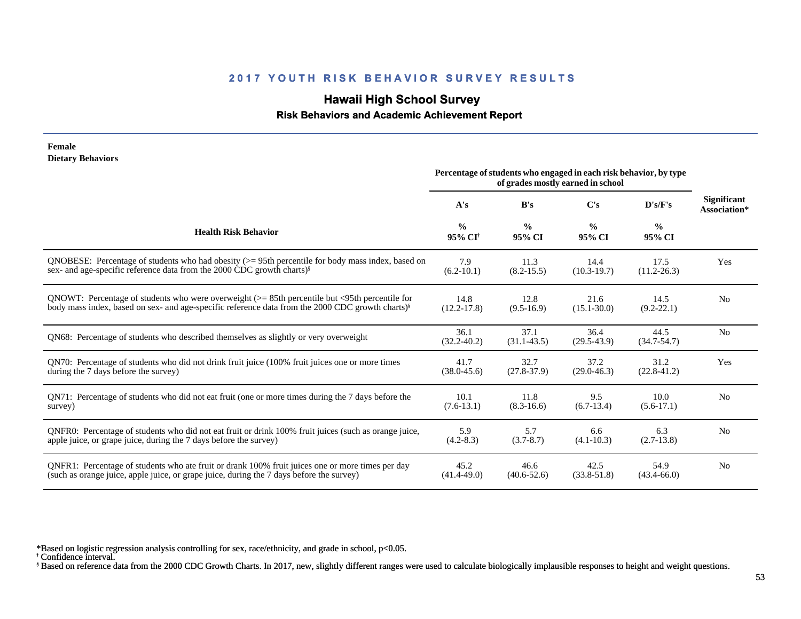## **Hawaii High School Survey**

#### **Risk Behaviors and Academic Achievement Report**

| Female                                                                                                       |                                                                                                        |                         |                         |                         |                             |
|--------------------------------------------------------------------------------------------------------------|--------------------------------------------------------------------------------------------------------|-------------------------|-------------------------|-------------------------|-----------------------------|
| <b>Dietary Behaviors</b>                                                                                     | Percentage of students who engaged in each risk behavior, by type<br>of grades mostly earned in school |                         |                         |                         |                             |
|                                                                                                              | A's                                                                                                    | B's                     | C's                     | D's/F's                 | Significant<br>Association* |
| <b>Health Risk Behavior</b>                                                                                  | $\frac{0}{0}$<br>95% CI <sup>†</sup>                                                                   | $\frac{0}{0}$<br>95% CI | $\frac{0}{0}$<br>95% CI | $\frac{0}{0}$<br>95% CI |                             |
| QNOBESE: Percentage of students who had obesity $(>= 95$ th percentile for body mass index, based on         | 7.9                                                                                                    | 11.3                    | 14.4                    | 17.5                    | Yes                         |
| sex- and age-specific reference data from the 2000 CDC growth charts) <sup>§</sup>                           | $(6.2 - 10.1)$                                                                                         | $(8.2 - 15.5)$          | $(10.3-19.7)$           | $(11.2 - 26.3)$         |                             |
| QNOWT: Percentage of students who were overweight $(>= 85$ th percentile but <95th percentile for            | 14.8                                                                                                   | 12.8                    | 21.6                    | 14.5                    | N <sub>0</sub>              |
| body mass index, based on sex- and age-specific reference data from the 2000 CDC growth charts) <sup>§</sup> | $(12.2 - 17.8)$                                                                                        | $(9.5-16.9)$            | $(15.1 - 30.0)$         | $(9.2 - 22.1)$          |                             |
| ON68: Percentage of students who described themselves as slightly or very overweight                         | 36.1<br>$(32.2 - 40.2)$                                                                                | 37.1<br>$(31.1 - 43.5)$ | 36.4<br>$(29.5-43.9)$   | 44.5<br>$(34.7 - 54.7)$ | N <sub>0</sub>              |
| QN70: Percentage of students who did not drink fruit juice (100% fruit juices one or more times              | 41.7                                                                                                   | 32.7                    | 37.2                    | 31.2                    | Yes                         |
| during the 7 days before the survey)                                                                         | $(38.0 - 45.6)$                                                                                        | $(27.8-37.9)$           | $(29.0 - 46.3)$         | $(22.8 - 41.2)$         |                             |
| QN71: Percentage of students who did not eat fruit (one or more times during the 7 days before the           | 10.1                                                                                                   | 11.8                    | 9.5                     | 10.0                    | No                          |
| survey)                                                                                                      | $(7.6-13.1)$                                                                                           | $(8.3 - 16.6)$          | $(6.7-13.4)$            | $(5.6-17.1)$            |                             |
| QNFR0: Percentage of students who did not eat fruit or drink 100% fruit juices (such as orange juice,        | 5.9                                                                                                    | 5.7                     | 6.6                     | 6.3                     | N <sub>0</sub>              |
| apple juice, or grape juice, during the 7 days before the survey)                                            | $(4.2 - 8.3)$                                                                                          | $(3.7 - 8.7)$           | $(4.1 - 10.3)$          | $(2.7-13.8)$            |                             |
| QNFR1: Percentage of students who ate fruit or drank 100% fruit juices one or more times per day             | 45.2                                                                                                   | 46.6                    | 42.5                    | 54.9                    | N <sub>0</sub>              |
| (such as orange juice, apple juice, or grape juice, during the 7 days before the survey)                     | $(41.4 - 49.0)$                                                                                        | $(40.6 - 52.6)$         | $(33.8 - 51.8)$         | $(43.4 - 66.0)$         |                             |

\*Based on logistic regression analysis controlling for sex, race/ethnicity, and grade in school, p<0.05.

† Confidence interval.

§ Based on reference data from the 2000 CDC Growth Charts. In 2017, new, slightly different ranges were used to calculate biologically implausible responses to height and weight questions.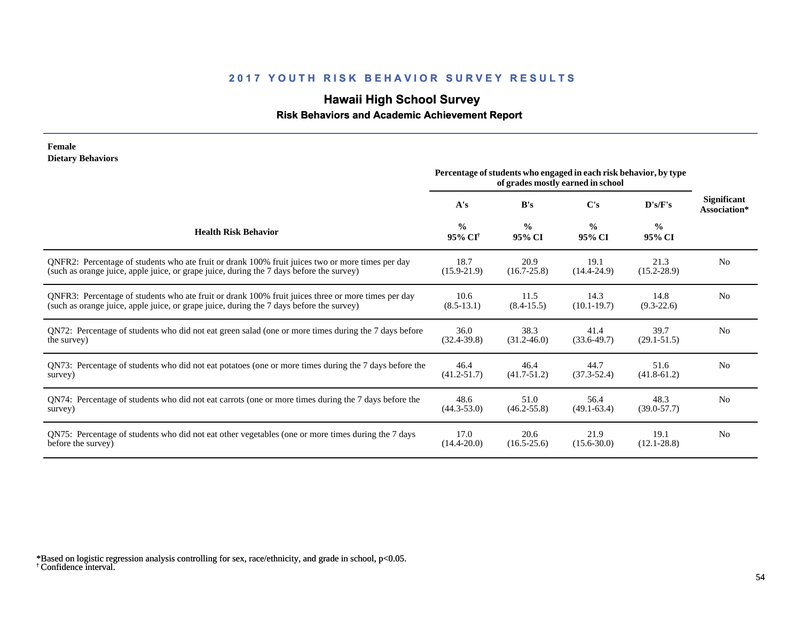## **Hawaii High School Survey**

#### **Risk Behaviors and Academic Achievement Report**

#### **Female Dietary Behaviors**

|                                                                                                       | Percentage of students who engaged in each risk behavior, by type<br>of grades mostly earned in school |                         |                         |                         |                                    |
|-------------------------------------------------------------------------------------------------------|--------------------------------------------------------------------------------------------------------|-------------------------|-------------------------|-------------------------|------------------------------------|
|                                                                                                       | A's                                                                                                    | B's                     | $\bf C's$               | D's/F's                 | <b>Significant</b><br>Association* |
| <b>Health Risk Behavior</b>                                                                           | $\frac{0}{0}$<br>$95\%$ CF                                                                             | $\frac{0}{0}$<br>95% CI | $\frac{0}{0}$<br>95% CI | $\frac{0}{0}$<br>95% CI |                                    |
| QNFR2: Percentage of students who ate fruit or drank 100% fruit juices two or more times per day      | 18.7                                                                                                   | 20.9                    | 19.1                    | 21.3                    | N <sub>0</sub>                     |
| (such as orange juice, apple juice, or grape juice, during the 7 days before the survey)              | $(15.9 - 21.9)$                                                                                        | $(16.7 - 25.8)$         | $(14.4 - 24.9)$         | $(15.2 - 28.9)$         |                                    |
| QNFR3: Percentage of students who ate fruit or drank 100% fruit juices three or more times per day    | 10.6                                                                                                   | 11.5                    | 14.3                    | 14.8                    | N <sub>0</sub>                     |
| (such as orange juice, apple juice, or grape juice, during the 7 days before the survey)              | $(8.5-13.1)$                                                                                           | $(8.4 - 15.5)$          | $(10.1 - 19.7)$         | $(9.3-22.6)$            |                                    |
| QN72: Percentage of students who did not eat green salad (one or more times during the 7 days before  | 36.0                                                                                                   | 38.3                    | 41.4                    | 39.7                    | N <sub>0</sub>                     |
| the survey)                                                                                           | $(32.4 - 39.8)$                                                                                        | $(31.2 - 46.0)$         | $(33.6-49.7)$           | $(29.1 - 51.5)$         |                                    |
| QN73: Percentage of students who did not eat potatoes (one or more times during the 7 days before the | 46.4                                                                                                   | 46.4                    | 44.7                    | 51.6                    | N <sub>0</sub>                     |
| survey)                                                                                               | $(41.2 - 51.7)$                                                                                        | $(41.7 - 51.2)$         | $(37.3 - 52.4)$         | $(41.8 - 61.2)$         |                                    |
| QN74: Percentage of students who did not eat carrots (one or more times during the 7 days before the  | 48.6                                                                                                   | 51.0                    | 56.4                    | 48.3                    | N <sub>0</sub>                     |
| survey)                                                                                               | $(44.3 - 53.0)$                                                                                        | $(46.2 - 55.8)$         | $(49.1 - 63.4)$         | $(39.0 - 57.7)$         |                                    |
| QN75: Percentage of students who did not eat other vegetables (one or more times during the 7 days    | 17.0                                                                                                   | 20.6                    | 21.9                    | 19.1                    | N <sub>0</sub>                     |
| before the survey)                                                                                    | $(14.4 - 20.0)$                                                                                        | $(16.5 - 25.6)$         | $(15.6 - 30.0)$         | $(12.1 - 28.8)$         |                                    |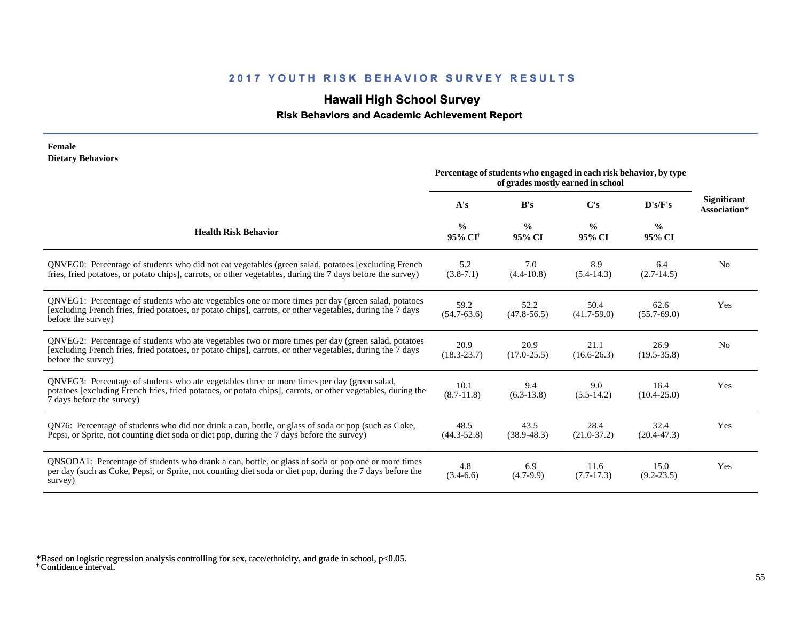# **Hawaii High School Survey**

 **Risk Behaviors and Academic Achievement Report**

| Female<br><b>Dietary Behaviors</b>                                                                                                                                                                                                       |                                                                                                        |                         |                         |                         |                                    |
|------------------------------------------------------------------------------------------------------------------------------------------------------------------------------------------------------------------------------------------|--------------------------------------------------------------------------------------------------------|-------------------------|-------------------------|-------------------------|------------------------------------|
|                                                                                                                                                                                                                                          | Percentage of students who engaged in each risk behavior, by type<br>of grades mostly earned in school |                         |                         |                         |                                    |
|                                                                                                                                                                                                                                          | A's                                                                                                    | B's                     | C's                     | D's/F's                 | <b>Significant</b><br>Association* |
| <b>Health Risk Behavior</b>                                                                                                                                                                                                              | $\frac{0}{0}$<br>95% CI <sup>†</sup>                                                                   | $\frac{0}{0}$<br>95% CI | $\frac{0}{0}$<br>95% CI | $\frac{0}{0}$<br>95% CI |                                    |
| QNVEG0: Percentage of students who did not eat vegetables (green salad, potatoes [excluding French]<br>fries, fried potatoes, or potato chips], carrots, or other vegetables, during the 7 days before the survey)                       | 5.2<br>$(3.8-7.1)$                                                                                     | 7.0<br>$(4.4 - 10.8)$   | 8.9<br>$(5.4-14.3)$     | 6.4<br>$(2.7-14.5)$     | N <sub>0</sub>                     |
| QNVEG1: Percentage of students who ate vegetables one or more times per day (green salad, potatoes<br>[excluding French fries, fried potatoes, or potato chips], carrots, or other vegetables, during the 7 days<br>before the survey)   | 59.2<br>$(54.7 - 63.6)$                                                                                | 52.2<br>$(47.8 - 56.5)$ | 50.4<br>$(41.7 - 59.0)$ | 62.6<br>$(55.7 - 69.0)$ | Yes                                |
| QNVEG2: Percentage of students who ate vegetables two or more times per day (green salad, potatoes<br>[excluding French fries, fried potatoes, or potato chips], carrots, or other vegetables, during the 7 days<br>before the survey)   | 20.9<br>$(18.3 - 23.7)$                                                                                | 20.9<br>$(17.0 - 25.5)$ | 21.1<br>$(16.6 - 26.3)$ | 26.9<br>$(19.5 - 35.8)$ | N <sub>0</sub>                     |
| QNVEG3: Percentage of students who ate vegetables three or more times per day (green salad,<br>potatoes [excluding French fries, fried potatoes, or potato chips], carrots, or other vegetables, during the<br>7 days before the survey) | 10.1<br>$(8.7-11.8)$                                                                                   | 9.4<br>$(6.3-13.8)$     | 9.0<br>$(5.5-14.2)$     | 16.4<br>$(10.4 - 25.0)$ | Yes                                |
| QN76: Percentage of students who did not drink a can, bottle, or glass of soda or pop (such as Coke,<br>Pepsi, or Sprite, not counting diet soda or diet pop, during the 7 days before the survey)                                       | 48.5<br>$(44.3 - 52.8)$                                                                                | 43.5<br>$(38.9 - 48.3)$ | 28.4<br>$(21.0-37.2)$   | 32.4<br>$(20.4 - 47.3)$ | <b>Yes</b>                         |
| QNSODA1: Percentage of students who drank a can, bottle, or glass of soda or pop one or more times<br>per day (such as Coke, Pepsi, or Sprite, not counting diet soda or diet pop, during the 7 days before the<br>survey)               | 4.8<br>$(3.4-6.6)$                                                                                     | 6.9<br>$(4.7-9.9)$      | 11.6<br>$(7.7-17.3)$    | 15.0<br>$(9.2 - 23.5)$  | Yes                                |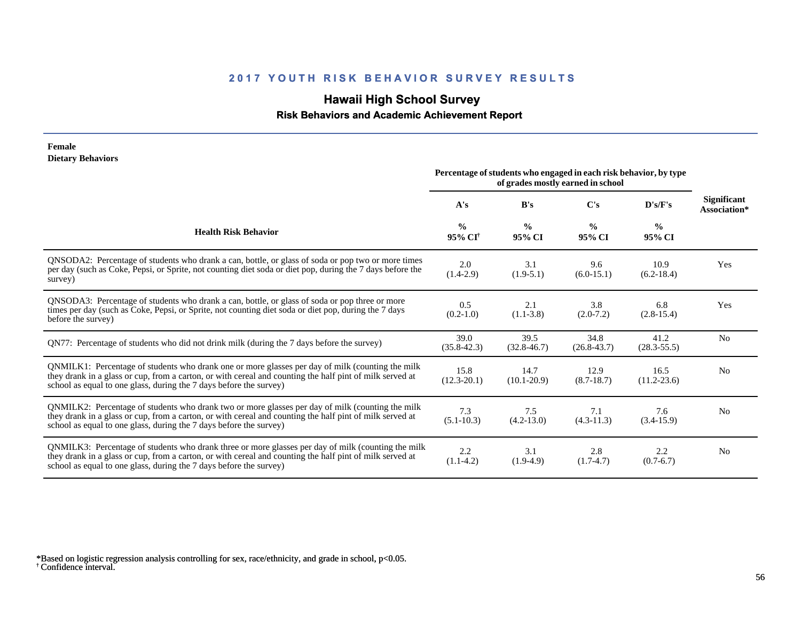## **Hawaii High School Survey**

#### **Risk Behaviors and Academic Achievement Report**

#### **Female Dietary Behaviors**

|                                                                                                                                                                                                                                                                                      | Percentage of students who engaged in each risk behavior, by type<br>of grades mostly earned in school |                         |                         |                         |                                    |
|--------------------------------------------------------------------------------------------------------------------------------------------------------------------------------------------------------------------------------------------------------------------------------------|--------------------------------------------------------------------------------------------------------|-------------------------|-------------------------|-------------------------|------------------------------------|
|                                                                                                                                                                                                                                                                                      | A's                                                                                                    | B's                     | C's                     | D's/F's                 | <b>Significant</b><br>Association* |
| <b>Health Risk Behavior</b>                                                                                                                                                                                                                                                          | $\frac{0}{0}$<br>95% CI <sup>†</sup>                                                                   | $\frac{0}{0}$<br>95% CI | $\frac{0}{0}$<br>95% CI | $\frac{0}{0}$<br>95% CI |                                    |
| QNSODA2: Percentage of students who drank a can, bottle, or glass of soda or pop two or more times<br>per day (such as Coke, Pepsi, or Sprite, not counting diet soda or diet pop, during the 7 days before the<br>survey)                                                           | 2.0<br>$(1.4-2.9)$                                                                                     | 3.1<br>$(1.9-5.1)$      | 9.6<br>$(6.0-15.1)$     | 10.9<br>$(6.2-18.4)$    | Yes                                |
| QNSODA3: Percentage of students who drank a can, bottle, or glass of soda or pop three or more<br>times per day (such as Coke, Pepsi, or Sprite, not counting diet soda or diet pop, during the 7 days<br>before the survey)                                                         | 0.5<br>$(0.2-1.0)$                                                                                     | 2.1<br>$(1.1 - 3.8)$    | 3.8<br>$(2.0-7.2)$      | 6.8<br>$(2.8-15.4)$     | Yes                                |
| QN77: Percentage of students who did not drink milk (during the 7 days before the survey)                                                                                                                                                                                            | 39.0<br>$(35.8 - 42.3)$                                                                                | 39.5<br>$(32.8 - 46.7)$ | 34.8<br>$(26.8 - 43.7)$ | 41.2<br>$(28.3 - 55.5)$ | N <sub>0</sub>                     |
| QNMILK1: Percentage of students who drank one or more glasses per day of milk (counting the milk<br>they drank in a glass or cup, from a carton, or with cereal and counting the half pint of milk served at<br>school as equal to one glass, during the 7 days before the survey)   | 15.8<br>$(12.3 - 20.1)$                                                                                | 14.7<br>$(10.1 - 20.9)$ | 12.9<br>$(8.7-18.7)$    | 16.5<br>$(11.2 - 23.6)$ | N <sub>0</sub>                     |
| QNMILK2: Percentage of students who drank two or more glasses per day of milk (counting the milk<br>they drank in a glass or cup, from a carton, or with cereal and counting the half pint of milk served at<br>school as equal to one glass, during the 7 days before the survey)   | 7.3<br>$(5.1 - 10.3)$                                                                                  | 7.5<br>$(4.2 - 13.0)$   | 7.1<br>$(4.3 - 11.3)$   | 7.6<br>$(3.4-15.9)$     | N <sub>0</sub>                     |
| QNMILK3: Percentage of students who drank three or more glasses per day of milk (counting the milk<br>they drank in a glass or cup, from a carton, or with cereal and counting the half pint of milk served at<br>school as equal to one glass, during the 7 days before the survey) | 2.2<br>$(1.1-4.2)$                                                                                     | 3.1<br>$(1.9-4.9)$      | 2.8<br>$(1.7-4.7)$      | 2.2<br>$(0.7-6.7)$      | N <sub>0</sub>                     |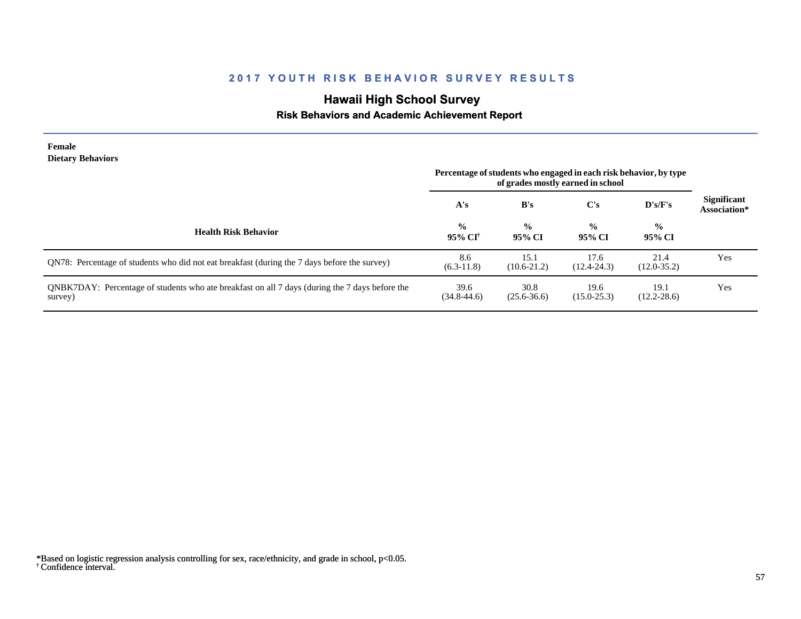# **Hawaii High School Survey**

### **Risk Behaviors and Academic Achievement Report**

| Female<br><b>Dietary Behaviors</b>                                                                        | Percentage of students who engaged in each risk behavior, by type<br>of grades mostly earned in school |                         |                         |                         |                                    |
|-----------------------------------------------------------------------------------------------------------|--------------------------------------------------------------------------------------------------------|-------------------------|-------------------------|-------------------------|------------------------------------|
|                                                                                                           | A's                                                                                                    | B's                     | C's                     | D's/F's                 | <b>Significant</b><br>Association* |
| <b>Health Risk Behavior</b>                                                                               | $\frac{0}{0}$<br>95% CI <sup>†</sup>                                                                   | $\frac{0}{0}$<br>95% CI | $\frac{0}{0}$<br>95% CI | $\frac{0}{0}$<br>95% CI |                                    |
| QN78: Percentage of students who did not eat breakfast (during the 7 days before the survey)              | 8.6<br>$(6.3-11.8)$                                                                                    | 15.1<br>$(10.6 - 21.2)$ | 17.6<br>$(12.4 - 24.3)$ | 21.4<br>$(12.0 - 35.2)$ | Yes                                |
| QNBK7DAY: Percentage of students who ate breakfast on all 7 days (during the 7 days before the<br>survey) | 39.6<br>$(34.8 - 44.6)$                                                                                | 30.8<br>$(25.6 - 36.6)$ | 19.6<br>$(15.0 - 25.3)$ | 19.1<br>$(12.2 - 28.6)$ | Yes                                |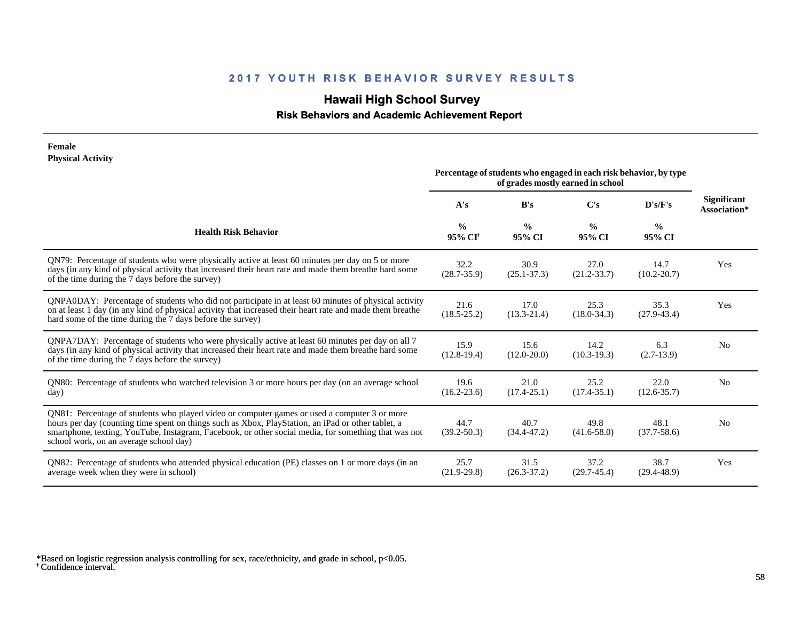## **Hawaii High School Survey**

 **Risk Behaviors and Academic Achievement Report**

#### **Female Physical Activity**

|                                                                                                                                                                                                                                                                                                                                                      | Percentage of students who engaged in each risk behavior, by type<br>of grades mostly earned in school |                         |                         |                         |                                    |
|------------------------------------------------------------------------------------------------------------------------------------------------------------------------------------------------------------------------------------------------------------------------------------------------------------------------------------------------------|--------------------------------------------------------------------------------------------------------|-------------------------|-------------------------|-------------------------|------------------------------------|
|                                                                                                                                                                                                                                                                                                                                                      | A's                                                                                                    | B's                     | C's                     | D's/F's                 | <b>Significant</b><br>Association* |
| <b>Health Risk Behavior</b>                                                                                                                                                                                                                                                                                                                          | $\frac{0}{0}$<br>95% CI <sup>+</sup>                                                                   | $\frac{6}{6}$<br>95% CI | $\frac{0}{0}$<br>95% CI | $\frac{0}{0}$<br>95% CI |                                    |
| QN79: Percentage of students who were physically active at least 60 minutes per day on 5 or more<br>days (in any kind of physical activity that increased their heart rate and made them breathe hard some<br>of the time during the 7 days before the survey)                                                                                       | 32.2<br>$(28.7 - 35.9)$                                                                                | 30.9<br>$(25.1 - 37.3)$ | 27.0<br>$(21.2 - 33.7)$ | 14.7<br>$(10.2 - 20.7)$ | Yes                                |
| QNPA0DAY: Percentage of students who did not participate in at least 60 minutes of physical activity<br>on at least 1 day (in any kind of physical activity that increased their heart rate and made them breathe<br>hard some of the time during the 7 days before the survey)                                                                      | 21.6<br>$(18.5 - 25.2)$                                                                                | 17.0<br>$(13.3 - 21.4)$ | 25.3<br>$(18.0 - 34.3)$ | 35.3<br>$(27.9 - 43.4)$ | Yes                                |
| QNPA7DAY: Percentage of students who were physically active at least 60 minutes per day on all 7<br>days (in any kind of physical activity that increased their heart rate and made them breathe hard some<br>of the time during the 7 days before the survey)                                                                                       | 15.9<br>$(12.8-19.4)$                                                                                  | 15.6<br>$(12.0 - 20.0)$ | 14.2<br>$(10.3-19.3)$   | 6.3<br>$(2.7-13.9)$     | N <sub>0</sub>                     |
| QN80: Percentage of students who watched television 3 or more hours per day (on an average school<br>day)                                                                                                                                                                                                                                            | 19.6<br>$(16.2 - 23.6)$                                                                                | 21.0<br>$(17.4 - 25.1)$ | 25.2<br>$(17.4 - 35.1)$ | 22.0<br>$(12.6 - 35.7)$ | N <sub>0</sub>                     |
| QN81: Percentage of students who played video or computer games or used a computer 3 or more<br>hours per day (counting time spent on things such as Xbox, PlayStation, an iPad or other tablet, a<br>smartphone, texting, YouTube, Instagram, Facebook, or other social media, for something that was not<br>school work, on an average school day) | 44.7<br>$(39.2 - 50.3)$                                                                                | 40.7<br>$(34.4 - 47.2)$ | 49.8<br>$(41.6 - 58.0)$ | 48.1<br>$(37.7 - 58.6)$ | N <sub>0</sub>                     |
| QN82: Percentage of students who attended physical education (PE) classes on 1 or more days (in an<br>average week when they were in school)                                                                                                                                                                                                         | 25.7<br>$(21.9 - 29.8)$                                                                                | 31.5<br>$(26.3 - 37.2)$ | 37.2<br>$(29.7-45.4)$   | 38.7<br>$(29.4 - 48.9)$ | Yes                                |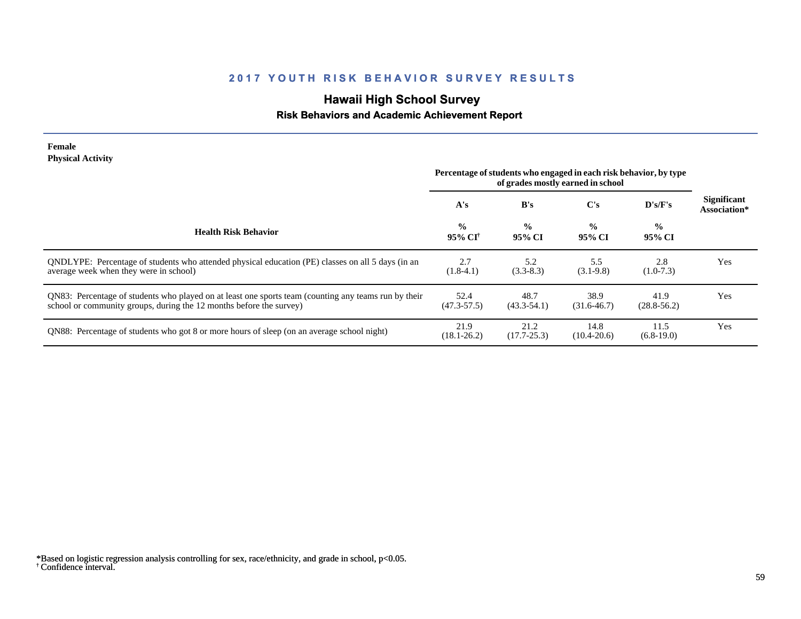# **Hawaii High School Survey**

### **Risk Behaviors and Academic Achievement Report**

| Female                   |  |
|--------------------------|--|
| <b>Physical Activity</b> |  |

L.

| 1 11 yən tarixi valit il                                                                                                                                                    | Percentage of students who engaged in each risk behavior, by type |                         |                         |                         |                             |
|-----------------------------------------------------------------------------------------------------------------------------------------------------------------------------|-------------------------------------------------------------------|-------------------------|-------------------------|-------------------------|-----------------------------|
|                                                                                                                                                                             | A's                                                               | B's                     | C's                     | D's/F's                 | Significant<br>Association* |
| <b>Health Risk Behavior</b>                                                                                                                                                 | $\frac{0}{0}$<br>95% CI <sup>+</sup>                              | $\frac{0}{0}$<br>95% CI | $\frac{0}{0}$<br>95% CI | $\frac{0}{0}$<br>95% CI |                             |
| ONDLYPE: Percentage of students who attended physical education (PE) classes on all 5 days (in an<br>average week when they were in school)                                 | 2.7<br>$(1.8-4.1)$                                                | 5.2<br>$(3.3-8.3)$      | 5.5<br>$(3.1-9.8)$      | 2.8<br>$(1.0-7.3)$      | Yes                         |
| QN83: Percentage of students who played on at least one sports team (counting any teams run by their<br>school or community groups, during the 12 months before the survey) | 52.4<br>$(47.3 - 57.5)$                                           | 48.7<br>$(43.3 - 54.1)$ | 38.9<br>$(31.6 - 46.7)$ | 41.9<br>$(28.8 - 56.2)$ | Yes                         |
| QN88: Percentage of students who got 8 or more hours of sleep (on an average school night)                                                                                  | 21.9<br>$(18.1 - 26.2)$                                           | 21.2<br>$(17.7 - 25.3)$ | 14.8<br>$(10.4 - 20.6)$ | 11.5<br>$(6.8-19.0)$    | Yes                         |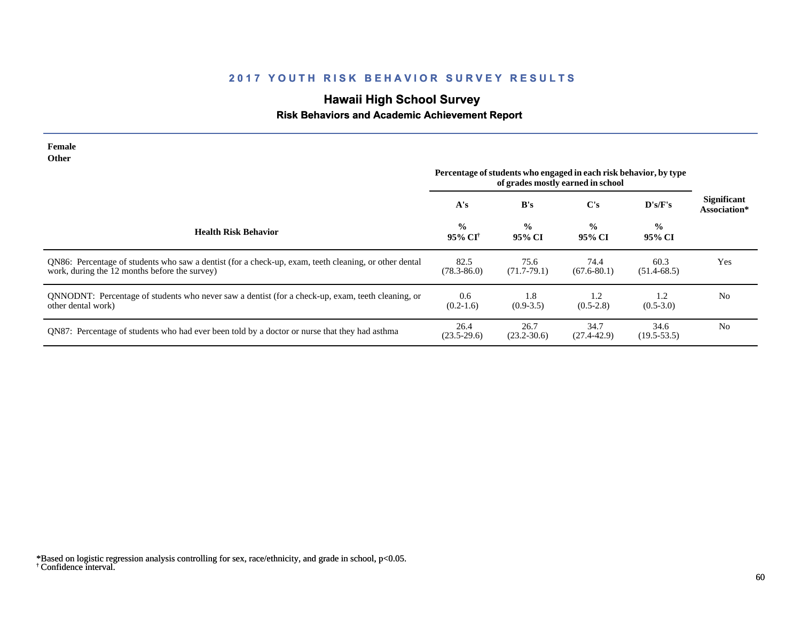# **Hawaii High School Survey**

### **Risk Behaviors and Academic Achievement Report**

| Female<br><b>Other</b>                                                                                                                                 |                         |                                                                                                        |                         |                         |                                    |
|--------------------------------------------------------------------------------------------------------------------------------------------------------|-------------------------|--------------------------------------------------------------------------------------------------------|-------------------------|-------------------------|------------------------------------|
|                                                                                                                                                        |                         | Percentage of students who engaged in each risk behavior, by type<br>of grades mostly earned in school |                         |                         |                                    |
|                                                                                                                                                        | A's                     | B's                                                                                                    | $\bf C's$               | D's/F's                 | <b>Significant</b><br>Association* |
| <b>Health Risk Behavior</b>                                                                                                                            | $\frac{0}{0}$<br>95% CF | $\frac{0}{0}$<br>95% CI                                                                                | $\frac{0}{0}$<br>95% CI | $\frac{6}{9}$<br>95% CI |                                    |
| QN86: Percentage of students who saw a dentist (for a check-up, exam, teeth cleaning, or other dental<br>work, during the 12 months before the survey) | 82.5<br>$(78.3 - 86.0)$ | 75.6<br>$(71.7-79.1)$                                                                                  | 74.4<br>$(67.6 - 80.1)$ | 60.3<br>$(51.4-68.5)$   | Yes                                |
| QNNODNT: Percentage of students who never saw a dentist (for a check-up, exam, teeth cleaning, or<br>other dental work)                                | 0.6<br>$(0.2-1.6)$      | 1.8<br>$(0.9 - 3.5)$                                                                                   | 1.2<br>$(0.5-2.8)$      | 1.2<br>$(0.5-3.0)$      | N <sub>0</sub>                     |
| QN87: Percentage of students who had ever been told by a doctor or nurse that they had asthma                                                          | 26.4<br>$(23.5-29.6)$   | 26.7<br>$(23.2 - 30.6)$                                                                                | 34.7<br>$(27.4 - 42.9)$ | 34.6<br>$(19.5 - 53.5)$ | N <sub>0</sub>                     |

<sup>†</sup> Confidence interval. \*Based on logistic regression analysis controlling for sex, race/ethnicity, and grade in school, p<0.05.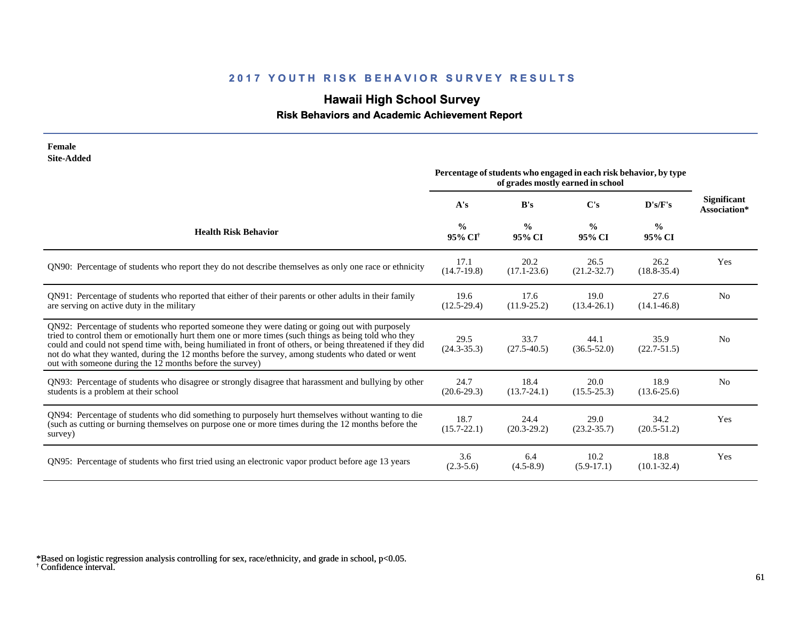# **Hawaii High School Survey**

 **Risk Behaviors and Academic Achievement Report**

| Female<br><b>Site-Added</b>                                                                                                                                                                                                                                                                                                                                                                                                                                                          | Percentage of students who engaged in each risk behavior, by type |                         |                         |                         |                                    |
|--------------------------------------------------------------------------------------------------------------------------------------------------------------------------------------------------------------------------------------------------------------------------------------------------------------------------------------------------------------------------------------------------------------------------------------------------------------------------------------|-------------------------------------------------------------------|-------------------------|-------------------------|-------------------------|------------------------------------|
|                                                                                                                                                                                                                                                                                                                                                                                                                                                                                      | A's                                                               | B's                     | $\bf C's$               | D's/F's                 | <b>Significant</b><br>Association* |
| <b>Health Risk Behavior</b>                                                                                                                                                                                                                                                                                                                                                                                                                                                          | $\frac{0}{0}$<br>95% CI <sup>+</sup>                              | $\frac{6}{9}$<br>95% CI | $\frac{0}{0}$<br>95% CI | $\frac{6}{6}$<br>95% CI |                                    |
| QN90: Percentage of students who report they do not describe themselves as only one race or ethnicity                                                                                                                                                                                                                                                                                                                                                                                | 17.1<br>$(14.7-19.8)$                                             | 20.2<br>$(17.1 - 23.6)$ | 26.5<br>$(21.2 - 32.7)$ | 26.2<br>$(18.8 - 35.4)$ | Yes                                |
| QN91: Percentage of students who reported that either of their parents or other adults in their family<br>are serving on active duty in the military                                                                                                                                                                                                                                                                                                                                 | 19.6<br>$(12.5 - 29.4)$                                           | 17.6<br>$(11.9 - 25.2)$ | 19.0<br>$(13.4 - 26.1)$ | 27.6<br>$(14.1 - 46.8)$ | N <sub>0</sub>                     |
| QN92: Percentage of students who reported someone they were dating or going out with purposely<br>tried to control them or emotionally hurt them one or more times (such things as being told who they<br>could and could not spend time with, being humiliated in front of others, or being threatened if they did<br>not do what they wanted, during the 12 months before the survey, among students who dated or went<br>out with someone during the 12 months before the survey) | 29.5<br>$(24.3 - 35.3)$                                           | 33.7<br>$(27.5 - 40.5)$ | 44.1<br>$(36.5 - 52.0)$ | 35.9<br>$(22.7 - 51.5)$ | N <sub>0</sub>                     |
| QN93: Percentage of students who disagree or strongly disagree that harassment and bullying by other<br>students is a problem at their school                                                                                                                                                                                                                                                                                                                                        | 24.7<br>$(20.6-29.3)$                                             | 18.4<br>$(13.7 - 24.1)$ | 20.0<br>$(15.5 - 25.3)$ | 18.9<br>$(13.6 - 25.6)$ | N <sub>0</sub>                     |
| QN94: Percentage of students who did something to purposely hurt themselves without wanting to die<br>(such as cutting or burning themselves on purpose one or more times during the 12 months before the<br>survey)                                                                                                                                                                                                                                                                 | 18.7<br>$(15.7 - 22.1)$                                           | 24.4<br>$(20.3-29.2)$   | 29.0<br>$(23.2 - 35.7)$ | 34.2<br>$(20.5 - 51.2)$ | Yes                                |
| QN95: Percentage of students who first tried using an electronic vapor product before age 13 years                                                                                                                                                                                                                                                                                                                                                                                   | 3.6<br>$(2.3-5.6)$                                                | 6.4<br>$(4.5-8.9)$      | 10.2<br>$(5.9-17.1)$    | 18.8<br>$(10.1 - 32.4)$ | Yes                                |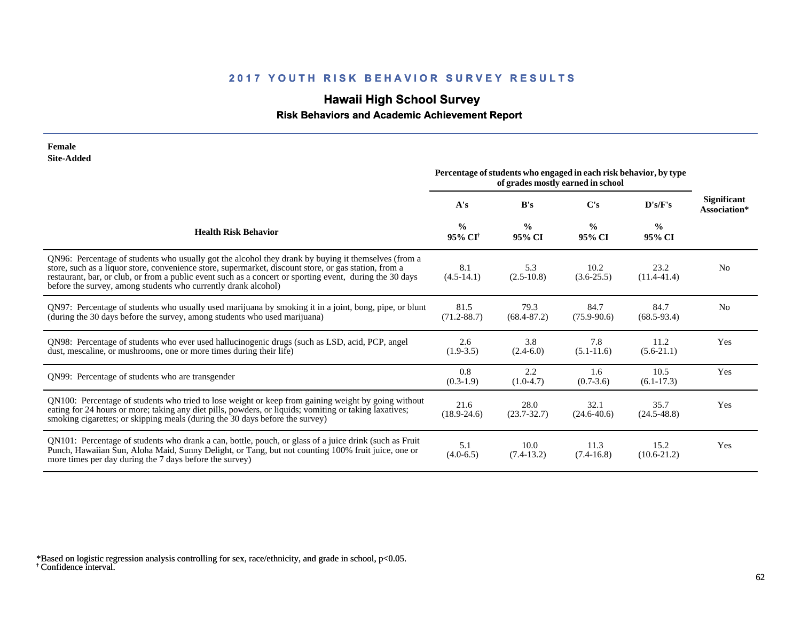# **Hawaii High School Survey**

#### **Risk Behaviors and Academic Achievement Report**

| Female                                                                                                                                                                                                                                                                                                                                                                                     |                                                                                                        |                         |                         |                         |                                    |
|--------------------------------------------------------------------------------------------------------------------------------------------------------------------------------------------------------------------------------------------------------------------------------------------------------------------------------------------------------------------------------------------|--------------------------------------------------------------------------------------------------------|-------------------------|-------------------------|-------------------------|------------------------------------|
| <b>Site-Added</b>                                                                                                                                                                                                                                                                                                                                                                          | Percentage of students who engaged in each risk behavior, by type<br>of grades mostly earned in school |                         |                         |                         |                                    |
|                                                                                                                                                                                                                                                                                                                                                                                            | A's                                                                                                    | B's                     | C's                     | D's/F's                 | <b>Significant</b><br>Association* |
| <b>Health Risk Behavior</b>                                                                                                                                                                                                                                                                                                                                                                | $\frac{0}{0}$<br>95% CI <sup>+</sup>                                                                   | $\frac{6}{9}$<br>95% CI | $\frac{0}{0}$<br>95% CI | $\frac{0}{0}$<br>95% CI |                                    |
| QN96: Percentage of students who usually got the alcohol they drank by buying it themselves (from a<br>store, such as a liquor store, convenience store, supermarket, discount store, or gas station, from a<br>restaurant, bar, or club, or from a public event such as a concert or sporting event, during the 30 days<br>before the survey, among students who currently drank alcohol) | 8.1<br>$(4.5-14.1)$                                                                                    | 5.3<br>$(2.5-10.8)$     | 10.2<br>$(3.6 - 25.5)$  | 23.2<br>$(11.4 - 41.4)$ | N <sub>0</sub>                     |
| QN97: Percentage of students who usually used marijuana by smoking it in a joint, bong, pipe, or blunt<br>(during the 30 days before the survey, among students who used marijuana)                                                                                                                                                                                                        | 81.5<br>$(71.2 - 88.7)$                                                                                | 79.3<br>$(68.4 - 87.2)$ | 84.7<br>$(75.9 - 90.6)$ | 84.7<br>$(68.5 - 93.4)$ | N <sub>0</sub>                     |
| QN98: Percentage of students who ever used hallucinogenic drugs (such as LSD, acid, PCP, angel<br>dust, mescaline, or mushrooms, one or more times during their life)                                                                                                                                                                                                                      | 2.6<br>$(1.9-3.5)$                                                                                     | 3.8<br>$(2.4-6.0)$      | 7.8<br>$(5.1 - 11.6)$   | 11.2<br>$(5.6-21.1)$    | Yes                                |
| QN99: Percentage of students who are transgender                                                                                                                                                                                                                                                                                                                                           | 0.8<br>$(0.3-1.9)$                                                                                     | 2.2<br>$(1.0-4.7)$      | 1.6<br>$(0.7-3.6)$      | 10.5<br>$(6.1-17.3)$    | Yes                                |
| QN100: Percentage of students who tried to lose weight or keep from gaining weight by going without<br>eating for 24 hours or more; taking any diet pills, powders, or liquids; vomiting or taking laxatives;<br>smoking cigarettes; or skipping meals (during the 30 days before the survey)                                                                                              | 21.6<br>$(18.9 - 24.6)$                                                                                | 28.0<br>$(23.7 - 32.7)$ | 32.1<br>$(24.6 - 40.6)$ | 35.7<br>$(24.5 - 48.8)$ | Yes                                |
| QN101: Percentage of students who drank a can, bottle, pouch, or glass of a juice drink (such as Fruit<br>Punch, Hawaiian Sun, Aloha Maid, Sunny Delight, or Tang, but not counting 100% fruit juice, one or<br>more times per day during the 7 days before the survey)                                                                                                                    | 5.1<br>$(4.0-6.5)$                                                                                     | 10.0<br>$(7.4-13.2)$    | 11.3<br>$(7.4-16.8)$    | 15.2<br>$(10.6-21.2)$   | Yes                                |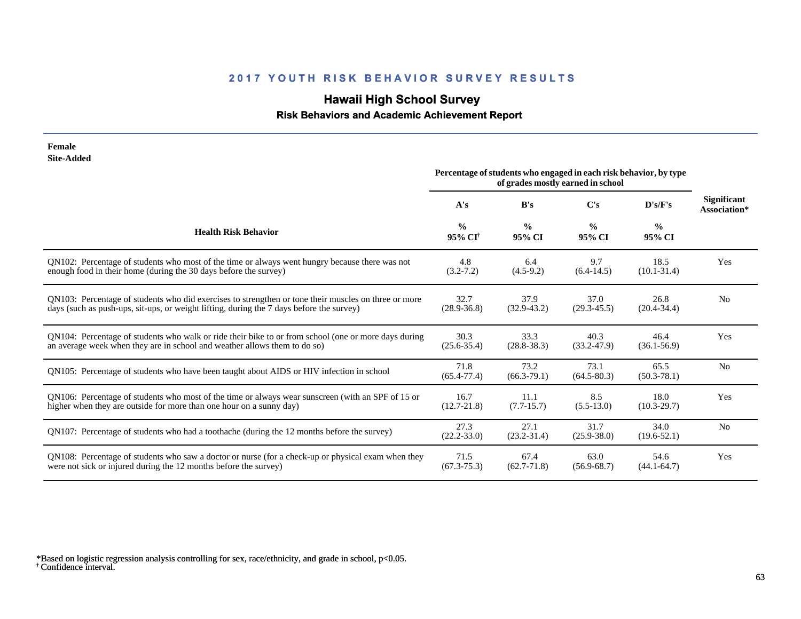# **Hawaii High School Survey**

#### **Risk Behaviors and Academic Achievement Report**

| Female<br><b>Site-Added</b><br>Percentage of students who engaged in each risk behavior, by type                                                                                                 |                                      |                         |                                   |                         |                    |  |
|--------------------------------------------------------------------------------------------------------------------------------------------------------------------------------------------------|--------------------------------------|-------------------------|-----------------------------------|-------------------------|--------------------|--|
|                                                                                                                                                                                                  |                                      |                         | of grades mostly earned in school |                         | <b>Significant</b> |  |
|                                                                                                                                                                                                  | A's                                  | B's                     | C's                               | D's/F's                 | Association*       |  |
| <b>Health Risk Behavior</b>                                                                                                                                                                      | $\frac{0}{0}$<br>95% CI <sup>+</sup> | $\frac{0}{0}$<br>95% CI | $\frac{0}{0}$<br>95% CI           | $\frac{0}{0}$<br>95% CI |                    |  |
| QN102: Percentage of students who most of the time or always went hungry because there was not<br>enough food in their home (during the 30 days before the survey)                               | 4.8<br>$(3.2 - 7.2)$                 | 6.4<br>$(4.5-9.2)$      | 9.7<br>$(6.4-14.5)$               | 18.5<br>$(10.1 - 31.4)$ | Yes                |  |
| QN103: Percentage of students who did exercises to strengthen or tone their muscles on three or more<br>days (such as push-ups, sit-ups, or weight lifting, during the 7 days before the survey) | 32.7<br>$(28.9 - 36.8)$              | 37.9<br>$(32.9 - 43.2)$ | 37.0<br>$(29.3 - 45.5)$           | 26.8<br>$(20.4 - 34.4)$ | N <sub>0</sub>     |  |
| QN104: Percentage of students who walk or ride their bike to or from school (one or more days during<br>an average week when they are in school and weather allows them to do so)                | 30.3<br>$(25.6 - 35.4)$              | 33.3<br>$(28.8 - 38.3)$ | 40.3<br>$(33.2 - 47.9)$           | 46.4<br>$(36.1 - 56.9)$ | Yes                |  |
| QN105: Percentage of students who have been taught about AIDS or HIV infection in school                                                                                                         | 71.8<br>$(65.4 - 77.4)$              | 73.2<br>$(66.3-79.1)$   | 73.1<br>$(64.5 - 80.3)$           | 65.5<br>$(50.3 - 78.1)$ | N <sub>o</sub>     |  |
| QN106: Percentage of students who most of the time or always wear sunscreen (with an SPF of 15 or<br>higher when they are outside for more than one hour on a sunny day)                         | 16.7<br>$(12.7 - 21.8)$              | 11.1<br>$(7.7-15.7)$    | 8.5<br>$(5.5-13.0)$               | 18.0<br>$(10.3 - 29.7)$ | Yes                |  |
| QN107: Percentage of students who had a toothache (during the 12 months before the survey)                                                                                                       | 27.3<br>$(22.2 - 33.0)$              | 27.1<br>$(23.2 - 31.4)$ | 31.7<br>$(25.9 - 38.0)$           | 34.0<br>$(19.6 - 52.1)$ | N <sub>0</sub>     |  |
| QN108: Percentage of students who saw a doctor or nurse (for a check-up or physical exam when they<br>were not sick or injured during the 12 months before the survey)                           | 71.5<br>$(67.3 - 75.3)$              | 67.4<br>$(62.7 - 71.8)$ | 63.0<br>$(56.9 - 68.7)$           | 54.6<br>$(44.1 - 64.7)$ | Yes                |  |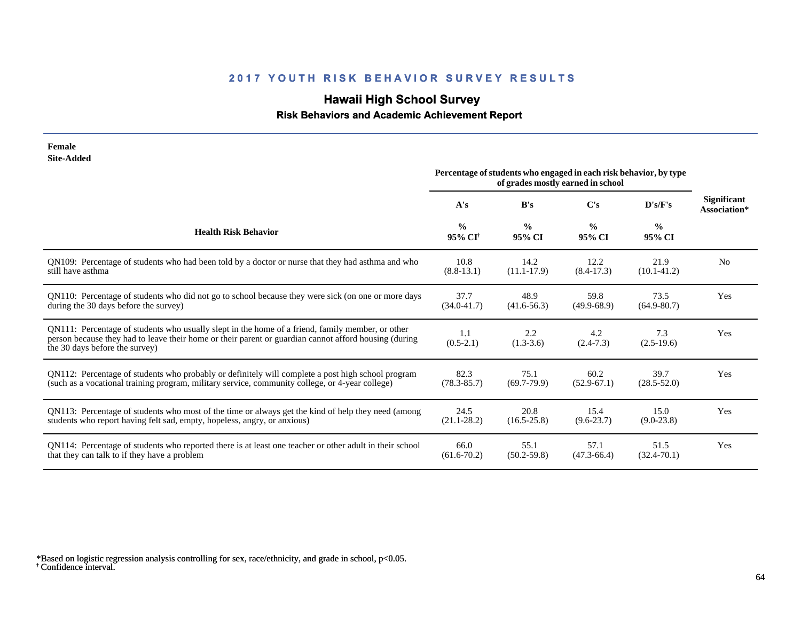# **Hawaii High School Survey**

#### **Risk Behaviors and Academic Achievement Report**

| <b>Site-Added</b>                                                                                                                                                                                                                           |                                      |                         |                                                                                                        |                         |                                    |
|---------------------------------------------------------------------------------------------------------------------------------------------------------------------------------------------------------------------------------------------|--------------------------------------|-------------------------|--------------------------------------------------------------------------------------------------------|-------------------------|------------------------------------|
|                                                                                                                                                                                                                                             |                                      |                         | Percentage of students who engaged in each risk behavior, by type<br>of grades mostly earned in school |                         |                                    |
|                                                                                                                                                                                                                                             | A's                                  | B's                     | $\bf C's$                                                                                              | D's/F's                 | <b>Significant</b><br>Association* |
| <b>Health Risk Behavior</b>                                                                                                                                                                                                                 | $\frac{0}{0}$<br>95% CI <sup>†</sup> | $\frac{0}{0}$<br>95% CI | $\frac{0}{0}$<br>95% CI                                                                                | $\frac{0}{0}$<br>95% CI |                                    |
| QN109: Percentage of students who had been told by a doctor or nurse that they had asthma and who                                                                                                                                           | 10.8                                 | 14.2                    | 12.2                                                                                                   | 21.9                    | N <sub>o</sub>                     |
| still have asthma                                                                                                                                                                                                                           | $(8.8-13.1)$                         | $(11.1-17.9)$           | $(8.4-17.3)$                                                                                           | $(10.1 - 41.2)$         |                                    |
| QN110: Percentage of students who did not go to school because they were sick (on one or more days                                                                                                                                          | 37.7                                 | 48.9                    | 59.8                                                                                                   | 73.5                    | Yes                                |
| during the 30 days before the survey)                                                                                                                                                                                                       | $(34.0 - 41.7)$                      | $(41.6-56.3)$           | $(49.9-68.9)$                                                                                          | $(64.9 - 80.7)$         |                                    |
| QN111: Percentage of students who usually slept in the home of a friend, family member, or other<br>person because they had to leave their home or their parent or guardian cannot afford housing (during<br>the 30 days before the survey) | 1.1<br>$(0.5-2.1)$                   | 2.2<br>$(1.3-3.6)$      | 4.2<br>$(2.4 - 7.3)$                                                                                   | 7.3<br>$(2.5-19.6)$     | Yes                                |
| QN112: Percentage of students who probably or definitely will complete a post high school program                                                                                                                                           | 82.3                                 | 75.1                    | 60.2                                                                                                   | 39.7                    | Yes                                |
| (such as a vocational training program, military service, community college, or 4-year college)                                                                                                                                             | $(78.3 - 85.7)$                      | $(69.7 - 79.9)$         | $(52.9-67.1)$                                                                                          | $(28.5 - 52.0)$         |                                    |
| QN113: Percentage of students who most of the time or always get the kind of help they need (among                                                                                                                                          | 24.5                                 | 20.8                    | 15.4                                                                                                   | 15.0                    | Yes                                |
| students who report having felt sad, empty, hopeless, angry, or anxious)                                                                                                                                                                    | $(21.1 - 28.2)$                      | $(16.5 - 25.8)$         | $(9.6 - 23.7)$                                                                                         | $(9.0-23.8)$            |                                    |
| QN114: Percentage of students who reported there is at least one teacher or other adult in their school                                                                                                                                     | 66.0                                 | 55.1                    | 57.1                                                                                                   | 51.5                    | Yes                                |
| that they can talk to if they have a problem                                                                                                                                                                                                | $(61.6 - 70.2)$                      | $(50.2 - 59.8)$         | $(47.3 - 66.4)$                                                                                        | $(32.4 - 70.1)$         |                                    |

**Female**

<sup>†</sup> Confidence interval. \*Based on logistic regression analysis controlling for sex, race/ethnicity, and grade in school, p<0.05.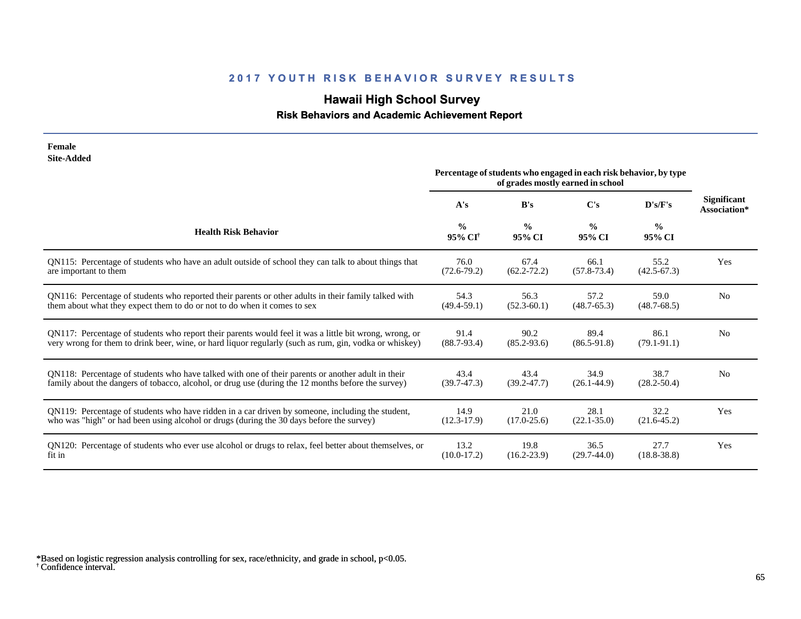# **Hawaii High School Survey**

### **Risk Behaviors and Academic Achievement Report**

| Female<br><b>Site-Added</b>                                                                            |                                      |                                                                                                        |                         |                         |                             |
|--------------------------------------------------------------------------------------------------------|--------------------------------------|--------------------------------------------------------------------------------------------------------|-------------------------|-------------------------|-----------------------------|
|                                                                                                        |                                      | Percentage of students who engaged in each risk behavior, by type<br>of grades mostly earned in school |                         |                         |                             |
|                                                                                                        | A's                                  | B's                                                                                                    | C's                     | D's/F's                 | Significant<br>Association* |
| <b>Health Risk Behavior</b>                                                                            | $\frac{0}{0}$<br>95% CI <sup>†</sup> | $\frac{0}{0}$<br>95% CI                                                                                | $\frac{0}{0}$<br>95% CI | $\frac{6}{6}$<br>95% CI |                             |
| QN115: Percentage of students who have an adult outside of school they can talk to about things that   | 76.0                                 | 67.4                                                                                                   | 66.1                    | 55.2                    | Yes                         |
| are important to them                                                                                  | $(72.6 - 79.2)$                      | $(62.2 - 72.2)$                                                                                        | $(57.8 - 73.4)$         | $(42.5 - 67.3)$         |                             |
| QN116: Percentage of students who reported their parents or other adults in their family talked with   | 54.3                                 | 56.3                                                                                                   | 57.2                    | 59.0                    | N <sub>0</sub>              |
| them about what they expect them to do or not to do when it comes to sex                               | $(49.4 - 59.1)$                      | $(52.3 - 60.1)$                                                                                        | $(48.7 - 65.3)$         | $(48.7 - 68.5)$         |                             |
| QN117: Percentage of students who report their parents would feel it was a little bit wrong, wrong, or | 91.4                                 | 90.2                                                                                                   | 89.4                    | 86.1                    | N <sub>0</sub>              |
| very wrong for them to drink beer, wine, or hard liquor regularly (such as rum, gin, vodka or whiskey) | $(88.7 - 93.4)$                      | $(85.2 - 93.6)$                                                                                        | $(86.5-91.8)$           | $(79.1 - 91.1)$         |                             |
| QN118: Percentage of students who have talked with one of their parents or another adult in their      | 43.4                                 | 43.4                                                                                                   | 34.9                    | 38.7                    | N <sub>0</sub>              |
| family about the dangers of tobacco, alcohol, or drug use (during the 12 months before the survey)     | $(39.7 - 47.3)$                      | $(39.2 - 47.7)$                                                                                        | $(26.1 - 44.9)$         | $(28.2 - 50.4)$         |                             |
| ON119: Percentage of students who have ridden in a car driven by someone, including the student,       | 14.9                                 | 21.0                                                                                                   | 28.1                    | 32.2                    | Yes                         |
| who was "high" or had been using alcohol or drugs (during the 30 days before the survey)               | $(12.3-17.9)$                        | $(17.0 - 25.6)$                                                                                        | $(22.1 - 35.0)$         | $(21.6 - 45.2)$         |                             |
| QN120: Percentage of students who ever use alcohol or drugs to relax, feel better about themselves, or | 13.2                                 | 19.8                                                                                                   | 36.5                    | 27.7                    | Yes                         |
| fit in                                                                                                 | $(10.0-17.2)$                        | $(16.2 - 23.9)$                                                                                        | $(29.7-44.0)$           | $(18.8 - 38.8)$         |                             |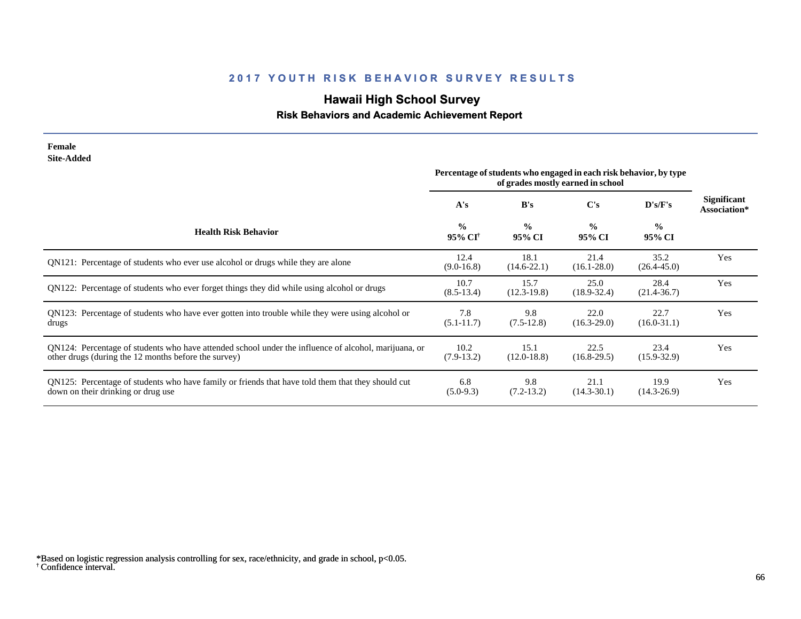# **Hawaii High School Survey**

#### **Risk Behaviors and Academic Achievement Report**

| Female<br><b>Site-Added</b>                                                                                                                                  |                                      |                                                                   |                                   |                         |                                    |
|--------------------------------------------------------------------------------------------------------------------------------------------------------------|--------------------------------------|-------------------------------------------------------------------|-----------------------------------|-------------------------|------------------------------------|
|                                                                                                                                                              |                                      | Percentage of students who engaged in each risk behavior, by type | of grades mostly earned in school |                         |                                    |
|                                                                                                                                                              | A's                                  | B's                                                               | $\bf C's$                         | D's/F's                 | <b>Significant</b><br>Association* |
| <b>Health Risk Behavior</b>                                                                                                                                  | $\frac{0}{0}$<br>95% CI <sup>+</sup> | $\frac{0}{0}$<br>95% CI                                           | $\frac{0}{0}$<br>95% CI           | $\frac{0}{0}$<br>95% CI |                                    |
| QN121: Percentage of students who ever use alcohol or drugs while they are alone                                                                             | 12.4<br>$(9.0-16.8)$                 | 18.1<br>$(14.6 - 22.1)$                                           | 21.4<br>$(16.1 - 28.0)$           | 35.2<br>$(26.4 - 45.0)$ | Yes                                |
| QN122: Percentage of students who ever forget things they did while using alcohol or drugs                                                                   | 10.7<br>$(8.5-13.4)$                 | 15.7<br>$(12.3-19.8)$                                             | 25.0<br>$(18.9 - 32.4)$           | 28.4<br>$(21.4 - 36.7)$ | Yes                                |
| QN123: Percentage of students who have ever gotten into trouble while they were using alcohol or<br>drugs                                                    | 7.8<br>$(5.1 - 11.7)$                | 9.8<br>$(7.5-12.8)$                                               | 22.0<br>$(16.3 - 29.0)$           | 22.7<br>$(16.0-31.1)$   | Yes                                |
| QN124: Percentage of students who have attended school under the influence of alcohol, marijuana, or<br>other drugs (during the 12 months before the survey) | 10.2<br>$(7.9-13.2)$                 | 15.1<br>$(12.0 - 18.8)$                                           | 22.5<br>$(16.8-29.5)$             | 23.4<br>$(15.9 - 32.9)$ | Yes                                |
| QN125: Percentage of students who have family or friends that have told them that they should cut<br>down on their drinking or drug use                      | 6.8<br>$(5.0-9.3)$                   | 9.8<br>$(7.2-13.2)$                                               | 21.1<br>$(14.3 - 30.1)$           | 19.9<br>$(14.3 - 26.9)$ | Yes                                |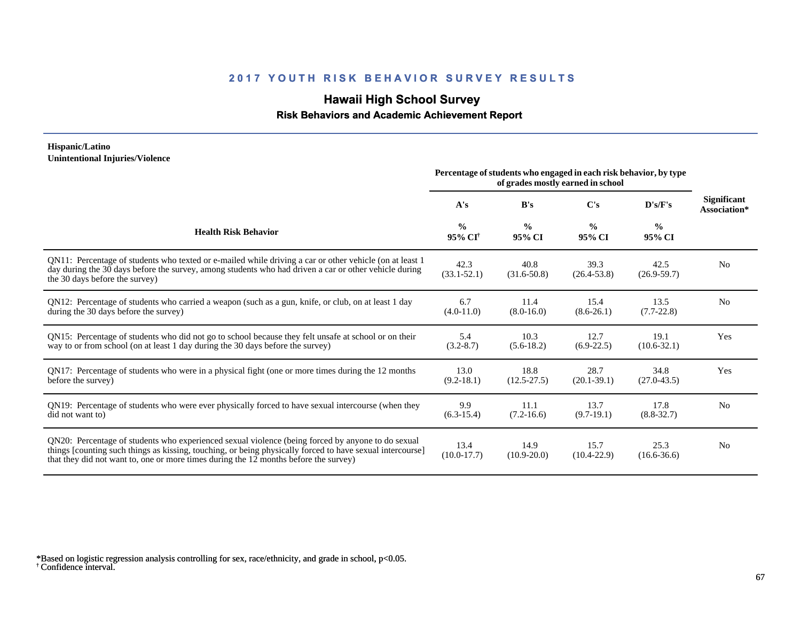## **Hawaii High School Survey**

 **Risk Behaviors and Academic Achievement Report**

#### **Hispanic/Latino Unintentional Injuries/Violence**

|                                                                                                                                                                                                                                                                                                        | Percentage of students who engaged in each risk behavior, by type<br>of grades mostly earned in school |                         |                         |                         |                                    |
|--------------------------------------------------------------------------------------------------------------------------------------------------------------------------------------------------------------------------------------------------------------------------------------------------------|--------------------------------------------------------------------------------------------------------|-------------------------|-------------------------|-------------------------|------------------------------------|
|                                                                                                                                                                                                                                                                                                        | A's                                                                                                    | B's                     | $\bf C's$               | D's/F's                 | <b>Significant</b><br>Association* |
| <b>Health Risk Behavior</b>                                                                                                                                                                                                                                                                            | $\frac{0}{0}$<br>95% CI <sup>+</sup>                                                                   | $\frac{0}{0}$<br>95% CI | $\frac{0}{0}$<br>95% CI | $\frac{0}{0}$<br>95% CI |                                    |
| QN11: Percentage of students who texted or e-mailed while driving a car or other vehicle (on at least 1)<br>day during the 30 days before the survey, among students who had driven a car or other vehicle during<br>the 30 days before the survey)                                                    | 42.3<br>$(33.1 - 52.1)$                                                                                | 40.8<br>$(31.6 - 50.8)$ | 39.3<br>$(26.4 - 53.8)$ | 42.5<br>$(26.9 - 59.7)$ | N <sub>0</sub>                     |
| QN12: Percentage of students who carried a weapon (such as a gun, knife, or club, on at least 1 day<br>during the 30 days before the survey)                                                                                                                                                           | 6.7<br>$(4.0-11.0)$                                                                                    | 11.4<br>$(8.0 - 16.0)$  | 15.4<br>$(8.6 - 26.1)$  | 13.5<br>$(7.7-22.8)$    | N <sub>0</sub>                     |
| QN15: Percentage of students who did not go to school because they felt unsafe at school or on their<br>way to or from school (on at least 1 day during the 30 days before the survey)                                                                                                                 | 5.4<br>$(3.2 - 8.7)$                                                                                   | 10.3<br>$(5.6-18.2)$    | 12.7<br>$(6.9-22.5)$    | 19.1<br>$(10.6 - 32.1)$ | Yes                                |
| QN17: Percentage of students who were in a physical fight (one or more times during the 12 months<br>before the survey)                                                                                                                                                                                | 13.0<br>$(9.2 - 18.1)$                                                                                 | 18.8<br>$(12.5 - 27.5)$ | 28.7<br>$(20.1 - 39.1)$ | 34.8<br>$(27.0 - 43.5)$ | Yes                                |
| QN19: Percentage of students who were ever physically forced to have sexual intercourse (when they<br>did not want to)                                                                                                                                                                                 | 9.9<br>$(6.3-15.4)$                                                                                    | 11.1<br>$(7.2 - 16.6)$  | 13.7<br>$(9.7-19.1)$    | 17.8<br>$(8.8 - 32.7)$  | N <sub>0</sub>                     |
| QN20: Percentage of students who experienced sexual violence (being forced by anyone to do sexual<br>things [counting such things as kissing, touching, or being physically forced to have sexual intercourse]<br>that they did not want to, one or more times during the 12 months before the survey) | 13.4<br>$(10.0-17.7)$                                                                                  | 14.9<br>$(10.9 - 20.0)$ | 15.7<br>$(10.4 - 22.9)$ | 25.3<br>$(16.6 - 36.6)$ | N <sub>0</sub>                     |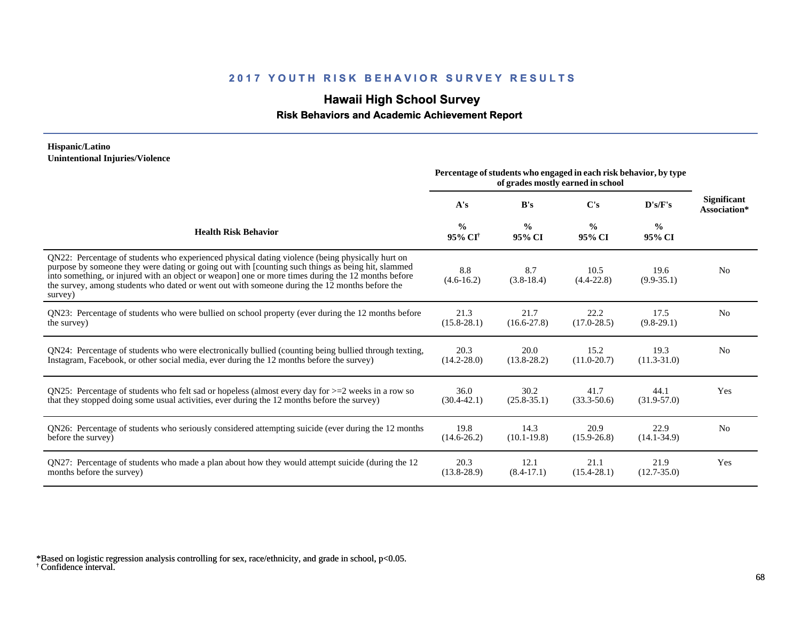## **Hawaii High School Survey**

 **Risk Behaviors and Academic Achievement Report**

#### **Hispanic/Latino Unintentional Injuries/Violence**

|                                                                                                                                                                                                                                                                                                                                                                                                                        | Percentage of students who engaged in each risk behavior, by type<br>of grades mostly earned in school |                         |                         |                         |                                    |
|------------------------------------------------------------------------------------------------------------------------------------------------------------------------------------------------------------------------------------------------------------------------------------------------------------------------------------------------------------------------------------------------------------------------|--------------------------------------------------------------------------------------------------------|-------------------------|-------------------------|-------------------------|------------------------------------|
|                                                                                                                                                                                                                                                                                                                                                                                                                        | A's                                                                                                    | B's                     | $\bf C's$               | D's/F's                 | <b>Significant</b><br>Association* |
| <b>Health Risk Behavior</b>                                                                                                                                                                                                                                                                                                                                                                                            | $\frac{0}{0}$<br>95% CI <sup>+</sup>                                                                   | $\frac{0}{0}$<br>95% CI | $\frac{0}{0}$<br>95% CI | $\frac{0}{0}$<br>95% CI |                                    |
| QN22: Percentage of students who experienced physical dating violence (being physically hurt on<br>purpose by someone they were dating or going out with [counting such things as being hit, slammed<br>into something, or injured with an object or weapon] one or more times during the 12 months before<br>the survey, among students who dated or went out with someone during the 12 months before the<br>survey) | 8.8<br>$(4.6 - 16.2)$                                                                                  | 8.7<br>$(3.8-18.4)$     | 10.5<br>$(4.4 - 22.8)$  | 19.6<br>$(9.9 - 35.1)$  | N <sub>0</sub>                     |
| QN23: Percentage of students who were bullied on school property (ever during the 12 months before                                                                                                                                                                                                                                                                                                                     | 21.3                                                                                                   | 21.7                    | 22.2                    | 17.5                    | N <sub>o</sub>                     |
| the survey)                                                                                                                                                                                                                                                                                                                                                                                                            | $(15.8 - 28.1)$                                                                                        | $(16.6 - 27.8)$         | $(17.0 - 28.5)$         | $(9.8-29.1)$            |                                    |
| QN24: Percentage of students who were electronically bullied (counting being bullied through texting,                                                                                                                                                                                                                                                                                                                  | 20.3                                                                                                   | 20.0                    | 15.2                    | 19.3                    | N <sub>0</sub>                     |
| Instagram, Facebook, or other social media, ever during the 12 months before the survey)                                                                                                                                                                                                                                                                                                                               | $(14.2 - 28.0)$                                                                                        | $(13.8 - 28.2)$         | $(11.0 - 20.7)$         | $(11.3 - 31.0)$         |                                    |
| QN25: Percentage of students who felt sad or hopeless (almost every day for $>=$ 2 weeks in a row so                                                                                                                                                                                                                                                                                                                   | 36.0                                                                                                   | 30.2                    | 41.7                    | 44.1                    | Yes                                |
| that they stopped doing some usual activities, ever during the 12 months before the survey)                                                                                                                                                                                                                                                                                                                            | $(30.4 - 42.1)$                                                                                        | $(25.8 - 35.1)$         | $(33.3 - 50.6)$         | $(31.9 - 57.0)$         |                                    |
| QN26: Percentage of students who seriously considered attempting suicide (ever during the 12 months                                                                                                                                                                                                                                                                                                                    | 19.8                                                                                                   | 14.3                    | 20.9                    | 22.9                    | N <sub>o</sub>                     |
| before the survey)                                                                                                                                                                                                                                                                                                                                                                                                     | $(14.6 - 26.2)$                                                                                        | $(10.1 - 19.8)$         | $(15.9 - 26.8)$         | $(14.1 - 34.9)$         |                                    |
| QN27: Percentage of students who made a plan about how they would attempt suicide (during the 12                                                                                                                                                                                                                                                                                                                       | 20.3                                                                                                   | 12.1                    | 21.1                    | 21.9                    | Yes                                |
| months before the survey)                                                                                                                                                                                                                                                                                                                                                                                              | $(13.8 - 28.9)$                                                                                        | $(8.4-17.1)$            | $(15.4 - 28.1)$         | $(12.7 - 35.0)$         |                                    |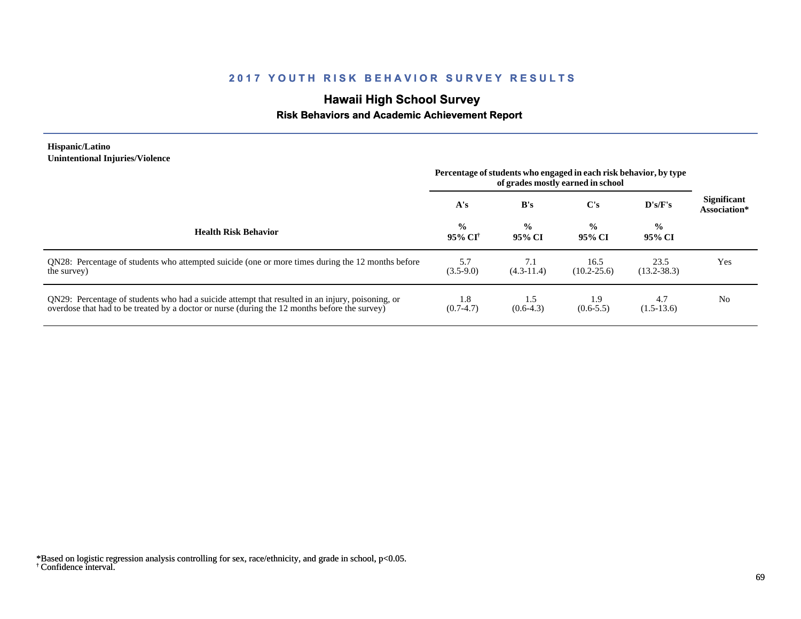## **Hawaii High School Survey**

#### **Risk Behaviors and Academic Achievement Report**

#### **Hispanic/Latino Unintentional Injuries/Violence**

|                                                                                                                                                                                                   | Percentage of students who engaged in each risk behavior, by type<br>of grades mostly earned in school |                         |                         |                         |                                    |
|---------------------------------------------------------------------------------------------------------------------------------------------------------------------------------------------------|--------------------------------------------------------------------------------------------------------|-------------------------|-------------------------|-------------------------|------------------------------------|
|                                                                                                                                                                                                   | A's                                                                                                    | B's                     | C's                     | D's/F's                 | <b>Significant</b><br>Association* |
| <b>Health Risk Behavior</b>                                                                                                                                                                       | $\frac{0}{0}$<br>$95\%$ CI <sup>†</sup>                                                                | $\frac{0}{0}$<br>95% CI | $\frac{0}{0}$<br>95% CI | $\frac{0}{0}$<br>95% CI |                                    |
| QN28: Percentage of students who attempted suicide (one or more times during the 12 months before<br>the survey)                                                                                  | 5.7<br>$(3.5-9.0)$                                                                                     | 7.1<br>$(4.3-11.4)$     | 16.5<br>$(10.2 - 25.6)$ | 23.5<br>$(13.2 - 38.3)$ | Yes                                |
| QN29: Percentage of students who had a suicide attempt that resulted in an injury, poisoning, or<br>overdose that had to be treated by a doctor or nurse (during the 12 months before the survey) | 1.8<br>$(0.7-4.7)$                                                                                     | 1.5<br>$(0.6-4.3)$      | 1.9<br>$(0.6 - 5.5)$    | 4.7<br>$(1.5-13.6)$     | N <sub>0</sub>                     |

<sup>†</sup> Confidence interval. \*Based on logistic regression analysis controlling for sex, race/ethnicity, and grade in school, p<0.05.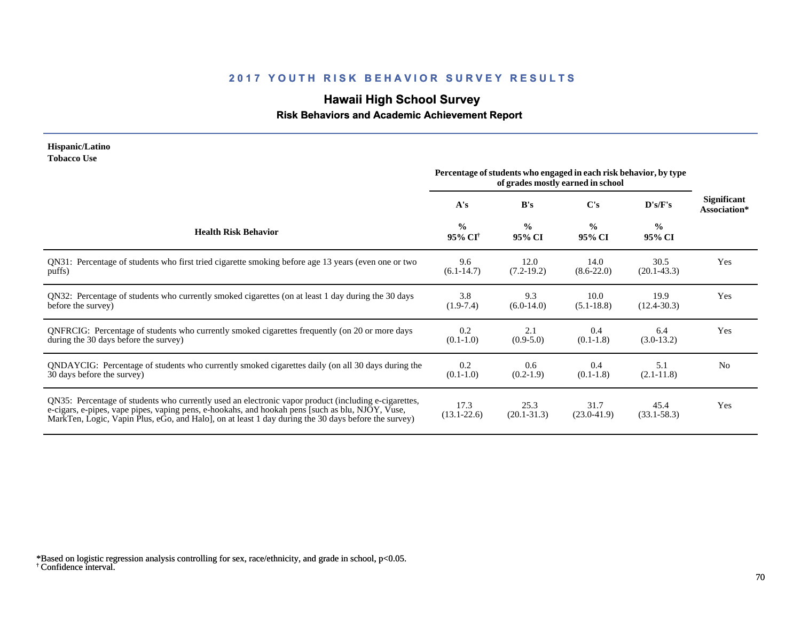# **Hawaii High School Survey**

#### **Risk Behaviors and Academic Achievement Report**

#### **Hispanic/Latino Tobacco Use**

|                                                                                                                                                                                                                                                                                                                | Percentage of students who engaged in each risk behavior, by type<br>of grades mostly earned in school |                         |                         |                         |                             |
|----------------------------------------------------------------------------------------------------------------------------------------------------------------------------------------------------------------------------------------------------------------------------------------------------------------|--------------------------------------------------------------------------------------------------------|-------------------------|-------------------------|-------------------------|-----------------------------|
|                                                                                                                                                                                                                                                                                                                | A's                                                                                                    | B's                     | C's                     | D's/F's                 | Significant<br>Association* |
| <b>Health Risk Behavior</b>                                                                                                                                                                                                                                                                                    | $\frac{0}{0}$<br>95% CI <sup>†</sup>                                                                   | $\frac{0}{0}$<br>95% CI | $\frac{0}{0}$<br>95% CI | $\frac{0}{0}$<br>95% CI |                             |
| QN31: Percentage of students who first tried cigarette smoking before age 13 years (even one or two                                                                                                                                                                                                            | 9.6                                                                                                    | 12.0                    | 14.0                    | 30.5                    | Yes                         |
| puffs)                                                                                                                                                                                                                                                                                                         | $(6.1-14.7)$                                                                                           | $(7.2-19.2)$            | $(8.6 - 22.0)$          | $(20.1 - 43.3)$         |                             |
| QN32: Percentage of students who currently smoked cigarettes (on at least 1 day during the 30 days                                                                                                                                                                                                             | 3.8                                                                                                    | 9.3                     | 10.0                    | 19.9                    | Yes                         |
| before the survey)                                                                                                                                                                                                                                                                                             | $(1.9-7.4)$                                                                                            | $(6.0-14.0)$            | $(5.1 - 18.8)$          | $(12.4 - 30.3)$         |                             |
| QNFRCIG: Percentage of students who currently smoked cigarettes frequently (on 20 or more days                                                                                                                                                                                                                 | 0.2                                                                                                    | 2.1                     | 0.4                     | 6.4                     | Yes                         |
| during the 30 days before the survey)                                                                                                                                                                                                                                                                          | $(0.1-1.0)$                                                                                            | $(0.9-5.0)$             | $(0.1-1.8)$             | $(3.0-13.2)$            |                             |
| QNDAYCIG: Percentage of students who currently smoked cigarettes daily (on all 30 days during the                                                                                                                                                                                                              | 0.2                                                                                                    | 0.6                     | 0.4                     | 5.1                     | N <sub>0</sub>              |
| 30 days before the survey)                                                                                                                                                                                                                                                                                     | $(0.1-1.0)$                                                                                            | $(0.2-1.9)$             | $(0.1-1.8)$             | $(2.1 - 11.8)$          |                             |
| QN35: Percentage of students who currently used an electronic vapor product (including e-cigarettes,<br>e-cigars, e-pipes, vape pipes, vaping pens, e-hookahs, and hookah pens [such as blu, NJOY, Vuse,<br>MarkTen, Logic, Vapin Plus, eGo, and Halo, on at least 1 day during the 30 days before the survey) | 17.3<br>$(13.1 - 22.6)$                                                                                | 25.3<br>$(20.1 - 31.3)$ | 31.7<br>$(23.0 - 41.9)$ | 45.4<br>$(33.1 - 58.3)$ | Yes                         |

<sup>†</sup> Confidence interval. \*Based on logistic regression analysis controlling for sex, race/ethnicity, and grade in school, p<0.05.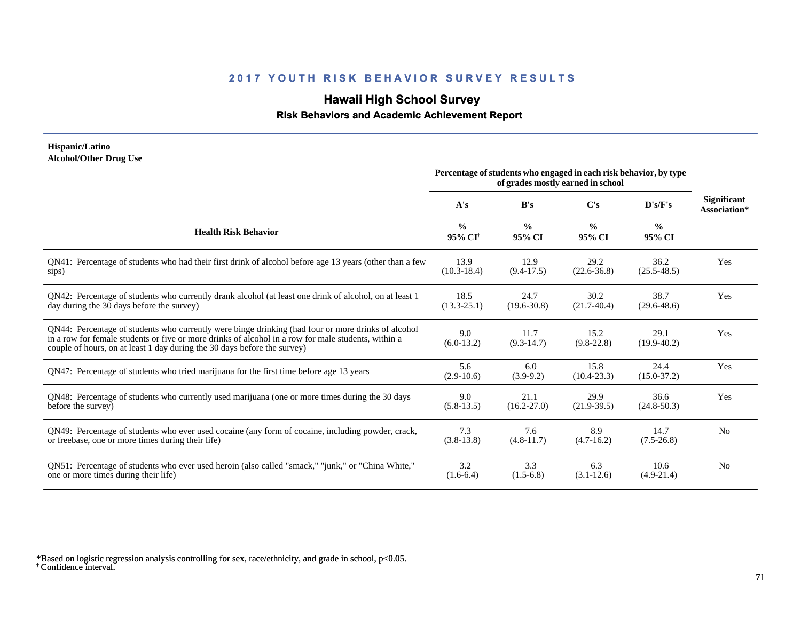## **Hawaii High School Survey**

#### **Risk Behaviors and Academic Achievement Report**

#### **Hispanic/Latino Alcohol/Other Drug Use**

|                                                                                                                                                                                                                                                                                       | Percentage of students who engaged in each risk behavior, by type<br>of grades mostly earned in school |                         |                         |                         |                             |
|---------------------------------------------------------------------------------------------------------------------------------------------------------------------------------------------------------------------------------------------------------------------------------------|--------------------------------------------------------------------------------------------------------|-------------------------|-------------------------|-------------------------|-----------------------------|
|                                                                                                                                                                                                                                                                                       | A's                                                                                                    | B's                     | $\bf C's$               | D's/F's                 | Significant<br>Association* |
| <b>Health Risk Behavior</b>                                                                                                                                                                                                                                                           | $\frac{0}{0}$<br>95% CI <sup>†</sup>                                                                   | $\frac{0}{0}$<br>95% CI | $\frac{0}{0}$<br>95% CI | $\frac{0}{0}$<br>95% CI |                             |
| QN41: Percentage of students who had their first drink of alcohol before age 13 years (other than a few                                                                                                                                                                               | 13.9                                                                                                   | 12.9                    | 29.2                    | 36.2                    | Yes                         |
| sips)                                                                                                                                                                                                                                                                                 | $(10.3-18.4)$                                                                                          | $(9.4-17.5)$            | $(22.6 - 36.8)$         | $(25.5 - 48.5)$         |                             |
| QN42: Percentage of students who currently drank alcohol (at least one drink of alcohol, on at least 1                                                                                                                                                                                | 18.5                                                                                                   | 24.7                    | 30.2                    | 38.7                    | Yes                         |
| day during the 30 days before the survey)                                                                                                                                                                                                                                             | $(13.3 - 25.1)$                                                                                        | $(19.6 - 30.8)$         | $(21.7-40.4)$           | $(29.6 - 48.6)$         |                             |
| QN44: Percentage of students who currently were binge drinking (had four or more drinks of alcohol<br>in a row for female students or five or more drinks of alcohol in a row for male students, within a<br>couple of hours, on at least 1 day during the 30 days before the survey) | 9.0<br>$(6.0-13.2)$                                                                                    | 11.7<br>$(9.3-14.7)$    | 15.2<br>$(9.8-22.8)$    | 29.1<br>$(19.9-40.2)$   | Yes                         |
| QN47: Percentage of students who tried marijuana for the first time before age 13 years                                                                                                                                                                                               | 5.6<br>$(2.9-10.6)$                                                                                    | 6.0<br>$(3.9-9.2)$      | 15.8<br>$(10.4 - 23.3)$ | 24.4<br>$(15.0 - 37.2)$ | Yes                         |
| QN48: Percentage of students who currently used marijuana (one or more times during the 30 days                                                                                                                                                                                       | 9.0                                                                                                    | 21.1                    | 29.9                    | 36.6                    | Yes                         |
| before the survey)                                                                                                                                                                                                                                                                    | $(5.8-13.5)$                                                                                           | $(16.2 - 27.0)$         | $(21.9-39.5)$           | $(24.8 - 50.3)$         |                             |
| QN49: Percentage of students who ever used cocaine (any form of cocaine, including powder, crack,                                                                                                                                                                                     | 7.3                                                                                                    | 7.6                     | 8.9                     | 14.7                    | N <sub>0</sub>              |
| or freebase, one or more times during their life)                                                                                                                                                                                                                                     | $(3.8-13.8)$                                                                                           | $(4.8-11.7)$            | $(4.7-16.2)$            | $(7.5-26.8)$            |                             |
| ON51: Percentage of students who ever used heroin (also called "smack," "junk," or "China White,"                                                                                                                                                                                     | 3.2                                                                                                    | 3.3                     | 6.3                     | 10.6                    | N <sub>0</sub>              |
| one or more times during their life)                                                                                                                                                                                                                                                  | $(1.6-6.4)$                                                                                            | $(1.5-6.8)$             | $(3.1 - 12.6)$          | $(4.9-21.4)$            |                             |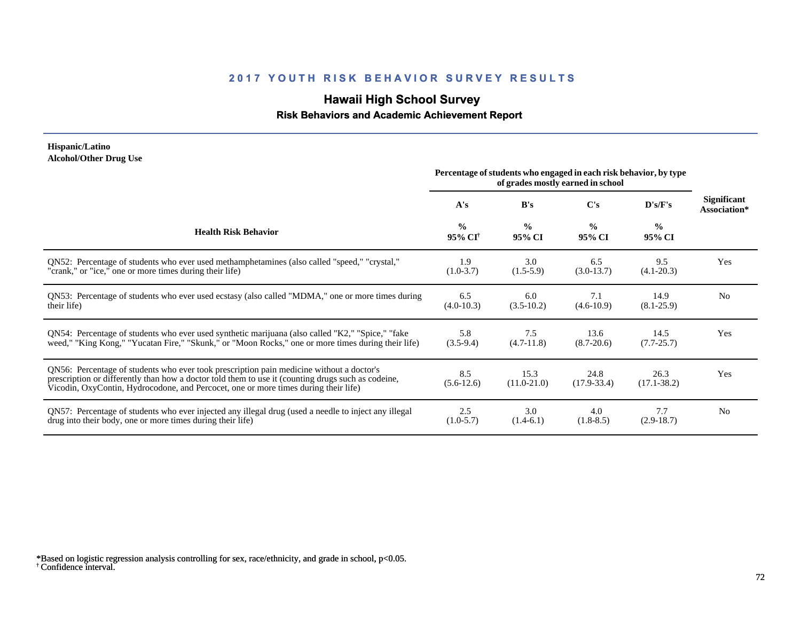## **Hawaii High School Survey**

#### **Risk Behaviors and Academic Achievement Report**

#### **Hispanic/Latino Alcohol/Other Drug Use**

|                                                                                                                                                                                                                                                                                       | Percentage of students who engaged in each risk behavior, by type<br>of grades mostly earned in school |                         |                         |                         |                                    |
|---------------------------------------------------------------------------------------------------------------------------------------------------------------------------------------------------------------------------------------------------------------------------------------|--------------------------------------------------------------------------------------------------------|-------------------------|-------------------------|-------------------------|------------------------------------|
|                                                                                                                                                                                                                                                                                       | A's                                                                                                    | B's                     | $\bf C's$               | D's/F's                 | <b>Significant</b><br>Association* |
| <b>Health Risk Behavior</b>                                                                                                                                                                                                                                                           | $\frac{0}{0}$<br>95% CI <sup>†</sup>                                                                   | $\frac{0}{0}$<br>95% CI | $\frac{0}{0}$<br>95% CI | $\frac{0}{0}$<br>95% CI |                                    |
| ON52: Percentage of students who ever used methamphetamines (also called "speed," "crystal,"                                                                                                                                                                                          | 1.9                                                                                                    | 3.0                     | 6.5                     | 9.5                     | Yes                                |
| "crank," or "ice," one or more times during their life)                                                                                                                                                                                                                               | $(1.0-3.7)$                                                                                            | $(1.5-5.9)$             | $(3.0-13.7)$            | $(4.1 - 20.3)$          |                                    |
| QN53: Percentage of students who ever used ecstasy (also called "MDMA," one or more times during                                                                                                                                                                                      | 6.5                                                                                                    | 6.0                     | 7.1                     | 14.9                    | N <sub>0</sub>                     |
| their life)                                                                                                                                                                                                                                                                           | $(4.0-10.3)$                                                                                           | $(3.5-10.2)$            | $(4.6-10.9)$            | $(8.1 - 25.9)$          |                                    |
| QN54: Percentage of students who ever used synthetic marijuana (also called "K2," "Spice," "fake                                                                                                                                                                                      | 5.8                                                                                                    | 7.5                     | 13.6                    | 14.5                    | Yes                                |
| weed," "King Kong," "Yucatan Fire," "Skunk," or "Moon Rocks," one or more times during their life)                                                                                                                                                                                    | $(3.5-9.4)$                                                                                            | $(4.7-11.8)$            | $(8.7 - 20.6)$          | $(7.7 - 25.7)$          |                                    |
| QN56: Percentage of students who ever took prescription pain medicine without a doctor's<br>prescription or differently than how a doctor told them to use it (counting drugs such as codeine,<br>Vicodin, OxyContin, Hydrocodone, and Percocet, one or more times during their life) | 8.5<br>$(5.6-12.6)$                                                                                    | 15.3<br>$(11.0-21.0)$   | 24.8<br>$(17.9 - 33.4)$ | 26.3<br>$(17.1 - 38.2)$ | Yes                                |
| QN57: Percentage of students who ever injected any illegal drug (used a needle to inject any illegal                                                                                                                                                                                  | 2.5                                                                                                    | 3.0                     | 4.0                     | 7.7                     | N <sub>0</sub>                     |
| drug into their body, one or more times during their life)                                                                                                                                                                                                                            | $(1.0-5.7)$                                                                                            | $(1.4-6.1)$             | $(1.8-8.5)$             | $(2.9-18.7)$            |                                    |

<sup>†</sup> Confidence interval. \*Based on logistic regression analysis controlling for sex, race/ethnicity, and grade in school, p<0.05.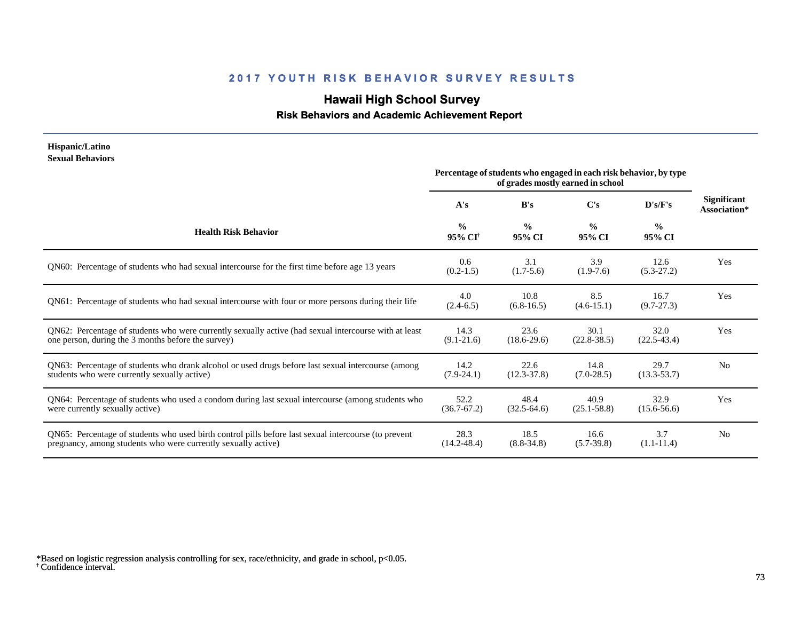# **Hawaii High School Survey**

# **Risk Behaviors and Academic Achievement Report**

| Hispanic/Latino<br><b>Sexual Behaviors</b>                                                                                                                            | Percentage of students who engaged in each risk behavior, by type |                         |                         |                         |                                    |
|-----------------------------------------------------------------------------------------------------------------------------------------------------------------------|-------------------------------------------------------------------|-------------------------|-------------------------|-------------------------|------------------------------------|
|                                                                                                                                                                       | A's                                                               | B's                     | $\bf C's$               | D's/F's                 | <b>Significant</b><br>Association* |
| <b>Health Risk Behavior</b>                                                                                                                                           | $\frac{0}{0}$<br>95% CI <sup>†</sup>                              | $\frac{0}{0}$<br>95% CI | $\frac{0}{0}$<br>95% CI | $\frac{0}{0}$<br>95% CI |                                    |
| QN60: Percentage of students who had sexual intercourse for the first time before age 13 years                                                                        | $0.6^{\circ}$<br>$(0.2-1.5)$                                      | 3.1<br>$(1.7-5.6)$      | 3.9<br>$(1.9-7.6)$      | 12.6<br>$(5.3-27.2)$    | Yes                                |
| QN61: Percentage of students who had sexual intercourse with four or more persons during their life                                                                   | 4.0<br>$(2.4-6.5)$                                                | 10.8<br>$(6.8-16.5)$    | 8.5<br>$(4.6-15.1)$     | 16.7<br>$(9.7 - 27.3)$  | Yes                                |
| QN62: Percentage of students who were currently sexually active (had sexual intercourse with at least<br>one person, during the 3 months before the survey)           | 14.3<br>$(9.1 - 21.6)$                                            | 23.6<br>$(18.6 - 29.6)$ | 30.1<br>$(22.8 - 38.5)$ | 32.0<br>$(22.5 - 43.4)$ | Yes                                |
| QN63: Percentage of students who drank alcohol or used drugs before last sexual intercourse (among<br>students who were currently sexually active)                    | 14.2<br>$(7.9-24.1)$                                              | 22.6<br>$(12.3 - 37.8)$ | 14.8<br>$(7.0-28.5)$    | 29.7<br>$(13.3 - 53.7)$ | N <sub>0</sub>                     |
| QN64: Percentage of students who used a condom during last sexual intercourse (among students who<br>were currently sexually active)                                  | 52.2<br>$(36.7 - 67.2)$                                           | 48.4<br>$(32.5-64.6)$   | 40.9<br>$(25.1 - 58.8)$ | 32.9<br>$(15.6 - 56.6)$ | Yes                                |
| QN65: Percentage of students who used birth control pills before last sexual intercourse (to prevent<br>pregnancy, among students who were currently sexually active) | 28.3<br>$(14.2 - 48.4)$                                           | 18.5<br>$(8.8 - 34.8)$  | 16.6<br>$(5.7-39.8)$    | 3.7<br>$(1.1-11.4)$     | N <sub>0</sub>                     |

<sup>†</sup> Confidence interval. \*Based on logistic regression analysis controlling for sex, race/ethnicity, and grade in school, p<0.05.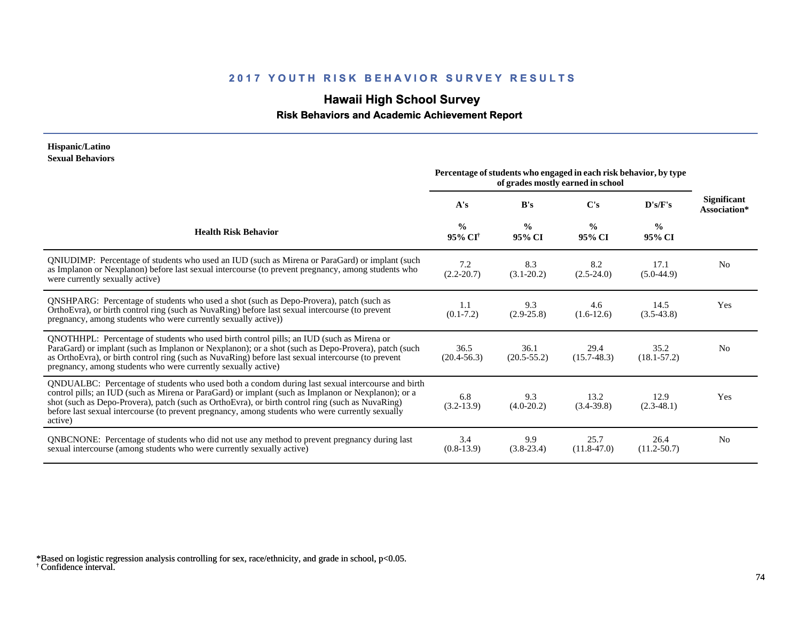# **Hawaii High School Survey**

 **Risk Behaviors and Academic Achievement Report**

#### **Hispanic/Latino Sexual Behaviors**

|                                                                                                                                                                                                                                                                                                                                                                                                                            | Percentage of students who engaged in each risk behavior, by type<br>of grades mostly earned in school |                         |                         |                         |                                    |
|----------------------------------------------------------------------------------------------------------------------------------------------------------------------------------------------------------------------------------------------------------------------------------------------------------------------------------------------------------------------------------------------------------------------------|--------------------------------------------------------------------------------------------------------|-------------------------|-------------------------|-------------------------|------------------------------------|
|                                                                                                                                                                                                                                                                                                                                                                                                                            | A's                                                                                                    | B's                     | C's                     | D's/F's                 | <b>Significant</b><br>Association* |
| <b>Health Risk Behavior</b>                                                                                                                                                                                                                                                                                                                                                                                                | $\frac{0}{0}$<br>$95\%$ CI <sup>†</sup>                                                                | $\frac{0}{0}$<br>95% CI | $\frac{0}{0}$<br>95% CI | $\frac{0}{0}$<br>95% CI |                                    |
| QNIUDIMP: Percentage of students who used an IUD (such as Mirena or ParaGard) or implant (such<br>as Implanon or Nexplanon) before last sexual intercourse (to prevent pregnancy, among students who<br>were currently sexually active)                                                                                                                                                                                    | 7.2<br>$(2.2 - 20.7)$                                                                                  | 8.3<br>$(3.1 - 20.2)$   | 8.2<br>$(2.5 - 24.0)$   | 17.1<br>$(5.0-44.9)$    | N <sub>0</sub>                     |
| <b>QNSHPARG:</b> Percentage of students who used a shot (such as Depo-Provera), patch (such as<br>OrthoEvra), or birth control ring (such as NuvaRing) before last sexual intercourse (to prevent<br>pregnancy, among students who were currently sexually active))                                                                                                                                                        | 1.1<br>$(0.1 - 7.2)$                                                                                   | 9.3<br>$(2.9-25.8)$     | 4.6<br>$(1.6-12.6)$     | 14.5<br>$(3.5-43.8)$    | Yes                                |
| QNOTHHPL: Percentage of students who used birth control pills; an IUD (such as Mirena or<br>ParaGard) or implant (such as Implanon or Nexplanon); or a shot (such as Depo-Provera), patch (such<br>as OrthoEvra), or birth control ring (such as NuvaRing) before last sexual intercourse (to prevent<br>pregnancy, among students who were currently sexually active)                                                     | 36.5<br>$(20.4 - 56.3)$                                                                                | 36.1<br>$(20.5 - 55.2)$ | 29.4<br>$(15.7 - 48.3)$ | 35.2<br>$(18.1 - 57.2)$ | N <sub>0</sub>                     |
| QNDUALBC: Percentage of students who used both a condom during last sexual intercourse and birth<br>control pills; an IUD (such as Mirena or ParaGard) or implant (such as Implanon or Nexplanon); or a<br>shot (such as Depo-Provera), patch (such as OrthoEvra), or birth control ring (such as NuvaRing)<br>before last sexual intercourse (to prevent pregnancy, among students who were currently sexually<br>active) | 6.8<br>$(3.2-13.9)$                                                                                    | 9.3<br>$(4.0-20.2)$     | 13.2<br>$(3.4-39.8)$    | 12.9<br>$(2.3-48.1)$    | Yes                                |
| QNBCNONE: Percentage of students who did not use any method to prevent pregnancy during last<br>sexual intercourse (among students who were currently sexually active)                                                                                                                                                                                                                                                     | 3.4<br>$(0.8-13.9)$                                                                                    | 9.9<br>$(3.8-23.4)$     | 25.7<br>$(11.8 - 47.0)$ | 26.4<br>$(11.2 - 50.7)$ | N <sub>0</sub>                     |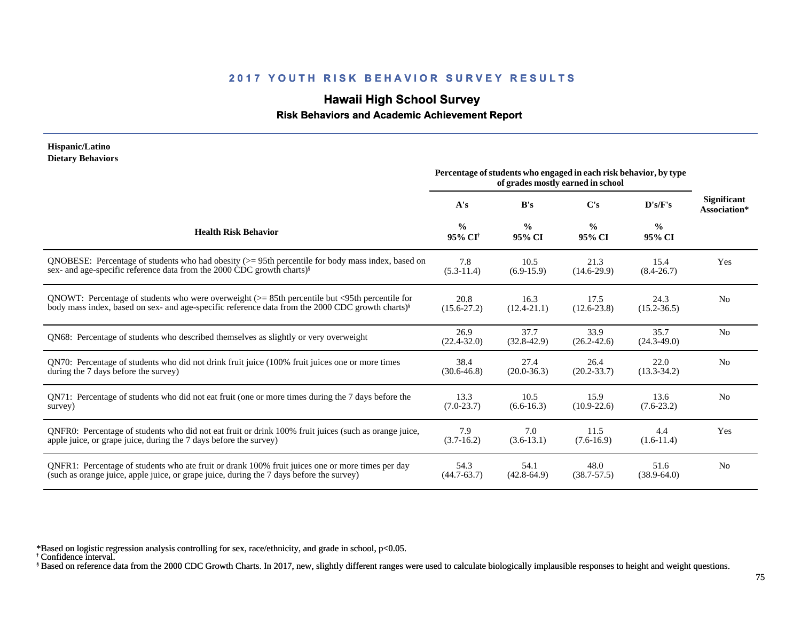# **Hawaii High School Survey**

### **Risk Behaviors and Academic Achievement Report**

| Hispanic/Latino<br><b>Dietary Behaviors</b>                                                                  |                                      |                         |                                                                                                        |                         |                                    |
|--------------------------------------------------------------------------------------------------------------|--------------------------------------|-------------------------|--------------------------------------------------------------------------------------------------------|-------------------------|------------------------------------|
|                                                                                                              |                                      |                         | Percentage of students who engaged in each risk behavior, by type<br>of grades mostly earned in school |                         |                                    |
|                                                                                                              | A's                                  | B's                     | $\bf C's$                                                                                              | D's/F's                 | <b>Significant</b><br>Association* |
| <b>Health Risk Behavior</b>                                                                                  | $\frac{0}{0}$<br>95% CI <sup>+</sup> | $\frac{0}{0}$<br>95% CI | $\frac{0}{0}$<br>95% CI                                                                                | $\frac{0}{0}$<br>95% CI |                                    |
| QNOBESE: Percentage of students who had obesity $(>= 95$ th percentile for body mass index, based on         | 7.8                                  | 10.5                    | 21.3                                                                                                   | 15.4                    | Yes                                |
| sex- and age-specific reference data from the 2000 CDC growth charts) <sup>§</sup>                           | $(5.3-11.4)$                         | $(6.9-15.9)$            | $(14.6-29.9)$                                                                                          | $(8.4 - 26.7)$          |                                    |
| QNOWT: Percentage of students who were overweight $(>= 85$ th percentile but <95th percentile for            | 20.8                                 | 16.3                    | 17.5                                                                                                   | 24.3                    | N <sub>0</sub>                     |
| body mass index, based on sex- and age-specific reference data from the 2000 CDC growth charts) <sup>§</sup> | $(15.6 - 27.2)$                      | $(12.4 - 21.1)$         | $(12.6 - 23.8)$                                                                                        | $(15.2 - 36.5)$         |                                    |
| QN68: Percentage of students who described themselves as slightly or very overweight                         | 26.9<br>$(22.4 - 32.0)$              | 37.7<br>$(32.8-42.9)$   | 33.9<br>$(26.2 - 42.6)$                                                                                | 35.7<br>$(24.3 - 49.0)$ | N <sub>0</sub>                     |
| QN70: Percentage of students who did not drink fruit juice (100% fruit juices one or more times              | 38.4                                 | 27.4                    | 26.4                                                                                                   | 22.0                    | N <sub>0</sub>                     |
| during the 7 days before the survey)                                                                         | $(30.6 - 46.8)$                      | $(20.0 - 36.3)$         | $(20.2 - 33.7)$                                                                                        | $(13.3 - 34.2)$         |                                    |
| QN71: Percentage of students who did not eat fruit (one or more times during the 7 days before the           | 13.3                                 | 10.5                    | 15.9                                                                                                   | 13.6                    | N <sub>0</sub>                     |
| survey)                                                                                                      | $(7.0-23.7)$                         | $(6.6-16.3)$            | $(10.9 - 22.6)$                                                                                        | $(7.6-23.2)$            |                                    |
| QNFR0: Percentage of students who did not eat fruit or drink 100% fruit juices (such as orange juice,        | 7.9                                  | 7.0                     | 11.5                                                                                                   | 4.4                     | Yes                                |
| apple juice, or grape juice, during the 7 days before the survey)                                            | $(3.7-16.2)$                         | $(3.6-13.1)$            | $(7.6-16.9)$                                                                                           | $(1.6-11.4)$            |                                    |
| QNFR1: Percentage of students who ate fruit or drank 100% fruit juices one or more times per day             | 54.3                                 | 54.1                    | 48.0                                                                                                   | 51.6                    | N <sub>0</sub>                     |
| (such as orange juice, apple juice, or grape juice, during the 7 days before the survey)                     | $(44.7 - 63.7)$                      | $(42.8 - 64.9)$         | $(38.7 - 57.5)$                                                                                        | $(38.9 - 64.0)$         |                                    |

\*Based on logistic regression analysis controlling for sex, race/ethnicity, and grade in school, p<0.05.

† Confidence interval.

§ Based on reference data from the 2000 CDC Growth Charts. In 2017, new, slightly different ranges were used to calculate biologically implausible responses to height and weight questions.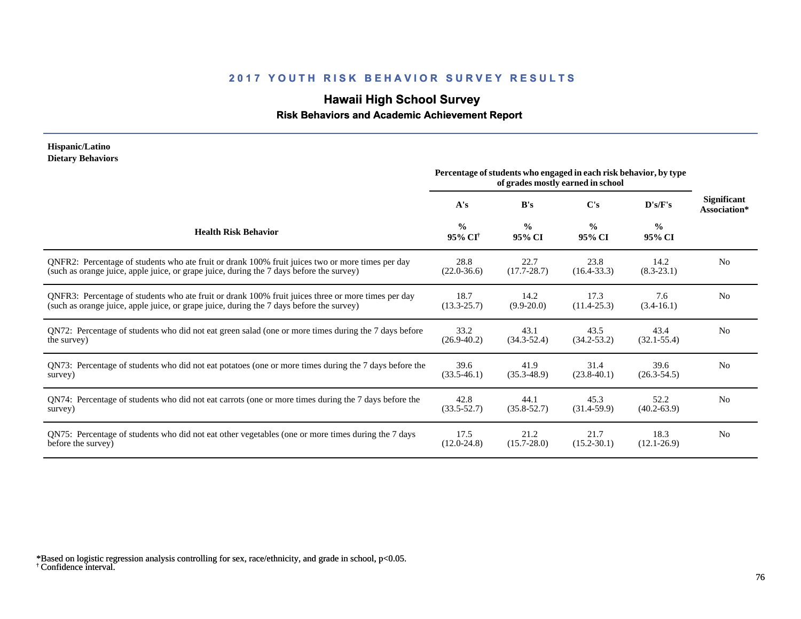# **Hawaii High School Survey**

#### **Risk Behaviors and Academic Achievement Report**

#### **Hispanic/Latino Dietary Behaviors**

|                                                                                                       | Percentage of students who engaged in each risk behavior, by type<br>of grades mostly earned in school |                         |                         |                         |                                    |
|-------------------------------------------------------------------------------------------------------|--------------------------------------------------------------------------------------------------------|-------------------------|-------------------------|-------------------------|------------------------------------|
|                                                                                                       | A's                                                                                                    | B's                     | $\bf C's$               | D's/F's                 | <b>Significant</b><br>Association* |
| <b>Health Risk Behavior</b>                                                                           | $\frac{0}{0}$<br>95% CI <sup>†</sup>                                                                   | $\frac{0}{0}$<br>95% CI | $\frac{0}{0}$<br>95% CI | $\frac{6}{6}$<br>95% CI |                                    |
| ONFR2: Percentage of students who ate fruit or drank 100% fruit juices two or more times per day      | 28.8                                                                                                   | 22.7                    | 23.8                    | 14.2                    | N <sub>0</sub>                     |
| (such as orange juice, apple juice, or grape juice, during the 7 days before the survey)              | $(22.0 - 36.6)$                                                                                        | $(17.7 - 28.7)$         | $(16.4 - 33.3)$         | $(8.3-23.1)$            |                                    |
| QNFR3: Percentage of students who ate fruit or drank 100% fruit juices three or more times per day    | 18.7                                                                                                   | 14.2                    | 17.3                    | 7.6                     | N <sub>0</sub>                     |
| (such as orange juice, apple juice, or grape juice, during the 7 days before the survey)              | $(13.3 - 25.7)$                                                                                        | $(9.9 - 20.0)$          | $(11.4 - 25.3)$         | $(3.4-16.1)$            |                                    |
| QN72: Percentage of students who did not eat green salad (one or more times during the 7 days before  | 33.2                                                                                                   | 43.1                    | 43.5                    | 43.4                    | N <sub>o</sub>                     |
| the survey)                                                                                           | $(26.9 - 40.2)$                                                                                        | $(34.3 - 52.4)$         | $(34.2 - 53.2)$         | $(32.1 - 55.4)$         |                                    |
| QN73: Percentage of students who did not eat potatoes (one or more times during the 7 days before the | 39.6                                                                                                   | 41.9                    | 31.4                    | 39.6                    | N <sub>0</sub>                     |
| survey)                                                                                               | $(33.5-46.1)$                                                                                          | $(35.3 - 48.9)$         | $(23.8-40.1)$           | $(26.3 - 54.5)$         |                                    |
| QN74: Percentage of students who did not eat carrots (one or more times during the 7 days before the  | 42.8                                                                                                   | 44.1                    | 45.3                    | 52.2                    | N <sub>o</sub>                     |
| survey)                                                                                               | $(33.5 - 52.7)$                                                                                        | $(35.8 - 52.7)$         | $(31.4-59.9)$           | $(40.2 - 63.9)$         |                                    |
| QN75: Percentage of students who did not eat other vegetables (one or more times during the 7 days    | 17.5                                                                                                   | 21.2                    | 21.7                    | 18.3                    | N <sub>o</sub>                     |
| before the survey)                                                                                    | $(12.0 - 24.8)$                                                                                        | $(15.7 - 28.0)$         | $(15.2 - 30.1)$         | $(12.1 - 26.9)$         |                                    |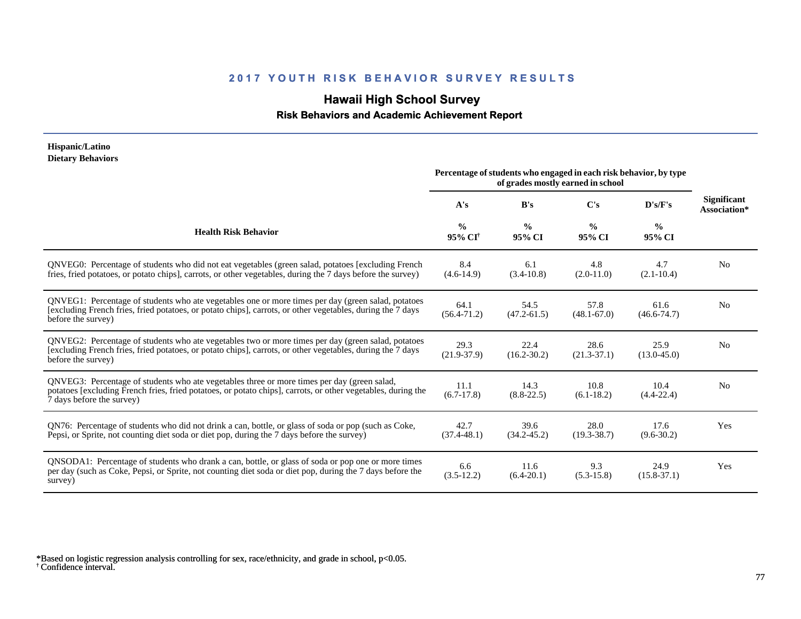# **Hawaii High School Survey**

 **Risk Behaviors and Academic Achievement Report**

#### **Hispanic/Latino Dietary Behaviors**

|                                                                                                                                                                                                                                          | Percentage of students who engaged in each risk behavior, by type |                         |                         |                         |                                    |
|------------------------------------------------------------------------------------------------------------------------------------------------------------------------------------------------------------------------------------------|-------------------------------------------------------------------|-------------------------|-------------------------|-------------------------|------------------------------------|
|                                                                                                                                                                                                                                          | A's                                                               | B's                     | C's                     | D's/F's                 | <b>Significant</b><br>Association* |
| <b>Health Risk Behavior</b>                                                                                                                                                                                                              | $\frac{0}{0}$<br>95% CI <sup>†</sup>                              | $\frac{0}{0}$<br>95% CI | $\frac{0}{0}$<br>95% CI | $\frac{6}{6}$<br>95% CI |                                    |
| QNVEG0: Percentage of students who did not eat vegetables (green salad, potatoes [excluding French<br>fries, fried potatoes, or potato chips], carrots, or other vegetables, during the 7 days before the survey)                        | 8.4<br>$(4.6-14.9)$                                               | 6.1<br>$(3.4 - 10.8)$   | 4.8<br>$(2.0-11.0)$     | 4.7<br>$(2.1 - 10.4)$   | N <sub>o</sub>                     |
| QNVEG1: Percentage of students who ate vegetables one or more times per day (green salad, potatoes<br>[excluding French fries, fried potatoes, or potato chips], carrots, or other vegetables, during the 7 days<br>before the survey)   | 64.1<br>$(56.4 - 71.2)$                                           | 54.5<br>$(47.2 - 61.5)$ | 57.8<br>$(48.1 - 67.0)$ | 61.6<br>$(46.6 - 74.7)$ | N <sub>0</sub>                     |
| QNVEG2: Percentage of students who ate vegetables two or more times per day (green salad, potatoes<br>[excluding French fries, fried potatoes, or potato chips], carrots, or other vegetables, during the 7 days<br>before the survey)   | 29.3<br>$(21.9 - 37.9)$                                           | 22.4<br>$(16.2 - 30.2)$ | 28.6<br>$(21.3-37.1)$   | 25.9<br>$(13.0 - 45.0)$ | N <sub>0</sub>                     |
| QNVEG3: Percentage of students who ate vegetables three or more times per day (green salad,<br>potatoes [excluding French fries, fried potatoes, or potato chips], carrots, or other vegetables, during the<br>7 days before the survey) | 11.1<br>$(6.7-17.8)$                                              | 14.3<br>$(8.8 - 22.5)$  | 10.8<br>$(6.1 - 18.2)$  | 10.4<br>$(4.4 - 22.4)$  | N <sub>0</sub>                     |
| QN76: Percentage of students who did not drink a can, bottle, or glass of soda or pop (such as Coke,<br>Pepsi, or Sprite, not counting diet soda or diet pop, during the 7 days before the survey)                                       | 42.7<br>$(37.4 - 48.1)$                                           | 39.6<br>$(34.2 - 45.2)$ | 28.0<br>$(19.3 - 38.7)$ | 17.6<br>$(9.6 - 30.2)$  | Yes                                |
| QNSODA1: Percentage of students who drank a can, bottle, or glass of soda or pop one or more times<br>per day (such as Coke, Pepsi, or Sprite, not counting diet soda or diet pop, during the 7 days before the<br>survey)               | 6.6<br>$(3.5-12.2)$                                               | 11.6<br>$(6.4-20.1)$    | 9.3<br>$(5.3 - 15.8)$   | 24.9<br>$(15.8 - 37.1)$ | Yes                                |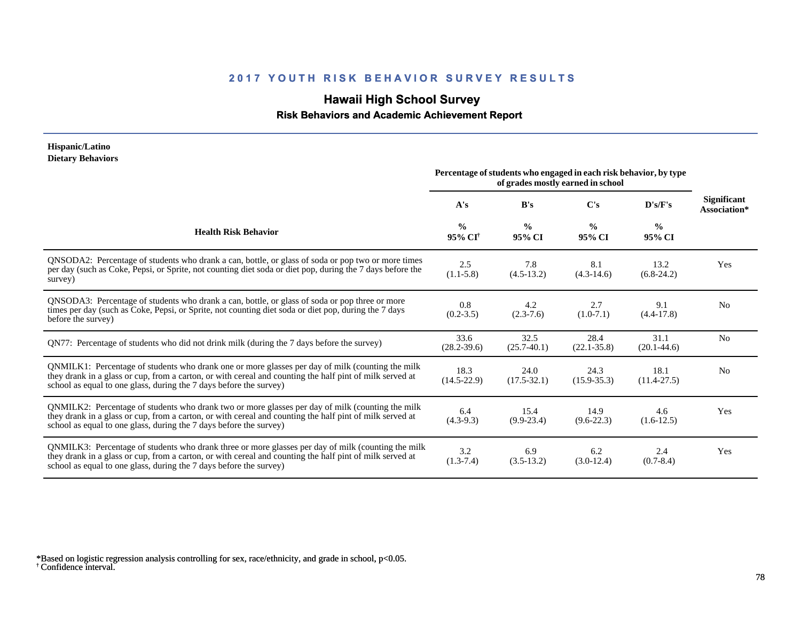# **Hawaii High School Survey**

#### **Risk Behaviors and Academic Achievement Report**

#### **Hispanic/Latino Dietary Behaviors**

|                                                                                                                                                                                                                                                                                      | Percentage of students who engaged in each risk behavior, by type<br>of grades mostly earned in school |                         |                         |                         |                                    |
|--------------------------------------------------------------------------------------------------------------------------------------------------------------------------------------------------------------------------------------------------------------------------------------|--------------------------------------------------------------------------------------------------------|-------------------------|-------------------------|-------------------------|------------------------------------|
|                                                                                                                                                                                                                                                                                      | A's                                                                                                    | B's                     | $\bf C's$               | D's/F's                 | <b>Significant</b><br>Association* |
| <b>Health Risk Behavior</b>                                                                                                                                                                                                                                                          | $\frac{0}{0}$<br>95% CI <sup>†</sup>                                                                   | $\frac{0}{0}$<br>95% CI | $\frac{0}{0}$<br>95% CI | $\frac{0}{0}$<br>95% CI |                                    |
| QNSODA2: Percentage of students who drank a can, bottle, or glass of soda or pop two or more times<br>per day (such as Coke, Pepsi, or Sprite, not counting diet soda or diet pop, during the 7 days before the<br>survey)                                                           | 2.5<br>$(1.1-5.8)$                                                                                     | 7.8<br>$(4.5-13.2)$     | 8.1<br>$(4.3-14.6)$     | 13.2<br>$(6.8-24.2)$    | Yes                                |
| QNSODA3: Percentage of students who drank a can, bottle, or glass of soda or pop three or more<br>times per day (such as Coke, Pepsi, or Sprite, not counting diet soda or diet pop, during the 7 days<br>before the survey)                                                         | 0.8<br>$(0.2 - 3.5)$                                                                                   | 4.2<br>$(2.3 - 7.6)$    | 2.7<br>$(1.0-7.1)$      | 9.1<br>$(4.4 - 17.8)$   | N <sub>0</sub>                     |
| QN77: Percentage of students who did not drink milk (during the 7 days before the survey)                                                                                                                                                                                            | 33.6<br>$(28.2 - 39.6)$                                                                                | 32.5<br>$(25.7-40.1)$   | 28.4<br>$(22.1 - 35.8)$ | 31.1<br>$(20.1 - 44.6)$ | N <sub>0</sub>                     |
| QNMILK1: Percentage of students who drank one or more glasses per day of milk (counting the milk<br>they drank in a glass or cup, from a carton, or with cereal and counting the half pint of milk served at<br>school as equal to one glass, during the 7 days before the survey)   | 18.3<br>$(14.5 - 22.9)$                                                                                | 24.0<br>$(17.5 - 32.1)$ | 24.3<br>$(15.9 - 35.3)$ | 18.1<br>$(11.4 - 27.5)$ | N <sub>0</sub>                     |
| QNMILK2: Percentage of students who drank two or more glasses per day of milk (counting the milk<br>they drank in a glass or cup, from a carton, or with cereal and counting the half pint of milk served at<br>school as equal to one glass, during the 7 days before the survey)   | 6.4<br>$(4.3-9.3)$                                                                                     | 15.4<br>$(9.9-23.4)$    | 14.9<br>$(9.6-22.3)$    | 4.6<br>$(1.6-12.5)$     | Yes                                |
| QNMILK3: Percentage of students who drank three or more glasses per day of milk (counting the milk<br>they drank in a glass or cup, from a carton, or with cereal and counting the half pint of milk served at<br>school as equal to one glass, during the 7 days before the survey) | 3.2<br>$(1.3-7.4)$                                                                                     | 6.9<br>$(3.5-13.2)$     | 6.2<br>$(3.0-12.4)$     | 2.4<br>$(0.7 - 8.4)$    | Yes                                |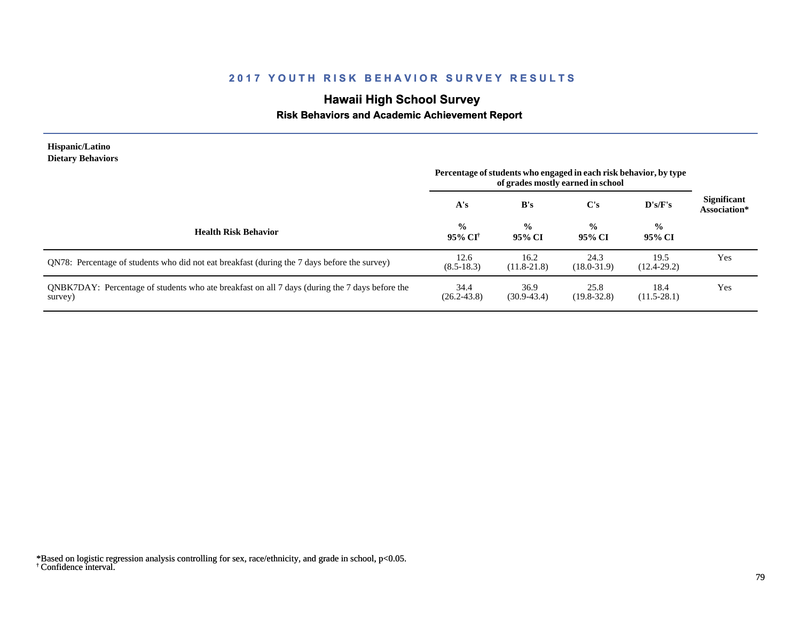# **Hawaii High School Survey**

### **Risk Behaviors and Academic Achievement Report**

| <b>Hispanic/Latino</b><br><b>Dietary Behaviors</b>                                                        | Percentage of students who engaged in each risk behavior, by type<br>of grades mostly earned in school |                         |                         |                          |                                    |
|-----------------------------------------------------------------------------------------------------------|--------------------------------------------------------------------------------------------------------|-------------------------|-------------------------|--------------------------|------------------------------------|
|                                                                                                           | A's                                                                                                    | B's                     | $\bf C's$               | D's/F's                  | <b>Significant</b><br>Association* |
| <b>Health Risk Behavior</b>                                                                               | $\frac{6}{6}$<br>95% CI†                                                                               | $\frac{0}{0}$<br>95% CI | $\frac{0}{0}$<br>95% CI | $\frac{6}{10}$<br>95% CI |                                    |
| QN78: Percentage of students who did not eat breakfast (during the 7 days before the survey)              | 12.6<br>$(8.5 - 18.3)$                                                                                 | 16.2<br>$(11.8-21.8)$   | 24.3<br>$(18.0 - 31.9)$ | 19.5<br>$(12.4 - 29.2)$  | Yes                                |
| QNBK7DAY: Percentage of students who ate breakfast on all 7 days (during the 7 days before the<br>survey) | 34.4<br>$(26.2 - 43.8)$                                                                                | 36.9<br>$(30.9 - 43.4)$ | 25.8<br>$(19.8 - 32.8)$ | 18.4<br>$(11.5-28.1)$    | Yes                                |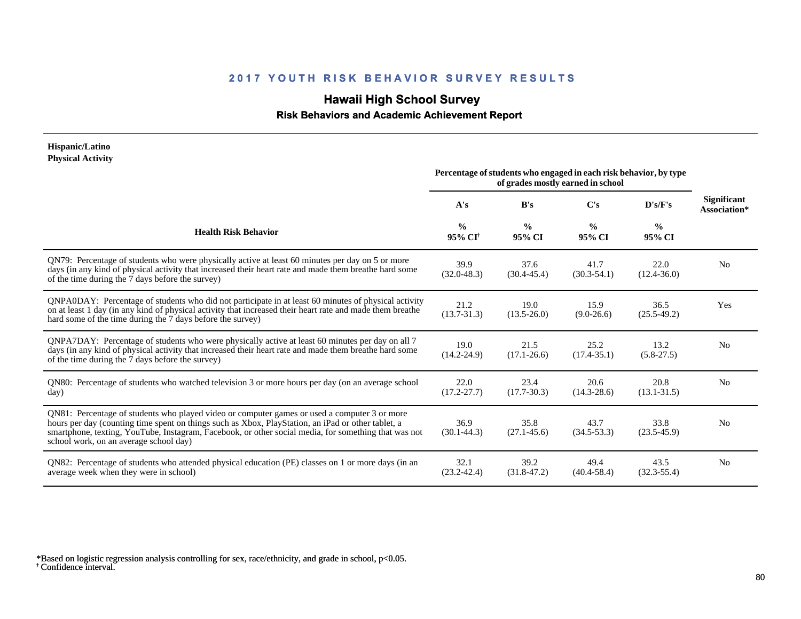# **Hawaii High School Survey**

 **Risk Behaviors and Academic Achievement Report**

#### **Hispanic/Latino Physical Activity**

|                                                                                                                                                                                                                                                                                                                                                      | Percentage of students who engaged in each risk behavior, by type<br>of grades mostly earned in school |                         |                         |                         |                                    |
|------------------------------------------------------------------------------------------------------------------------------------------------------------------------------------------------------------------------------------------------------------------------------------------------------------------------------------------------------|--------------------------------------------------------------------------------------------------------|-------------------------|-------------------------|-------------------------|------------------------------------|
|                                                                                                                                                                                                                                                                                                                                                      | A's                                                                                                    | B's                     | C's                     | D's/F's                 | <b>Significant</b><br>Association* |
| <b>Health Risk Behavior</b>                                                                                                                                                                                                                                                                                                                          | $\frac{0}{0}$<br>95% CI <sup>†</sup>                                                                   | $\frac{6}{6}$<br>95% CI | $\frac{0}{0}$<br>95% CI | $\frac{0}{0}$<br>95% CI |                                    |
| QN79: Percentage of students who were physically active at least 60 minutes per day on 5 or more<br>days (in any kind of physical activity that increased their heart rate and made them breathe hard some<br>of the time during the 7 days before the survey)                                                                                       | 39.9<br>$(32.0 - 48.3)$                                                                                | 37.6<br>$(30.4 - 45.4)$ | 41.7<br>$(30.3 - 54.1)$ | 22.0<br>$(12.4 - 36.0)$ | N <sub>0</sub>                     |
| QNPA0DAY: Percentage of students who did not participate in at least 60 minutes of physical activity<br>on at least 1 day (in any kind of physical activity that increased their heart rate and made them breathe<br>hard some of the time during the 7 days before the survey)                                                                      | 21.2<br>$(13.7 - 31.3)$                                                                                | 19.0<br>$(13.5 - 26.0)$ | 15.9<br>$(9.0-26.6)$    | 36.5<br>$(25.5-49.2)$   | Yes                                |
| ONPA7DAY: Percentage of students who were physically active at least 60 minutes per day on all 7<br>days (in any kind of physical activity that increased their heart rate and made them breathe hard some<br>of the time during the 7 days before the survey)                                                                                       | 19.0<br>$(14.2 - 24.9)$                                                                                | 21.5<br>$(17.1 - 26.6)$ | 25.2<br>$(17.4 - 35.1)$ | 13.2<br>$(5.8-27.5)$    | N <sub>0</sub>                     |
| QN80: Percentage of students who watched television 3 or more hours per day (on an average school<br>day)                                                                                                                                                                                                                                            | 22.0<br>$(17.2 - 27.7)$                                                                                | 23.4<br>$(17.7 - 30.3)$ | 20.6<br>$(14.3 - 28.6)$ | 20.8<br>$(13.1 - 31.5)$ | N <sub>0</sub>                     |
| QN81: Percentage of students who played video or computer games or used a computer 3 or more<br>hours per day (counting time spent on things such as Xbox, PlayStation, an iPad or other tablet, a<br>smartphone, texting, YouTube, Instagram, Facebook, or other social media, for something that was not<br>school work, on an average school day) | 36.9<br>$(30.1 - 44.3)$                                                                                | 35.8<br>$(27.1 - 45.6)$ | 43.7<br>$(34.5 - 53.3)$ | 33.8<br>$(23.5 - 45.9)$ | N <sub>0</sub>                     |
| QN82: Percentage of students who attended physical education (PE) classes on 1 or more days (in an<br>average week when they were in school)                                                                                                                                                                                                         | 32.1<br>$(23.2 - 42.4)$                                                                                | 39.2<br>$(31.8 - 47.2)$ | 49.4<br>$(40.4 - 58.4)$ | 43.5<br>$(32.3 - 55.4)$ | N <sub>0</sub>                     |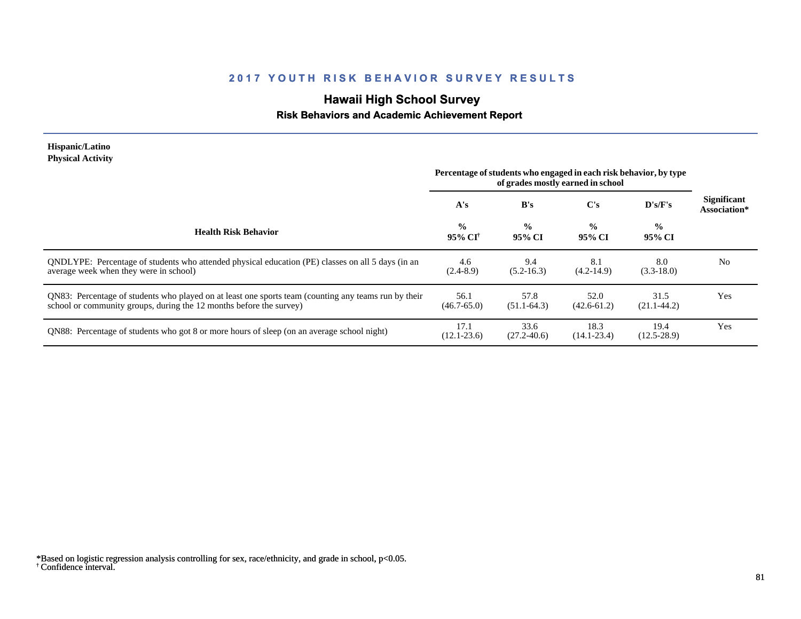# **Hawaii High School Survey**

### **Risk Behaviors and Academic Achievement Report**

#### **Hispanic/Latino Physical Activity**

| 1 11 yəllar tallı yıly                                                                                                                                                      | Percentage of students who engaged in each risk behavior, by type<br>of grades mostly earned in school |                         |                         |                         |                                    |
|-----------------------------------------------------------------------------------------------------------------------------------------------------------------------------|--------------------------------------------------------------------------------------------------------|-------------------------|-------------------------|-------------------------|------------------------------------|
|                                                                                                                                                                             | A's                                                                                                    | B's                     | $\bf C's$               | D's/F's                 | <b>Significant</b><br>Association* |
| <b>Health Risk Behavior</b>                                                                                                                                                 | $\frac{0}{0}$<br>95% CI <sup>†</sup>                                                                   | $\frac{0}{0}$<br>95% CI | $\frac{0}{0}$<br>95% CI | $\frac{0}{0}$<br>95% CI |                                    |
| QNDLYPE: Percentage of students who attended physical education (PE) classes on all 5 days (in an<br>average week when they were in school)                                 | 4.6<br>$(2.4 - 8.9)$                                                                                   | 9.4<br>$(5.2 - 16.3)$   | 8.1<br>$(4.2-14.9)$     | 8.0<br>$(3.3-18.0)$     | N <sub>0</sub>                     |
| QN83: Percentage of students who played on at least one sports team (counting any teams run by their<br>school or community groups, during the 12 months before the survey) | 56.1<br>$(46.7 - 65.0)$                                                                                | 57.8<br>$(51.1-64.3)$   | 52.0<br>$(42.6 - 61.2)$ | 31.5<br>$(21.1 - 44.2)$ | Yes                                |
| QN88: Percentage of students who got 8 or more hours of sleep (on an average school night)                                                                                  | 17.1<br>$(12.1 - 23.6)$                                                                                | 33.6<br>$(27.2 - 40.6)$ | 18.3<br>$(14.1 - 23.4)$ | 19.4<br>$(12.5 - 28.9)$ | Yes                                |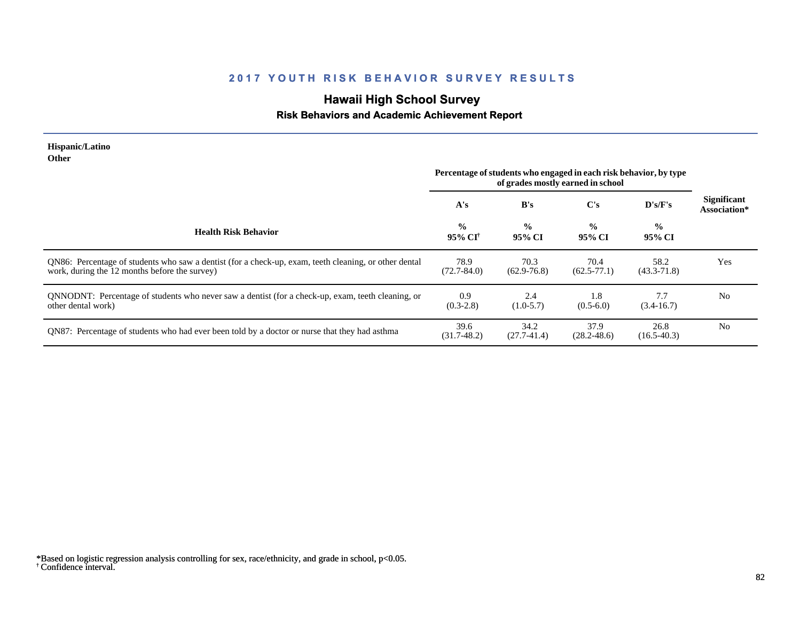# **Hawaii High School Survey**

#### **Risk Behaviors and Academic Achievement Report**

#### **Hispanic/Latino Other**

|                                                                                                                                                        | Percentage of students who engaged in each risk behavior, by type<br>of grades mostly earned in school |                         |                         |                         |                                    |
|--------------------------------------------------------------------------------------------------------------------------------------------------------|--------------------------------------------------------------------------------------------------------|-------------------------|-------------------------|-------------------------|------------------------------------|
|                                                                                                                                                        | A's                                                                                                    | B's                     | $\bf C's$               | D's/F's                 | <b>Significant</b><br>Association* |
| <b>Health Risk Behavior</b>                                                                                                                            | $\frac{0}{0}$<br>95% CI <sup>†</sup>                                                                   | $\frac{0}{0}$<br>95% CI | $\frac{0}{0}$<br>95% CI | $\frac{0}{0}$<br>95% CI |                                    |
| QN86: Percentage of students who saw a dentist (for a check-up, exam, teeth cleaning, or other dental<br>work, during the 12 months before the survey) | 78.9<br>$(72.7 - 84.0)$                                                                                | 70.3<br>$(62.9 - 76.8)$ | 70.4<br>$(62.5 - 77.1)$ | 58.2<br>$(43.3 - 71.8)$ | Yes                                |
| ONNODNT: Percentage of students who never saw a dentist (for a check-up, exam, teeth cleaning, or<br>other dental work)                                | 0.9<br>$(0.3-2.8)$                                                                                     | 2.4<br>$(1.0-5.7)$      | 1.8<br>$(0.5-6.0)$      | 7.7<br>$(3.4 - 16.7)$   | No                                 |
| QN87: Percentage of students who had ever been told by a doctor or nurse that they had asthma                                                          | 39.6<br>$(31.7-48.2)$                                                                                  | 34.2<br>$(27.7-41.4)$   | 37.9<br>$(28.2 - 48.6)$ | 26.8<br>$(16.5-40.3)$   | N <sub>0</sub>                     |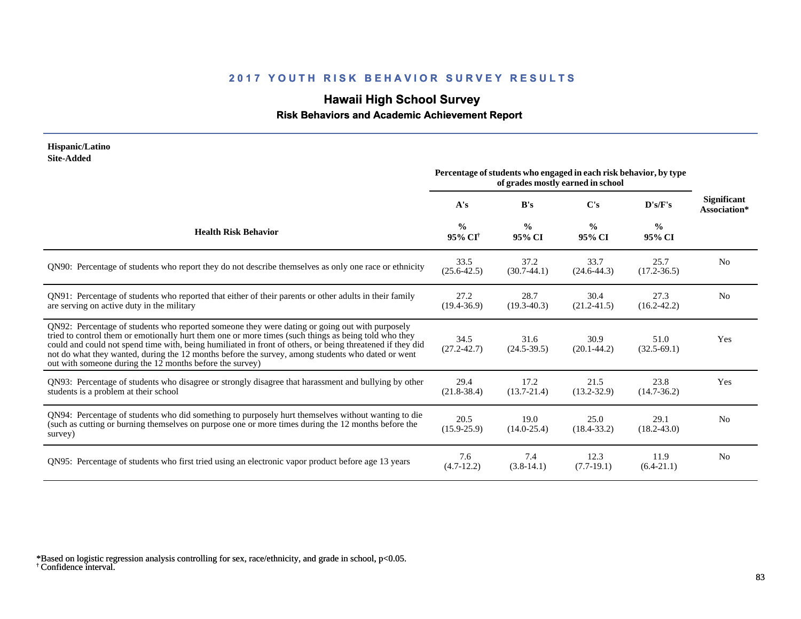# **Hawaii High School Survey**

 **Risk Behaviors and Academic Achievement Report**

#### **Hispanic/Latino Site-Added**

|                                                                                                                                                                                                                                                                                                                                                                                                                                                                                      | Percentage of students who engaged in each risk behavior, by type<br>of grades mostly earned in school |                         |                         |                         |                                    |
|--------------------------------------------------------------------------------------------------------------------------------------------------------------------------------------------------------------------------------------------------------------------------------------------------------------------------------------------------------------------------------------------------------------------------------------------------------------------------------------|--------------------------------------------------------------------------------------------------------|-------------------------|-------------------------|-------------------------|------------------------------------|
|                                                                                                                                                                                                                                                                                                                                                                                                                                                                                      | A's                                                                                                    | B's                     | $\bf C's$               | D's/F's                 | <b>Significant</b><br>Association* |
| <b>Health Risk Behavior</b>                                                                                                                                                                                                                                                                                                                                                                                                                                                          | $\frac{0}{0}$<br>95% CI <sup>+</sup>                                                                   | $\frac{0}{0}$<br>95% CI | $\frac{0}{0}$<br>95% CI | $\frac{0}{0}$<br>95% CI |                                    |
| QN90: Percentage of students who report they do not describe themselves as only one race or ethnicity                                                                                                                                                                                                                                                                                                                                                                                | 33.5<br>$(25.6 - 42.5)$                                                                                | 37.2<br>$(30.7-44.1)$   | 33.7<br>$(24.6 - 44.3)$ | 25.7<br>$(17.2 - 36.5)$ | N <sub>0</sub>                     |
| QN91: Percentage of students who reported that either of their parents or other adults in their family<br>are serving on active duty in the military                                                                                                                                                                                                                                                                                                                                 | 27.2<br>$(19.4 - 36.9)$                                                                                | 28.7<br>$(19.3 - 40.3)$ | 30.4<br>$(21.2 - 41.5)$ | 27.3<br>$(16.2 - 42.2)$ | N <sub>0</sub>                     |
| QN92: Percentage of students who reported someone they were dating or going out with purposely<br>tried to control them or emotionally hurt them one or more times (such things as being told who they<br>could and could not spend time with, being humiliated in front of others, or being threatened if they did<br>not do what they wanted, during the 12 months before the survey, among students who dated or went<br>out with someone during the 12 months before the survey) | 34.5<br>$(27.2 - 42.7)$                                                                                | 31.6<br>$(24.5 - 39.5)$ | 30.9<br>$(20.1 - 44.2)$ | 51.0<br>$(32.5-69.1)$   | <b>Yes</b>                         |
| QN93: Percentage of students who disagree or strongly disagree that harassment and bullying by other<br>students is a problem at their school                                                                                                                                                                                                                                                                                                                                        | 29.4<br>$(21.8-38.4)$                                                                                  | 17.2<br>$(13.7 - 21.4)$ | 21.5<br>$(13.2 - 32.9)$ | 23.8<br>$(14.7 - 36.2)$ | <b>Yes</b>                         |
| QN94: Percentage of students who did something to purposely hurt themselves without wanting to die<br>(such as cutting or burning themselves on purpose one or more times during the 12 months before the<br>survey)                                                                                                                                                                                                                                                                 | 20.5<br>$(15.9 - 25.9)$                                                                                | 19.0<br>$(14.0 - 25.4)$ | 25.0<br>$(18.4 - 33.2)$ | 29.1<br>$(18.2 - 43.0)$ | N <sub>0</sub>                     |
| QN95: Percentage of students who first tried using an electronic vapor product before age 13 years                                                                                                                                                                                                                                                                                                                                                                                   | 7.6<br>$(4.7-12.2)$                                                                                    | 7.4<br>$(3.8-14.1)$     | 12.3<br>$(7.7-19.1)$    | 11.9<br>$(6.4-21.1)$    | N <sub>0</sub>                     |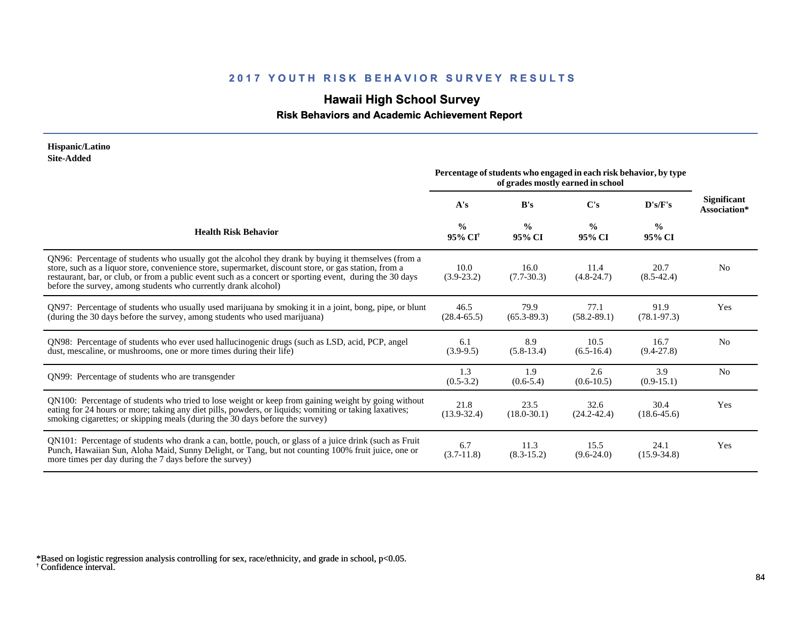# **Hawaii High School Survey**

### **Risk Behaviors and Academic Achievement Report**

#### **Hispanic/Latino Site-Added**

|                                                                                                                                                                                                                                                                                                                                                                                            | Percentage of students who engaged in each risk behavior, by type<br>of grades mostly earned in school |                         |                         |                         |                                    |
|--------------------------------------------------------------------------------------------------------------------------------------------------------------------------------------------------------------------------------------------------------------------------------------------------------------------------------------------------------------------------------------------|--------------------------------------------------------------------------------------------------------|-------------------------|-------------------------|-------------------------|------------------------------------|
|                                                                                                                                                                                                                                                                                                                                                                                            | A's                                                                                                    | B's                     | $\bf C's$               | D's/F's                 | <b>Significant</b><br>Association* |
| <b>Health Risk Behavior</b>                                                                                                                                                                                                                                                                                                                                                                | $\frac{0}{0}$<br>95% CI <sup>†</sup>                                                                   | $\frac{0}{0}$<br>95% CI | $\frac{0}{0}$<br>95% CI | $\frac{0}{0}$<br>95% CI |                                    |
| QN96: Percentage of students who usually got the alcohol they drank by buying it themselves (from a<br>store, such as a liquor store, convenience store, supermarket, discount store, or gas station, from a<br>restaurant, bar, or club, or from a public event such as a concert or sporting event, during the 30 days<br>before the survey, among students who currently drank alcohol) | 10.0<br>$(3.9-23.2)$                                                                                   | 16.0<br>$(7.7 - 30.3)$  | 11.4<br>$(4.8 - 24.7)$  | 20.7<br>$(8.5-42.4)$    | N <sub>0</sub>                     |
| QN97: Percentage of students who usually used marijuana by smoking it in a joint, bong, pipe, or blunt<br>(during the 30 days before the survey, among students who used marijuana)                                                                                                                                                                                                        | 46.5<br>$(28.4 - 65.5)$                                                                                | 79.9<br>$(65.3 - 89.3)$ | 77.1<br>$(58.2 - 89.1)$ | 91.9<br>$(78.1 - 97.3)$ | Yes                                |
| QN98: Percentage of students who ever used hallucinogenic drugs (such as LSD, acid, PCP, angel<br>dust, mescaline, or mushrooms, one or more times during their life)                                                                                                                                                                                                                      | 6.1<br>$(3.9-9.5)$                                                                                     | 8.9<br>$(5.8-13.4)$     | 10.5<br>$(6.5-16.4)$    | 16.7<br>$(9.4 - 27.8)$  | N <sub>0</sub>                     |
| QN99: Percentage of students who are transgender                                                                                                                                                                                                                                                                                                                                           | 1.3<br>$(0.5-3.2)$                                                                                     | 1.9<br>$(0.6-5.4)$      | 2.6<br>$(0.6-10.5)$     | 3.9<br>$(0.9-15.1)$     | N <sub>0</sub>                     |
| QN100: Percentage of students who tried to lose weight or keep from gaining weight by going without<br>eating for 24 hours or more; taking any diet pills, powders, or liquids; vomiting or taking laxatives;<br>smoking cigarettes; or skipping meals (during the 30 days before the survey)                                                                                              | 21.8<br>$(13.9 - 32.4)$                                                                                | 23.5<br>$(18.0 - 30.1)$ | 32.6<br>$(24.2 - 42.4)$ | 30.4<br>$(18.6 - 45.6)$ | Yes                                |
| QN101: Percentage of students who drank a can, bottle, pouch, or glass of a juice drink (such as Fruit<br>Punch, Hawaiian Sun, Aloha Maid, Sunny Delight, or Tang, but not counting 100% fruit juice, one or<br>more times per day during the 7 days before the survey)                                                                                                                    | 6.7<br>$(3.7-11.8)$                                                                                    | 11.3<br>$(8.3-15.2)$    | 15.5<br>$(9.6-24.0)$    | 24.1<br>$(15.9 - 34.8)$ | Yes                                |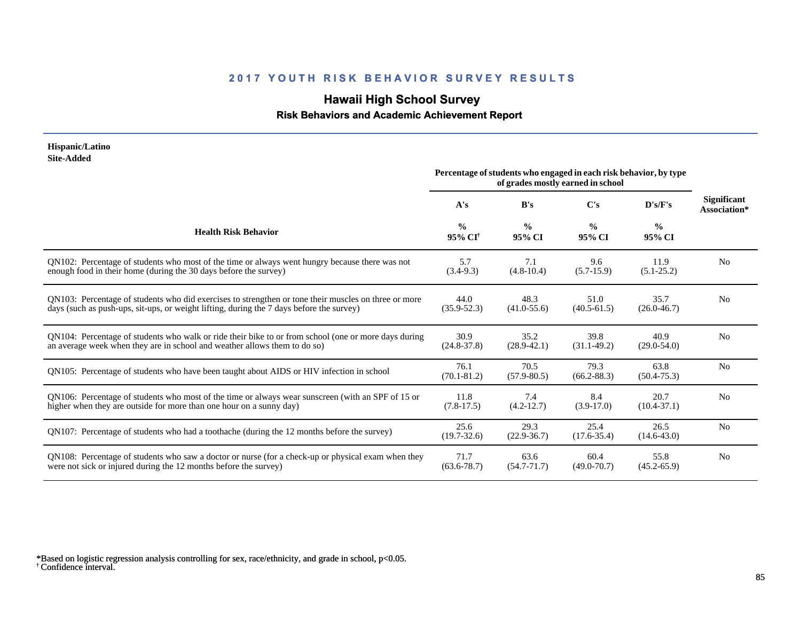# **Hawaii High School Survey**

#### **Risk Behaviors and Academic Achievement Report**

| Hispanic/Latino<br><b>Site-Added</b>                                                                                                                                                             |                                      |                                                                                                        |                         |                         |                                    |
|--------------------------------------------------------------------------------------------------------------------------------------------------------------------------------------------------|--------------------------------------|--------------------------------------------------------------------------------------------------------|-------------------------|-------------------------|------------------------------------|
|                                                                                                                                                                                                  |                                      | Percentage of students who engaged in each risk behavior, by type<br>of grades mostly earned in school |                         |                         |                                    |
|                                                                                                                                                                                                  | A's                                  | B's                                                                                                    | C's                     | D's/F's                 | <b>Significant</b><br>Association* |
| <b>Health Risk Behavior</b>                                                                                                                                                                      | $\frac{0}{0}$<br>95% CI <sup>+</sup> | $\frac{0}{0}$<br>95% CI                                                                                | $\frac{0}{0}$<br>95% CI | $\frac{0}{0}$<br>95% CI |                                    |
| QN102: Percentage of students who most of the time or always went hungry because there was not<br>enough food in their home (during the 30 days before the survey)                               | 5.7<br>$(3.4-9.3)$                   | 7.1<br>$(4.8-10.4)$                                                                                    | 9.6<br>$(5.7-15.9)$     | 11.9<br>$(5.1 - 25.2)$  | N <sub>0</sub>                     |
| QN103: Percentage of students who did exercises to strengthen or tone their muscles on three or more<br>days (such as push-ups, sit-ups, or weight lifting, during the 7 days before the survey) | 44.0<br>$(35.9 - 52.3)$              | 48.3<br>$(41.0 - 55.6)$                                                                                | 51.0<br>$(40.5 - 61.5)$ | 35.7<br>$(26.0 - 46.7)$ | N <sub>0</sub>                     |
| QN104: Percentage of students who walk or ride their bike to or from school (one or more days during<br>an average week when they are in school and weather allows them to do so)                | 30.9<br>$(24.8 - 37.8)$              | 35.2<br>$(28.9 - 42.1)$                                                                                | 39.8<br>$(31.1-49.2)$   | 40.9<br>$(29.0 - 54.0)$ | N <sub>0</sub>                     |
| QN105: Percentage of students who have been taught about AIDS or HIV infection in school                                                                                                         | 76.1<br>$(70.1 - 81.2)$              | 70.5<br>$(57.9 - 80.5)$                                                                                | 79.3<br>$(66.2 - 88.3)$ | 63.8<br>$(50.4 - 75.3)$ | N <sub>0</sub>                     |
| QN106: Percentage of students who most of the time or always wear sunscreen (with an SPF of 15 or<br>higher when they are outside for more than one hour on a sunny day)                         | 11.8<br>$(7.8-17.5)$                 | 7.4<br>$(4.2 - 12.7)$                                                                                  | 8.4<br>$(3.9-17.0)$     | 20.7<br>$(10.4 - 37.1)$ | N <sub>0</sub>                     |
| QN107: Percentage of students who had a toothache (during the 12 months before the survey)                                                                                                       | 25.6<br>$(19.7 - 32.6)$              | 29.3<br>$(22.9 - 36.7)$                                                                                | 25.4<br>$(17.6 - 35.4)$ | 26.5<br>$(14.6 - 43.0)$ | N <sub>0</sub>                     |
| QN108: Percentage of students who saw a doctor or nurse (for a check-up or physical exam when they<br>were not sick or injured during the 12 months before the survey)                           | 71.7<br>$(63.6 - 78.7)$              | 63.6<br>$(54.7 - 71.7)$                                                                                | 60.4<br>$(49.0 - 70.7)$ | 55.8<br>$(45.2 - 65.9)$ | N <sub>0</sub>                     |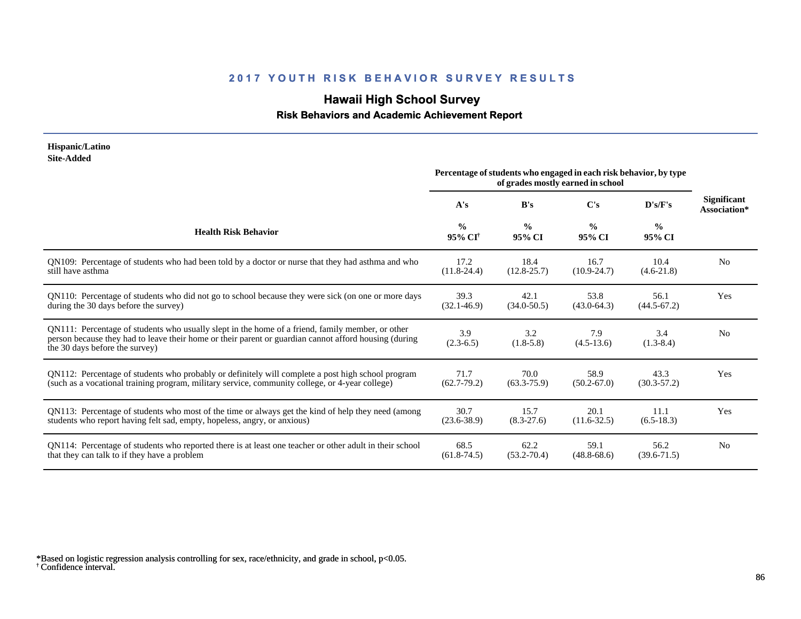# **Hawaii High School Survey**

#### **Risk Behaviors and Academic Achievement Report**

#### **Hispanic/Latino Site-Added**

|                                                                                                                                                                                                                                             | Percentage of students who engaged in each risk behavior, by type<br>of grades mostly earned in school |                         |                         |                         |                                    |
|---------------------------------------------------------------------------------------------------------------------------------------------------------------------------------------------------------------------------------------------|--------------------------------------------------------------------------------------------------------|-------------------------|-------------------------|-------------------------|------------------------------------|
|                                                                                                                                                                                                                                             | A's                                                                                                    | B's                     | $\bf C's$               | D's/F's                 | <b>Significant</b><br>Association* |
| <b>Health Risk Behavior</b>                                                                                                                                                                                                                 | $\frac{0}{0}$<br>95% CI <sup>+</sup>                                                                   | $\frac{0}{0}$<br>95% CI | $\frac{0}{0}$<br>95% CI | $\frac{0}{0}$<br>95% CI |                                    |
| QN109: Percentage of students who had been told by a doctor or nurse that they had asthma and who                                                                                                                                           | 17.2                                                                                                   | 18.4                    | 16.7                    | 10.4                    | N <sub>0</sub>                     |
| still have asthma                                                                                                                                                                                                                           | $(11.8-24.4)$                                                                                          | $(12.8 - 25.7)$         | $(10.9 - 24.7)$         | $(4.6-21.8)$            |                                    |
| QN110: Percentage of students who did not go to school because they were sick (on one or more days                                                                                                                                          | 39.3                                                                                                   | 42.1                    | 53.8                    | 56.1                    | Yes                                |
| during the 30 days before the survey)                                                                                                                                                                                                       | $(32.1 - 46.9)$                                                                                        | $(34.0 - 50.5)$         | $(43.0 - 64.3)$         | $(44.5 - 67.2)$         |                                    |
| QN111: Percentage of students who usually slept in the home of a friend, family member, or other<br>person because they had to leave their home or their parent or guardian cannot afford housing (during<br>the 30 days before the survey) | 3.9<br>$(2.3-6.5)$                                                                                     | 3.2<br>$(1.8-5.8)$      | 7.9<br>$(4.5-13.6)$     | 3.4<br>$(1.3-8.4)$      | N <sub>0</sub>                     |
| QN112: Percentage of students who probably or definitely will complete a post high school program                                                                                                                                           | 71.7                                                                                                   | 70.0                    | 58.9                    | 43.3                    | Yes                                |
| (such as a vocational training program, military service, community college, or 4-year college)                                                                                                                                             | $(62.7 - 79.2)$                                                                                        | $(63.3 - 75.9)$         | $(50.2 - 67.0)$         | $(30.3 - 57.2)$         |                                    |
| QN113: Percentage of students who most of the time or always get the kind of help they need (among                                                                                                                                          | 30.7                                                                                                   | 15.7                    | 20.1                    | 11.1                    | Yes                                |
| students who report having felt sad, empty, hopeless, angry, or anxious)                                                                                                                                                                    | $(23.6 - 38.9)$                                                                                        | $(8.3-27.6)$            | $(11.6 - 32.5)$         | $(6.5-18.3)$            |                                    |
| QN114: Percentage of students who reported there is at least one teacher or other adult in their school                                                                                                                                     | 68.5                                                                                                   | 62.2                    | 59.1                    | 56.2                    | N <sub>0</sub>                     |
| that they can talk to if they have a problem                                                                                                                                                                                                | $(61.8-74.5)$                                                                                          | $(53.2 - 70.4)$         | $(48.8 - 68.6)$         | $(39.6 - 71.5)$         |                                    |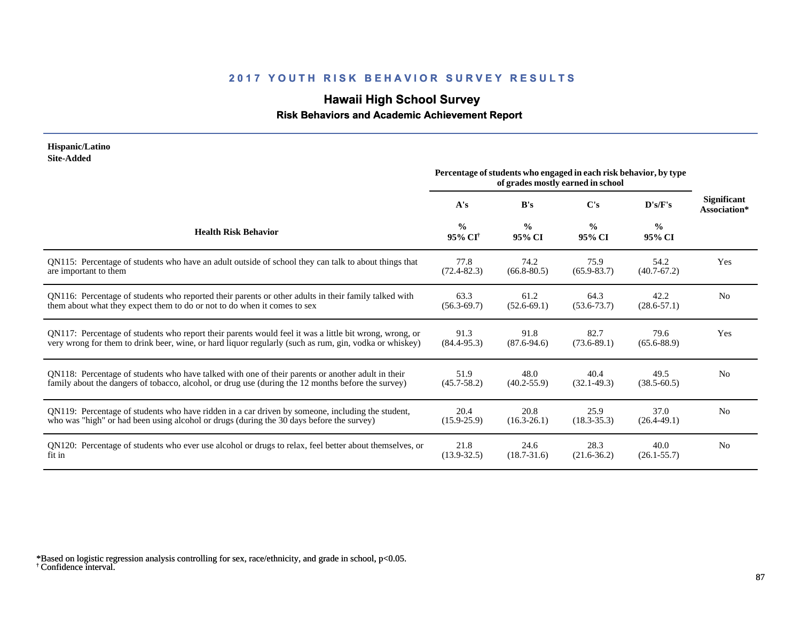# **Hawaii High School Survey**

### **Risk Behaviors and Academic Achievement Report**

#### **Hispanic/Latino Site-Added**

|                                                                                                        | Percentage of students who engaged in each risk behavior, by type<br>of grades mostly earned in school |                         |                         |                         |                             |
|--------------------------------------------------------------------------------------------------------|--------------------------------------------------------------------------------------------------------|-------------------------|-------------------------|-------------------------|-----------------------------|
|                                                                                                        | A's                                                                                                    | B's                     | $\bf C's$               | D's/F's                 | Significant<br>Association* |
| <b>Health Risk Behavior</b>                                                                            | $\frac{0}{0}$<br>95% CI†                                                                               | $\frac{0}{0}$<br>95% CI | $\frac{0}{0}$<br>95% CI | $\frac{0}{0}$<br>95% CI |                             |
| QN115: Percentage of students who have an adult outside of school they can talk to about things that   | 77.8                                                                                                   | 74.2                    | 75.9                    | 54.2                    | Yes                         |
| are important to them                                                                                  | $(72.4 - 82.3)$                                                                                        | $(66.8 - 80.5)$         | $(65.9 - 83.7)$         | $(40.7 - 67.2)$         |                             |
| QN116: Percentage of students who reported their parents or other adults in their family talked with   | 63.3                                                                                                   | 61.2                    | 64.3                    | 42.2                    | N <sub>0</sub>              |
| them about what they expect them to do or not to do when it comes to sex                               | $(56.3 - 69.7)$                                                                                        | $(52.6-69.1)$           | $(53.6 - 73.7)$         | $(28.6 - 57.1)$         |                             |
| QN117: Percentage of students who report their parents would feel it was a little bit wrong, wrong, or | 91.3                                                                                                   | 91.8                    | 82.7                    | 79.6                    | Yes                         |
| very wrong for them to drink beer, wine, or hard liquor regularly (such as rum, gin, vodka or whiskey) | $(84.4 - 95.3)$                                                                                        | $(87.6 - 94.6)$         | $(73.6 - 89.1)$         | $(65.6 - 88.9)$         |                             |
| QN118: Percentage of students who have talked with one of their parents or another adult in their      | 51.9                                                                                                   | 48.0                    | 40.4                    | 49.5                    | N <sub>0</sub>              |
| family about the dangers of tobacco, alcohol, or drug use (during the 12 months before the survey)     | $(45.7 - 58.2)$                                                                                        | $(40.2 - 55.9)$         | $(32.1 - 49.3)$         | $(38.5 - 60.5)$         |                             |
| QN119: Percentage of students who have ridden in a car driven by someone, including the student,       | 20.4                                                                                                   | 20.8                    | 25.9                    | 37.0                    | No                          |
| who was "high" or had been using alcohol or drugs (during the 30 days before the survey)               | $(15.9 - 25.9)$                                                                                        | $(16.3 - 26.1)$         | $(18.3 - 35.3)$         | $(26.4 - 49.1)$         |                             |
| QN120: Percentage of students who ever use alcohol or drugs to relax, feel better about themselves, or | 21.8                                                                                                   | 24.6                    | 28.3                    | 40.0                    | N <sub>0</sub>              |
| fit in                                                                                                 | $(13.9 - 32.5)$                                                                                        | $(18.7 - 31.6)$         | $(21.6 - 36.2)$         | $(26.1 - 55.7)$         |                             |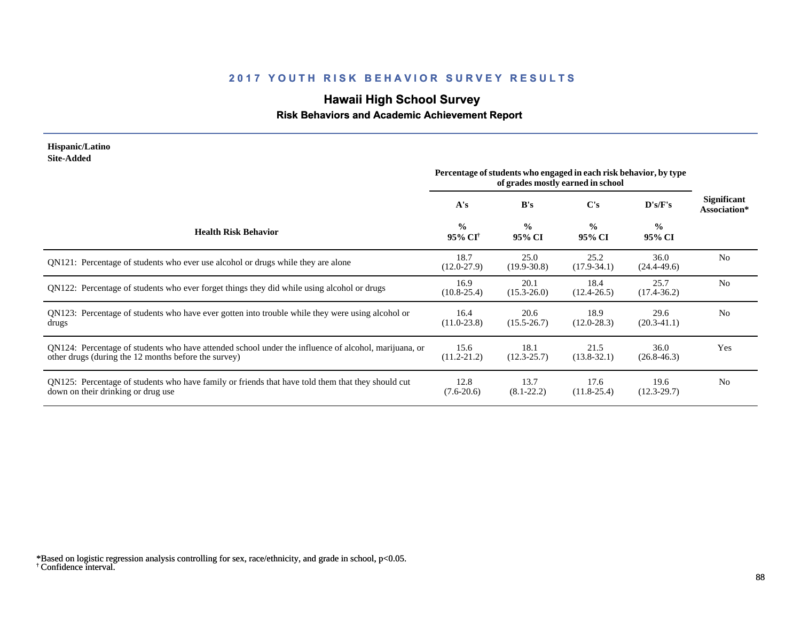# **Hawaii High School Survey**

### **Risk Behaviors and Academic Achievement Report**

#### **Hispanic/Latino Site-Added**

|                                                                                                                                                              | Percentage of students who engaged in each risk behavior, by type<br>of grades mostly earned in school |                         |                         |                         |                                    |
|--------------------------------------------------------------------------------------------------------------------------------------------------------------|--------------------------------------------------------------------------------------------------------|-------------------------|-------------------------|-------------------------|------------------------------------|
|                                                                                                                                                              | A's                                                                                                    | B's                     | C's                     | D's/F's                 | <b>Significant</b><br>Association* |
| <b>Health Risk Behavior</b>                                                                                                                                  | $\frac{6}{6}$<br>95% CI <sup>+</sup>                                                                   | $\frac{0}{0}$<br>95% CI | $\frac{0}{0}$<br>95% CI | $\frac{0}{0}$<br>95% CI |                                    |
| QN121: Percentage of students who ever use alcohol or drugs while they are alone                                                                             | 18.7<br>$(12.0 - 27.9)$                                                                                | 25.0<br>$(19.9 - 30.8)$ | 25.2<br>$(17.9-34.1)$   | 36.0<br>$(24.4 - 49.6)$ | N <sub>0</sub>                     |
| QN122: Percentage of students who ever forget things they did while using alcohol or drugs                                                                   | 16.9<br>$(10.8 - 25.4)$                                                                                | 20.1<br>$(15.3 - 26.0)$ | 18.4<br>$(12.4 - 26.5)$ | 25.7<br>$(17.4 - 36.2)$ | N <sub>0</sub>                     |
| QN123: Percentage of students who have ever gotten into trouble while they were using alcohol or<br>drugs                                                    | 16.4<br>$(11.0 - 23.8)$                                                                                | 20.6<br>$(15.5 - 26.7)$ | 18.9<br>$(12.0 - 28.3)$ | 29.6<br>$(20.3-41.1)$   | N <sub>0</sub>                     |
| QN124: Percentage of students who have attended school under the influence of alcohol, marijuana, or<br>other drugs (during the 12 months before the survey) | 15.6<br>$(11.2 - 21.2)$                                                                                | 18.1<br>$(12.3 - 25.7)$ | 21.5<br>$(13.8 - 32.1)$ | 36.0<br>$(26.8 - 46.3)$ | Yes                                |
| QN125: Percentage of students who have family or friends that have told them that they should cut<br>down on their drinking or drug use                      | 12.8<br>$(7.6-20.6)$                                                                                   | 13.7<br>$(8.1 - 22.2)$  | 17.6<br>$(11.8 - 25.4)$ | 19.6<br>$(12.3 - 29.7)$ | N <sub>0</sub>                     |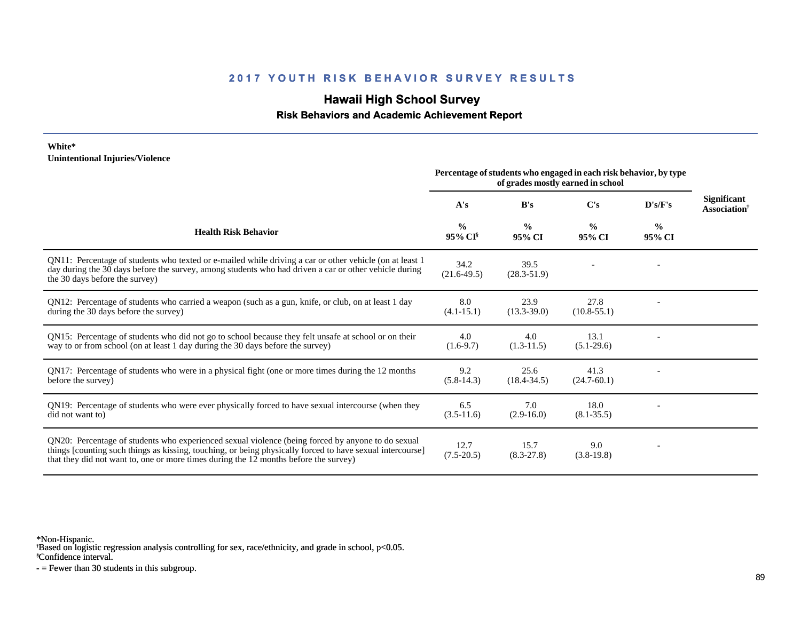# **Hawaii High School Survey**

 **Risk Behaviors and Academic Achievement Report**

#### **White\* Unintentional Injuries/Violence**

|                                                                                                                                                                                                                                                                                                        | Percentage of students who engaged in each risk behavior, by type<br>of grades mostly earned in school |                         |                         |                         |                                                       |
|--------------------------------------------------------------------------------------------------------------------------------------------------------------------------------------------------------------------------------------------------------------------------------------------------------|--------------------------------------------------------------------------------------------------------|-------------------------|-------------------------|-------------------------|-------------------------------------------------------|
|                                                                                                                                                                                                                                                                                                        | A's                                                                                                    | B's                     | C's                     | D's/F's                 | <b>Significant</b><br><b>Association</b> <sup>†</sup> |
| <b>Health Risk Behavior</b>                                                                                                                                                                                                                                                                            | $\frac{0}{0}$<br>95% CI <sup>§</sup>                                                                   | $\frac{0}{0}$<br>95% CI | $\frac{0}{0}$<br>95% CI | $\frac{0}{0}$<br>95% CI |                                                       |
| QN11: Percentage of students who texted or e-mailed while driving a car or other vehicle (on at least 1)<br>day during the 30 days before the survey, among students who had driven a car or other vehicle during<br>the 30 days before the survey)                                                    | 34.2<br>$(21.6 - 49.5)$                                                                                | 39.5<br>$(28.3 - 51.9)$ |                         |                         |                                                       |
| QN12: Percentage of students who carried a weapon (such as a gun, knife, or club, on at least 1 day<br>during the 30 days before the survey)                                                                                                                                                           | 8.0<br>$(4.1 - 15.1)$                                                                                  | 23.9<br>$(13.3 - 39.0)$ | 27.8<br>$(10.8 - 55.1)$ |                         |                                                       |
| QN15: Percentage of students who did not go to school because they felt unsafe at school or on their<br>way to or from school (on at least 1 day during the 30 days before the survey)                                                                                                                 | 4.0<br>$(1.6-9.7)$                                                                                     | 4.0<br>$(1.3-11.5)$     | 13.1<br>$(5.1-29.6)$    |                         |                                                       |
| QN17: Percentage of students who were in a physical fight (one or more times during the 12 months<br>before the survey)                                                                                                                                                                                | 9.2<br>$(5.8-14.3)$                                                                                    | 25.6<br>$(18.4 - 34.5)$ | 41.3<br>$(24.7 - 60.1)$ |                         |                                                       |
| QN19: Percentage of students who were ever physically forced to have sexual intercourse (when they<br>did not want to)                                                                                                                                                                                 | 6.5<br>$(3.5-11.6)$                                                                                    | 7.0<br>$(2.9-16.0)$     | 18.0<br>$(8.1 - 35.5)$  |                         |                                                       |
| QN20: Percentage of students who experienced sexual violence (being forced by anyone to do sexual<br>things [counting such things as kissing, touching, or being physically forced to have sexual intercourse]<br>that they did not want to, one or more times during the 12 months before the survey) | 12.7<br>$(7.5-20.5)$                                                                                   | 15.7<br>$(8.3 - 27.8)$  | 9.0<br>$(3.8-19.8)$     |                         |                                                       |

\*Non-Hispanic.

† Based on logistic regression analysis controlling for sex, race/ethnicity, and grade in school, p<0.05.

§Confidence interval.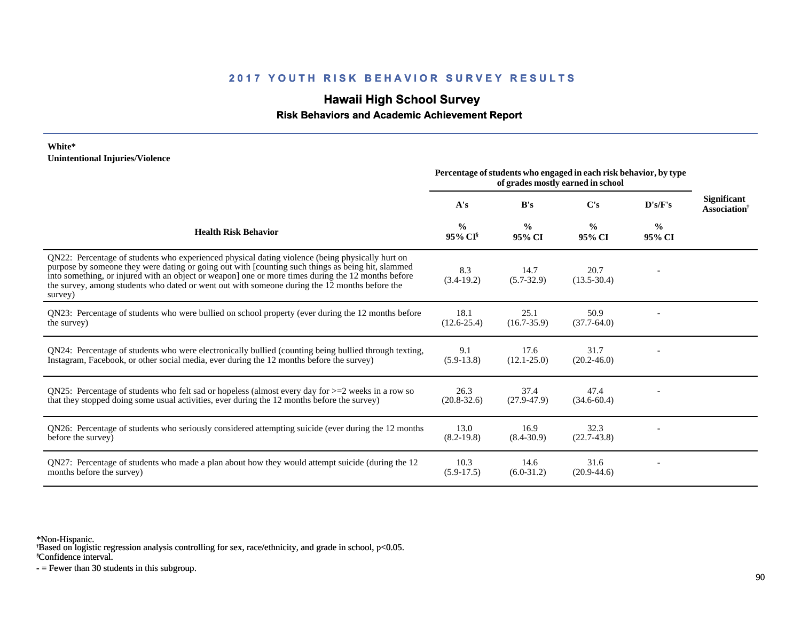# **Hawaii High School Survey**

 **Risk Behaviors and Academic Achievement Report**

#### **White\* Unintentional Injuries/Violence**

|                                                                                                                                                                                                                                                                                                                                                                                                                        | Percentage of students who engaged in each risk behavior, by type<br>of grades mostly earned in school |                         |                         |                         |                                                |
|------------------------------------------------------------------------------------------------------------------------------------------------------------------------------------------------------------------------------------------------------------------------------------------------------------------------------------------------------------------------------------------------------------------------|--------------------------------------------------------------------------------------------------------|-------------------------|-------------------------|-------------------------|------------------------------------------------|
|                                                                                                                                                                                                                                                                                                                                                                                                                        | A's                                                                                                    | B's                     | C's                     | D's/F's                 | <b>Significant</b><br>Association <sup>†</sup> |
| <b>Health Risk Behavior</b>                                                                                                                                                                                                                                                                                                                                                                                            | $\frac{0}{0}$<br>95% CI                                                                                | $\frac{0}{0}$<br>95% CI | $\frac{0}{0}$<br>95% CI | $\frac{0}{0}$<br>95% CI |                                                |
| QN22: Percentage of students who experienced physical dating violence (being physically hurt on<br>purpose by someone they were dating or going out with [counting such things as being hit, slammed<br>into something, or injured with an object or weapon] one or more times during the 12 months before<br>the survey, among students who dated or went out with someone during the 12 months before the<br>survey) | 8.3<br>$(3.4-19.2)$                                                                                    | 14.7<br>$(5.7-32.9)$    | 20.7<br>$(13.5 - 30.4)$ |                         |                                                |
| QN23: Percentage of students who were bullied on school property (ever during the 12 months before<br>the survey)                                                                                                                                                                                                                                                                                                      | 18.1<br>$(12.6 - 25.4)$                                                                                | 25.1<br>$(16.7 - 35.9)$ | 50.9<br>$(37.7-64.0)$   |                         |                                                |
| QN24: Percentage of students who were electronically bullied (counting being bullied through texting,<br>Instagram, Facebook, or other social media, ever during the 12 months before the survey)                                                                                                                                                                                                                      | 9.1<br>$(5.9-13.8)$                                                                                    | 17.6<br>$(12.1 - 25.0)$ | 31.7<br>$(20.2 - 46.0)$ |                         |                                                |
| QN25: Percentage of students who felt sad or hopeless (almost every day for $>=$ 2 weeks in a row so<br>that they stopped doing some usual activities, ever during the 12 months before the survey)                                                                                                                                                                                                                    | 26.3<br>$(20.8 - 32.6)$                                                                                | 37.4<br>$(27.9 - 47.9)$ | 47.4<br>$(34.6 - 60.4)$ |                         |                                                |
| QN26: Percentage of students who seriously considered attempting suicide (ever during the 12 months<br>before the survey)                                                                                                                                                                                                                                                                                              | 13.0<br>$(8.2 - 19.8)$                                                                                 | 16.9<br>$(8.4 - 30.9)$  | 32.3<br>$(22.7-43.8)$   |                         |                                                |
| QN27: Percentage of students who made a plan about how they would attempt suicide (during the 12<br>months before the survey)                                                                                                                                                                                                                                                                                          | 10.3<br>$(5.9-17.5)$                                                                                   | 14.6<br>$(6.0-31.2)$    | 31.6<br>$(20.9-44.6)$   |                         |                                                |

\*Non-Hispanic.

† Based on logistic regression analysis controlling for sex, race/ethnicity, and grade in school, p<0.05.

§Confidence interval.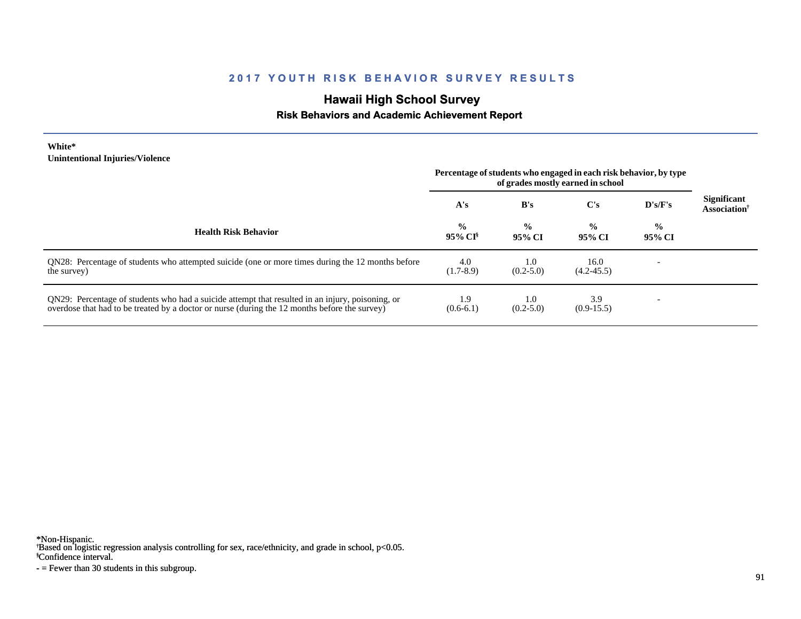# **Hawaii High School Survey**

### **Risk Behaviors and Academic Achievement Report**

#### **White\* Unintentional Injuries/Violence**

|                                                                                                                                                                                                   | Percentage of students who engaged in each risk behavior, by type<br>of grades mostly earned in school |                                   |                         |                          |                                                       |
|---------------------------------------------------------------------------------------------------------------------------------------------------------------------------------------------------|--------------------------------------------------------------------------------------------------------|-----------------------------------|-------------------------|--------------------------|-------------------------------------------------------|
|                                                                                                                                                                                                   | A's                                                                                                    | B's                               | $\bf C's$               | $\bf{D's/F's}$           | <b>Significant</b><br><b>Association</b> <sup>†</sup> |
| <b>Health Risk Behavior</b>                                                                                                                                                                       | $\frac{0}{0}$<br>95% CI <sup>§</sup>                                                                   | $\frac{0}{0}$<br>95% CI           | $\frac{0}{0}$<br>95% CI | $\frac{0}{0}$<br>95% CI  |                                                       |
| QN28: Percentage of students who attempted suicide (one or more times during the 12 months before<br>the survey)                                                                                  | 4.0<br>$(1.7-8.9)$                                                                                     | 1.0 <sub>1</sub><br>$(0.2 - 5.0)$ | 16.0<br>$(4.2 - 45.5)$  |                          |                                                       |
| QN29: Percentage of students who had a suicide attempt that resulted in an injury, poisoning, or<br>overdose that had to be treated by a doctor or nurse (during the 12 months before the survey) | 1.9<br>$(0.6-6.1)$                                                                                     | 1.0<br>$(0.2 - 5.0)$              | 3.9<br>$(0.9-15.5)$     | $\overline{\phantom{0}}$ |                                                       |

\*Non-Hispanic.

† Based on logistic regression analysis controlling for sex, race/ethnicity, and grade in school, p<0.05.

§Confidence interval.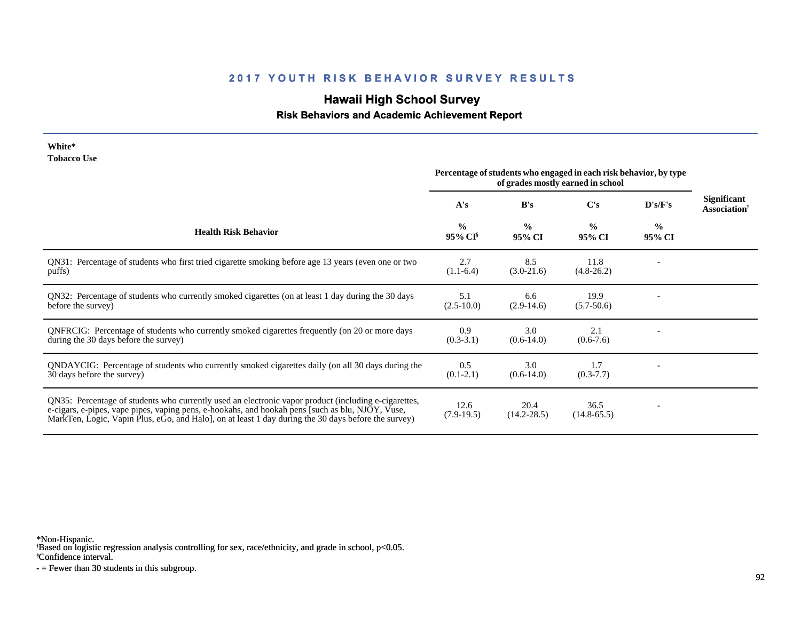# **Hawaii High School Survey**

### **Risk Behaviors and Academic Achievement Report**

#### **White\* Tobacco Use**

|                                                                                                                                                                                                                                                                                                                | Percentage of students who engaged in each risk behavior, by type<br>of grades mostly earned in school |                         |                         |                         |                                                       |
|----------------------------------------------------------------------------------------------------------------------------------------------------------------------------------------------------------------------------------------------------------------------------------------------------------------|--------------------------------------------------------------------------------------------------------|-------------------------|-------------------------|-------------------------|-------------------------------------------------------|
|                                                                                                                                                                                                                                                                                                                | A's                                                                                                    | B's                     | $\bf C's$               | D's/F's                 | <b>Significant</b><br><b>Association</b> <sup>†</sup> |
| <b>Health Risk Behavior</b>                                                                                                                                                                                                                                                                                    | $\frac{0}{0}$<br>95% CI <sup>§</sup>                                                                   | $\frac{0}{0}$<br>95% CI | $\frac{0}{0}$<br>95% CI | $\frac{0}{0}$<br>95% CI |                                                       |
| QN31: Percentage of students who first tried cigarette smoking before age 13 years (even one or two<br>puffs)                                                                                                                                                                                                  | 2.7<br>$(1.1-6.4)$                                                                                     | 8.5<br>$(3.0-21.6)$     | 11.8<br>$(4.8-26.2)$    |                         |                                                       |
| QN32: Percentage of students who currently smoked cigarettes (on at least 1 day during the 30 days<br>before the survey)                                                                                                                                                                                       | 5.1<br>$(2.5 - 10.0)$                                                                                  | 6.6<br>$(2.9-14.6)$     | 19.9<br>$(5.7 - 50.6)$  |                         |                                                       |
| QNFRCIG: Percentage of students who currently smoked cigarettes frequently (on 20 or more days<br>during the 30 days before the survey)                                                                                                                                                                        | 0.9<br>$(0.3-3.1)$                                                                                     | 3.0<br>$(0.6-14.0)$     | 2.1<br>$(0.6-7.6)$      |                         |                                                       |
| QNDAYCIG: Percentage of students who currently smoked cigarettes daily (on all 30 days during the<br>30 days before the survey)                                                                                                                                                                                | 0.5<br>$(0.1-2.1)$                                                                                     | 3.0<br>$(0.6-14.0)$     | 1.7<br>$(0.3 - 7.7)$    |                         |                                                       |
| QN35: Percentage of students who currently used an electronic vapor product (including e-cigarettes,<br>e-cigars, e-pipes, vape pipes, vaping pens, e-hookahs, and hookah pens [such as blu, NJOY, Vuse,<br>MarkTen, Logic, Vapin Plus, eGo, and Halo, on at least 1 day during the 30 days before the survey) | 12.6<br>$(7.9-19.5)$                                                                                   | 20.4<br>$(14.2 - 28.5)$ | 36.5<br>$(14.8 - 65.5)$ |                         |                                                       |

\*Non-Hispanic.

† Based on logistic regression analysis controlling for sex, race/ethnicity, and grade in school, p<0.05.

§Confidence interval.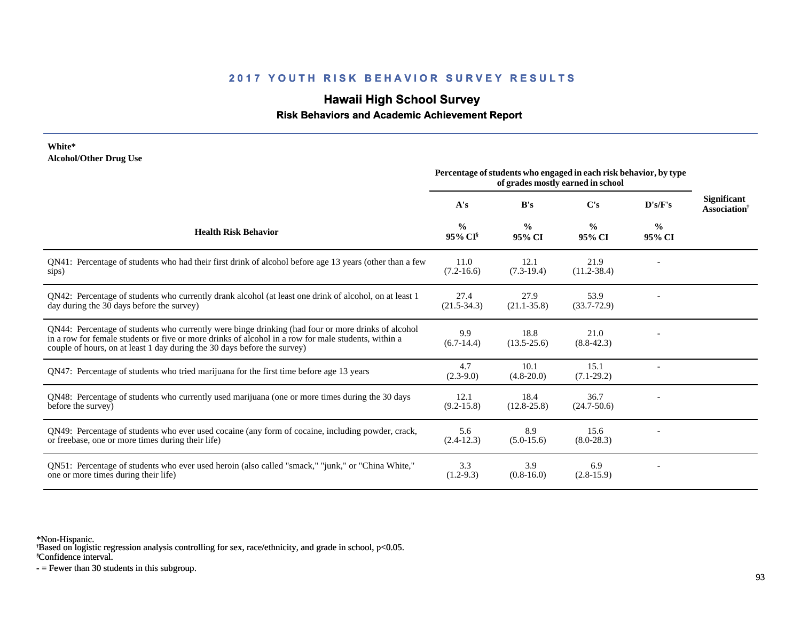# **Hawaii High School Survey**

#### **Risk Behaviors and Academic Achievement Report**

#### **White\* Alcohol/Other Drug Use**

|                                                                                                                                                                                                                                                                                       | Percentage of students who engaged in each risk behavior, by type<br>of grades mostly earned in school |                         |                         |                         |                                                |
|---------------------------------------------------------------------------------------------------------------------------------------------------------------------------------------------------------------------------------------------------------------------------------------|--------------------------------------------------------------------------------------------------------|-------------------------|-------------------------|-------------------------|------------------------------------------------|
|                                                                                                                                                                                                                                                                                       | A's                                                                                                    | B's                     | $\bf C's$               | D's/F's                 | <b>Significant</b><br>Association <sup>†</sup> |
| <b>Health Risk Behavior</b>                                                                                                                                                                                                                                                           | $\frac{0}{0}$<br>95% CI                                                                                | $\frac{0}{0}$<br>95% CI | $\frac{0}{0}$<br>95% CI | $\frac{0}{0}$<br>95% CI |                                                |
| QN41: Percentage of students who had their first drink of alcohol before age 13 years (other than a few<br>sips)                                                                                                                                                                      | 11.0<br>$(7.2 - 16.6)$                                                                                 | 12.1<br>$(7.3-19.4)$    | 21.9<br>$(11.2 - 38.4)$ |                         |                                                |
| QN42: Percentage of students who currently drank alcohol (at least one drink of alcohol, on at least 1<br>day during the 30 days before the survey)                                                                                                                                   | 27.4<br>$(21.5 - 34.3)$                                                                                | 27.9<br>$(21.1 - 35.8)$ | 53.9<br>$(33.7 - 72.9)$ |                         |                                                |
| QN44: Percentage of students who currently were binge drinking (had four or more drinks of alcohol<br>in a row for female students or five or more drinks of alcohol in a row for male students, within a<br>couple of hours, on at least 1 day during the 30 days before the survey) | 9.9<br>$(6.7-14.4)$                                                                                    | 18.8<br>$(13.5 - 25.6)$ | 21.0<br>$(8.8-42.3)$    |                         |                                                |
| QN47: Percentage of students who tried marijuana for the first time before age 13 years                                                                                                                                                                                               | 4.7<br>$(2.3-9.0)$                                                                                     | 10.1<br>$(4.8 - 20.0)$  | 15.1<br>$(7.1-29.2)$    |                         |                                                |
| QN48: Percentage of students who currently used marijuana (one or more times during the 30 days<br>before the survey)                                                                                                                                                                 | 12.1<br>$(9.2 - 15.8)$                                                                                 | 18.4<br>$(12.8 - 25.8)$ | 36.7<br>$(24.7 - 50.6)$ |                         |                                                |
| QN49: Percentage of students who ever used cocaine (any form of cocaine, including powder, crack,<br>or freebase, one or more times during their life)                                                                                                                                | 5.6<br>$(2.4-12.3)$                                                                                    | 8.9<br>$(5.0-15.6)$     | 15.6<br>$(8.0 - 28.3)$  |                         |                                                |
| ON51: Percentage of students who ever used heroin (also called "smack," "junk," or "China White,"<br>one or more times during their life)                                                                                                                                             | 3.3<br>$(1.2-9.3)$                                                                                     | 3.9<br>$(0.8-16.0)$     | 6.9<br>$(2.8-15.9)$     |                         |                                                |

\*Non-Hispanic.

† Based on logistic regression analysis controlling for sex, race/ethnicity, and grade in school, p<0.05.

§Confidence interval.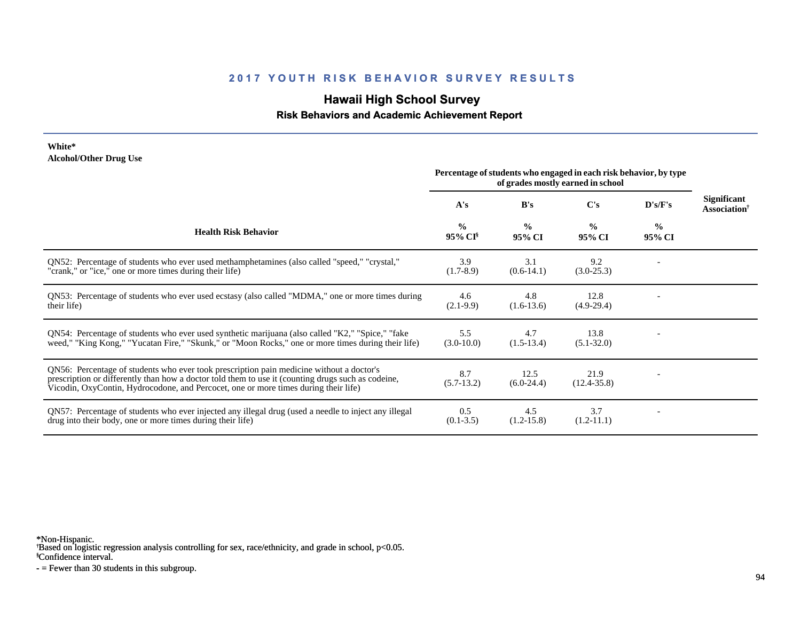# **Hawaii High School Survey**

 **Risk Behaviors and Academic Achievement Report**

#### **White\* Alcohol/Other Drug Use**

|                                                                                                                                                                                                                                                                                       | Percentage of students who engaged in each risk behavior, by type<br>of grades mostly earned in school |                         |                         |                         |                                                       |
|---------------------------------------------------------------------------------------------------------------------------------------------------------------------------------------------------------------------------------------------------------------------------------------|--------------------------------------------------------------------------------------------------------|-------------------------|-------------------------|-------------------------|-------------------------------------------------------|
|                                                                                                                                                                                                                                                                                       | A's                                                                                                    | B's                     | C's                     | D's/F's                 | <b>Significant</b><br><b>Association</b> <sup>†</sup> |
| <b>Health Risk Behavior</b>                                                                                                                                                                                                                                                           | $\frac{0}{0}$<br>95% CI <sup>§</sup>                                                                   | $\frac{0}{0}$<br>95% CI | $\frac{0}{0}$<br>95% CI | $\frac{0}{0}$<br>95% CI |                                                       |
| ON52: Percentage of students who ever used methamphetamines (also called "speed," "crystal,"<br>"crank," or "ice," one or more times during their life)                                                                                                                               | 3.9<br>$(1.7-8.9)$                                                                                     | 3.1<br>$(0.6-14.1)$     | 9.2<br>$(3.0-25.3)$     |                         |                                                       |
| QN53: Percentage of students who ever used ecstasy (also called "MDMA," one or more times during<br>their life)                                                                                                                                                                       | 4.6<br>$(2.1-9.9)$                                                                                     | 4.8<br>$(1.6-13.6)$     | 12.8<br>$(4.9-29.4)$    |                         |                                                       |
| QN54: Percentage of students who ever used synthetic marijuana (also called "K2," "Spice," "fake<br>weed," "King Kong," "Yucatan Fire," "Skunk," or "Moon Rocks," one or more times during their life)                                                                                | 5.5<br>$(3.0-10.0)$                                                                                    | 4.7<br>$(1.5-13.4)$     | 13.8<br>$(5.1 - 32.0)$  |                         |                                                       |
| QN56: Percentage of students who ever took prescription pain medicine without a doctor's<br>prescription or differently than how a doctor told them to use it (counting drugs such as codeine,<br>Vicodin, OxyContin, Hydrocodone, and Percocet, one or more times during their life) | 8.7<br>$(5.7-13.2)$                                                                                    | 12.5<br>$(6.0-24.4)$    | 21.9<br>$(12.4 - 35.8)$ |                         |                                                       |
| QN57: Percentage of students who ever injected any illegal drug (used a needle to inject any illegal<br>drug into their body, one or more times during their life)                                                                                                                    | 0.5<br>$(0.1 - 3.5)$                                                                                   | 4.5<br>$(1.2-15.8)$     | 3.7<br>$(1.2-11.1)$     |                         |                                                       |

\*Non-Hispanic.

† Based on logistic regression analysis controlling for sex, race/ethnicity, and grade in school, p<0.05.

§Confidence interval.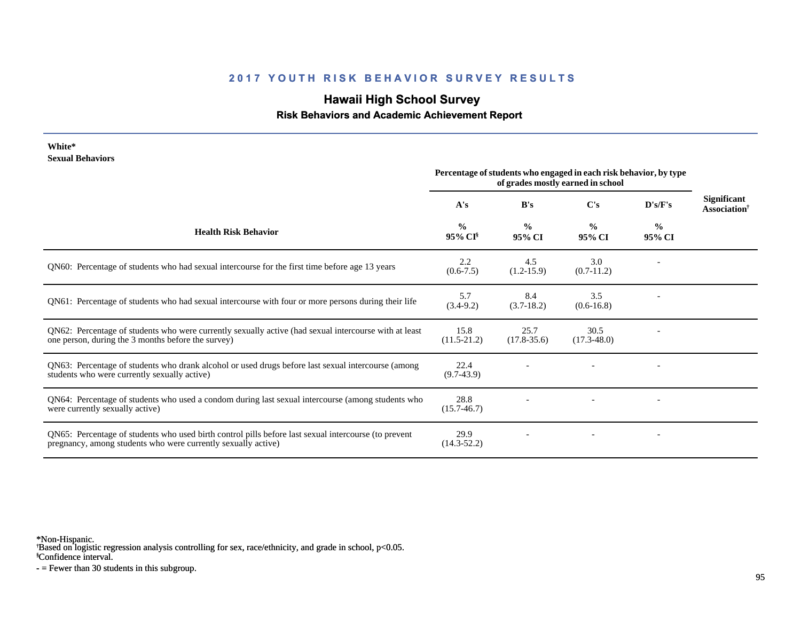# **Hawaii High School Survey**

 **Risk Behaviors and Academic Achievement Report**

| White*<br><b>Sexual Behaviors</b>                                                                                                                                     | Percentage of students who engaged in each risk behavior, by type |                         |                         |                         |                                         |
|-----------------------------------------------------------------------------------------------------------------------------------------------------------------------|-------------------------------------------------------------------|-------------------------|-------------------------|-------------------------|-----------------------------------------|
|                                                                                                                                                                       | A's                                                               | B's                     | $\bf C's$               | D's/F's                 | Significant<br>Association <sup>†</sup> |
| <b>Health Risk Behavior</b>                                                                                                                                           | $\frac{0}{0}$<br>95% CI                                           | $\frac{0}{0}$<br>95% CI | $\frac{0}{0}$<br>95% CI | $\frac{6}{9}$<br>95% CI |                                         |
| QN60: Percentage of students who had sexual intercourse for the first time before age 13 years                                                                        | 2.2<br>$(0.6 - 7.5)$                                              | 4.5<br>$(1.2-15.9)$     | 3.0<br>$(0.7-11.2)$     |                         |                                         |
| QN61: Percentage of students who had sexual intercourse with four or more persons during their life                                                                   | 5.7<br>$(3.4-9.2)$                                                | 8.4<br>$(3.7-18.2)$     | 3.5<br>$(0.6 - 16.8)$   |                         |                                         |
| QN62: Percentage of students who were currently sexually active (had sexual intercourse with at least<br>one person, during the 3 months before the survey)           | 15.8<br>$(11.5-21.2)$                                             | 25.7<br>$(17.8 - 35.6)$ | 30.5<br>$(17.3 - 48.0)$ |                         |                                         |
| QN63: Percentage of students who drank alcohol or used drugs before last sexual intercourse (among<br>students who were currently sexually active)                    | 22.4<br>$(9.7-43.9)$                                              |                         |                         |                         |                                         |
| QN64: Percentage of students who used a condom during last sexual intercourse (among students who<br>were currently sexually active)                                  | 28.8<br>$(15.7 - 46.7)$                                           |                         |                         |                         |                                         |
| QN65: Percentage of students who used birth control pills before last sexual intercourse (to prevent<br>pregnancy, among students who were currently sexually active) | 29.9<br>$(14.3 - 52.2)$                                           |                         |                         |                         |                                         |

\*Non-Hispanic.

† Based on logistic regression analysis controlling for sex, race/ethnicity, and grade in school, p<0.05.

§Confidence interval.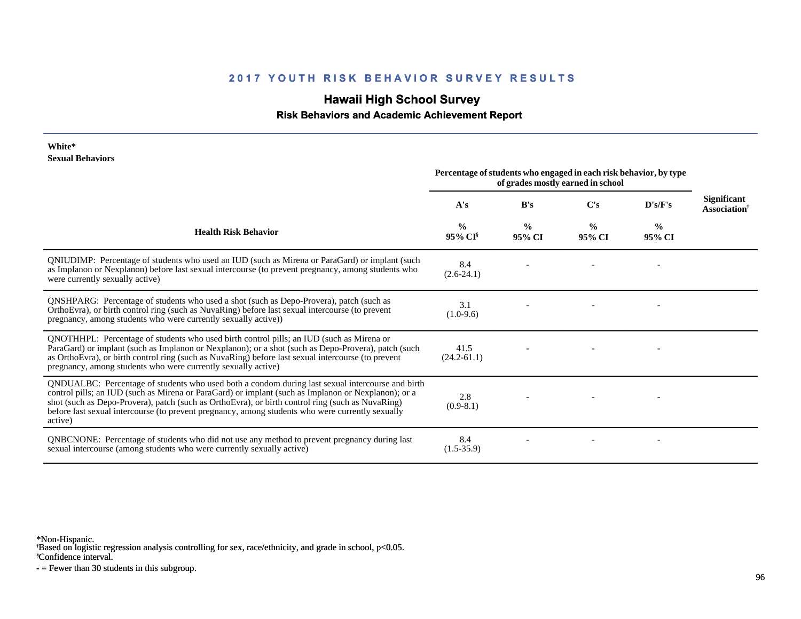# **Hawaii High School Survey**

 **Risk Behaviors and Academic Achievement Report**

#### **White\* Sexual Behaviors**

|                                                                                                                                                                                                                                                                                                                                                                                                                            | Percentage of students who engaged in each risk behavior, by type<br>of grades mostly earned in school |                         |                         |                         |                                                       |
|----------------------------------------------------------------------------------------------------------------------------------------------------------------------------------------------------------------------------------------------------------------------------------------------------------------------------------------------------------------------------------------------------------------------------|--------------------------------------------------------------------------------------------------------|-------------------------|-------------------------|-------------------------|-------------------------------------------------------|
|                                                                                                                                                                                                                                                                                                                                                                                                                            | A's                                                                                                    | B's                     | $\bf C's$               | D's/F's                 | <b>Significant</b><br><b>Association</b> <sup>†</sup> |
| <b>Health Risk Behavior</b>                                                                                                                                                                                                                                                                                                                                                                                                | $\frac{0}{0}$<br>95% CI                                                                                | $\frac{0}{0}$<br>95% CI | $\frac{0}{0}$<br>95% CI | $\frac{0}{0}$<br>95% CI |                                                       |
| QNIUDIMP: Percentage of students who used an IUD (such as Mirena or ParaGard) or implant (such<br>as Implanon or Nexplanon) before last sexual intercourse (to prevent pregnancy, among students who<br>were currently sexually active)                                                                                                                                                                                    | 8.4<br>$(2.6-24.1)$                                                                                    |                         |                         |                         |                                                       |
| QNSHPARG: Percentage of students who used a shot (such as Depo-Provera), patch (such as<br>OrthoEvra), or birth control ring (such as NuvaRing) before last sexual intercourse (to prevent<br>pregnancy, among students who were currently sexually active))                                                                                                                                                               | 3.1<br>$(1.0-9.6)$                                                                                     |                         |                         |                         |                                                       |
| QNOTHHPL: Percentage of students who used birth control pills; an IUD (such as Mirena or<br>ParaGard) or implant (such as Implanon or Nexplanon); or a shot (such as Depo-Provera), patch (such<br>as OrthoEvra), or birth control ring (such as NuvaRing) before last sexual intercourse (to prevent<br>pregnancy, among students who were currently sexually active)                                                     | 41.5<br>$(24.2 - 61.1)$                                                                                |                         |                         |                         |                                                       |
| QNDUALBC: Percentage of students who used both a condom during last sexual intercourse and birth<br>control pills; an IUD (such as Mirena or ParaGard) or implant (such as Implanon or Nexplanon); or a<br>shot (such as Depo-Provera), patch (such as OrthoEvra), or birth control ring (such as NuvaRing)<br>before last sexual intercourse (to prevent pregnancy, among students who were currently sexually<br>active) | 2.8<br>$(0.9-8.1)$                                                                                     |                         |                         |                         |                                                       |
| QNBCNONE: Percentage of students who did not use any method to prevent pregnancy during last<br>sexual intercourse (among students who were currently sexually active)                                                                                                                                                                                                                                                     | 8.4<br>$(1.5-35.9)$                                                                                    |                         |                         |                         |                                                       |

\*Non-Hispanic.

† Based on logistic regression analysis controlling for sex, race/ethnicity, and grade in school, p<0.05.

§Confidence interval.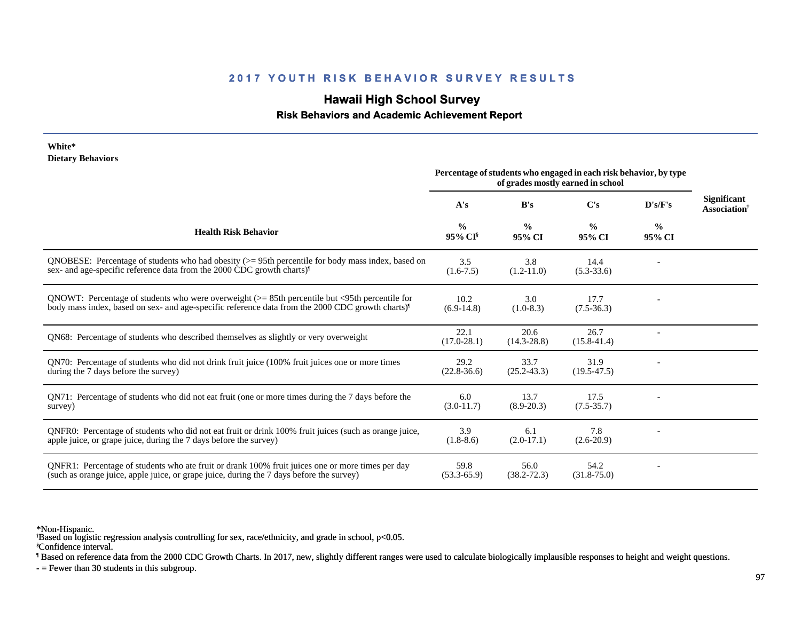# **Hawaii High School Survey**

 **Risk Behaviors and Academic Achievement Report**

| White*<br><b>Dietary Behaviors</b>                                                                                                                                                                                |                                      |                         |                                                                                                        |                         |                                                       |
|-------------------------------------------------------------------------------------------------------------------------------------------------------------------------------------------------------------------|--------------------------------------|-------------------------|--------------------------------------------------------------------------------------------------------|-------------------------|-------------------------------------------------------|
|                                                                                                                                                                                                                   |                                      |                         | Percentage of students who engaged in each risk behavior, by type<br>of grades mostly earned in school |                         |                                                       |
|                                                                                                                                                                                                                   | A's                                  | B's                     | C's                                                                                                    | D's/F's                 | <b>Significant</b><br><b>Association</b> <sup>†</sup> |
| <b>Health Risk Behavior</b>                                                                                                                                                                                       | $\frac{0}{0}$<br>95% CI <sup>§</sup> | $\frac{0}{0}$<br>95% CI | $\frac{0}{0}$<br>95% CI                                                                                | $\frac{6}{9}$<br>95% CI |                                                       |
| QNOBESE: Percentage of students who had obesity $(>= 95$ th percentile for body mass index, based on<br>sex- and age-specific reference data from the 2000 CDC growth charts)                                     | 3.5<br>$(1.6-7.5)$                   | 3.8<br>$(1.2 - 11.0)$   | 14.4<br>$(5.3 - 33.6)$                                                                                 |                         |                                                       |
| QNOWT: Percentage of students who were overweight $(>= 85$ th percentile but <95th percentile for<br>body mass index, based on sex- and age-specific reference data from the 2000 CDC growth charts) <sup>1</sup> | 10.2<br>$(6.9-14.8)$                 | 3.0<br>$(1.0-8.3)$      | 17.7<br>$(7.5-36.3)$                                                                                   |                         |                                                       |
| ON68: Percentage of students who described themselves as slightly or very overweight                                                                                                                              | 22.1<br>$(17.0 - 28.1)$              | 20.6<br>$(14.3 - 28.8)$ | 26.7<br>$(15.8 - 41.4)$                                                                                |                         |                                                       |
| QN70: Percentage of students who did not drink fruit juice (100% fruit juices one or more times<br>during the 7 days before the survey)                                                                           | 29.2<br>$(22.8 - 36.6)$              | 33.7<br>$(25.2 - 43.3)$ | 31.9<br>$(19.5-47.5)$                                                                                  |                         |                                                       |
| QN71: Percentage of students who did not eat fruit (one or more times during the 7 days before the<br>survey)                                                                                                     | 6.0<br>$(3.0-11.7)$                  | 13.7<br>$(8.9 - 20.3)$  | 17.5<br>$(7.5 - 35.7)$                                                                                 |                         |                                                       |
| QNFR0: Percentage of students who did not eat fruit or drink 100% fruit juices (such as orange juice,<br>apple juice, or grape juice, during the 7 days before the survey)                                        | 3.9<br>$(1.8-8.6)$                   | 6.1<br>$(2.0-17.1)$     | 7.8<br>$(2.6-20.9)$                                                                                    |                         |                                                       |
| ONFR1: Percentage of students who ate fruit or drank 100% fruit juices one or more times per day<br>(such as orange juice, apple juice, or grape juice, during the 7 days before the survey)                      | 59.8<br>$(53.3 - 65.9)$              | 56.0<br>$(38.2 - 72.3)$ | 54.2<br>$(31.8 - 75.0)$                                                                                |                         |                                                       |

\*Non-Hispanic.

† Based on logistic regression analysis controlling for sex, race/ethnicity, and grade in school, p<0.05.

§Confidence interval.

¶ Based on reference data from the 2000 CDC Growth Charts. In 2017, new, slightly different ranges were used to calculate biologically implausible responses to height and weight questions.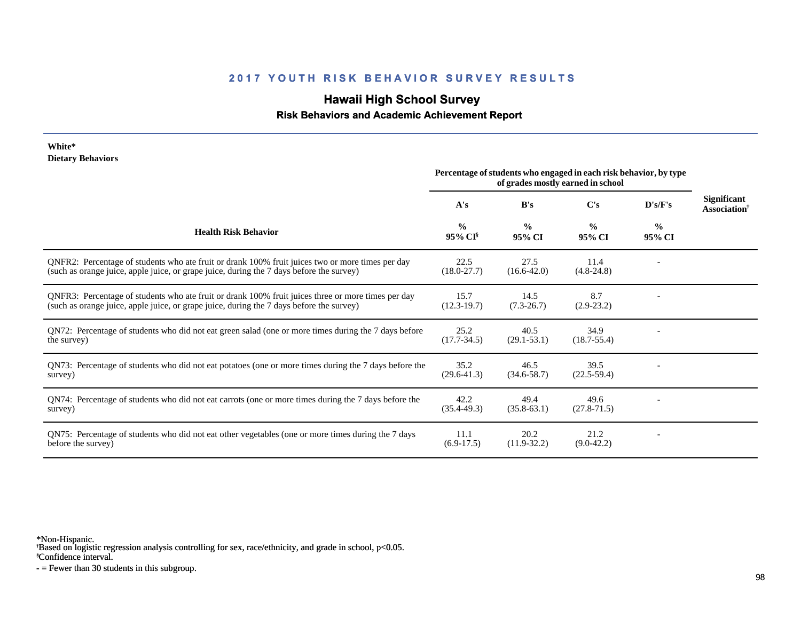# **Hawaii High School Survey**

### **Risk Behaviors and Academic Achievement Report**

#### **White\* Dietary Behaviors**

|                                                                                                                                                                                                | Percentage of students who engaged in each risk behavior, by type<br>of grades mostly earned in school |                         |                         |                         |                                                       |
|------------------------------------------------------------------------------------------------------------------------------------------------------------------------------------------------|--------------------------------------------------------------------------------------------------------|-------------------------|-------------------------|-------------------------|-------------------------------------------------------|
|                                                                                                                                                                                                | A's                                                                                                    | B's                     | C's                     | D's/F's                 | <b>Significant</b><br><b>Association</b> <sup>†</sup> |
| <b>Health Risk Behavior</b>                                                                                                                                                                    | $\frac{0}{0}$<br>95% CI                                                                                | $\frac{0}{0}$<br>95% CI | $\frac{0}{0}$<br>95% CI | $\frac{0}{0}$<br>95% CI |                                                       |
| QNFR2: Percentage of students who ate fruit or drank 100% fruit juices two or more times per day<br>(such as orange juice, apple juice, or grape juice, during the 7 days before the survey)   | 22.5<br>$(18.0 - 27.7)$                                                                                | 27.5<br>$(16.6 - 42.0)$ | 11.4<br>$(4.8-24.8)$    |                         |                                                       |
| QNFR3: Percentage of students who ate fruit or drank 100% fruit juices three or more times per day<br>(such as orange juice, apple juice, or grape juice, during the 7 days before the survey) | 15.7<br>$(12.3 - 19.7)$                                                                                | 14.5<br>$(7.3 - 26.7)$  | 8.7<br>$(2.9-23.2)$     |                         |                                                       |
| QN72: Percentage of students who did not eat green salad (one or more times during the 7 days before<br>the survey)                                                                            | 25.2<br>$(17.7 - 34.5)$                                                                                | 40.5<br>$(29.1 - 53.1)$ | 34.9<br>$(18.7 - 55.4)$ |                         |                                                       |
| QN73: Percentage of students who did not eat potatoes (one or more times during the 7 days before the<br>survey)                                                                               | 35.2<br>$(29.6 - 41.3)$                                                                                | 46.5<br>$(34.6 - 58.7)$ | 39.5<br>$(22.5-59.4)$   |                         |                                                       |
| QN74: Percentage of students who did not eat carrots (one or more times during the 7 days before the<br>survey)                                                                                | 42.2<br>$(35.4 - 49.3)$                                                                                | 49.4<br>$(35.8-63.1)$   | 49.6<br>$(27.8 - 71.5)$ |                         |                                                       |
| QN75: Percentage of students who did not eat other vegetables (one or more times during the 7 days<br>before the survey)                                                                       | 11.1<br>$(6.9-17.5)$                                                                                   | 20.2<br>$(11.9-32.2)$   | 21.2<br>$(9.0-42.2)$    |                         |                                                       |

\*Non-Hispanic.

† Based on logistic regression analysis controlling for sex, race/ethnicity, and grade in school, p<0.05.

§Confidence interval.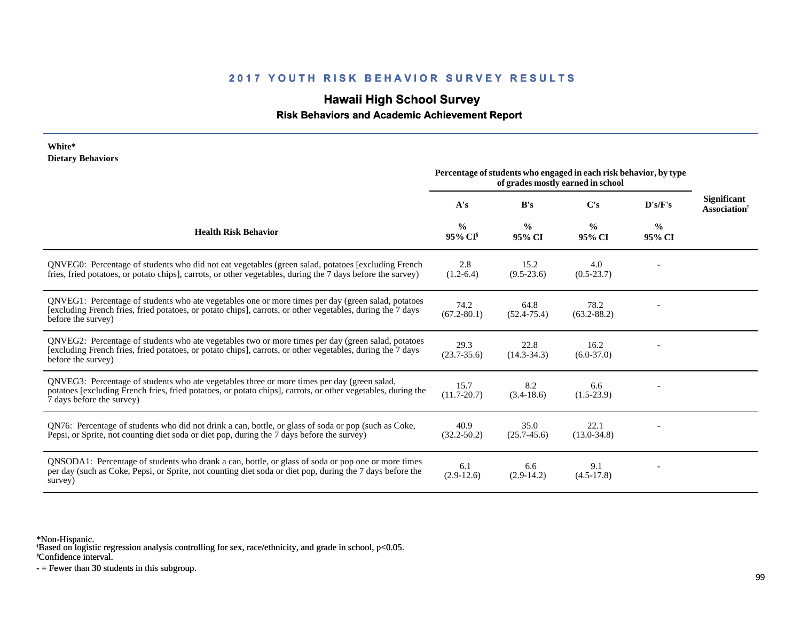# **Hawaii High School Survey**

 **Risk Behaviors and Academic Achievement Report**

| White*<br><b>Dietary Behaviors</b>                                                                                                                                                                                                       |                                      |                         |                                                                                                        |                         |                                                       |
|------------------------------------------------------------------------------------------------------------------------------------------------------------------------------------------------------------------------------------------|--------------------------------------|-------------------------|--------------------------------------------------------------------------------------------------------|-------------------------|-------------------------------------------------------|
|                                                                                                                                                                                                                                          |                                      |                         | Percentage of students who engaged in each risk behavior, by type<br>of grades mostly earned in school |                         |                                                       |
|                                                                                                                                                                                                                                          | A's                                  | B's                     | C's                                                                                                    | D's/F's                 | <b>Significant</b><br><b>Association</b> <sup>†</sup> |
| <b>Health Risk Behavior</b>                                                                                                                                                                                                              | $\frac{0}{0}$<br>95% CI <sup>§</sup> | $\frac{0}{0}$<br>95% CI | $\frac{0}{0}$<br>95% CI                                                                                | $\frac{6}{9}$<br>95% CI |                                                       |
| ONVEG0: Percentage of students who did not eat vegetables (green salad, potatoes [excluding French<br>fries, fried potatoes, or potato chips], carrots, or other vegetables, during the 7 days before the survey)                        | 2.8<br>$(1.2-6.4)$                   | 15.2<br>$(9.5 - 23.6)$  | 4.0<br>$(0.5 - 23.7)$                                                                                  |                         |                                                       |
| QNVEG1: Percentage of students who ate vegetables one or more times per day (green salad, potatoes<br>[excluding French fries, fried potatoes, or potato chips], carrots, or other vegetables, during the 7 days<br>before the survey)   | 74.2<br>$(67.2 - 80.1)$              | 64.8<br>$(52.4 - 75.4)$ | 78.2<br>$(63.2 - 88.2)$                                                                                |                         |                                                       |
| QNVEG2: Percentage of students who ate vegetables two or more times per day (green salad, potatoes<br>[excluding French fries, fried potatoes, or potato chips], carrots, or other vegetables, during the 7 days<br>before the survey)   | 29.3<br>$(23.7 - 35.6)$              | 22.8<br>$(14.3 - 34.3)$ | 16.2<br>$(6.0-37.0)$                                                                                   |                         |                                                       |
| QNVEG3: Percentage of students who ate vegetables three or more times per day (green salad,<br>potatoes [excluding French fries, fried potatoes, or potato chips], carrots, or other vegetables, during the<br>7 days before the survey) | 15.7<br>$(11.7 - 20.7)$              | 8.2<br>$(3.4-18.6)$     | 6.6<br>$(1.5-23.9)$                                                                                    |                         |                                                       |
| QN76: Percentage of students who did not drink a can, bottle, or glass of soda or pop (such as Coke,<br>Pepsi, or Sprite, not counting diet soda or diet pop, during the 7 days before the survey)                                       | 40.9<br>$(32.2 - 50.2)$              | 35.0<br>$(25.7 - 45.6)$ | 22.1<br>$(13.0 - 34.8)$                                                                                |                         |                                                       |
| QNSODA1: Percentage of students who drank a can, bottle, or glass of soda or pop one or more times<br>per day (such as Coke, Pepsi, or Sprite, not counting diet soda or diet pop, during the 7 days before the<br>survey)               | 6.1<br>$(2.9-12.6)$                  | 6.6<br>$(2.9-14.2)$     | 9.1<br>$(4.5-17.8)$                                                                                    |                         |                                                       |

\*Non-Hispanic.

† Based on logistic regression analysis controlling for sex, race/ethnicity, and grade in school, p<0.05.

§Confidence interval.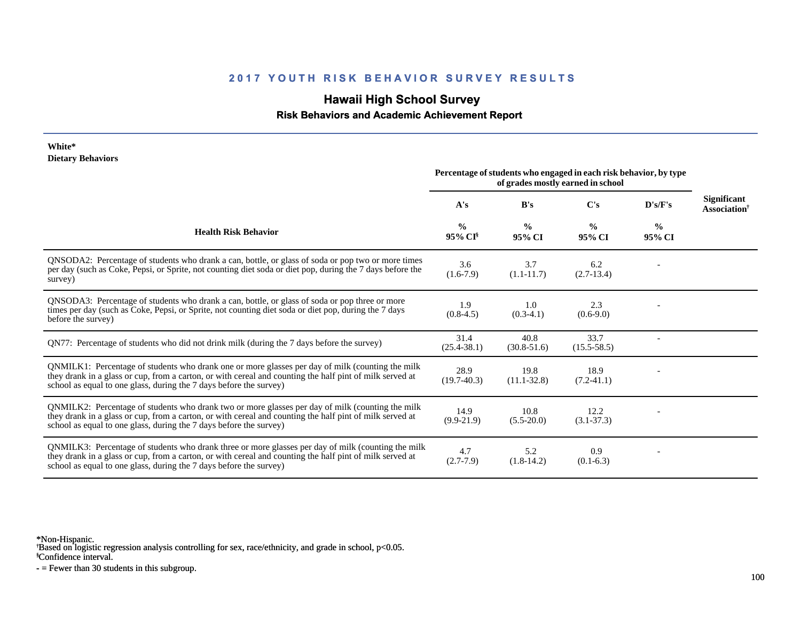# **Hawaii High School Survey**

 **Risk Behaviors and Academic Achievement Report**

#### **White\* Dietary Behaviors**

|                                                                                                                                                                                                                                                                                      | Percentage of students who engaged in each risk behavior, by type<br>of grades mostly earned in school |                         |                         |                         |                                                       |
|--------------------------------------------------------------------------------------------------------------------------------------------------------------------------------------------------------------------------------------------------------------------------------------|--------------------------------------------------------------------------------------------------------|-------------------------|-------------------------|-------------------------|-------------------------------------------------------|
|                                                                                                                                                                                                                                                                                      | A's                                                                                                    | B's                     | C's                     | D's/F's                 | <b>Significant</b><br><b>Association</b> <sup>†</sup> |
| <b>Health Risk Behavior</b>                                                                                                                                                                                                                                                          | $\frac{0}{0}$<br>95% CI                                                                                | $\frac{0}{0}$<br>95% CI | $\frac{0}{0}$<br>95% CI | $\frac{0}{0}$<br>95% CI |                                                       |
| QNSODA2: Percentage of students who drank a can, bottle, or glass of soda or pop two or more times<br>per day (such as Coke, Pepsi, or Sprite, not counting diet soda or diet pop, during the 7 days before the<br>survey)                                                           | 3.6<br>$(1.6-7.9)$                                                                                     | 3.7<br>$(1.1 - 11.7)$   | 6.2<br>$(2.7-13.4)$     |                         |                                                       |
| QNSODA3: Percentage of students who drank a can, bottle, or glass of soda or pop three or more<br>times per day (such as Coke, Pepsi, or Sprite, not counting diet soda or diet pop, during the 7 days<br>before the survey)                                                         | 1.9<br>$(0.8-4.5)$                                                                                     | 1.0<br>$(0.3-4.1)$      | 2.3<br>$(0.6-9.0)$      |                         |                                                       |
| QN77: Percentage of students who did not drink milk (during the 7 days before the survey)                                                                                                                                                                                            | 31.4<br>$(25.4 - 38.1)$                                                                                | 40.8<br>$(30.8 - 51.6)$ | 33.7<br>$(15.5 - 58.5)$ |                         |                                                       |
| QNMILK1: Percentage of students who drank one or more glasses per day of milk (counting the milk<br>they drank in a glass or cup, from a carton, or with cereal and counting the half pint of milk served at<br>school as equal to one glass, during the 7 days before the survey)   | 28.9<br>$(19.7-40.3)$                                                                                  | 19.8<br>$(11.1 - 32.8)$ | 18.9<br>$(7.2 - 41.1)$  |                         |                                                       |
| QNMILK2: Percentage of students who drank two or more glasses per day of milk (counting the milk<br>they drank in a glass or cup, from a carton, or with cereal and counting the half pint of milk served at<br>school as equal to one glass, during the 7 days before the survey)   | 14.9<br>$(9.9-21.9)$                                                                                   | 10.8<br>$(5.5 - 20.0)$  | 12.2<br>$(3.1 - 37.3)$  |                         |                                                       |
| QNMILK3: Percentage of students who drank three or more glasses per day of milk (counting the milk<br>they drank in a glass or cup, from a carton, or with cereal and counting the half pint of milk served at<br>school as equal to one glass, during the 7 days before the survey) | 4.7<br>$(2.7 - 7.9)$                                                                                   | 5.2<br>$(1.8-14.2)$     | 0.9<br>$(0.1-6.3)$      |                         |                                                       |

\*Non-Hispanic.

† Based on logistic regression analysis controlling for sex, race/ethnicity, and grade in school, p<0.05.

§Confidence interval.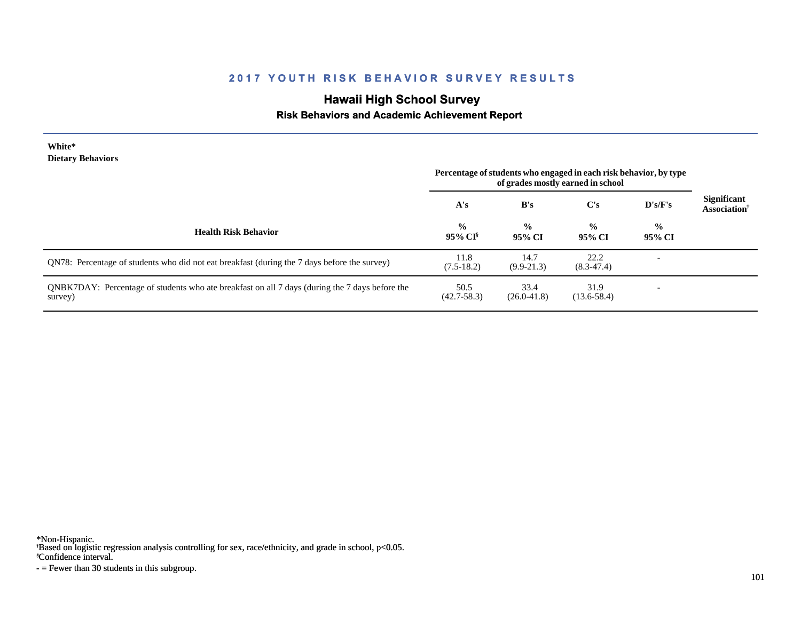# **Hawaii High School Survey**

### **Risk Behaviors and Academic Achievement Report**

| White*<br><b>Dietary Behaviors</b>                                                                        | Percentage of students who engaged in each risk behavior, by type |                         |                         |                          |                                                       |
|-----------------------------------------------------------------------------------------------------------|-------------------------------------------------------------------|-------------------------|-------------------------|--------------------------|-------------------------------------------------------|
|                                                                                                           | A's                                                               | B's                     | C's                     | D's/F's                  | <b>Significant</b><br><b>Association</b> <sup>†</sup> |
| <b>Health Risk Behavior</b>                                                                               | $\frac{6}{10}$<br>95% CI <sup>§</sup>                             | $\frac{0}{0}$<br>95% CI | $\frac{0}{0}$<br>95% CI | $\frac{0}{0}$<br>95% CI  |                                                       |
| QN78: Percentage of students who did not eat breakfast (during the 7 days before the survey)              | 11.8<br>$(7.5-18.2)$                                              | 14.7<br>$(9.9-21.3)$    | 22.2<br>$(8.3-47.4)$    | $\overline{\phantom{a}}$ |                                                       |
| QNBK7DAY: Percentage of students who ate breakfast on all 7 days (during the 7 days before the<br>survey) | 50.5<br>$(42.7 - 58.3)$                                           | 33.4<br>$(26.0 - 41.8)$ | 31.9<br>$(13.6 - 58.4)$ | ۰                        |                                                       |

\*Non-Hispanic.

† Based on logistic regression analysis controlling for sex, race/ethnicity, and grade in school, p<0.05.

§Confidence interval.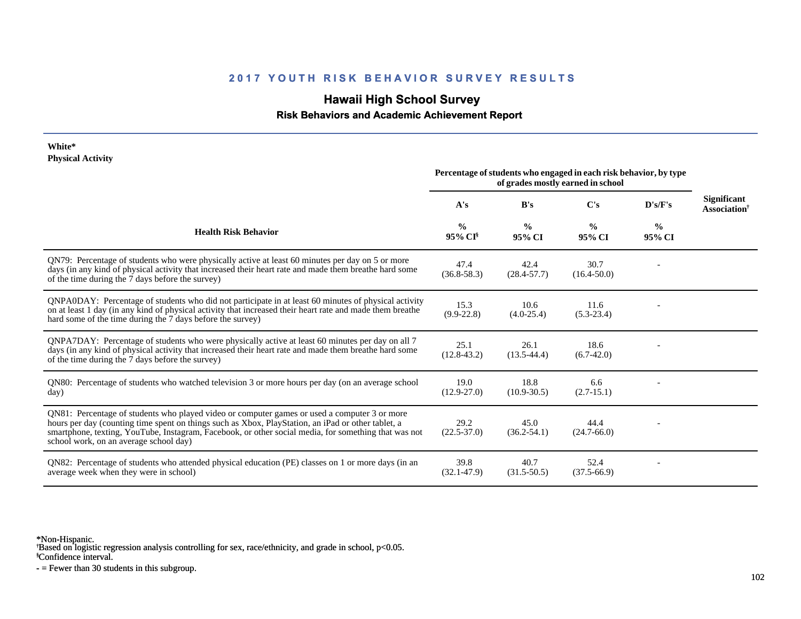# **Hawaii High School Survey**

 **Risk Behaviors and Academic Achievement Report**

#### **White\* Physical Activity**

|                                                                                                                                                                                                                                                                                                                                                      | Percentage of students who engaged in each risk behavior, by type<br>of grades mostly earned in school |                         |                         |                         |                                                       |
|------------------------------------------------------------------------------------------------------------------------------------------------------------------------------------------------------------------------------------------------------------------------------------------------------------------------------------------------------|--------------------------------------------------------------------------------------------------------|-------------------------|-------------------------|-------------------------|-------------------------------------------------------|
|                                                                                                                                                                                                                                                                                                                                                      | A's                                                                                                    | B's                     | C's                     | D's/F's                 | <b>Significant</b><br><b>Association</b> <sup>†</sup> |
| <b>Health Risk Behavior</b>                                                                                                                                                                                                                                                                                                                          | $\frac{0}{0}$<br>95% CI                                                                                | $\frac{0}{0}$<br>95% CI | $\frac{0}{0}$<br>95% CI | $\frac{0}{0}$<br>95% CI |                                                       |
| QN79: Percentage of students who were physically active at least 60 minutes per day on 5 or more<br>days (in any kind of physical activity that increased their heart rate and made them breathe hard some<br>of the time during the 7 days before the survey)                                                                                       | 47.4<br>$(36.8 - 58.3)$                                                                                | 42.4<br>$(28.4 - 57.7)$ | 30.7<br>$(16.4 - 50.0)$ |                         |                                                       |
| QNPA0DAY: Percentage of students who did not participate in at least 60 minutes of physical activity<br>on at least 1 day (in any kind of physical activity that increased their heart rate and made them breathe<br>hard some of the time during the 7 days before the survey)                                                                      | 15.3<br>$(9.9-22.8)$                                                                                   | 10.6<br>$(4.0-25.4)$    | 11.6<br>$(5.3-23.4)$    |                         |                                                       |
| QNPA7DAY: Percentage of students who were physically active at least 60 minutes per day on all 7<br>days (in any kind of physical activity that increased their heart rate and made them breathe hard some<br>of the time during the 7 days before the survey)                                                                                       | 25.1<br>$(12.8 - 43.2)$                                                                                | 26.1<br>$(13.5 - 44.4)$ | 18.6<br>$(6.7-42.0)$    |                         |                                                       |
| QN80: Percentage of students who watched television 3 or more hours per day (on an average school<br>day)                                                                                                                                                                                                                                            | 19.0<br>$(12.9 - 27.0)$                                                                                | 18.8<br>$(10.9 - 30.5)$ | 6.6<br>$(2.7-15.1)$     |                         |                                                       |
| QN81: Percentage of students who played video or computer games or used a computer 3 or more<br>hours per day (counting time spent on things such as Xbox, PlayStation, an iPad or other tablet, a<br>smartphone, texting, YouTube, Instagram, Facebook, or other social media, for something that was not<br>school work, on an average school day) | 29.2<br>$(22.5 - 37.0)$                                                                                | 45.0<br>$(36.2 - 54.1)$ | 44.4<br>$(24.7 - 66.0)$ |                         |                                                       |
| QN82: Percentage of students who attended physical education (PE) classes on 1 or more days (in an<br>average week when they were in school)                                                                                                                                                                                                         | 39.8<br>$(32.1 - 47.9)$                                                                                | 40.7<br>$(31.5 - 50.5)$ | 52.4<br>$(37.5 - 66.9)$ |                         |                                                       |

\*Non-Hispanic.

† Based on logistic regression analysis controlling for sex, race/ethnicity, and grade in school, p<0.05.

§Confidence interval.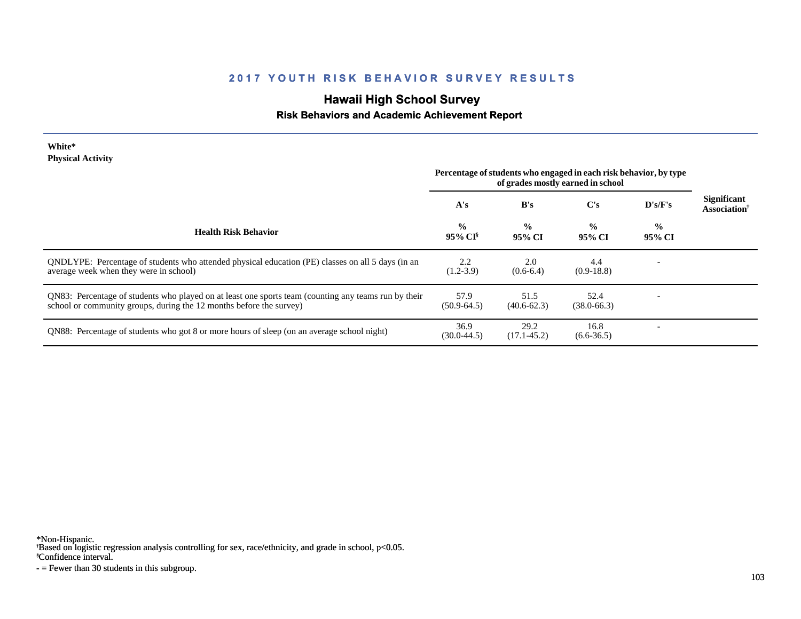# **Hawaii High School Survey**

### **Risk Behaviors and Academic Achievement Report**

| White*                   |  |
|--------------------------|--|
| <b>Physical Activity</b> |  |

|                                                                                                                                                                             | Percentage of students who engaged in each risk behavior, by type |                         |                         |                         |                                                       |
|-----------------------------------------------------------------------------------------------------------------------------------------------------------------------------|-------------------------------------------------------------------|-------------------------|-------------------------|-------------------------|-------------------------------------------------------|
|                                                                                                                                                                             | A's                                                               | B's                     | C's                     | D's/F's                 | <b>Significant</b><br><b>Association</b> <sup>†</sup> |
| <b>Health Risk Behavior</b>                                                                                                                                                 | $\frac{6}{10}$<br>95% CI <sup>§</sup>                             | $\frac{0}{0}$<br>95% CI | $\frac{0}{0}$<br>95% CI | $\frac{0}{0}$<br>95% CI |                                                       |
| ONDLYPE: Percentage of students who attended physical education (PE) classes on all 5 days (in an<br>average week when they were in school)                                 | 2.2<br>$(1.2 - 3.9)$                                              | 2.0<br>$(0.6-6.4)$      | 4.4<br>$(0.9-18.8)$     |                         |                                                       |
| QN83: Percentage of students who played on at least one sports team (counting any teams run by their<br>school or community groups, during the 12 months before the survey) | 57.9<br>$(50.9 - 64.5)$                                           | 51.5<br>$(40.6 - 62.3)$ | 52.4<br>$(38.0 - 66.3)$ |                         |                                                       |
| QN88: Percentage of students who got 8 or more hours of sleep (on an average school night)                                                                                  | 36.9<br>$(30.0 - 44.5)$                                           | 29.2<br>$(17.1 - 45.2)$ | 16.8<br>$(6.6 - 36.5)$  |                         |                                                       |

\*Non-Hispanic.

† Based on logistic regression analysis controlling for sex, race/ethnicity, and grade in school, p<0.05.

§Confidence interval.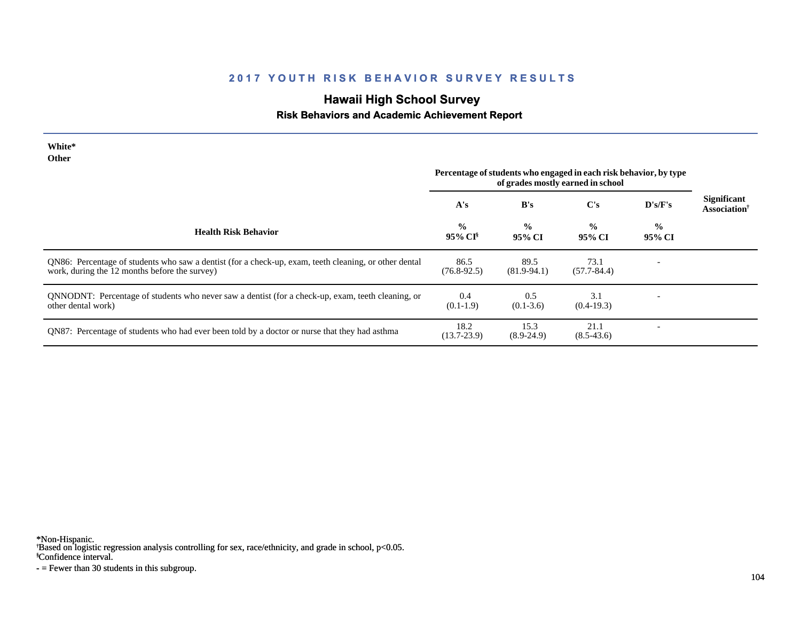# **Hawaii High School Survey**

### **Risk Behaviors and Academic Achievement Report**

| White*<br><b>Other</b>                                                                                                                                 | Percentage of students who engaged in each risk behavior, by type<br>of grades mostly earned in school |                         |                         |                          |                                                       |
|--------------------------------------------------------------------------------------------------------------------------------------------------------|--------------------------------------------------------------------------------------------------------|-------------------------|-------------------------|--------------------------|-------------------------------------------------------|
|                                                                                                                                                        | A's                                                                                                    | B's                     | C's                     | D's/F's                  | <b>Significant</b><br><b>Association</b> <sup>†</sup> |
| <b>Health Risk Behavior</b>                                                                                                                            | $\frac{0}{0}$<br>95% CI <sup>§</sup>                                                                   | $\frac{0}{0}$<br>95% CI | $\frac{6}{6}$<br>95% CI | $\frac{6}{6}$<br>95% CI  |                                                       |
| QN86: Percentage of students who saw a dentist (for a check-up, exam, teeth cleaning, or other dental<br>work, during the 12 months before the survey) | 86.5<br>$(76.8-92.5)$                                                                                  | 89.5<br>$(81.9-94.1)$   | 73.1<br>$(57.7 - 84.4)$ | $\overline{\phantom{a}}$ |                                                       |
| QNNODNT: Percentage of students who never saw a dentist (for a check-up, exam, teeth cleaning, or<br>other dental work)                                | 0.4<br>$(0.1-1.9)$                                                                                     | 0.5<br>$(0.1 - 3.6)$    | 3.1<br>$(0.4-19.3)$     |                          |                                                       |
| QN87: Percentage of students who had ever been told by a doctor or nurse that they had asthma                                                          | 18.2<br>$(13.7 - 23.9)$                                                                                | 15.3<br>$(8.9-24.9)$    | 21.1<br>$(8.5-43.6)$    |                          |                                                       |

\*Non-Hispanic.

† Based on logistic regression analysis controlling for sex, race/ethnicity, and grade in school, p<0.05.

§Confidence interval.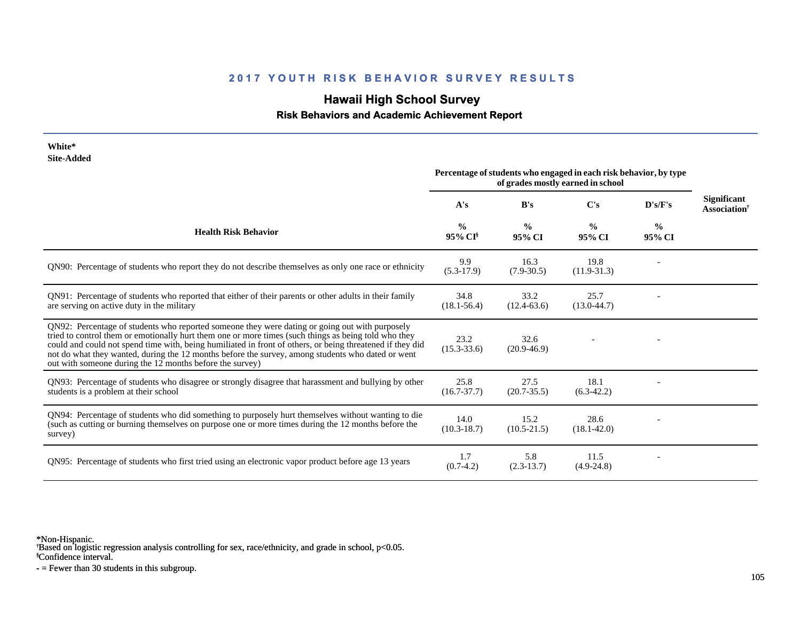# **Hawaii High School Survey**

 **Risk Behaviors and Academic Achievement Report**

| White*<br><b>Site-Added</b>                                                                                                                                                                                                                                                                                                                                                                                                                                                          |                         |                         |                                                                                                        |                         |                                                       |
|--------------------------------------------------------------------------------------------------------------------------------------------------------------------------------------------------------------------------------------------------------------------------------------------------------------------------------------------------------------------------------------------------------------------------------------------------------------------------------------|-------------------------|-------------------------|--------------------------------------------------------------------------------------------------------|-------------------------|-------------------------------------------------------|
|                                                                                                                                                                                                                                                                                                                                                                                                                                                                                      |                         |                         | Percentage of students who engaged in each risk behavior, by type<br>of grades mostly earned in school |                         |                                                       |
|                                                                                                                                                                                                                                                                                                                                                                                                                                                                                      | A's                     | B's                     | C's                                                                                                    | D's/F's                 | <b>Significant</b><br><b>Association</b> <sup>†</sup> |
| <b>Health Risk Behavior</b>                                                                                                                                                                                                                                                                                                                                                                                                                                                          | $\frac{0}{0}$<br>95% CI | $\frac{0}{0}$<br>95% CI | $\frac{0}{0}$<br>95% CI                                                                                | $\frac{0}{0}$<br>95% CI |                                                       |
| QN90: Percentage of students who report they do not describe themselves as only one race or ethnicity                                                                                                                                                                                                                                                                                                                                                                                | 9.9<br>$(5.3-17.9)$     | 16.3<br>$(7.9 - 30.5)$  | 19.8<br>$(11.9-31.3)$                                                                                  |                         |                                                       |
| QN91: Percentage of students who reported that either of their parents or other adults in their family<br>are serving on active duty in the military                                                                                                                                                                                                                                                                                                                                 | 34.8<br>$(18.1 - 56.4)$ | 33.2<br>$(12.4 - 63.6)$ | 25.7<br>$(13.0-44.7)$                                                                                  |                         |                                                       |
| QN92: Percentage of students who reported someone they were dating or going out with purposely<br>tried to control them or emotionally hurt them one or more times (such things as being told who they<br>could and could not spend time with, being humiliated in front of others, or being threatened if they did<br>not do what they wanted, during the 12 months before the survey, among students who dated or went<br>out with someone during the 12 months before the survey) | 23.2<br>$(15.3 - 33.6)$ | 32.6<br>$(20.9 - 46.9)$ |                                                                                                        |                         |                                                       |
| QN93: Percentage of students who disagree or strongly disagree that harassment and bullying by other<br>students is a problem at their school                                                                                                                                                                                                                                                                                                                                        | 25.8<br>$(16.7 - 37.7)$ | 27.5<br>$(20.7 - 35.5)$ | 18.1<br>$(6.3-42.2)$                                                                                   |                         |                                                       |
| QN94: Percentage of students who did something to purposely hurt themselves without wanting to die<br>(such as cutting or burning themselves on purpose one or more times during the 12 months before the<br>survey)                                                                                                                                                                                                                                                                 | 14.0<br>$(10.3 - 18.7)$ | 15.2<br>$(10.5 - 21.5)$ | 28.6<br>$(18.1 - 42.0)$                                                                                |                         |                                                       |
| QN95: Percentage of students who first tried using an electronic vapor product before age 13 years                                                                                                                                                                                                                                                                                                                                                                                   | 1.7<br>$(0.7-4.2)$      | 5.8<br>$(2.3-13.7)$     | 11.5<br>$(4.9-24.8)$                                                                                   |                         |                                                       |

\*Non-Hispanic.

† Based on logistic regression analysis controlling for sex, race/ethnicity, and grade in school, p<0.05.

§Confidence interval.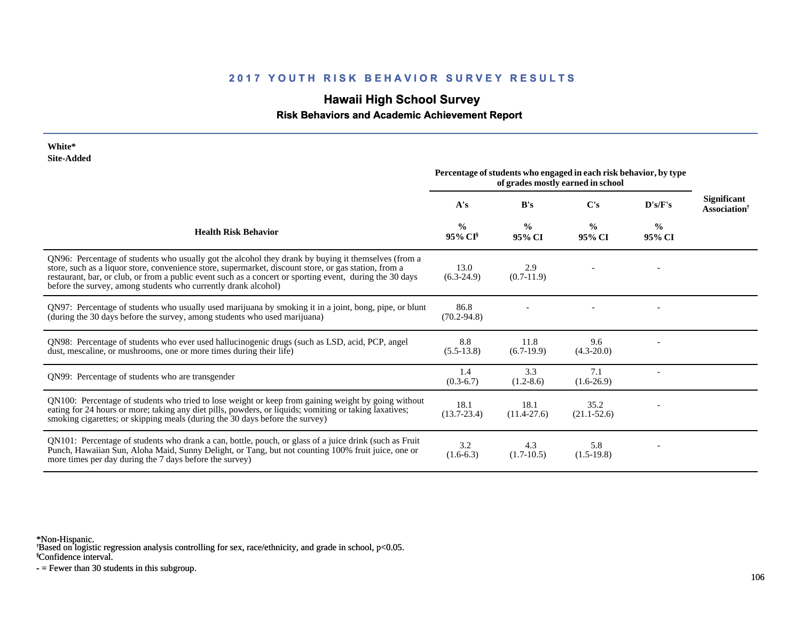# **Hawaii High School Survey**

### **Risk Behaviors and Academic Achievement Report**

| White*<br><b>Site-Added</b>                                                                                                                                                                                                                                                                                                                                                                |                                      |                         |                                                                                                        |                         |                                                       |
|--------------------------------------------------------------------------------------------------------------------------------------------------------------------------------------------------------------------------------------------------------------------------------------------------------------------------------------------------------------------------------------------|--------------------------------------|-------------------------|--------------------------------------------------------------------------------------------------------|-------------------------|-------------------------------------------------------|
|                                                                                                                                                                                                                                                                                                                                                                                            |                                      |                         | Percentage of students who engaged in each risk behavior, by type<br>of grades mostly earned in school |                         |                                                       |
|                                                                                                                                                                                                                                                                                                                                                                                            | A's                                  | B's                     | C's                                                                                                    | D's/F's                 | <b>Significant</b><br><b>Association</b> <sup>†</sup> |
| <b>Health Risk Behavior</b>                                                                                                                                                                                                                                                                                                                                                                | $\frac{0}{0}$<br>95% CI <sup>§</sup> | $\frac{0}{0}$<br>95% CI | $\frac{0}{0}$<br>95% CI                                                                                | $\frac{0}{0}$<br>95% CI |                                                       |
| QN96: Percentage of students who usually got the alcohol they drank by buying it themselves (from a<br>store, such as a liquor store, convenience store, supermarket, discount store, or gas station, from a<br>restaurant, bar, or club, or from a public event such as a concert or sporting event, during the 30 days<br>before the survey, among students who currently drank alcohol) | 13.0<br>$(6.3-24.9)$                 | 2.9<br>$(0.7-11.9)$     |                                                                                                        |                         |                                                       |
| QN97: Percentage of students who usually used marijuana by smoking it in a joint, bong, pipe, or blunt<br>(during the 30 days before the survey, among students who used marijuana)                                                                                                                                                                                                        | 86.8<br>$(70.2 - 94.8)$              |                         |                                                                                                        |                         |                                                       |
| QN98: Percentage of students who ever used hallucinogenic drugs (such as LSD, acid, PCP, angel<br>dust, mescaline, or mushrooms, one or more times during their life)                                                                                                                                                                                                                      | 8.8<br>$(5.5-13.8)$                  | 11.8<br>$(6.7-19.9)$    | 9.6<br>$(4.3 - 20.0)$                                                                                  |                         |                                                       |
| QN99: Percentage of students who are transgender                                                                                                                                                                                                                                                                                                                                           | 1.4<br>$(0.3-6.7)$                   | 3.3<br>$(1.2-8.6)$      | 7.1<br>$(1.6-26.9)$                                                                                    |                         |                                                       |
| QN100: Percentage of students who tried to lose weight or keep from gaining weight by going without<br>eating for 24 hours or more; taking any diet pills, powders, or liquids; vomiting or taking laxatives;<br>smoking cigarettes; or skipping meals (during the 30 days before the survey)                                                                                              | 18.1<br>$(13.7 - 23.4)$              | 18.1<br>$(11.4 - 27.6)$ | 35.2<br>$(21.1 - 52.6)$                                                                                |                         |                                                       |
| QN101: Percentage of students who drank a can, bottle, pouch, or glass of a juice drink (such as Fruit<br>Punch, Hawaiian Sun, Aloha Maid, Sunny Delight, or Tang, but not counting 100% fruit juice, one or<br>more times per day during the 7 days before the survey)                                                                                                                    | 3.2<br>$(1.6-6.3)$                   | 4.3<br>$(1.7-10.5)$     | 5.8<br>$(1.5-19.8)$                                                                                    |                         |                                                       |

\*Non-Hispanic.

† Based on logistic regression analysis controlling for sex, race/ethnicity, and grade in school, p<0.05.

§Confidence interval.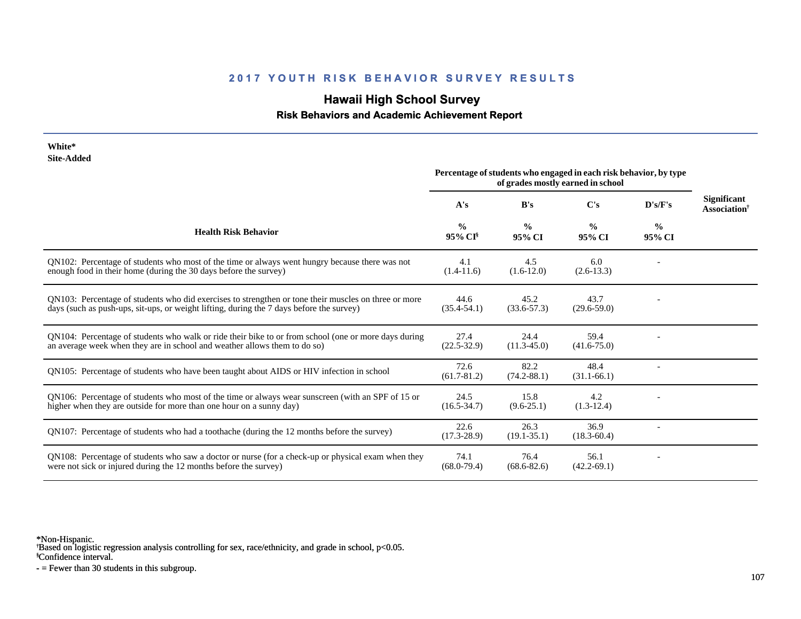# **Hawaii High School Survey**

 **Risk Behaviors and Academic Achievement Report**

| White*<br><b>Site-Added</b>                                                                                                                                                                      |                                      |                         |                                                                                                        |                         |                                                       |
|--------------------------------------------------------------------------------------------------------------------------------------------------------------------------------------------------|--------------------------------------|-------------------------|--------------------------------------------------------------------------------------------------------|-------------------------|-------------------------------------------------------|
|                                                                                                                                                                                                  |                                      |                         | Percentage of students who engaged in each risk behavior, by type<br>of grades mostly earned in school |                         |                                                       |
|                                                                                                                                                                                                  | A's                                  | B's                     | C's                                                                                                    | D's/F's                 | <b>Significant</b><br><b>Association</b> <sup>†</sup> |
| <b>Health Risk Behavior</b>                                                                                                                                                                      | $\frac{0}{0}$<br>95% CI <sup>§</sup> | $\frac{0}{0}$<br>95% CI | $\frac{0}{0}$<br>95% CI                                                                                | $\frac{0}{0}$<br>95% CI |                                                       |
| QN102: Percentage of students who most of the time or always went hungry because there was not<br>enough food in their home (during the 30 days before the survey)                               | 4.1<br>$(1.4-11.6)$                  | 4.5<br>$(1.6-12.0)$     | 6.0<br>$(2.6-13.3)$                                                                                    |                         |                                                       |
| QN103: Percentage of students who did exercises to strengthen or tone their muscles on three or more<br>days (such as push-ups, sit-ups, or weight lifting, during the 7 days before the survey) | 44.6<br>$(35.4 - 54.1)$              | 45.2<br>$(33.6 - 57.3)$ | 43.7<br>$(29.6 - 59.0)$                                                                                |                         |                                                       |
| QN104: Percentage of students who walk or ride their bike to or from school (one or more days during<br>an average week when they are in school and weather allows them to do so)                | 27.4<br>$(22.5 - 32.9)$              | 24.4<br>$(11.3 - 45.0)$ | 59.4<br>$(41.6 - 75.0)$                                                                                |                         |                                                       |
| QN105: Percentage of students who have been taught about AIDS or HIV infection in school                                                                                                         | 72.6<br>$(61.7 - 81.2)$              | 82.2<br>$(74.2 - 88.1)$ | 48.4<br>$(31.1-66.1)$                                                                                  |                         |                                                       |
| QN106: Percentage of students who most of the time or always wear sunscreen (with an SPF of 15 or<br>higher when they are outside for more than one hour on a sunny day)                         | 24.5<br>$(16.5 - 34.7)$              | 15.8<br>$(9.6 - 25.1)$  | 4.2<br>$(1.3-12.4)$                                                                                    |                         |                                                       |
| QN107: Percentage of students who had a toothache (during the 12 months before the survey)                                                                                                       | 22.6<br>$(17.3 - 28.9)$              | 26.3<br>$(19.1 - 35.1)$ | 36.9<br>$(18.3 - 60.4)$                                                                                |                         |                                                       |
| QN108: Percentage of students who saw a doctor or nurse (for a check-up or physical exam when they<br>were not sick or injured during the 12 months before the survey)                           | 74.1<br>$(68.0 - 79.4)$              | 76.4<br>$(68.6 - 82.6)$ | 56.1<br>$(42.2 - 69.1)$                                                                                |                         |                                                       |

\*Non-Hispanic.

† Based on logistic regression analysis controlling for sex, race/ethnicity, and grade in school, p<0.05.

§Confidence interval.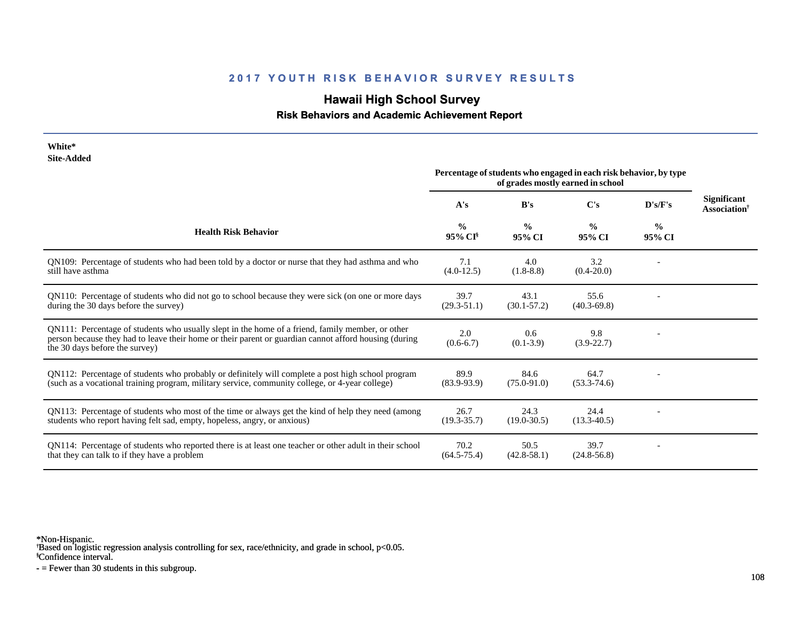# **Hawaii High School Survey**

 **Risk Behaviors and Academic Achievement Report**

| White*<br><b>Site-Added</b>                                                                                                                                                                                                                 |                                                                                                        |                         |                         |                         |                                                |
|---------------------------------------------------------------------------------------------------------------------------------------------------------------------------------------------------------------------------------------------|--------------------------------------------------------------------------------------------------------|-------------------------|-------------------------|-------------------------|------------------------------------------------|
|                                                                                                                                                                                                                                             | Percentage of students who engaged in each risk behavior, by type<br>of grades mostly earned in school |                         |                         |                         |                                                |
|                                                                                                                                                                                                                                             | A's                                                                                                    | B's                     | C's                     | D's/F's                 | <b>Significant</b><br>Association <sup>†</sup> |
| <b>Health Risk Behavior</b>                                                                                                                                                                                                                 | $\frac{0}{0}$<br>95% CI                                                                                | $\frac{0}{0}$<br>95% CI | $\frac{0}{0}$<br>95% CI | $\frac{0}{0}$<br>95% CI |                                                |
| QN109: Percentage of students who had been told by a doctor or nurse that they had asthma and who<br>still have asthma                                                                                                                      | 7.1<br>$(4.0-12.5)$                                                                                    | 4.0<br>$(1.8-8.8)$      | 3.2<br>$(0.4 - 20.0)$   |                         |                                                |
| QN110: Percentage of students who did not go to school because they were sick (on one or more days<br>during the 30 days before the survey)                                                                                                 | 39.7<br>$(29.3 - 51.1)$                                                                                | 43.1<br>$(30.1 - 57.2)$ | 55.6<br>$(40.3 - 69.8)$ |                         |                                                |
| QN111: Percentage of students who usually slept in the home of a friend, family member, or other<br>person because they had to leave their home or their parent or guardian cannot afford housing (during<br>the 30 days before the survey) | 2.0<br>$(0.6-6.7)$                                                                                     | 0.6<br>$(0.1 - 3.9)$    | 9.8<br>$(3.9-22.7)$     |                         |                                                |
| QN112: Percentage of students who probably or definitely will complete a post high school program<br>(such as a vocational training program, military service, community college, or 4-year college)                                        | 89.9<br>$(83.9 - 93.9)$                                                                                | 84.6<br>$(75.0 - 91.0)$ | 64.7<br>$(53.3 - 74.6)$ |                         |                                                |
| QN113: Percentage of students who most of the time or always get the kind of help they need (among<br>students who report having felt sad, empty, hopeless, angry, or anxious)                                                              | 26.7<br>$(19.3 - 35.7)$                                                                                | 24.3<br>$(19.0 - 30.5)$ | 24.4<br>$(13.3 - 40.5)$ |                         |                                                |
| QN114: Percentage of students who reported there is at least one teacher or other adult in their school<br>that they can talk to if they have a problem                                                                                     | 70.2<br>$(64.5 - 75.4)$                                                                                | 50.5<br>$(42.8 - 58.1)$ | 39.7<br>$(24.8 - 56.8)$ |                         |                                                |

\*Non-Hispanic.

† Based on logistic regression analysis controlling for sex, race/ethnicity, and grade in school, p<0.05.

§Confidence interval.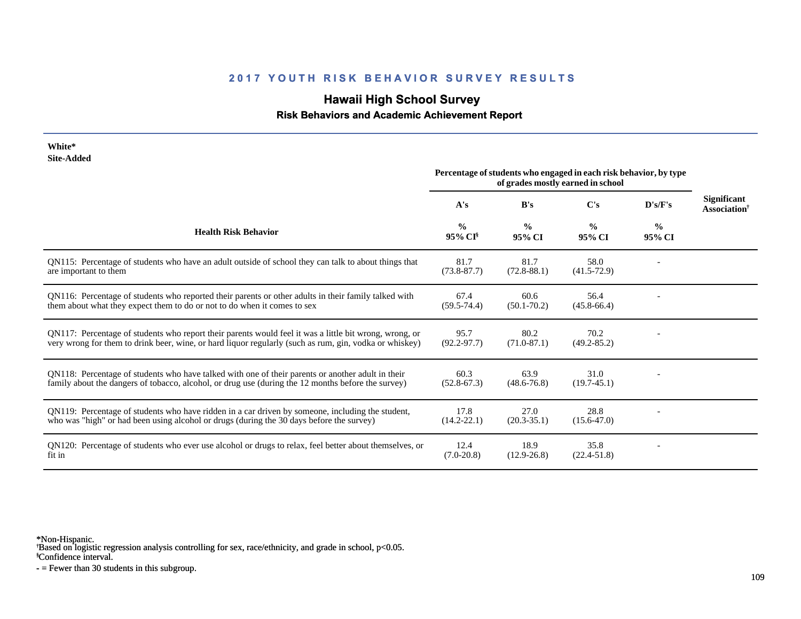### **2017 YOUTH RISK BEHAVIOR SURVEY RESULTS**

# **Hawaii High School Survey**

 **Risk Behaviors and Academic Achievement Report**

| White*                                                                                                                                                                                                           |                                                                                                        |                         |                         |                         |                                                       |
|------------------------------------------------------------------------------------------------------------------------------------------------------------------------------------------------------------------|--------------------------------------------------------------------------------------------------------|-------------------------|-------------------------|-------------------------|-------------------------------------------------------|
| <b>Site-Added</b>                                                                                                                                                                                                | Percentage of students who engaged in each risk behavior, by type<br>of grades mostly earned in school |                         |                         |                         |                                                       |
|                                                                                                                                                                                                                  | A's                                                                                                    | B's                     | C's                     | D's/F's                 | <b>Significant</b><br><b>Association</b> <sup>†</sup> |
| <b>Health Risk Behavior</b>                                                                                                                                                                                      | $\frac{0}{0}$<br>95% CI <sup>§</sup>                                                                   | $\frac{0}{0}$<br>95% CI | $\frac{0}{0}$<br>95% CI | $\frac{0}{0}$<br>95% CI |                                                       |
| QN115: Percentage of students who have an adult outside of school they can talk to about things that<br>are important to them                                                                                    | 81.7<br>$(73.8 - 87.7)$                                                                                | 81.7<br>$(72.8 - 88.1)$ | 58.0<br>$(41.5 - 72.9)$ |                         |                                                       |
| QN116: Percentage of students who reported their parents or other adults in their family talked with<br>them about what they expect them to do or not to do when it comes to sex                                 | 67.4<br>$(59.5 - 74.4)$                                                                                | 60.6<br>$(50.1 - 70.2)$ | 56.4<br>$(45.8 - 66.4)$ |                         |                                                       |
| QN117: Percentage of students who report their parents would feel it was a little bit wrong, wrong, or<br>very wrong for them to drink beer, wine, or hard liquor regularly (such as rum, gin, vodka or whiskey) | 95.7<br>$(92.2 - 97.7)$                                                                                | 80.2<br>$(71.0 - 87.1)$ | 70.2<br>$(49.2 - 85.2)$ |                         |                                                       |
| QN118: Percentage of students who have talked with one of their parents or another adult in their<br>family about the dangers of tobacco, alcohol, or drug use (during the 12 months before the survey)          | 60.3<br>$(52.8 - 67.3)$                                                                                | 63.9<br>$(48.6 - 76.8)$ | 31.0<br>$(19.7-45.1)$   |                         |                                                       |
| QN119: Percentage of students who have ridden in a car driven by someone, including the student,<br>who was "high" or had been using alcohol or drugs (during the 30 days before the survey)                     | 17.8<br>$(14.2 - 22.1)$                                                                                | 27.0<br>$(20.3 - 35.1)$ | 28.8<br>$(15.6 - 47.0)$ |                         |                                                       |
| QN120: Percentage of students who ever use alcohol or drugs to relax, feel better about themselves, or<br>fit in                                                                                                 | 12.4<br>$(7.0-20.8)$                                                                                   | 18.9<br>$(12.9 - 26.8)$ | 35.8<br>$(22.4 - 51.8)$ |                         |                                                       |

\*Non-Hispanic.

† Based on logistic regression analysis controlling for sex, race/ethnicity, and grade in school, p<0.05.

§Confidence interval.

- = Fewer than 30 students in this subgroup.